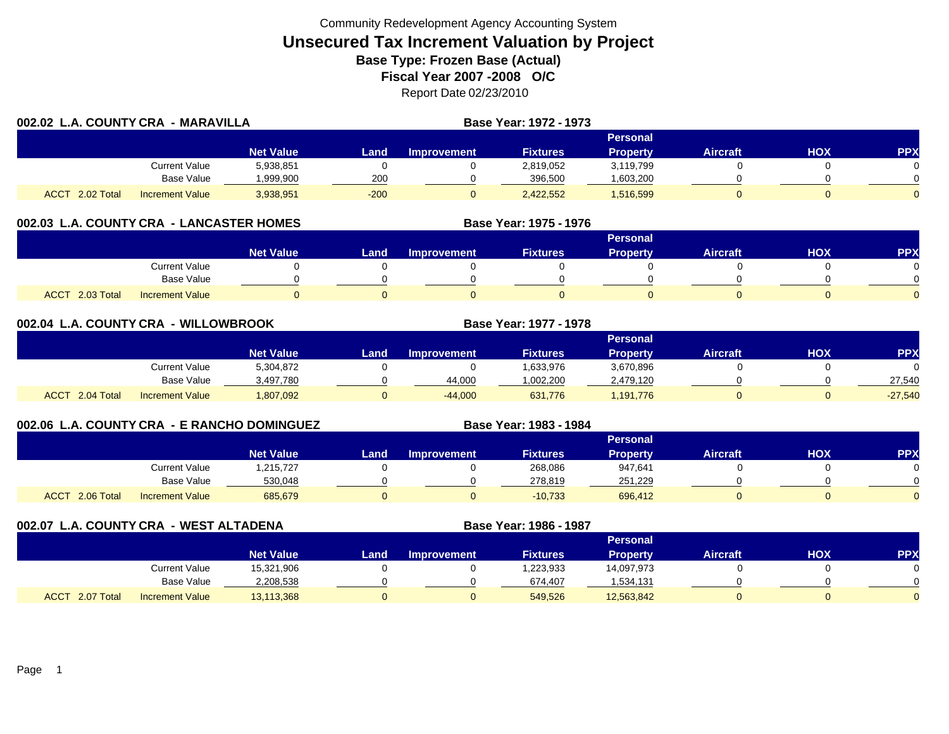| 002.02 L.A. COUNTY CRA - MARAVILLA |                        |                  |        | Base Year: 1972 - 1973 |                 |                 |                 |     |            |
|------------------------------------|------------------------|------------------|--------|------------------------|-----------------|-----------------|-----------------|-----|------------|
|                                    |                        |                  |        |                        |                 | Personal        |                 |     |            |
|                                    |                        | <b>Net Value</b> | Land   | <b>Improvement</b>     | <b>Fixtures</b> | <b>Property</b> | <b>Aircraft</b> | нох | <b>PPX</b> |
|                                    | Current Value          | 5,938,851        |        |                        | 2,819,052       | 3,119,799       |                 |     |            |
|                                    | <b>Base Value</b>      | 999,900.         | 200    |                        | 396,500         | .603,200        |                 |     |            |
| <b>ACCT</b><br>2.02 Total          | <b>Increment Value</b> | 3,938,951        | $-200$ |                        | 2,422,552       | 1,516,599       |                 |     |            |

## **002.03 L.A. COUNTY CRA - LANCASTER HOMES**

|                           |                        |                  |      |                    |                 | <b>Personal</b> |                 |     |          |
|---------------------------|------------------------|------------------|------|--------------------|-----------------|-----------------|-----------------|-----|----------|
|                           |                        | <b>Net Value</b> | Land | <b>Improvement</b> | <b>Fixtures</b> | Property        | <b>Aircraft</b> | HOX | PPX      |
|                           | <b>Current Value</b>   |                  |      |                    |                 |                 |                 |     |          |
|                           | Base Value             |                  |      |                    |                 |                 |                 |     | ∩        |
| 2.03 Total<br><b>ACCT</b> | <b>Increment Value</b> |                  |      |                    |                 |                 |                 |     | $\Omega$ |

**Base Year: 1975 - 1976**

**Base Year: 1983 - 1984**

| 002.04 L.A. COUNTY CRA - WILLOWBROOK |                        |                  |      | Base Year: 1977 - 1978 |                 |                 |                 |     |            |
|--------------------------------------|------------------------|------------------|------|------------------------|-----------------|-----------------|-----------------|-----|------------|
|                                      |                        |                  |      |                        |                 | <b>Personal</b> |                 |     |            |
|                                      |                        | <b>Net Value</b> | Land | <b>Improvement</b>     | <b>Fixtures</b> | <b>Property</b> | <b>Aircraft</b> | нох | <b>PPX</b> |
|                                      | Current Value          | 5,304,872        |      |                        | 1,633,976       | 3,670,896       |                 |     |            |
|                                      | Base Value             | 3,497,780        |      | 44,000                 | 1,002,200       | 2,479,120       |                 |     | 27,540     |
| ACCT 2.04 Total                      | <b>Increment Value</b> | 1,807,092        |      | $-44.000$              | 631,776         | 1,191,776       |                 |     | $-27,540$  |

## **002.06 L.A. COUNTY CRA - E RANCHO DOMINGUEZ**

|                 |                        |                  |       |                    |                 | Personal        |                 |            |          |
|-----------------|------------------------|------------------|-------|--------------------|-----------------|-----------------|-----------------|------------|----------|
|                 |                        | <b>Net Value</b> | Land, | <b>Improvement</b> | <b>Fixtures</b> | <b>Property</b> | <b>Aircraft</b> | <b>HOX</b> | PPX      |
|                 | Current Value          | 215,727,         |       |                    | 268,086         | 947,641         |                 |            |          |
|                 | Base Value             | 530,048          |       |                    | 278.819         | 251,229         |                 |            | 0        |
| ACCT 2.06 Total | <b>Increment Value</b> | 685,679          |       |                    | $-10,733$       | 696,412         |                 |            | $\Omega$ |

**002.07 L.A. COUNTY CRA - WEST ALTADENA Base Year: 1986 - 1987 Personal Net Value Land Improvement Fixtures Property Aircraft HOX PPX** Current Value 15,321,906 0 0 1,223,933 14,097,973 0 0 Base Value 2,208,538 0 0 674,407 1,534,131 0 0 0 ACCT 2.07 TotalI Increment Value 13,113,368 0 549,526 12,563,842 0 0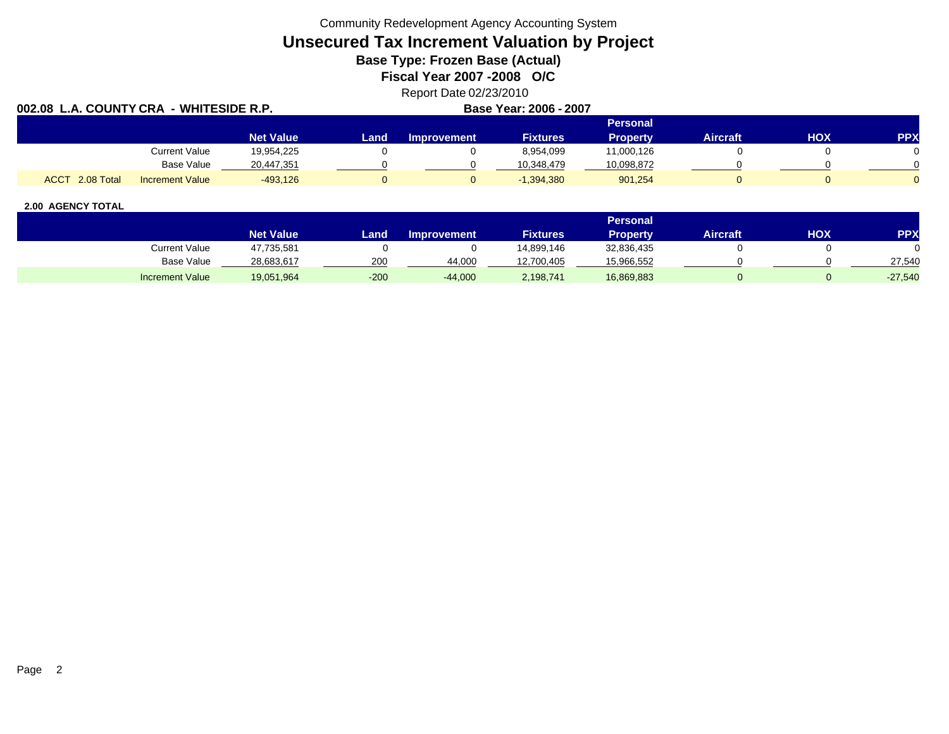Community Redevelopment Agency Accounting System

# **Unsecured Tax Increment Valuation by Project**

**Base Type: Frozen Base (Actual)** 

**Fiscal Year 2007 -2008 O/C**

## Report Date 02/23/2010

| 002.08 L.A. COUNTY CRA - WHITESIDE R.P. |                        |                  |      |                    | Base Year: 2006 - 2007 |                 |          |     |            |
|-----------------------------------------|------------------------|------------------|------|--------------------|------------------------|-----------------|----------|-----|------------|
|                                         |                        |                  |      |                    |                        | Personal        |          |     |            |
|                                         |                        | <b>Net Value</b> | Land | <b>Improvement</b> | <b>Fixtures</b>        | <b>Property</b> | Aircraft | нох | <b>PPX</b> |
|                                         | Current Value          | 19.954.225       |      |                    | 8.954.099              | 11,000,126      |          |     |            |
|                                         | <b>Base Value</b>      | 20,447,351       |      |                    | 10.348.479             | 10,098,872      |          |     |            |
| ACCT 2.08 Total                         | <b>Increment Value</b> | $-493.126$       |      |                    | $-1,394,380$           | 901,254         |          |     |            |

|                        |                  |        |                    |                 | <b>Personal</b> |                 |     |           |
|------------------------|------------------|--------|--------------------|-----------------|-----------------|-----------------|-----|-----------|
|                        | <b>Net Value</b> | Land,  | <b>Improvement</b> | <b>Fixtures</b> | Property        | <b>Aircraft</b> | ΗΟΧ | PPX       |
| <b>Current Value</b>   | 47,735,581       |        |                    | 14.899.146      | 32,836,435      |                 |     |           |
| Base Value             | 28,683,617       | 200    | 44.000             | 12,700,405      | 15,966,552      |                 |     | 27,540    |
| <b>Increment Value</b> | 19,051,964       | $-200$ | $-44,000$          | 2,198,741       | 16,869,883      |                 |     | $-27,540$ |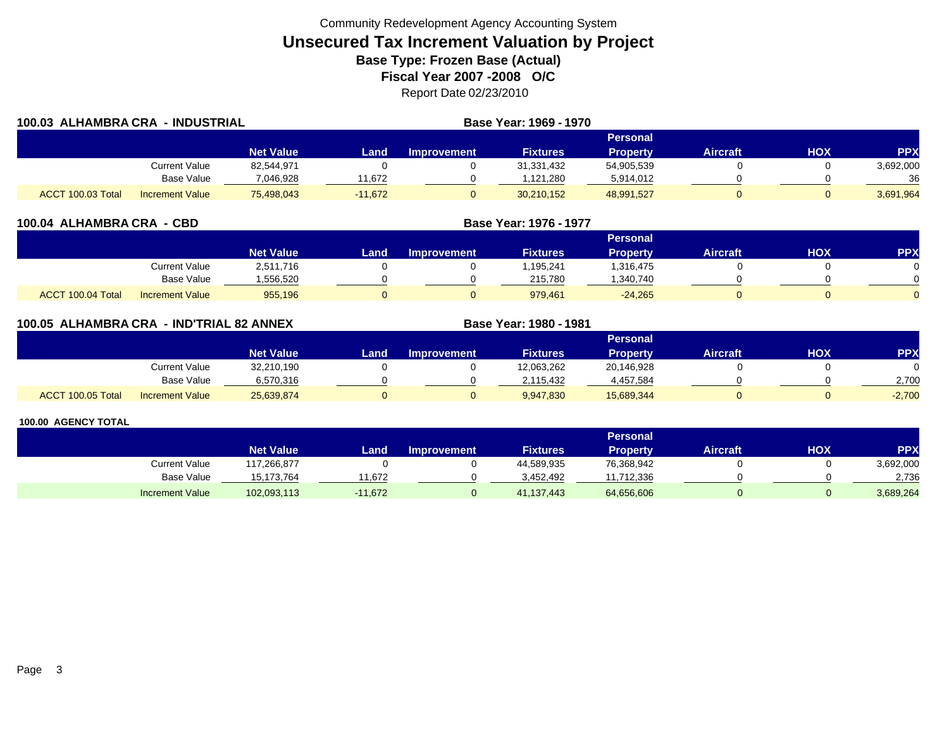| 100.03 ALHAMBRA CRA - INDUSTRIAL |                        |                  |           |                    | Base Year: 1969 - 1970 |                 |          |     |            |
|----------------------------------|------------------------|------------------|-----------|--------------------|------------------------|-----------------|----------|-----|------------|
|                                  |                        |                  |           |                    |                        | Personal        |          |     |            |
|                                  |                        | <b>Net Value</b> | Land      | <b>Improvement</b> | <b>Fixtures</b>        | <b>Property</b> | Aircraft | HOX | <b>PPX</b> |
|                                  | Current Value          | 82,544,971       |           |                    | 31,331,432             | 54,905,539      |          |     | 3,692,000  |
|                                  | Base Value             | 7,046,928        | 1,672     |                    | 1,121,280              | 5,914,012       |          |     | 36         |
| ACCT 100.03 Total                | <b>Increment Value</b> | 75,498,043       | $-11.672$ |                    | 30,210,152             | 48,991,527      |          |     | 3,691,964  |

| 100.04 ALHAMBRA CRA - CBD |                        |                  |      | Base Year: 1976 - 1977 |                 |                 |                 |            |            |
|---------------------------|------------------------|------------------|------|------------------------|-----------------|-----------------|-----------------|------------|------------|
|                           |                        |                  |      |                        |                 | <b>Personal</b> |                 |            |            |
|                           |                        | <b>Net Value</b> | Land | <b>Improvement</b>     | <b>Fixtures</b> | <b>Property</b> | <b>Aircraft</b> | <b>HOX</b> | <b>PPX</b> |
|                           | <b>Current Value</b>   | 2,511,716        |      |                        | 1,195,241       | 1,316,475       |                 |            |            |
|                           | <b>Base Value</b>      | 556,520          |      |                        | 215,780         | ,340,740        |                 |            |            |
| ACCT 100.04 Total         | <b>Increment Value</b> | 955,196          |      | 0                      | 979,461         | $-24,265$       |                 |            |            |

| 100.05 ALHAMBRA CRA - IND'TRIAL 82 ANNEX |                        |                  |      |                    | Base Year: 1980 - 1981 |                 |                 |     |            |
|------------------------------------------|------------------------|------------------|------|--------------------|------------------------|-----------------|-----------------|-----|------------|
|                                          |                        |                  |      |                    |                        | Personal        |                 |     |            |
|                                          |                        | <b>Net Value</b> | Land | <b>Improvement</b> | <b>Fixtures</b>        | <b>Property</b> | <b>Aircraft</b> | нох | <b>PPX</b> |
|                                          | Current Value          | 32,210,190       |      |                    | 12,063,262             | 20,146,928      |                 |     |            |
|                                          | Base Value             | 6,570,316        |      |                    | 2,115,432              | 4,457,584       |                 |     | 2,700      |
| ACCT 100.05 Total                        | <b>Increment Value</b> | 25,639,874       |      |                    | 9,947,830              | 15,689,344      |                 |     | $-2,700$   |

|                        |                  |           |                    |                 | Personal   |                 |     |            |
|------------------------|------------------|-----------|--------------------|-----------------|------------|-----------------|-----|------------|
|                        | <b>Net Value</b> | Landı     | <b>Improvement</b> | <b>Fixtures</b> | Property   | <b>Aircraft</b> | нох | <b>PPX</b> |
| Current Value          | 17,266,877       |           |                    | 44,589,935      | 76,368,942 |                 |     | 3,692,000  |
| <b>Base Value</b>      | 15.173.764       | 1.672     |                    | 3.452.492       | 11.712.336 |                 |     | 2.736      |
| <b>Increment Value</b> | 102,093,113      | $-11,672$ |                    | 41.137.443      | 64,656,606 |                 |     | 3,689,264  |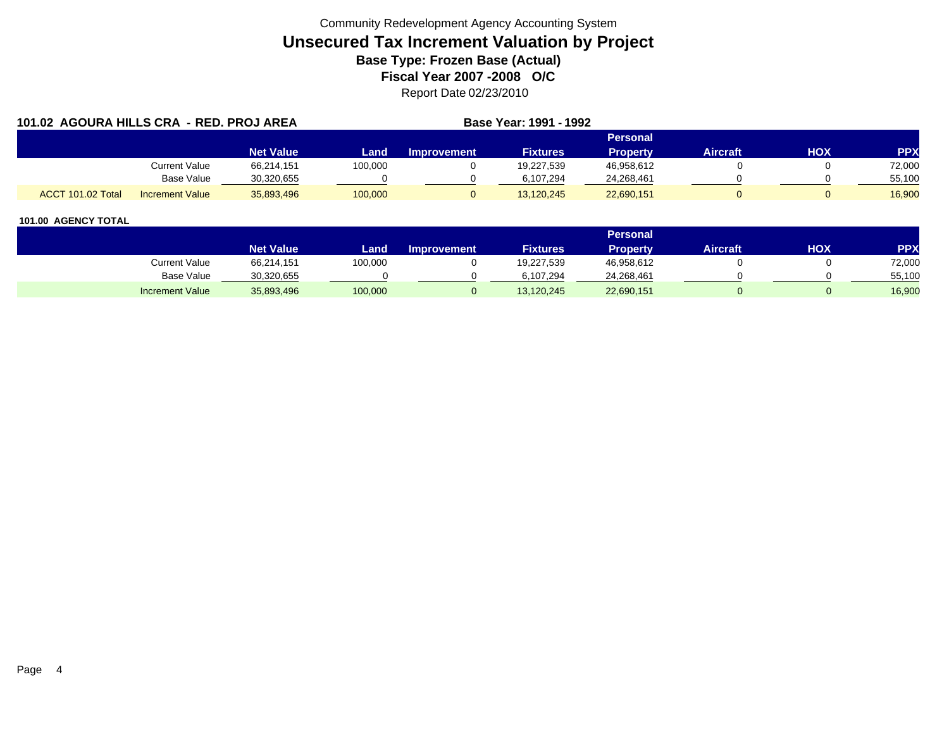|                   | 101.02 AGOURA HILLS CRA - RED. PROJ AREA |                  |         |                    | <b>Base Year: 1991 - 1992</b> |                 |                 |     |            |
|-------------------|------------------------------------------|------------------|---------|--------------------|-------------------------------|-----------------|-----------------|-----|------------|
|                   |                                          |                  |         |                    |                               | <b>Personal</b> |                 |     |            |
|                   |                                          | <b>Net Value</b> | Land    | <b>Improvement</b> | <b>Fixtures</b>               | <b>Property</b> | <b>Aircraft</b> | HOX | <b>PPX</b> |
|                   | Current Value                            | 66,214,151       | 100,000 |                    | 19,227,539                    | 46,958,612      |                 |     | 72,000     |
|                   | Base Value                               | 30,320,655       |         |                    | 6.107.294                     | 24,268,461      |                 |     | 55,100     |
| ACCT 101.02 Total | <b>Increment Value</b>                   | 35,893,496       | 100,000 |                    | 13.120.245                    | 22,690,151      |                 |     | 16.900     |

|                        |                  |         |                    |                 | Personal   |          |            |            |
|------------------------|------------------|---------|--------------------|-----------------|------------|----------|------------|------------|
|                        | <b>Net Value</b> | Land    | <b>Improvement</b> | <b>Fixtures</b> | Property   | Aircraft | <b>HOX</b> | <b>PPX</b> |
| Current Value          | 66,214,151       | 100,000 |                    | 19,227,539      | 46,958,612 |          |            | 72,000     |
| <b>Base Value</b>      | 30,320,655       |         |                    | 6.107.294       | 24,268,461 |          |            | 55,100     |
| <b>Increment Value</b> | 35,893,496       | 100,000 |                    | 13,120,245      | 22,690,151 |          |            | 16,900     |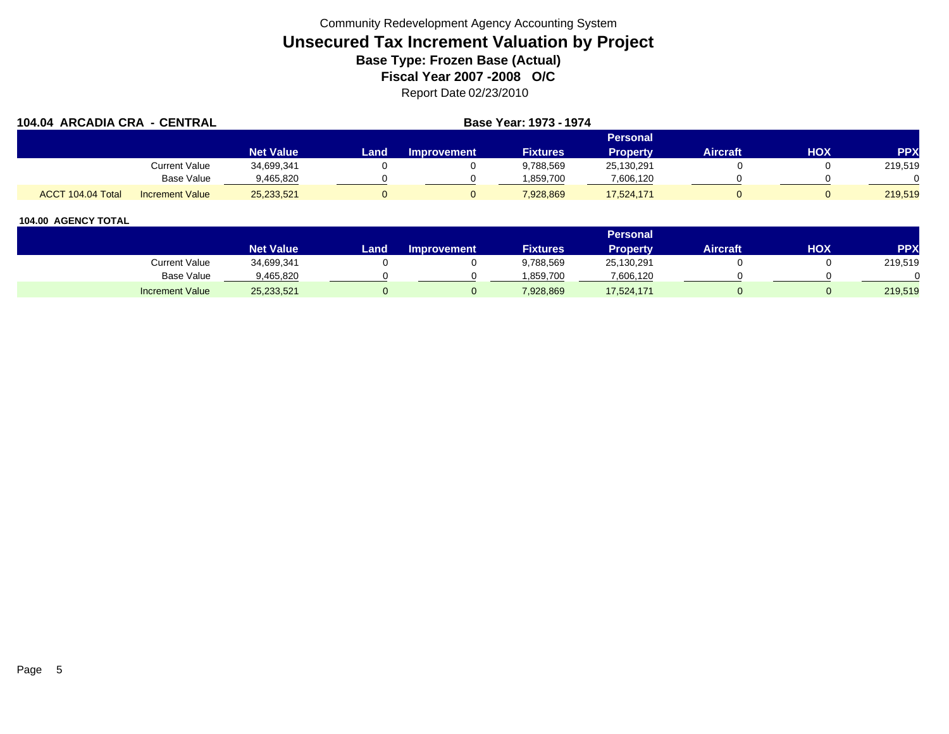| 104.04 ARCADIA CRA - CENTRAL |                        |                  |      | Base Year: 1973 - 1974 |                 |                 |                 |     |            |
|------------------------------|------------------------|------------------|------|------------------------|-----------------|-----------------|-----------------|-----|------------|
|                              |                        |                  |      |                        |                 | Personal        |                 |     |            |
|                              |                        | <b>Net Value</b> | Land | <b>Improvement</b>     | <b>Fixtures</b> | <b>Property</b> | <b>Aircraft</b> | HOX | <b>PPX</b> |
|                              | <b>Current Value</b>   | 34,699,341       |      |                        | 9,788,569       | 25,130,291      |                 |     | 219,519    |
|                              | Base Value             | 9,465,820        |      |                        | .859.700        | 7,606,120       |                 |     |            |
| ACCT 104.04 Total            | <b>Increment Value</b> | 25,233,521       |      |                        | 7.928.869       | 17,524,171      |                 |     | 219,519    |

|                        |                  |      |                    |                 | <b>Personal</b> |                 |     |         |
|------------------------|------------------|------|--------------------|-----------------|-----------------|-----------------|-----|---------|
|                        | <b>Net Value</b> | Land | <b>Improvement</b> | <b>Fixtures</b> | Property        | <b>Aircraft</b> | HOX | PPX     |
| <b>Current Value</b>   | 34,699,341       |      |                    | 9,788,569       | 25,130,291      |                 |     | 219,519 |
| <b>Base Value</b>      | 9,465,820        |      |                    | 859.700         | 7,606,120       |                 |     |         |
| <b>Increment Value</b> | 25,233,521       |      |                    | 7,928,869       | 17,524,171      |                 |     | 219,519 |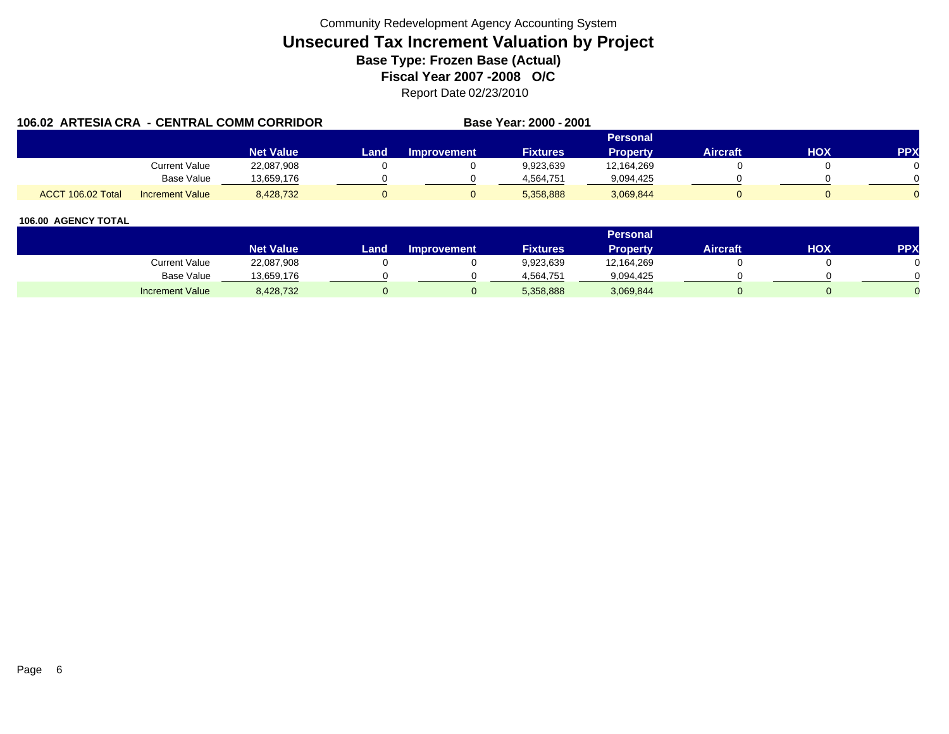| 106.02 ARTESIA CRA - CENTRAL COMM CORRIDOR |                        |                  |      |                    | Base Year: 2000 - 2001 |                 |                 |     |            |
|--------------------------------------------|------------------------|------------------|------|--------------------|------------------------|-----------------|-----------------|-----|------------|
|                                            |                        |                  |      |                    |                        | Personal        |                 |     |            |
|                                            |                        | <b>Net Value</b> | Land | <b>Improvement</b> | <b>Fixtures</b>        | <b>Property</b> | <b>Aircraft</b> | HOX | <b>PPX</b> |
|                                            | Current Value          | 22,087,908       |      |                    | 9,923,639              | 12,164,269      |                 |     |            |
|                                            | Base Value             | 13,659,176       |      |                    | 4.564.751              | 9,094,425       |                 |     |            |
| ACCT 106.02 Total                          | <b>Increment Value</b> | 8,428,732        |      |                    | 5,358,888              | 3,069,844       |                 |     |            |

|                        |                  |      |                    |                 | <b>Personal</b> |                 |            |     |
|------------------------|------------------|------|--------------------|-----------------|-----------------|-----------------|------------|-----|
|                        | <b>Net Value</b> | Land | <b>Improvement</b> | <b>Fixtures</b> | Property        | <b>Aircraft</b> | <b>HOX</b> | PPX |
| Current Value          | 22,087,908       |      |                    | 9,923,639       | 12,164,269      |                 |            |     |
| Base Value             | 13,659,176       |      |                    | 4,564,751       | 9,094,425       |                 |            |     |
| <b>Increment Value</b> | 8,428,732        |      |                    | 5,358,888       | 3,069,844       |                 |            |     |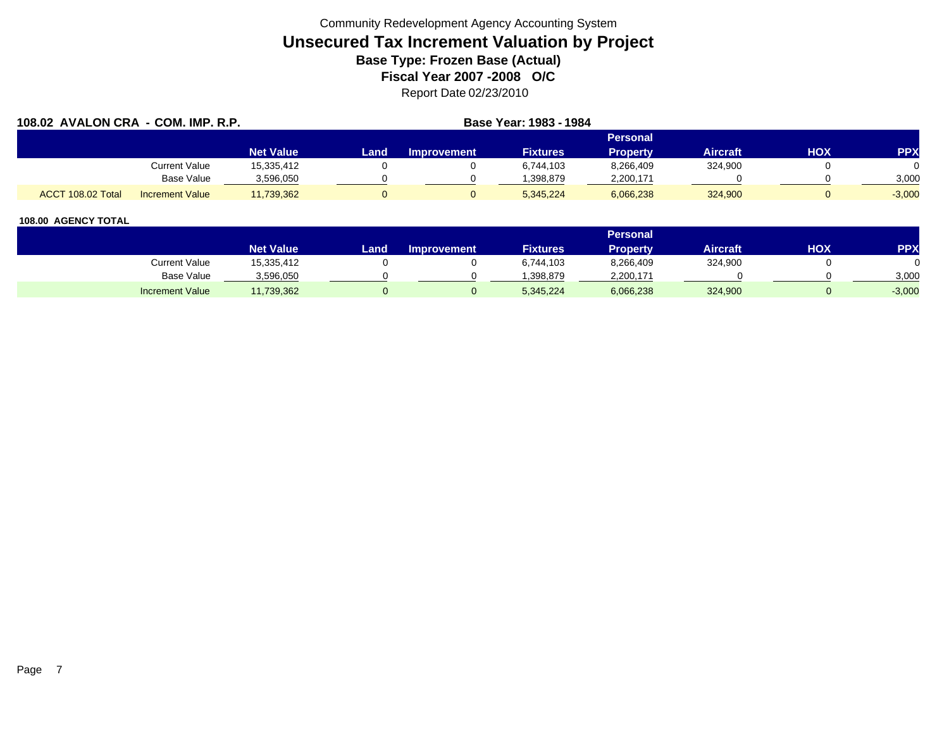| 108.02 AVALON CRA - COM. IMP. R.P. |                        |                  |      |                    | Base Year: 1983 - 1984 |                 |                 |     |            |  |
|------------------------------------|------------------------|------------------|------|--------------------|------------------------|-----------------|-----------------|-----|------------|--|
|                                    |                        |                  |      | <b>Personal</b>    |                        |                 |                 |     |            |  |
|                                    |                        | <b>Net Value</b> | Land | <b>Improvement</b> | <b>Fixtures</b>        | <b>Property</b> | <b>Aircraft</b> | HOX | <b>PPX</b> |  |
|                                    | <b>Current Value</b>   | 15,335,412       |      |                    | 6.744.103              | 8,266,409       | 324,900         |     |            |  |
|                                    | <b>Base Value</b>      | 3,596,050        |      |                    | .398.879               | 2,200,171       |                 |     | 3,000      |  |
| ACCT 108.02 Total                  | <b>Increment Value</b> | 11,739,362       |      |                    | 5.345.224              | 6,066,238       | 324,900         |     | $-3,000$   |  |

|                        |                  |       |                    |                 | <b>Personal</b> |                 |            |          |
|------------------------|------------------|-------|--------------------|-----------------|-----------------|-----------------|------------|----------|
|                        | <b>Net Value</b> | Land. | <b>Improvement</b> | <b>Fixtures</b> | <b>Property</b> | <b>Aircraft</b> | <b>HOX</b> | PPX      |
| <b>Current Value</b>   | 15,335,412       |       |                    | 6,744,103       | 8,266,409       | 324,900         |            |          |
| <b>Base Value</b>      | 3,596,050        |       |                    | .398.879        | 2,200,171       |                 |            | 3,000    |
| <b>Increment Value</b> | 11,739,362       |       |                    | 5,345,224       | 6,066,238       | 324,900         |            | $-3,000$ |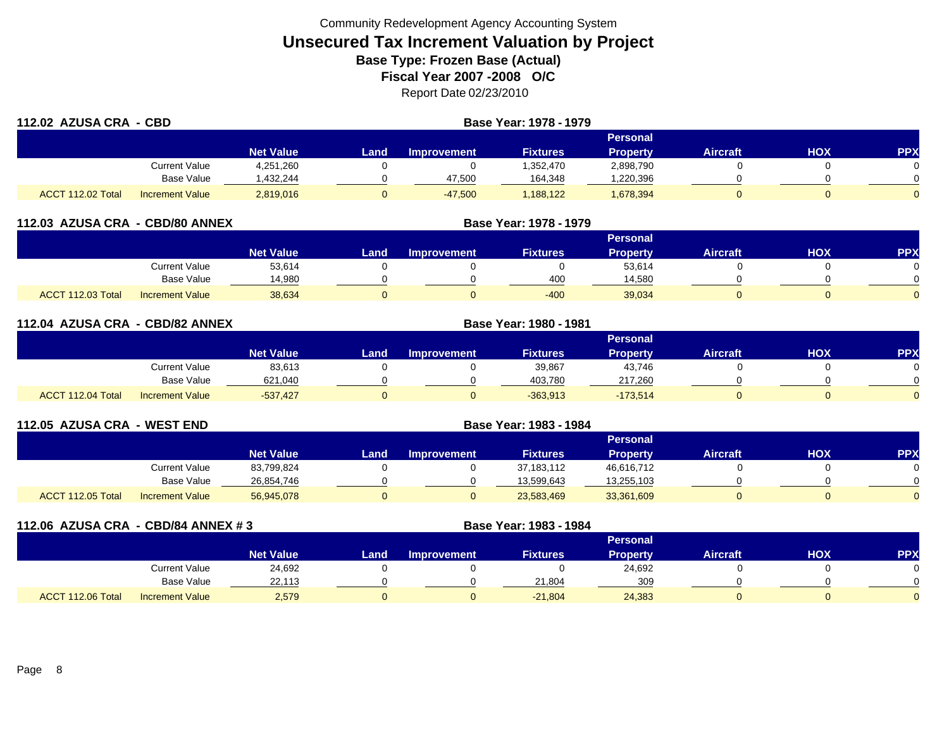| 112.02 AZUSA CRA - CBD |                        |                  | Base Year: 1978 - 1979 |                    |                 |                 |                 |     |            |
|------------------------|------------------------|------------------|------------------------|--------------------|-----------------|-----------------|-----------------|-----|------------|
|                        |                        |                  |                        |                    |                 | <b>Personal</b> |                 |     |            |
|                        |                        | <b>Net Value</b> | Land                   | <b>Improvement</b> | <b>Fixtures</b> | <b>Property</b> | <b>Aircraft</b> | HOX | <b>PPX</b> |
|                        | <b>Current Value</b>   | 4,251,260        |                        |                    | .352,470        | 2,898,790       |                 |     |            |
|                        | Base Value             | ,432,244         |                        | 47,500             | 164,348         | ,220,396        |                 |     |            |
| ACCT 112.02 Total      | <b>Increment Value</b> | 2,819,016        |                        | $-47,500$          | 188,122         | 1,678,394       |                 |     |            |

|                   | 112.03 AZUSA CRA - CBD/80 ANNEX |                  | Base Year: 1978 - 1979 |                    |                 |                 |                 |     |            |  |
|-------------------|---------------------------------|------------------|------------------------|--------------------|-----------------|-----------------|-----------------|-----|------------|--|
|                   |                                 |                  |                        |                    |                 | Personal        |                 |     |            |  |
|                   |                                 | <b>Net Value</b> | Land                   | <b>Improvement</b> | <b>Fixtures</b> | <b>Property</b> | <b>Aircraft</b> | HOX | <b>PPX</b> |  |
|                   | Current Value                   | 53,614           |                        |                    |                 | 53,614          |                 |     |            |  |
|                   | Base Value                      | 14,980           |                        |                    | 400             | 14,580          |                 |     |            |  |
| ACCT 112.03 Total | <b>Increment Value</b>          | 38,634           |                        |                    | $-400$          | 39,034          |                 |     |            |  |

| 112.04 AZUSA CRA - CBD/82 ANNEX |                        |                  | Base Year: 1980 - 1981 |                    |                 |                 |                 |     |            |
|---------------------------------|------------------------|------------------|------------------------|--------------------|-----------------|-----------------|-----------------|-----|------------|
|                                 |                        |                  |                        |                    |                 | Personal        |                 |     |            |
|                                 |                        | <b>Net Value</b> | Land                   | <b>Improvement</b> | <b>Fixtures</b> | <b>Property</b> | <b>Aircraft</b> | HOX | <b>PPX</b> |
|                                 | Current Value          | 83,613           |                        |                    | 39,867          | 43,746          |                 |     |            |
|                                 | <b>Base Value</b>      | 621,040          |                        |                    | 403.780         | 217,260         |                 |     | 0          |
| ACCT 112.04 Total               | <b>Increment Value</b> | $-537.427$       |                        |                    | $-363,913$      | $-173,514$      |                 |     | 0          |

| 112.05 AZUSA CRA - WEST END |                        |                  | Base Year: 1983 - 1984 |                    |                 |                 |                 |     |           |
|-----------------------------|------------------------|------------------|------------------------|--------------------|-----------------|-----------------|-----------------|-----|-----------|
|                             |                        |                  |                        |                    |                 | Personal        |                 |     |           |
|                             |                        | <b>Net Value</b> | Land                   | <b>Improvement</b> | <b>Fixtures</b> | <b>Property</b> | <b>Aircraft</b> | нох | <b>PP</b> |
|                             | Current Value          | 83,799,824       |                        |                    | 37,183,112      | 46,616,712      |                 |     |           |
|                             | <b>Base Value</b>      | 26,854,746       |                        |                    | 13,599,643      | 13,255,103      |                 |     |           |
| ACCT 112.05 Total           | <b>Increment Value</b> | 56,945,078       |                        |                    | 23,583,469      | 33,361,609      |                 |     |           |

| 112.06 AZUSA CRA - CBD/84 ANNEX # 3 |                        | Base Year: 1983 - 1984 |      |                    |                 |                 |                 |            |            |
|-------------------------------------|------------------------|------------------------|------|--------------------|-----------------|-----------------|-----------------|------------|------------|
|                                     |                        |                        |      |                    |                 | Personal        |                 |            |            |
|                                     |                        | <b>Net Value</b>       | Land | <b>Improvement</b> | <b>Fixtures</b> | <b>Property</b> | <b>Aircraft</b> | <b>HOX</b> | <b>PPX</b> |
|                                     | Current Value          | 24,692                 |      |                    |                 | 24,692          |                 |            |            |
|                                     | Base Value             | 22,113                 |      |                    | 21,804          | 309             |                 |            |            |
| ACCT 112.06 Total                   | <b>Increment Value</b> | 2,579                  | U    |                    | $-21.804$       | 24,383          |                 |            |            |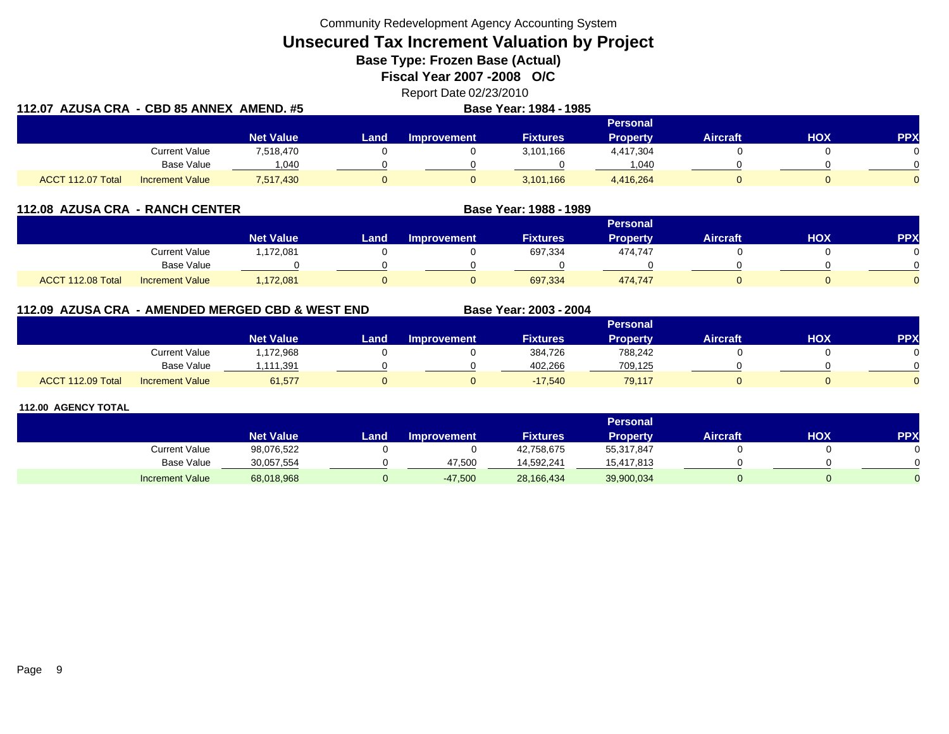Community Redevelopment Agency Accounting System

**Unsecured Tax Increment Valuation by Project**

**Base Type: Frozen Base (Actual)** 

**Fiscal Year 2007 -2008 O/C**

Report Date 02/23/2010 **112.07 AZUSA CRA - CBD 85 ANNEX AMEND. #5 Base Year: 1984 - 1985**

| $112.91 \pm 0000$ |                        | $\sim$           |      |             | <b>PUSS TVULLIVUT TVVV</b> |                 |          |     |            |
|-------------------|------------------------|------------------|------|-------------|----------------------------|-----------------|----------|-----|------------|
|                   |                        |                  |      |             |                            | <b>Personal</b> |          |     |            |
|                   |                        | <b>Net Value</b> | Land | Improvement | <b>Fixtures</b>            | <b>Property</b> | Aircraft | нох | <b>PPX</b> |
|                   | <b>Current Value</b>   | 7,518,470        |      |             | 3,101,166                  | 4,417,304       |          |     |            |
|                   | Base Value             | .040             |      |             |                            | 1.040           |          |     |            |
| ACCT 112.07 Total | <b>Increment Value</b> | 7,517,430        |      |             | 3,101,166                  | 4,416,264       |          |     |            |

| 112.08 AZUSA CRA - RANCH CENTER |                        |                  |      | Base Year: 1988 - 1989 |                 |                 |                 |     |            |
|---------------------------------|------------------------|------------------|------|------------------------|-----------------|-----------------|-----------------|-----|------------|
|                                 |                        |                  |      |                        |                 | Personal        |                 |     |            |
|                                 |                        | <b>Net Value</b> | Land | <b>Improvement</b>     | <b>Fixtures</b> | <b>Property</b> | <b>Aircraft</b> | ΗΟΧ | <b>PPX</b> |
|                                 | Current Value          | 1,172,081        |      |                        | 697,334         | 474.747         |                 |     |            |
|                                 | Base Value             |                  |      |                        |                 |                 |                 |     |            |
| ACCT 112.08 Total               | <b>Increment Value</b> | 1,172,081        |      |                        | 697,334         | 474.747         |                 |     |            |

**112.09 AZUSA CRA - AMENDED MERGED CBD & WEST END**

**Base Year: 2003 - 2004**

|                   |                        |                  | Personal |             |                 |          |          |     |            |  |  |  |
|-------------------|------------------------|------------------|----------|-------------|-----------------|----------|----------|-----|------------|--|--|--|
|                   |                        | <b>Net Value</b> | Land .   | Improvement | <b>Fixtures</b> | Property | Aircraft | нох | <b>PPX</b> |  |  |  |
|                   | Current Value          | 172,968.         |          |             | 384,726         | 788,242  |          |     |            |  |  |  |
|                   | Base Value             | 1,111,391        |          |             | 402.266         | 709,125  |          |     |            |  |  |  |
| ACCT 112.09 Total | <b>Increment Value</b> | 61,577           |          |             | $-17,540$       | 79,117   |          |     |            |  |  |  |

|                      |                  |      |                    |                 | <b>Personal</b> |                 |     |            |
|----------------------|------------------|------|--------------------|-----------------|-----------------|-----------------|-----|------------|
|                      | <b>Net Value</b> | Land | <b>Improvement</b> | <b>Fixtures</b> | Propertv        | <b>Aircraft</b> | нох | <b>PPX</b> |
| <b>Current Value</b> | 98,076,522       |      |                    | 42,758,675      | 55,317,847      |                 |     |            |
| <b>Base Value</b>    | 30,057,554       |      | 47.500             | 14.592.241      | 15,417,813      |                 |     |            |
| Increment Value      | 68,018,968       |      | $-47,500$          | 28,166,434      | 39,900,034      |                 |     |            |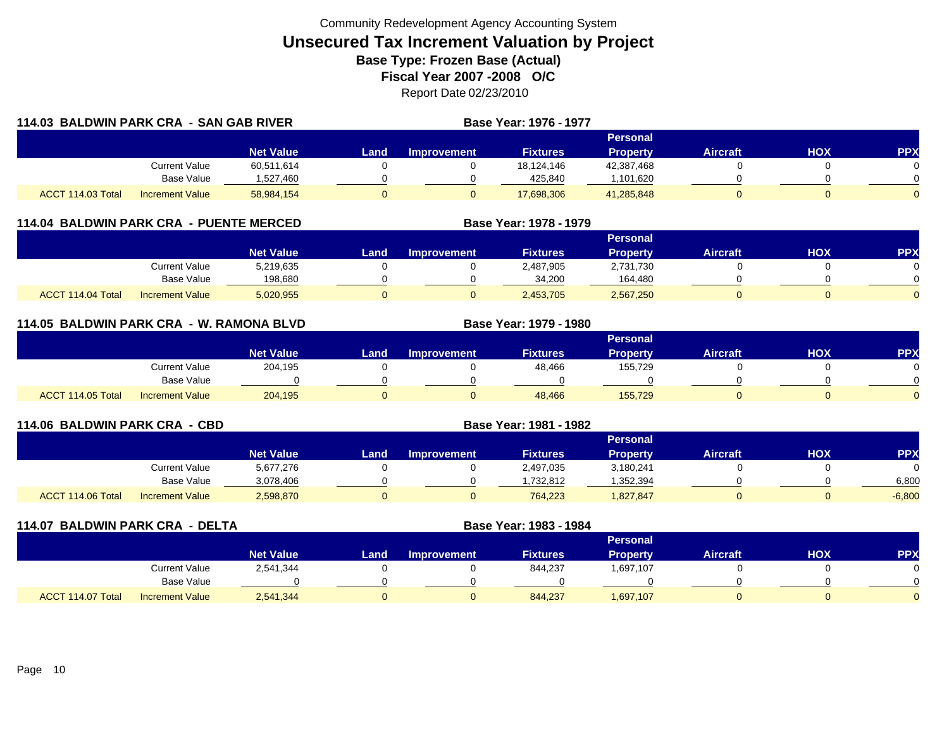|                   | 114.03 BALDWIN PARK CRA - SAN GAB RIVER |                  |          |                    | Base Year: 1976 - 1977 |                 |                 |     |            |
|-------------------|-----------------------------------------|------------------|----------|--------------------|------------------------|-----------------|-----------------|-----|------------|
|                   |                                         |                  |          |                    |                        | Personal        |                 |     |            |
|                   |                                         | <b>Net Value</b> | Land     | <b>Improvement</b> | <b>Fixtures</b>        | <b>Property</b> | <b>Aircraft</b> | HOX | <b>PPX</b> |
|                   | <b>Current Value</b>                    | 60,511,614       |          |                    | 18.124.146             | 42,387,468      |                 |     |            |
|                   | Base Value                              | 1,527,460        |          |                    | 425.840                | 1,101,620       |                 |     |            |
| ACCT 114.03 Total | Increment Value                         | 58,984,154       | $\Omega$ |                    | 17,698,306             | 41.285.848      |                 |     | $\Omega$   |

## **114.04 BALDWIN PARK CRA - PUENTE MERCED**

|                   |                        |                  | Personal |                    |                 |                 |                 |     |     |  |  |  |
|-------------------|------------------------|------------------|----------|--------------------|-----------------|-----------------|-----------------|-----|-----|--|--|--|
|                   |                        | <b>Net Value</b> | Land     | <b>Improvement</b> | <b>Fixtures</b> | <b>Property</b> | <b>Aircraft</b> | HOX | PPX |  |  |  |
|                   | Current Value          | 5,219,635        |          |                    | 2,487,905       | 2,731,730       |                 |     |     |  |  |  |
|                   | <b>Base Value</b>      | 198,680          |          |                    | 34.200          | 164,480         |                 |     |     |  |  |  |
| ACCT 114.04 Total | <b>Increment Value</b> | 5,020,955        |          |                    | 2,453,705       | 2,567,250       |                 |     |     |  |  |  |

**Base Year: 1978 - 1979**

**Base Year: 1979 - 1980**

## **114.05 BALDWIN PARK CRA - W. RAMONA BLVD**

|                                             |                        |      |                    |                 | Personal |                 |     |            |
|---------------------------------------------|------------------------|------|--------------------|-----------------|----------|-----------------|-----|------------|
|                                             | Net Value <sup>1</sup> | Land | <b>Improvement</b> | <b>Fixtures</b> | Property | <b>Aircraft</b> | нох | <b>PPX</b> |
| <b>Current Value</b>                        | 204,195                |      |                    | 48,466          | 155,729  |                 |     |            |
| <b>Base Value</b>                           |                        |      |                    |                 |          |                 |     |            |
| ACCT 114.05 Total<br><b>Increment Value</b> | 204,195                |      |                    | 48,466          | 155,729  |                 |     |            |

| 114.06 BALDWIN PARK CRA - CBD |                        |                  |      | Base Year: 1981 - 1982 |                 |                 |                 |     |            |  |  |
|-------------------------------|------------------------|------------------|------|------------------------|-----------------|-----------------|-----------------|-----|------------|--|--|
|                               |                        |                  |      |                        |                 | Personal        |                 |     |            |  |  |
|                               |                        | <b>Net Value</b> | Land | <b>Improvement</b>     | <b>Fixtures</b> | <b>Property</b> | <b>Aircraft</b> | ΗΟΧ | <b>PPX</b> |  |  |
|                               | Current Value          | 5,677,276        |      |                        | 2,497,035       | 3,180,241       |                 |     |            |  |  |
|                               | Base Value             | 3,078,406        |      |                        | .732.812        | .352,394        |                 |     | 6.800      |  |  |
| ACCT 114.06 Total             | <b>Increment Value</b> | 2,598,870        |      |                        | 764,223         | 1,827,847       |                 |     | $-6,800$   |  |  |

| 114.07 BALDWIN PARK CRA - DELTA |                        | Base Year: 1983 - 1984 |      |                    |                 |                 |                 |            |            |
|---------------------------------|------------------------|------------------------|------|--------------------|-----------------|-----------------|-----------------|------------|------------|
|                                 |                        |                        |      |                    |                 | <b>Personal</b> |                 |            |            |
|                                 |                        | <b>Net Value</b>       | Land | <b>Improvement</b> | <b>Fixtures</b> | <b>Property</b> | <b>Aircraft</b> | <b>HOX</b> | <b>PPX</b> |
|                                 | <b>Current Value</b>   | 2,541,344              |      |                    | 844,237         | 1,697,107       |                 |            |            |
|                                 | <b>Base Value</b>      |                        |      |                    |                 |                 |                 |            |            |
| ACCT 114.07 Total               | <b>Increment Value</b> | 2,541,344              |      | 0                  | 844,237         | 1,697,107       |                 |            |            |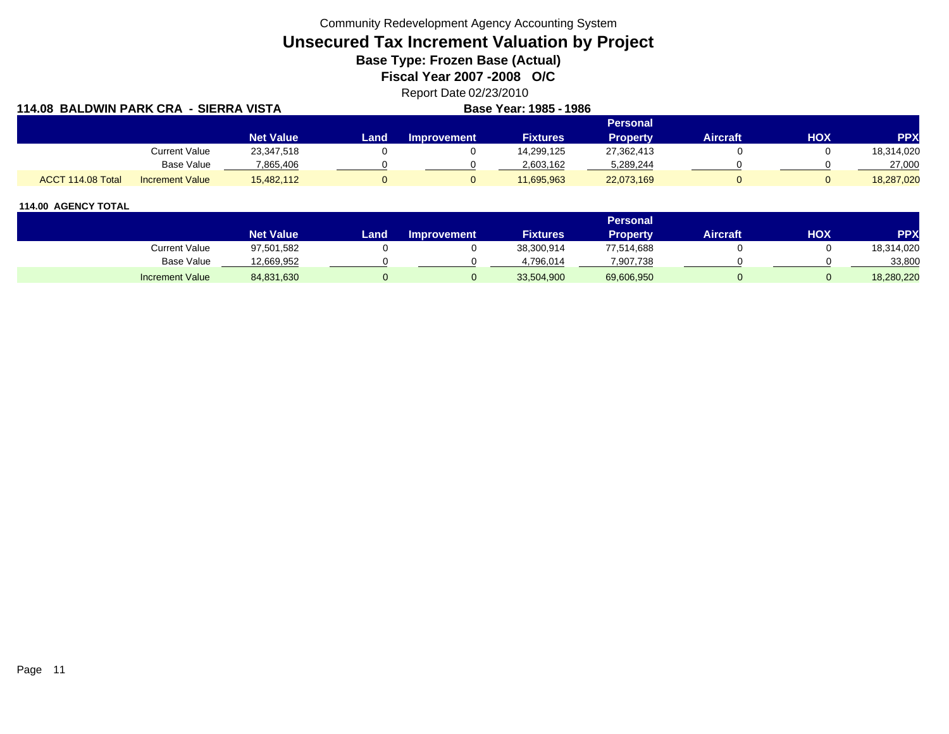Community Redevelopment Agency Accounting System

**Unsecured Tax Increment Valuation by Project**

**Base Type: Frozen Base (Actual)** 

**Fiscal Year 2007 -2008 O/C**

Report Date 02/23/2010

| 114.08 BALDWIN PARK CRA - SIERRA VISTA      |                  |       | Base Year: 1985 - 1986 |                 |                 |                 |     |            |
|---------------------------------------------|------------------|-------|------------------------|-----------------|-----------------|-----------------|-----|------------|
|                                             |                  |       |                        |                 | <b>Personal</b> |                 |     |            |
|                                             | <b>Net Value</b> | Land. | <b>Improvement</b>     | <b>Fixtures</b> | <b>Property</b> | <b>Aircraft</b> | нох | <b>PPX</b> |
| Current Value                               | 23,347,518       |       |                        | 14,299,125      | 27,362,413      |                 |     | 18,314,020 |
| Base Value                                  | 7,865,406        |       |                        | 2,603,162       | 5,289,244       |                 |     | 27,000     |
| ACCT 114.08 Total<br><b>Increment Value</b> | 15,482,112       |       |                        | 11,695,963      | 22,073,169      |                 |     | 18,287,020 |

|                        |                  |      |                    |                 | Personal   |                 |     |            |
|------------------------|------------------|------|--------------------|-----------------|------------|-----------------|-----|------------|
|                        | <b>Net Value</b> | Land | <b>Improvement</b> | <b>Fixtures</b> | Property   | <b>Aircraft</b> | нох | <b>PPX</b> |
| <b>Current Value</b>   | 97,501,582       |      |                    | 38,300,914      | 77,514,688 |                 |     | 18,314,020 |
| <b>Base Value</b>      | 12,669,952       |      |                    | 4.796.014       | 7,907,738  |                 |     | 33,800     |
| <b>Increment Value</b> | 84,831,630       |      |                    | 33,504,900      | 69,606,950 |                 |     | 18,280,220 |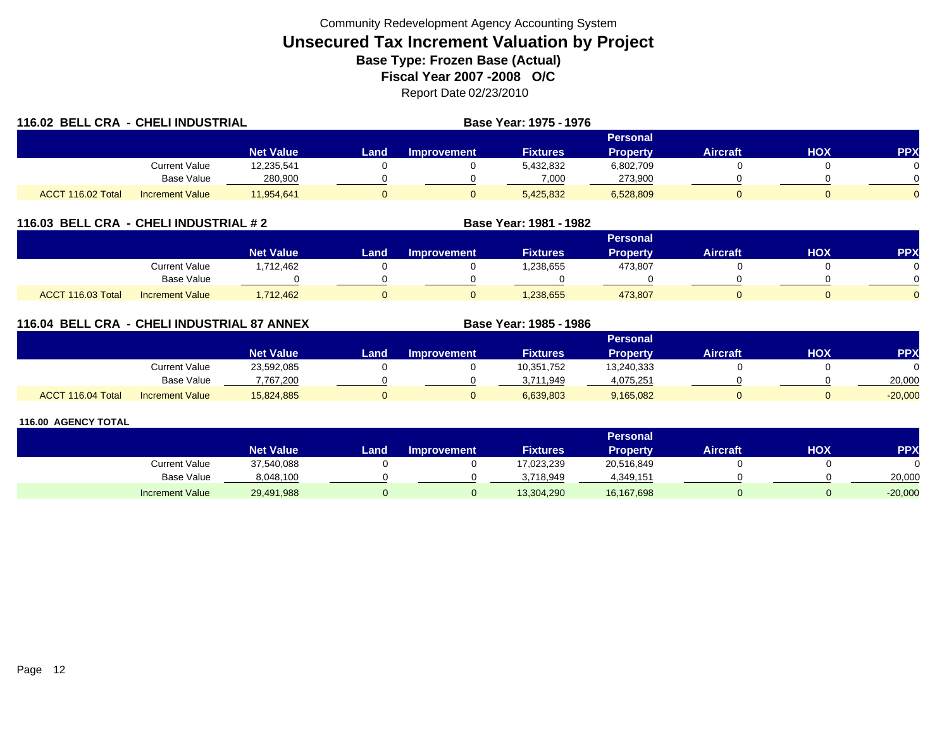| 116.02 BELL CRA - CHELI INDUSTRIAL |                        |                  |       |                    | Base Year: 1975 - 1976 |                 |          |            |     |
|------------------------------------|------------------------|------------------|-------|--------------------|------------------------|-----------------|----------|------------|-----|
|                                    |                        |                  |       |                    |                        | <b>Personal</b> |          |            |     |
|                                    |                        | <b>Net Value</b> | Land. | <b>Improvement</b> | <b>Fixtures</b>        | Property        | Aircraft | <b>HOX</b> | PPX |
|                                    | Current Value          | 12,235,541       |       |                    | 5,432,832              | 6,802,709       |          |            |     |
|                                    | Base Value             | 280,900          |       |                    | 7,000                  | 273,900         |          |            |     |
| ACCT 116.02 Total                  | <b>Increment Value</b> | 11,954,641       |       |                    | 5,425,832              | 6,528,809       |          |            |     |

## **116.03 BELL CRA - CHELI INDUSTRIAL # 2 Base Year: 1981 - 1982**

|                                             |                  |      |                    |                 | Personal |                 |            |              |
|---------------------------------------------|------------------|------|--------------------|-----------------|----------|-----------------|------------|--------------|
|                                             | <b>Net Value</b> | Land | <b>Improvement</b> | <b>Fixtures</b> | Property | <b>Aircraft</b> | <b>XOH</b> | PPX          |
| <b>Current Value</b>                        | ,712,462         |      |                    | .238,655        | 473,807  |                 |            | 0            |
| <b>Base Value</b>                           |                  |      |                    |                 |          |                 |            | <sup>n</sup> |
| ACCT 116.03 Total<br><b>Increment Value</b> | ,712,462         |      |                    | 1,238,655       | 473,807  |                 |            | $\Omega$     |

## **116.04 BELL CRA - CHELI INDUSTRIAL 87 ANNEX**

|                   |                        |                  |      |                    |                 | <b>Personal</b> |                 |     |            |
|-------------------|------------------------|------------------|------|--------------------|-----------------|-----------------|-----------------|-----|------------|
|                   |                        | <b>Net Value</b> | Land | <b>Improvement</b> | <b>Fixtures</b> | Property        | <b>Aircraft</b> | нох | <b>PPX</b> |
|                   | <b>Current Value</b>   | 23,592,085       |      |                    | 10,351,752      | 13,240,333      |                 |     |            |
|                   | <b>Base Value</b>      | 7,767,200        |      |                    | 3.711.949       | 4,075,251       |                 |     | 20,000     |
| ACCT 116.04 Total | <b>Increment Value</b> | 15,824,885       |      |                    | 6,639,803       | 9,165,082       |                 |     | $-20,000$  |

**Base Year: 1985 - 1986**

|                        |                  |      |                    |                 | Personal <sup>'</sup> |                 |     |            |
|------------------------|------------------|------|--------------------|-----------------|-----------------------|-----------------|-----|------------|
|                        | <b>Net Value</b> | Land | <b>Improvement</b> | <b>Fixtures</b> | <b>Property</b>       | <b>Aircraft</b> | НОХ | <b>PPX</b> |
| Current Value          | 37,540,088       |      |                    | 17,023,239      | 20,516,849            |                 |     |            |
| <b>Base Value</b>      | 8,048,100        |      |                    | 3.718.949       | 4,349,151             |                 |     | 20,000     |
| <b>Increment Value</b> | 29,491,988       |      |                    | 13,304,290      | 16,167,698            |                 |     | $-20,000$  |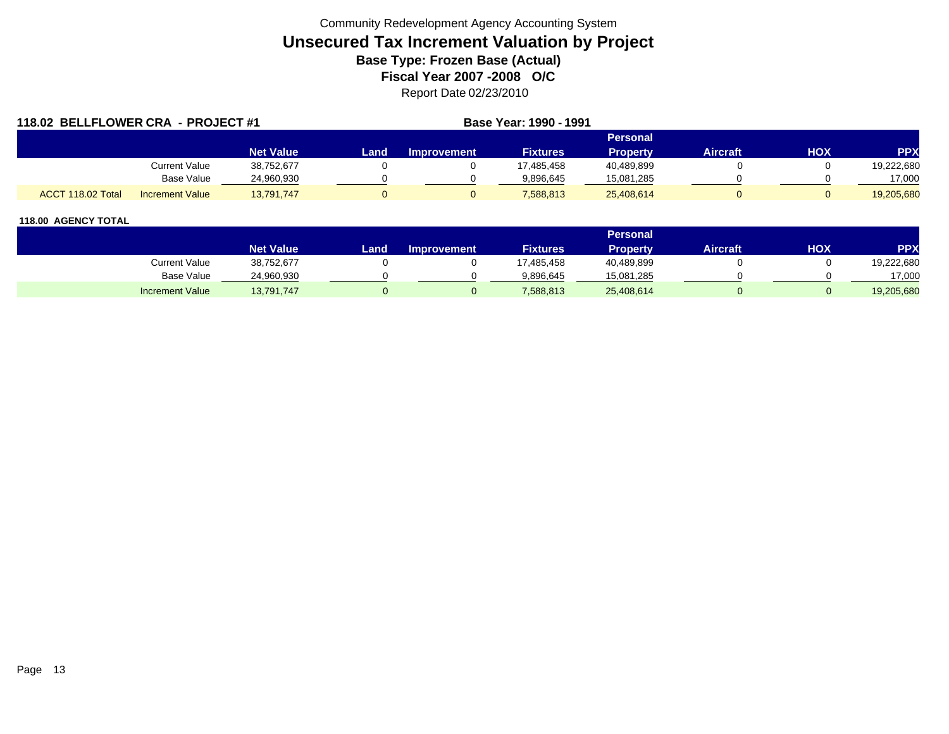| 118.02 BELLFLOWER CRA - PROJECT #1 |                        |                  |      | Base Year: 1990 - 1991 |                 |                 |                 |     |            |
|------------------------------------|------------------------|------------------|------|------------------------|-----------------|-----------------|-----------------|-----|------------|
|                                    |                        |                  |      |                        |                 | Personal        |                 |     |            |
|                                    |                        | <b>Net Value</b> | Land | Improvement            | <b>Fixtures</b> | <b>Property</b> | <b>Aircraft</b> | нох | <b>PPX</b> |
|                                    | Current Value          | 38,752,677       |      |                        | 17.485.458      | 40,489,899      |                 |     | 19,222,680 |
|                                    | Base Value             | 24.960.930       |      |                        | 9.896.645       | 15,081,285      |                 |     | 17,000     |
| ACCT 118.02 Total                  | <b>Increment Value</b> | 13,791,747       |      |                        | 7,588,813       | 25,408,614      |                 |     | 19,205,680 |

|                        |                  |      |                    |                 | <b>Personal</b> |                 |     |            |
|------------------------|------------------|------|--------------------|-----------------|-----------------|-----------------|-----|------------|
|                        | <b>Net Value</b> | Land | <b>Improvement</b> | <b>Fixtures</b> | Property        | <b>Aircraft</b> | HOX | PPX        |
| <b>Current Value</b>   | 38,752,677       |      |                    | 17,485,458      | 40,489,899      |                 |     | 19,222,680 |
| <b>Base Value</b>      | 24,960,930       |      |                    | 9.896.645       | 15,081,285      |                 |     | 17,000     |
| <b>Increment Value</b> | 13,791,747       |      |                    | 7,588,813       | 25,408,614      |                 |     | 19,205,680 |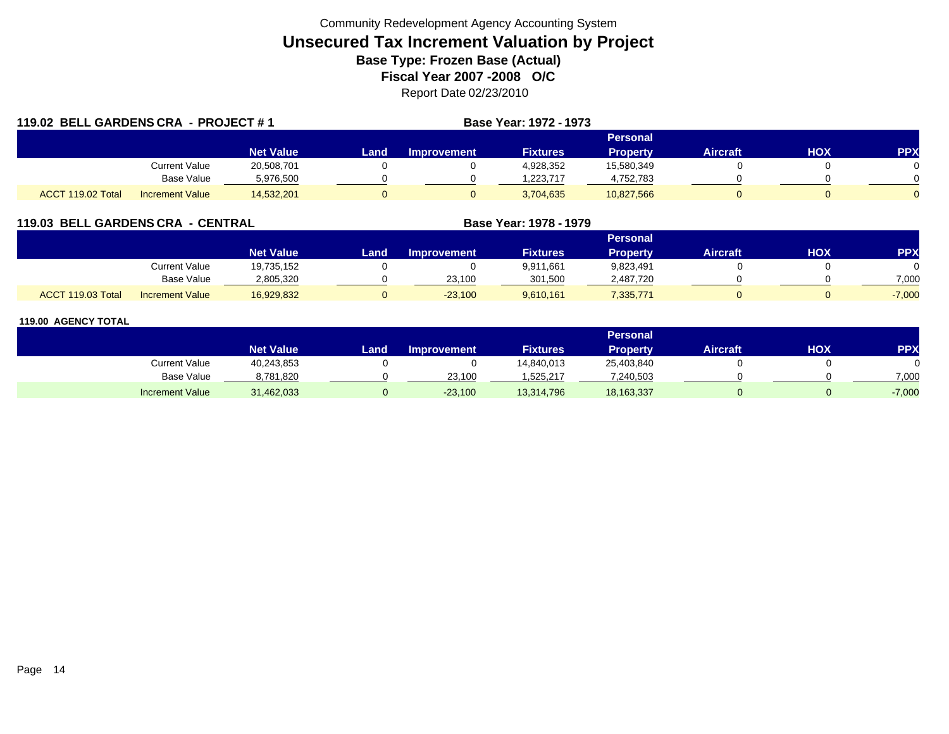| 119.02 BELL GARDENS CRA - PROJECT #1 |                        |                  |             |                    | Base Year: 1972 - 1973 |                 |                 |     |            |
|--------------------------------------|------------------------|------------------|-------------|--------------------|------------------------|-----------------|-----------------|-----|------------|
|                                      |                        |                  |             |                    |                        | <b>Personal</b> |                 |     |            |
|                                      |                        | <b>Net Value</b> | <b>Land</b> | <b>Improvement</b> | <b>Fixtures</b>        | <b>Property</b> | <b>Aircraft</b> | нох | <b>PPX</b> |
|                                      | <b>Current Value</b>   | 20,508,701       |             |                    | 4,928,352              | 15,580,349      |                 |     |            |
|                                      | Base Value             | 5,976,500        |             |                    | .223.717               | 4,752,783       |                 |     |            |
| ACCT 119.02 Total                    | <b>Increment Value</b> | 14,532,201       | 0           |                    | 3,704,635              | 10,827,566      |                 |     |            |

## **119.03 BELL GARDENS CRA - CENTRAL**

|                   |                        |                  |      |                    |                 | <b>Personal</b> |          |     |          |
|-------------------|------------------------|------------------|------|--------------------|-----------------|-----------------|----------|-----|----------|
|                   |                        | <b>Net Value</b> | Land | <b>Improvement</b> | <b>Fixtures</b> | <b>Property</b> | Aircraft | нох | PPX      |
|                   | Current Value          | 19,735,152       |      |                    | 9,911,661       | 9,823,491       |          |     |          |
|                   | Base Value             | 2,805,320        |      | 23,100             | 301,500         | 2,487,720       |          |     | 7,000    |
| ACCT 119.03 Total | <b>Increment Value</b> | 16,929,832       |      | $-23,100$          | 9,610,161       | ,335,771        |          |     | $-7,000$ |

**Base Year: 1978 - 1979**

|                        |                  |      |                    |                 | Personal        |                 |     |            |
|------------------------|------------------|------|--------------------|-----------------|-----------------|-----------------|-----|------------|
|                        | <b>Net Value</b> | Land | <b>Improvement</b> | <b>Fixtures</b> | <b>Property</b> | <b>Aircraft</b> | нох | <b>PPX</b> |
| Current Value          | 40,243,853       |      |                    | 14,840,013      | 25,403,840      |                 |     |            |
| Base Value             | 8,781,820        |      | 23.100             | 525,217         | 7,240,503       |                 |     | 7.000      |
| <b>Increment Value</b> | 31,462,033       |      | $-23,100$          | 13,314,796      | 18,163,337      |                 |     | $-7,000$   |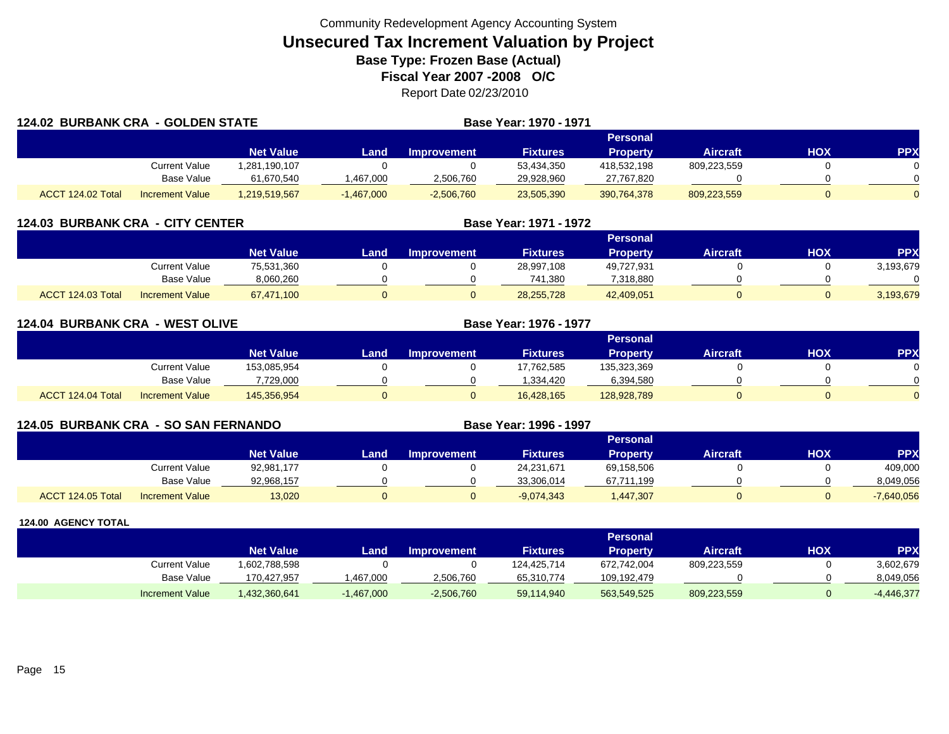|                   | <b>124.02 BURBANK CRA - GOLDEN STATE</b> |                  |              | Base Year: 1970 - 1971 |                 |                 |                 |     |            |
|-------------------|------------------------------------------|------------------|--------------|------------------------|-----------------|-----------------|-----------------|-----|------------|
|                   |                                          |                  |              |                        |                 | <b>Personal</b> |                 |     |            |
|                   |                                          | <b>Net Value</b> | Landı        | Improvement            | <b>Fixtures</b> | <b>Property</b> | <b>Aircraft</b> | HOX | <b>PPX</b> |
|                   | Current Value                            | .281,190,107     |              |                        | 53,434,350      | 418,532,198     | 809,223,559     |     |            |
|                   | Base Value                               | 61,670,540       | ,467,000     | 2,506,760              | 29,928,960      | 27,767,820      |                 |     |            |
| ACCT 124.02 Total | <b>Increment Value</b>                   | 1,219,519,567    | $-1,467,000$ | $-2,506,760$           | 23,505,390      | 390,764,378     | 809,223,559     |     | $\Omega$   |

|                   | <b>124.03 BURBANK CRA - CITY CENTER</b> |                  |      |                    | Base Year: 1971 - 1972 |                 |                 |            |            |
|-------------------|-----------------------------------------|------------------|------|--------------------|------------------------|-----------------|-----------------|------------|------------|
|                   |                                         |                  |      |                    |                        | <b>Personal</b> |                 |            |            |
|                   |                                         | <b>Net Value</b> | Land | <b>Improvement</b> | <b>Fixtures</b>        | <b>Property</b> | <b>Aircraft</b> | <b>XOH</b> | <b>PPX</b> |
|                   | Current Value                           | 75,531,360       |      |                    | 28,997,108             | 49,727,931      |                 |            | 3,193,679  |
|                   | Base Value                              | 8,060,260        |      |                    | 741,380                | 7,318,880       |                 |            |            |
| ACCT 124.03 Total | <b>Increment Value</b>                  | 67,471,100       |      |                    | 28,255,728             | 42,409,051      |                 |            | 3,193,679  |

| <b>124.04 BURBANK CRA - WEST OLIVE</b> |                        |                  | Base Year: 1976 - 1977 |                    |                 |                 |                 |     |                |
|----------------------------------------|------------------------|------------------|------------------------|--------------------|-----------------|-----------------|-----------------|-----|----------------|
|                                        |                        |                  |                        |                    |                 | Personal        |                 |     |                |
|                                        |                        | <b>Net Value</b> | Land                   | <b>Improvement</b> | <b>Fixtures</b> | <b>Property</b> | <b>Aircraft</b> | нох | <b>PPX</b>     |
|                                        | <b>Current Value</b>   | 153.085.954      |                        |                    | 17,762,585      | 135,323,369     |                 |     | 0              |
|                                        | <b>Base Value</b>      | 7,729,000        |                        |                    | ,334,420        | 6,394,580       |                 |     |                |
| ACCT 124.04 Total                      | <b>Increment Value</b> | 145,356,954      |                        |                    | 16,428,165      | 128,928,789     |                 |     | $\overline{0}$ |

| 124.05 BURBANK CRA - SO SAN FERNANDO |                        |                  |       |                    | Base Year: 1996 - 1997 |                 |                 |     |              |
|--------------------------------------|------------------------|------------------|-------|--------------------|------------------------|-----------------|-----------------|-----|--------------|
|                                      |                        |                  |       |                    |                        | Personal        |                 |     |              |
|                                      |                        | <b>Net Value</b> | Land. | <b>Improvement</b> | <b>Fixtures</b>        | <b>Property</b> | <b>Aircraft</b> | HOX | <b>PPX</b>   |
|                                      | Current Value          | 92,981,177       |       |                    | 24,231,671             | 69,158,506      |                 |     | 409,000      |
|                                      | Base Value             | 92,968,157       |       |                    | 33,306,014             | 67,711,199      |                 |     | 8,049,056    |
| ACCT 124.05 Total                    | <b>Increment Value</b> | 13,020           |       |                    | $-9,074,343$           | 1,447,307       |                 |     | $-7,640,056$ |

|                        |                  |              |                    |                 | <b>Personal</b> |                 |     |              |
|------------------------|------------------|--------------|--------------------|-----------------|-----------------|-----------------|-----|--------------|
|                        | <b>Net Value</b> | Land         | <b>Improvement</b> | <b>Fixtures</b> | Property        | <b>Aircraft</b> | нох | <b>PPX</b>   |
| Current Value          | 1,602,788,598    |              |                    | 124,425,714     | 672,742,004     | 809,223,559     |     | 3,602,679    |
| Base Value             | 170,427,957      | ,467,000     | 2,506,760          | 65,310,774      | 109.192.479     |                 |     | 8,049,056    |
| <b>Increment Value</b> | 1,432,360,641    | $-1,467,000$ | $-2,506,760$       | 59,114,940      | 563,549,525     | 809,223,559     |     | $-4,446,377$ |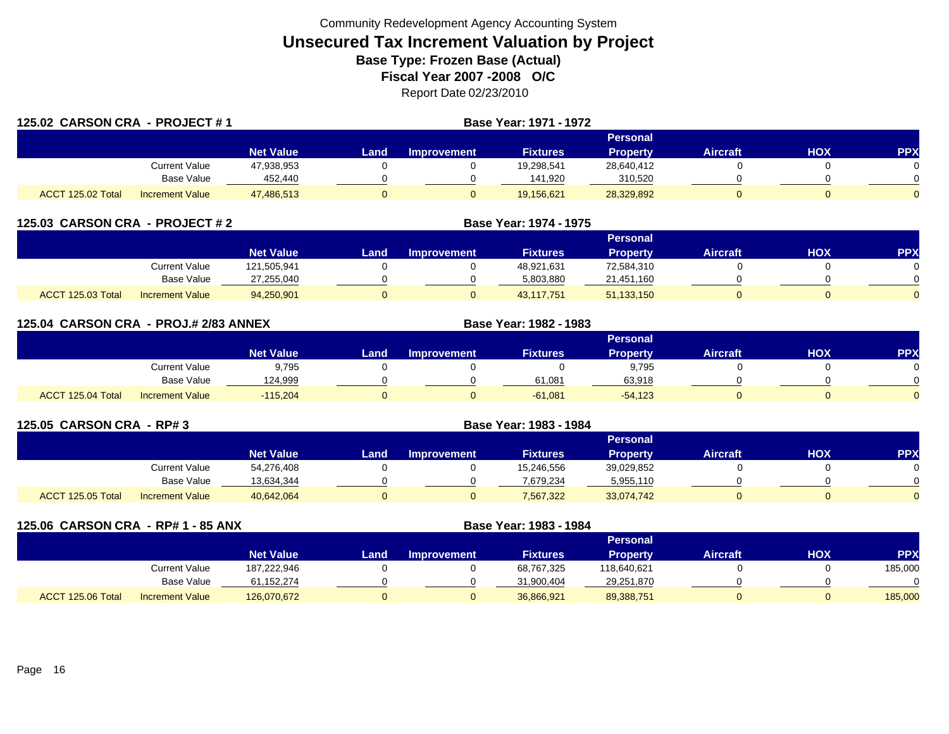| 125.02 CARSON CRA - PROJECT #1 |                        |                  |      |                    | Base Year: 1971 - 1972 |                 |                 |     |            |
|--------------------------------|------------------------|------------------|------|--------------------|------------------------|-----------------|-----------------|-----|------------|
|                                |                        |                  |      |                    |                        | <b>Personal</b> |                 |     |            |
|                                |                        | <b>Net Value</b> | Land | <b>Improvement</b> | <b>Fixtures</b>        | <b>Property</b> | <b>Aircraft</b> | HOX | <b>PPX</b> |
|                                | Current Value          | 47,938,953       |      |                    | 19,298,541             | 28,640,412      |                 |     |            |
|                                | Base Value             | 452,440          |      |                    | 141,920                | 310,520         |                 |     |            |
| ACCT 125.02 Total              | <b>Increment Value</b> | 47,486,513       |      | $\mathbf{0}$       | 19,156,621             | 28,329,892      |                 |     |            |

|                   | 125.03 CARSON CRA - PROJECT # 2 |                  |      |                    |                 |                 |                 |            |            |
|-------------------|---------------------------------|------------------|------|--------------------|-----------------|-----------------|-----------------|------------|------------|
|                   |                                 |                  |      |                    |                 | Personal        |                 |            |            |
|                   |                                 | <b>Net Value</b> | Land | <b>Improvement</b> | <b>Fixtures</b> | <b>Property</b> | <b>Aircraft</b> | <b>NOH</b> | <b>PPX</b> |
|                   | Current Value                   | 121.505.941      |      |                    | 48,921,631      | 72,584,310      |                 |            |            |
|                   | Base Value                      | 27,255,040       |      |                    | 5,803,880       | 21,451,160      |                 |            |            |
| ACCT 125.03 Total | <b>Increment Value</b>          | 94,250,901       |      |                    | 43.117.751      | 51,133,150      |                 |            |            |

| 125.04 CARSON CRA - PROJ.# 2/83 ANNEX |                        |                  |      |             | Base Year: 1982 - 1983 |                 |                 |            |            |
|---------------------------------------|------------------------|------------------|------|-------------|------------------------|-----------------|-----------------|------------|------------|
|                                       |                        |                  |      |             |                        | <b>Personal</b> |                 |            |            |
|                                       |                        | <b>Net Value</b> | Land | Improvement | <b>Fixtures</b>        | <b>Property</b> | <b>Aircraft</b> | <b>HOX</b> | <b>PPX</b> |
|                                       | Current Value          | 9,795            |      |             |                        | 9,795           |                 |            | 0          |
|                                       | Base Value             | 124,999          |      |             | 61,081                 | 63.918          |                 |            | $\Omega$   |
| ACCT 125.04 Total                     | <b>Increment Value</b> | $-115.204$       |      |             | $-61.081$              | $-54,123$       |                 |            | $\Omega$   |

| 125.05 CARSON CRA - RP# 3 |                 |                  |      |                    |                 |                 |                 |     |           |
|---------------------------|-----------------|------------------|------|--------------------|-----------------|-----------------|-----------------|-----|-----------|
|                           |                 |                  |      |                    |                 | <b>Personal</b> |                 |     |           |
|                           |                 | <b>Net Value</b> | Land | <b>Improvement</b> | <b>Fixtures</b> | <b>Property</b> | <b>Aircraft</b> | нох | <b>PP</b> |
|                           | Current Value   | 54,276,408       |      |                    | 15,246,556      | 39,029,852      |                 |     |           |
|                           | Base Value      | 13,634,344       |      |                    | 7.679.234       | 5,955,110       |                 |     |           |
| ACCT 125.05 Total         | Increment Value | 40,642,064       |      |                    | 7,567,322       | 33,074,742      |                 |     |           |

| 125.06 CARSON CRA - RP# 1 - 85 ANX |                        |                  |      | Base Year: 1983 - 1984 |                 |                 |                 |     |           |
|------------------------------------|------------------------|------------------|------|------------------------|-----------------|-----------------|-----------------|-----|-----------|
|                                    |                        |                  |      |                        |                 | <b>Personal</b> |                 |     |           |
|                                    |                        | <b>Net Value</b> | Land | <b>Improvement</b>     | <b>Fixtures</b> | <b>Property</b> | <b>Aircraft</b> | нох | <b>PP</b> |
|                                    | Current Value          | 187,222,946      |      |                        | 68,767,325      | 118,640,621     |                 |     | 185,000   |
|                                    | <b>Base Value</b>      | 61,152,274       |      |                        | 31,900,404      | 29,251,870      |                 |     |           |
| ACCT 125.06 Total                  | <b>Increment Value</b> | 126,070,672      |      |                        | 36,866,921      | 89,388,751      | 0               |     | 185,000   |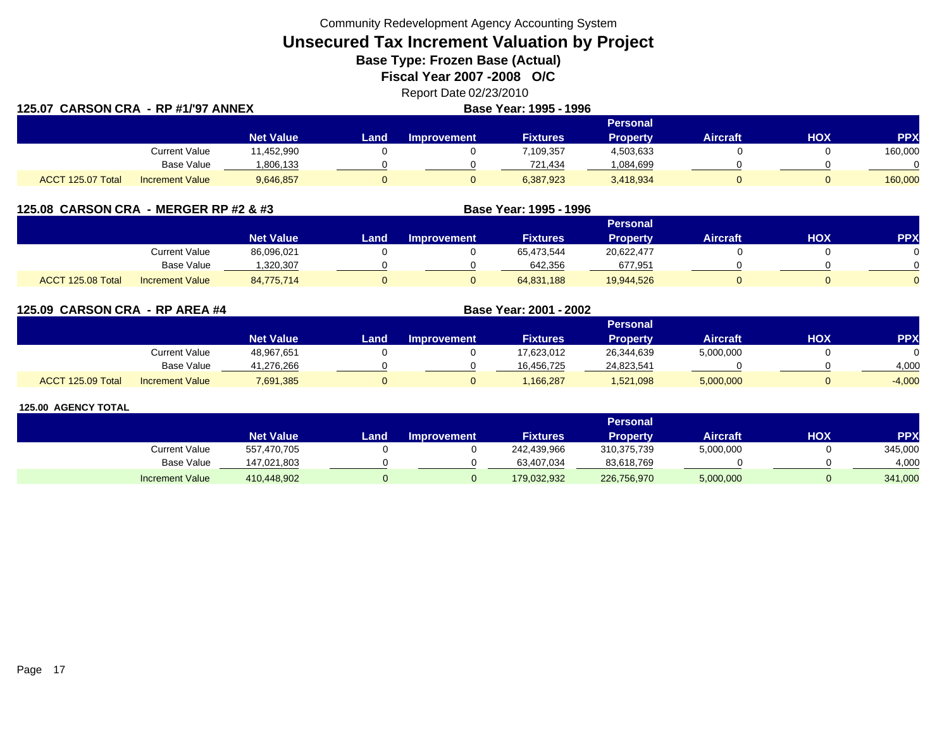Community Redevelopment Agency Accounting System

**Unsecured Tax Increment Valuation by Project**

**Base Type: Frozen Base (Actual)** 

**Fiscal Year 2007 -2008 O/C**

Report Date 02/23/2010

|                   | 125.07 CARSON CRA - RP #1/'97 ANNEX |                  |      | Base Year: 1995 - 1996 |                 |                 |                 |     |            |
|-------------------|-------------------------------------|------------------|------|------------------------|-----------------|-----------------|-----------------|-----|------------|
|                   |                                     |                  |      |                        |                 | <b>Personal</b> |                 |     |            |
|                   |                                     | <b>Net Value</b> | Land | Improvement            | <b>Fixtures</b> | <b>Property</b> | <b>Aircraft</b> | HOX | <b>PPX</b> |
|                   | <b>Current Value</b>                | 11,452,990       |      |                        | 7,109,357       | 4,503,633       |                 |     | 160,000    |
|                   | Base Value                          | 806,133          |      |                        | 721,434         | 1,084,699       |                 |     |            |
| ACCT 125.07 Total | <b>Increment Value</b>              | 9,646,857        |      |                        | 6,387,923       | 3,418,934       |                 |     | 160,000    |

| 125.08 CARSON CRA - MERGER RP #2 & #3 |                        |                  |      | Base Year: 1995 - 1996 |                 |                 |                 |     |            |
|---------------------------------------|------------------------|------------------|------|------------------------|-----------------|-----------------|-----------------|-----|------------|
|                                       |                        |                  |      |                        |                 | Personal        |                 |     |            |
|                                       |                        | <b>Net Value</b> | Land | <b>Improvement</b>     | <b>Fixtures</b> | <b>Property</b> | <b>Aircraft</b> | нох | <b>PPX</b> |
|                                       | Current Value          | 86,096,021       |      |                        | 65.473.544      | 20.622.477      |                 |     |            |
|                                       | Base Value             | 1,320,307        |      |                        | 642.356         | 677,951         |                 |     |            |
| ACCT 125.08 Total                     | <b>Increment Value</b> | 84,775,714       |      |                        | 64,831,188      | 19,944,526      |                 |     |            |

**125.09 CARSON CRA - RP AREA #4 Base Year: 2001 - 2002 Personal Net Value Land Improvement Fixtures Property Aircraft HOX PPX** Current Value 48,967,651 0 0 17,623,012 26,344,639 5,000,000 0 0 Base Value 41,276,266 0 0 16,456,725 24,823,541 0 0 4,000 ACCT 125.09 TotalIncrement Value 7,691,385 0 0 1,166,287 1,521,098 5,000,000 0 -4,000

|                        |                  |      |                    |                 | <b>Personal</b> |                 |            |            |
|------------------------|------------------|------|--------------------|-----------------|-----------------|-----------------|------------|------------|
|                        | <b>Net Value</b> | Land | <b>Improvement</b> | <b>Fixtures</b> | Property        | <b>Aircraft</b> | <b>HOX</b> | <b>PPX</b> |
| <b>Current Value</b>   | 557,470,705      |      |                    | 242,439,966     | 310,375,739     | 5,000,000       |            | 345,000    |
| Base Value             | 147.021.803      |      |                    | 63.407.034      | 83.618.769      |                 |            | 4,000      |
| <b>Increment Value</b> | 410,448,902      |      |                    | 179,032,932     | 226,756,970     | 5,000,000       |            | 341,000    |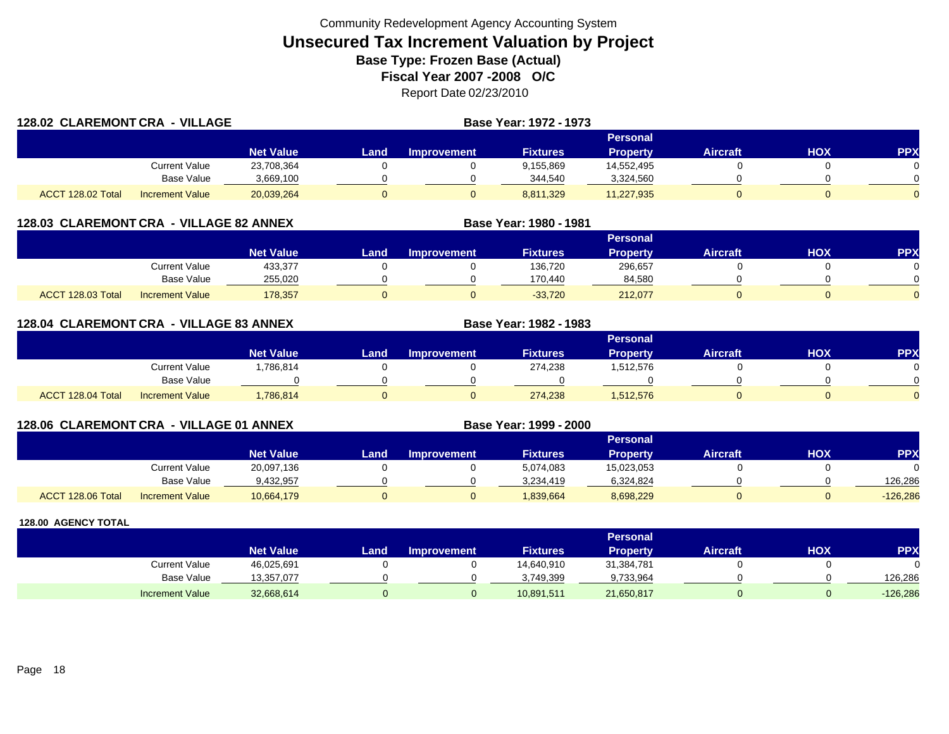|                   | 128.02 CLAREMONT CRA -<br><b>VILLAGE</b> |                  |      |                    | Base Year: 1972 - 1973 |                 |          |     |     |
|-------------------|------------------------------------------|------------------|------|--------------------|------------------------|-----------------|----------|-----|-----|
|                   |                                          |                  |      |                    |                        | Personal        |          |     |     |
|                   |                                          | <b>Net Value</b> | Land | <b>Improvement</b> | <b>Fixtures</b>        | <b>Property</b> | Aircraft | HOX | PPX |
|                   | Current Value                            | 23,708,364       |      |                    | 9,155,869              | 14,552,495      |          |     |     |
|                   | <b>Base Value</b>                        | 3,669,100        |      |                    | 344,540                | 3,324,560       |          |     |     |
| ACCT 128.02 Total | <b>Increment Value</b>                   | 20,039,264       |      |                    | 8,811,329              | 11,227,935      |          |     |     |

## **128.03 CLAREMONT CRA - VILLAGE 82 ANNEX**

|                                             |                  |      |                    |                 | <b>Personal</b> |          |            |          |
|---------------------------------------------|------------------|------|--------------------|-----------------|-----------------|----------|------------|----------|
|                                             | <b>Net Value</b> | Land | <b>Improvement</b> | <b>Fixtures</b> | <b>Property</b> | Aircraft | <b>HOX</b> | PPX      |
| <b>Current Value</b>                        | 433,377          |      |                    | 136,720         | 296,657         |          |            |          |
| Base Value                                  | 255,020          |      |                    | 170.440         | 84,580          |          |            |          |
| ACCT 128.03 Total<br><b>Increment Value</b> | 178,357          |      |                    | $-33,720$       | 212,077         |          |            | $\Omega$ |

**Base Year: 1980 - 1981**

**Base Year: 1982 - 1983**

**Base Year: 1999 - 2000**

### **128.04 CLAREMONT CRA - VILLAGE 83 ANNEX**

|                   |                        |                  |      |                    |                 | Personal        |                 |            |          |
|-------------------|------------------------|------------------|------|--------------------|-----------------|-----------------|-----------------|------------|----------|
|                   |                        | <b>Net Value</b> | Land | <b>Improvement</b> | <b>Fixtures</b> | <b>Property</b> | <b>Aircraft</b> | <b>XOH</b> | PPX      |
|                   | Current Value          | ,786,814         |      |                    | 274,238         | 1,512,576       |                 |            |          |
|                   | Base Value             |                  |      |                    |                 |                 |                 |            | ∩        |
| ACCT 128.04 Total | <b>Increment Value</b> | ,786,814         |      |                    | 274,238         | 1,512,576       |                 |            | $\Omega$ |

## **128.06 CLAREMONT CRA - VILLAGE 01 ANNEX**

|                   |                        |                  |      |                    |                 | Personal   |                 |     |            |
|-------------------|------------------------|------------------|------|--------------------|-----------------|------------|-----------------|-----|------------|
|                   |                        | <b>Net Value</b> | Land | <b>Improvement</b> | <b>Fixtures</b> | Property   | <b>Aircraft</b> | HOX | <b>PPX</b> |
|                   | <b>Current Value</b>   | 20,097,136       |      |                    | 5,074,083       | 15,023,053 |                 |     |            |
|                   | <b>Base Value</b>      | 9,432,957        |      |                    | 3.234.419       | 6,324,824  |                 |     | 126.286    |
| ACCT 128.06 Total | <b>Increment Value</b> | 10,664,179       |      |                    | 839,664         | 8,698,229  |                 |     | $-126,286$ |

|                        |                  |      |                    |                 | Personal        |                 |     |         |
|------------------------|------------------|------|--------------------|-----------------|-----------------|-----------------|-----|---------|
|                        | <b>Net Value</b> | Land | <b>Improvement</b> | <b>Fixtures</b> | <b>Property</b> | <b>Aircraft</b> | нох | PPX     |
| <b>Current Value</b>   | 46,025,691       |      |                    | 14,640,910      | 31,384,781      |                 |     | 0       |
| <b>Base Value</b>      | 13,357,077       |      |                    | 3,749,399       | 9,733,964       |                 |     | 126.286 |
| <b>Increment Value</b> | 32,668,614       |      |                    | 10,891,511      | 21,650,817      |                 |     | 126,286 |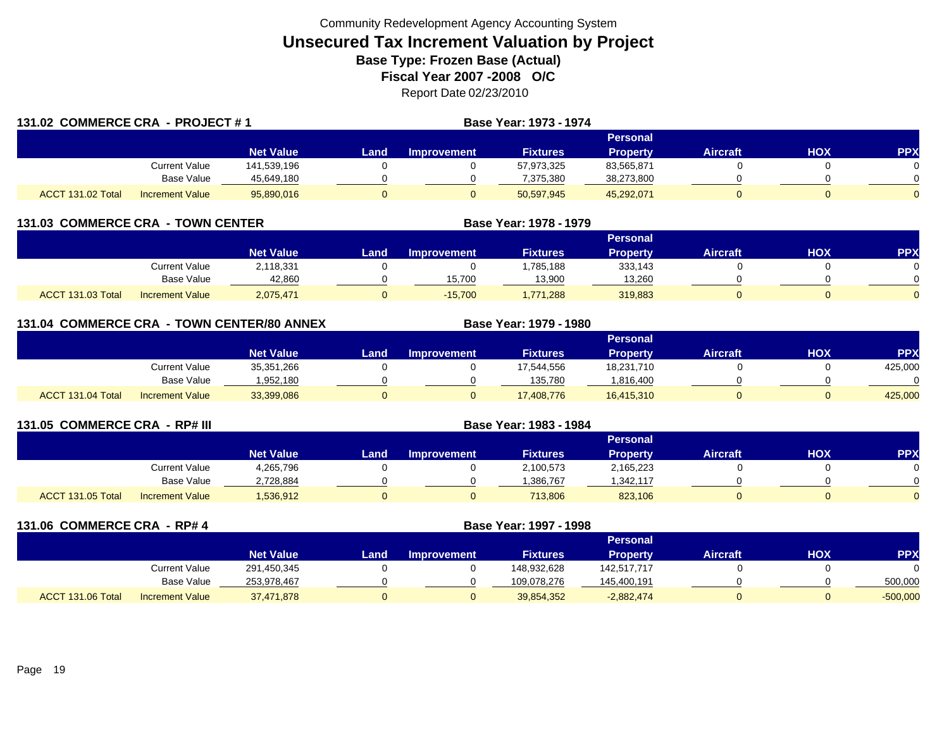| 131.02 COMMERCE CRA - PROJECT #1 |                        |                  |      |                    | Base Year: 1973 - 1974 |                 |                 |     |            |
|----------------------------------|------------------------|------------------|------|--------------------|------------------------|-----------------|-----------------|-----|------------|
|                                  |                        |                  |      |                    |                        | Personal        |                 |     |            |
|                                  |                        | <b>Net Value</b> | Land | <b>Improvement</b> | <b>Fixtures</b>        | <b>Property</b> | <b>Aircraft</b> | HOX | <b>PPX</b> |
|                                  | <b>Current Value</b>   | 141.539.196      |      |                    | 57,973,325             | 83,565,871      |                 |     |            |
|                                  | <b>Base Value</b>      | 45,649,180       |      |                    | 7,375,380              | 38,273,800      |                 |     |            |
| ACCT 131.02 Total                | <b>Increment Value</b> | 95,890,016       | 0    |                    | 50,597,945             | 45,292,071      |                 |     | $\Omega$   |

| 131.03  COMMERCE CRA  - TOWN CENTER |                        |                  |                 | Base Year: 1978 - 1979 |                 |          |                 |     |            |  |
|-------------------------------------|------------------------|------------------|-----------------|------------------------|-----------------|----------|-----------------|-----|------------|--|
|                                     |                        |                  | <b>Personal</b> |                        |                 |          |                 |     |            |  |
|                                     |                        | <b>Net Value</b> | Land.           | <b>Improvement</b>     | <b>Fixtures</b> | Property | <b>Aircraft</b> | НОХ | <b>PPX</b> |  |
|                                     | <b>Current Value</b>   | 2,118,331        |                 |                        | .785,188        | 333,143  |                 |     |            |  |
|                                     | <b>Base Value</b>      | 42,860           |                 | 15.700                 | 13,900          | 13,260   |                 |     |            |  |
| ACCT 131.03 Total                   | <b>Increment Value</b> | 2,075,471        |                 | $-15.700$              | 1.771.288       | 319,883  |                 |     |            |  |

| 131.04 COMMERCE CRA - TOWN CENTER/80 ANNEX |  |                        |                  |      |                    | Base Year: 1979 - 1980 |                 |                 |            |            |
|--------------------------------------------|--|------------------------|------------------|------|--------------------|------------------------|-----------------|-----------------|------------|------------|
|                                            |  |                        |                  |      |                    |                        | <b>Personal</b> |                 |            |            |
|                                            |  |                        | <b>Net Value</b> | Land | <b>Improvement</b> | <b>Fixtures</b>        | <b>Property</b> | <b>Aircraft</b> | <b>HOX</b> | <b>PPX</b> |
|                                            |  | <b>Current Value</b>   | 35,351,266       |      |                    | 17,544,556             | 18,231,710      |                 |            | 425,000    |
|                                            |  | Base Value             | 1,952,180        |      |                    | 135,780                | .816,400        |                 |            |            |
| ACCT 131.04 Total                          |  | <b>Increment Value</b> | 33,399,086       |      | 0                  | 17,408,776             | 16,415,310      |                 |            | 425,000    |

| 131.05 COMMERCE CRA - RP# III |                        |                  |      |                    | Base Year: 1983 - 1984 |                 |                 |     |            |
|-------------------------------|------------------------|------------------|------|--------------------|------------------------|-----------------|-----------------|-----|------------|
|                               |                        |                  |      |                    |                        | Personal        |                 |     |            |
|                               |                        | <b>Net Value</b> | Land | <b>Improvement</b> | <b>Fixtures</b>        | <b>Property</b> | <b>Aircraft</b> | нох | <b>PPX</b> |
|                               | Current Value          | 4,265,796        |      |                    | 2,100,573              | 2,165,223       |                 |     |            |
|                               | Base Value             | 2,728,884        |      |                    | ,386,767               | ,342,117        |                 |     |            |
| <b>ACCT 131.05 Total</b>      | <b>Increment Value</b> | 536,912          |      |                    | 713,806                | 823,106         |                 |     |            |

| 131.06 COMMERCE CRA - RP# 4 |                        |                  |      |                    | Base Year: 1997 - 1998 |                 |                 |            |            |
|-----------------------------|------------------------|------------------|------|--------------------|------------------------|-----------------|-----------------|------------|------------|
|                             |                        |                  |      |                    |                        | <b>Personal</b> |                 |            |            |
|                             |                        | <b>Net Value</b> | Land | <b>Improvement</b> | <b>Fixtures</b>        | <b>Property</b> | <b>Aircraft</b> | <b>HOX</b> | <b>PPX</b> |
|                             | <b>Current Value</b>   | 291,450,345      |      |                    | 148,932,628            | 142,517,717     |                 |            | $\Omega$   |
|                             | Base Value             | 253,978,467      |      |                    | 109,078,276            | 145,400,191     |                 |            | 500,000    |
| ACCT 131.06 Total           | <b>Increment Value</b> | 37,471,878       | ν    | 0                  | 39,854,352             | $-2,882,474$    |                 |            | $-500,000$ |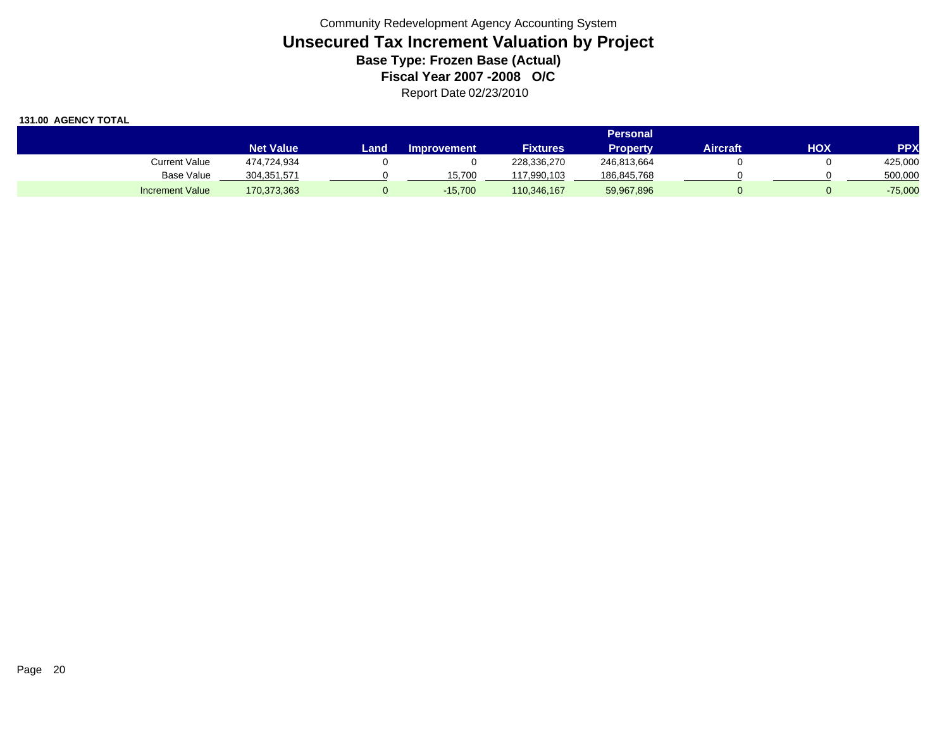|                        |                  | Personal |                    |                 |             |          |     |            |  |  |  |  |
|------------------------|------------------|----------|--------------------|-----------------|-------------|----------|-----|------------|--|--|--|--|
|                        | <b>Net Value</b> | Land     | <b>Improvement</b> | <b>Fixtures</b> | Propertv    | Aircraft | HOX | <b>PPX</b> |  |  |  |  |
| <b>Current Value</b>   | 474,724,934      |          |                    | 228,336,270     | 246,813,664 |          |     | 425,000    |  |  |  |  |
| <b>Base Value</b>      | 304,351,571      |          | 15.700             | 117,990,103     | 186,845,768 |          |     | 500,000    |  |  |  |  |
| <b>Increment Value</b> | 170,373,363      |          | $-15.700$          | 110,346,167     | 59,967,896  |          |     | $-75,000$  |  |  |  |  |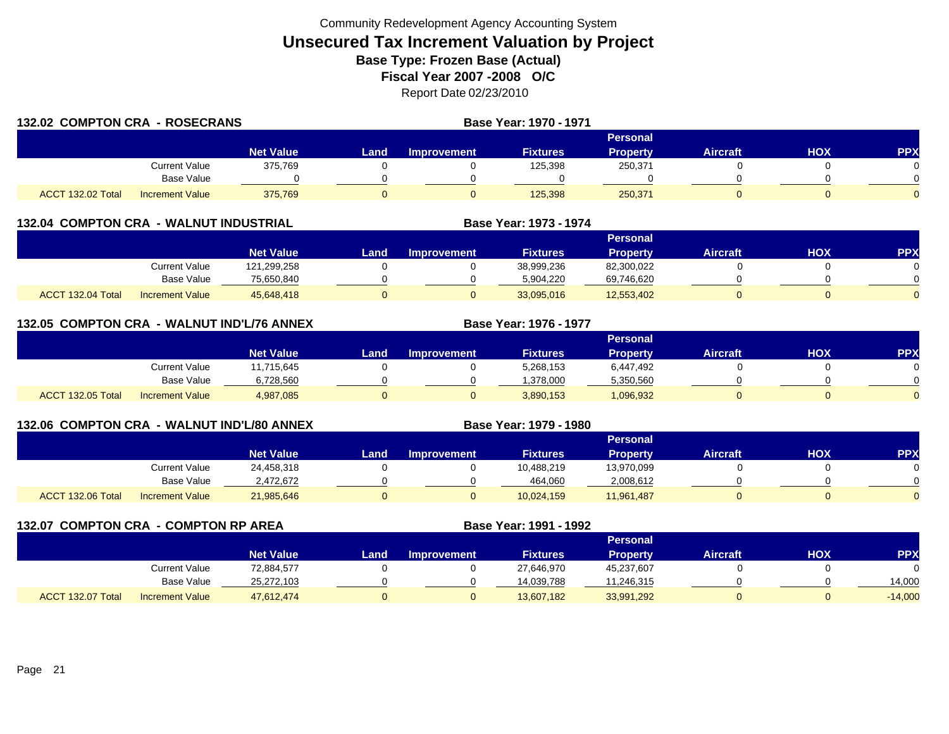| 132.02 COMPTON CRA - ROSECRANS |                        | Base Year: 1970 - 1971 |          |             |                 |                 |                 |            |            |
|--------------------------------|------------------------|------------------------|----------|-------------|-----------------|-----------------|-----------------|------------|------------|
|                                |                        |                        | Personal |             |                 |                 |                 |            |            |
|                                |                        | <b>Net Value</b>       | Landı    | Improvement | <b>Fixtures</b> | <b>Property</b> | <b>Aircraft</b> | <b>HOX</b> | <b>PPX</b> |
|                                | Current Value          | 375.769                |          |             | 125,398         | 250,371         |                 |            |            |
|                                | Base Value             |                        |          |             |                 |                 |                 |            |            |
| ACCT 132.02 Total              | <b>Increment Value</b> | 375.769                |          |             | 125,398         | 250,371         |                 |            |            |

|  | <b>132.04 COMPTON CRA - WALNUT INDUSTRIAL</b> |
|--|-----------------------------------------------|
|  |                                               |

|                   |                        |                  |      |             |                 | <b>Personal</b> |          |     |          |
|-------------------|------------------------|------------------|------|-------------|-----------------|-----------------|----------|-----|----------|
|                   |                        | <b>Net Value</b> | _and | Improvement | <b>Fixtures</b> | <b>Property</b> | Aircraft | HOX | PPX      |
|                   | Current Value          | 121,299,258      |      |             | 38,999,236      | 82,300,022      |          |     |          |
|                   | <b>Base Value</b>      | 75.650.840       |      |             | 5.904.220       | 69,746,620      |          |     |          |
| ACCT 132.04 Total | <b>Increment Value</b> | 45,648,418       |      |             | 33,095,016      | 12,553,402      |          |     | $\Omega$ |

**Base Year: 1973 - 1974**

**Base Year: 1976 - 1977**

**Base Year: 1979 - 1980**

| 132.05 COMPTON CRA - WALNUT IND'L/76 ANNEX |  |  |  |
|--------------------------------------------|--|--|--|
|                                            |  |  |  |

|                   |                        |                  | <b>Personal</b> |                    |                 |                 |          |            |          |  |  |  |
|-------------------|------------------------|------------------|-----------------|--------------------|-----------------|-----------------|----------|------------|----------|--|--|--|
|                   |                        | <b>Net Value</b> | Land            | <b>Improvement</b> | <b>Fixtures</b> | <b>Property</b> | Aircraft | <b>HOX</b> | PPX      |  |  |  |
|                   | <b>Current Value</b>   | 11,715,645       |                 |                    | 5,268,153       | 6,447,492       |          |            |          |  |  |  |
|                   | <b>Base Value</b>      | 6,728,560        |                 |                    | .378.000        | 5,350,560       |          |            | 0        |  |  |  |
| ACCT 132.05 Total | <b>Increment Value</b> | 4,987,085        |                 |                    | 3,890,153       | 1,096,932       |          |            | $\Omega$ |  |  |  |

## **132.06 COMPTON CRA - WALNUT IND'L/80 ANNEX**

|                   |                        |                  |      |                    |                 | <b>Personal</b> |          |            |          |
|-------------------|------------------------|------------------|------|--------------------|-----------------|-----------------|----------|------------|----------|
|                   |                        | <b>Net Value</b> | Land | <b>Improvement</b> | <b>Fixtures</b> | <b>Property</b> | Aircraft | <b>HOX</b> | PPX      |
|                   | <b>Current Value</b>   | 24,458,318       |      |                    | 10,488,219      | 13,970,099      |          |            |          |
|                   | <b>Base Value</b>      | 2.472.672        |      |                    | 464,060         | 2,008,612       |          |            | $\Omega$ |
| ACCT 132.06 Total | <b>Increment Value</b> | 21,985,646       |      |                    | 10,024,159      | 11,961,487      |          |            | $\Omega$ |

**132.07 COMPTON CRA - COMPTON RP AREA Base Year: 1991 - 1992 Personal Net Value LandImprovement Fixtures Property Aircraft HOX PPX** Current Value 72,884,577 0 0 27,646,970 45,237,607 0 0 Base Value 25,272,103 0 0 14,039,788 11,246,315 0 0 14,000 ACCT 132.07 TotalIncrement Value 47,612,474 0 0 13,607,182 33,991,292 0 0 -14,000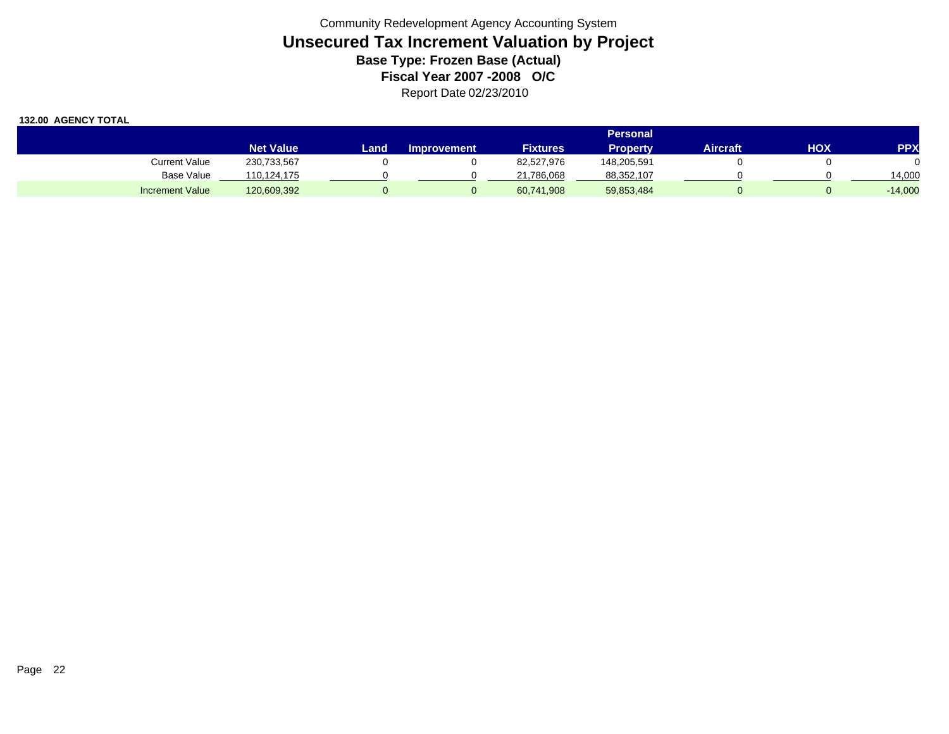|                        |                  |      |                    |                 | <b>Personal</b> |          |     |            |
|------------------------|------------------|------|--------------------|-----------------|-----------------|----------|-----|------------|
|                        | <b>Net Value</b> | Land | <b>Improvement</b> | <b>Fixtures</b> | <b>Property</b> | Aircraft | нох | <b>PPX</b> |
| <b>Current Value</b>   | 230,733,567      |      |                    | 82,527,976      | 148,205,591     |          |     |            |
| <b>Base Value</b>      | 110,124,175      |      |                    | 21,786,068      | 88,352,107      |          |     | 14.000     |
| <b>Increment Value</b> | 120,609,392      |      |                    | 60,741,908      | 59,853,484      |          |     | $-14,000$  |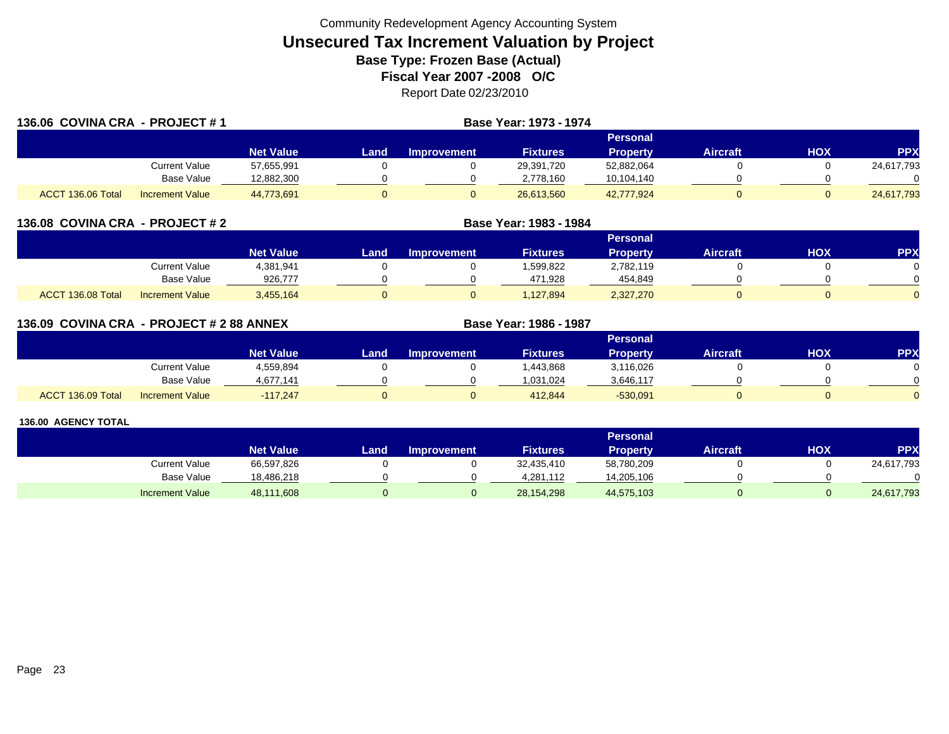| 136.06 COVINA CRA - PROJECT #1 |                        |                  | Base Year: 1973 - 1974 |                    |                 |                 |                 |     |            |
|--------------------------------|------------------------|------------------|------------------------|--------------------|-----------------|-----------------|-----------------|-----|------------|
|                                |                        |                  |                        |                    |                 | <b>Personal</b> |                 |     |            |
|                                |                        | <b>Net Value</b> | Land.                  | <b>Improvement</b> | <b>Fixtures</b> | <b>Property</b> | <b>Aircraft</b> | HOX | <b>PPX</b> |
|                                | Current Value          | 57,655,991       |                        |                    | 29.391.720      | 52,882,064      |                 |     | 24,617,793 |
|                                | Base Value             | 12,882,300       |                        |                    | 2,778,160       | 10,104,140      |                 |     |            |
| ACCT 136.06 Total              | <b>Increment Value</b> | 44,773,691       |                        |                    | 26.613.560      | 42,777,924      |                 |     | 24,617,793 |

| 136.08 COVINA CRA - PROJECT # 2 |                        |                  |      | Base Year: 1983 - 1984 |                 |                 |                 |     |           |
|---------------------------------|------------------------|------------------|------|------------------------|-----------------|-----------------|-----------------|-----|-----------|
|                                 |                        |                  |      |                        |                 | <b>Personal</b> |                 |     |           |
|                                 |                        | <b>Net Value</b> | Land | <b>Improvement</b>     | <b>Fixtures</b> | <b>Property</b> | <b>Aircraft</b> | нох | <b>PP</b> |
|                                 | Current Value          | 4,381,941        |      |                        | 1,599,822       | 2,782,119       |                 |     |           |
|                                 | Base Value             | 926,777          |      |                        | 471,928         | 454,849         |                 |     |           |
| ACCT 136.08 Total               | <b>Increment Value</b> | 3,455,164        |      |                        | .127.894        | 2,327,270       |                 |     |           |

| 136.09 COVINA CRA - PROJECT # 2 88 ANNEX |                        |                  |      |                    | Base Year: 1986 - 1987 |                 |                 |     |            |
|------------------------------------------|------------------------|------------------|------|--------------------|------------------------|-----------------|-----------------|-----|------------|
|                                          |                        |                  |      |                    |                        | <b>Personal</b> |                 |     |            |
|                                          |                        | <b>Net Value</b> | Land | <b>Improvement</b> | <b>Fixtures</b>        | <b>Property</b> | <b>Aircraft</b> | HOX | <b>PPX</b> |
|                                          | Current Value          | 4,559,894        |      |                    | ,443,868               | 3,116,026       |                 |     |            |
|                                          | <b>Base Value</b>      | 4,677,141        |      |                    | 0.031,024              | 3,646,117       |                 |     |            |
| ACCT 136.09 Total                        | <b>Increment Value</b> | $-117.247$       |      |                    | 412.844                | $-530,091$      |                 |     |            |

|                        |                  |      |                    |                 | Personal        |                 |     |                 |
|------------------------|------------------|------|--------------------|-----------------|-----------------|-----------------|-----|-----------------|
|                        | <b>Net Value</b> | Land | <b>Improvement</b> | <b>Fixtures</b> | <b>Property</b> | <b>Aircraft</b> | нох | PP <sub>2</sub> |
| Current Value          | 66,597,826       |      |                    | 32,435,410      | 58,780,209      |                 |     | 24,617,793      |
| Base Value             | 18,486,218       |      |                    | 4.281.112       | 14,205,106      |                 |     |                 |
| <b>Increment Value</b> | 48,111,608       |      |                    | 28,154,298      | 44,575,103      |                 |     | 24,617,793      |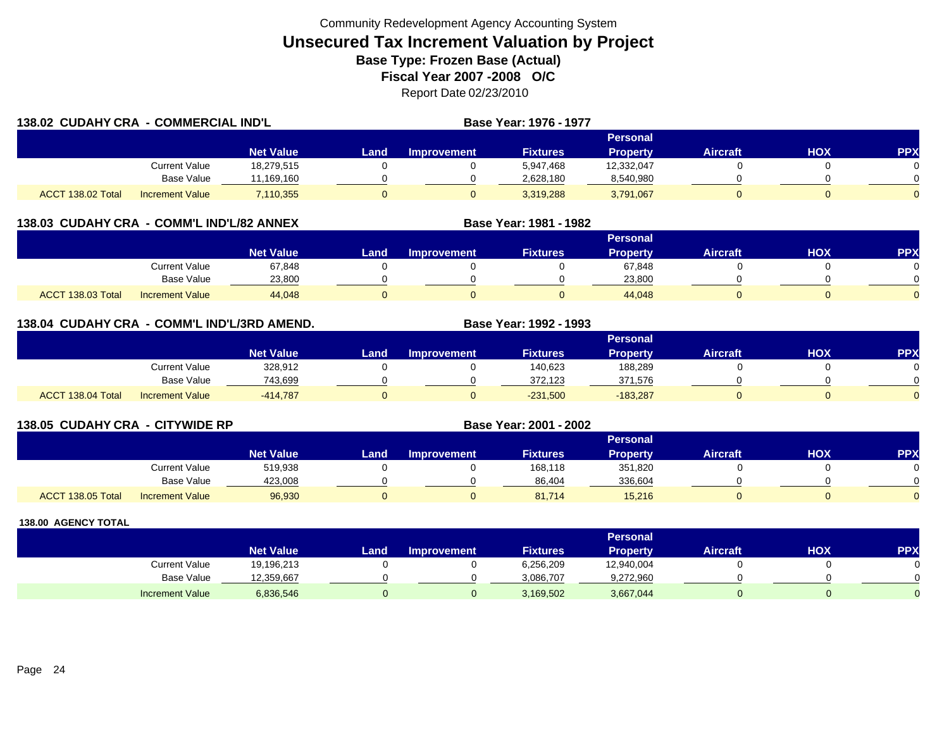| 138.02 CUDAHY CRA - COMMERCIAL IND'L |                        |                  |       |                    | Base Year: 1976 - 1977 |                 |                 |     |            |
|--------------------------------------|------------------------|------------------|-------|--------------------|------------------------|-----------------|-----------------|-----|------------|
|                                      |                        |                  |       |                    |                        | Personal        |                 |     |            |
|                                      |                        | <b>Net Value</b> | Landı | <b>Improvement</b> | <b>Fixtures</b>        | <b>Property</b> | <b>Aircraft</b> | HOX | <b>PPX</b> |
|                                      | <b>Current Value</b>   | 18,279,515       |       |                    | 5,947,468              | 12,332,047      |                 |     |            |
|                                      | <b>Base Value</b>      | 11.169.160       |       |                    | 2,628,180              | 8,540,980       |                 |     |            |
| ACCT 138.02 Total                    | <b>Increment Value</b> | 7,110,355        | 0     |                    | 3,319,288              | 3,791,067       |                 |     |            |

### **138.03 CUDAHY CRA - COMM'L IND'L/82 ANNEX**

|                                             |                  |      |                    |                 | <b>Personal</b> |                 |            |              |
|---------------------------------------------|------------------|------|--------------------|-----------------|-----------------|-----------------|------------|--------------|
|                                             | <b>Net Value</b> | Land | <b>Improvement</b> | <b>Fixtures</b> | <b>Property</b> | <b>Aircraft</b> | <b>HOX</b> | PPX          |
| Current Value                               | 67,848           |      |                    |                 | 67,848          |                 |            |              |
| Base Value                                  | 23,800           |      |                    |                 | 23,800          |                 |            | <sup>n</sup> |
| ACCT 138.03 Total<br><b>Increment Value</b> | 44,048           |      |                    |                 | 44,048          |                 |            | $\Omega$     |

**Base Year: 1981 - 1982**

## **138.04 CUDAHY CRA - COMM'L IND'L/3RD AMEND. Base Year: 1992 - 1993**

|                   |                        |                  |      |                    |                 | Personal        |                 |            |           |
|-------------------|------------------------|------------------|------|--------------------|-----------------|-----------------|-----------------|------------|-----------|
|                   |                        | <b>Net Value</b> | Land | <b>Improvement</b> | <b>Fixtures</b> | <b>Property</b> | <b>Aircraft</b> | <b>HOX</b> | <b>PP</b> |
|                   | Current Value          | 328,912          |      |                    | 140,623         | 188,289         |                 |            |           |
|                   | <b>Base Value</b>      | 743,699          |      |                    | 372,123         | 371,576         |                 |            |           |
| ACCT 138.04 Total | <b>Increment Value</b> | $-414,787$       |      |                    | $-231,500$      | $-183,287$      |                 |            |           |

| 138.05 CUDAHY CRA - CITYWIDE RP |                        |                  | Base Year: 2001 - 2002 |                    |                 |                 |                 |     |     |
|---------------------------------|------------------------|------------------|------------------------|--------------------|-----------------|-----------------|-----------------|-----|-----|
|                                 |                        |                  |                        |                    |                 | <b>Personal</b> |                 |     |     |
|                                 |                        | <b>Net Value</b> | Land                   | <b>Improvement</b> | <b>Fixtures</b> | <b>Property</b> | <b>Aircraft</b> | нох | PP) |
|                                 | Current Value          | 519,938          |                        |                    | 168,118         | 351,820         |                 |     |     |
|                                 | <b>Base Value</b>      | 423,008          |                        |                    | 86,404          | 336,604         |                 |     |     |
| ACCT 138.05 Total               | <b>Increment Value</b> | 96,930           |                        | 0                  | 81.714          | 15,216          | 0               |     |     |

|                        |                  |      |                    |                 | Personal        |          |     |     |
|------------------------|------------------|------|--------------------|-----------------|-----------------|----------|-----|-----|
|                        | <b>Net Value</b> | Land | <b>Improvement</b> | <b>Fixtures</b> | <b>Property</b> | Aircraft | нох | PPX |
| <b>Current Value</b>   | 19,196,213       |      |                    | 6,256,209       | 12,940,004      |          |     |     |
| <b>Base Value</b>      | 12,359,667       |      |                    | 3,086,707       | 9,272,960       |          |     |     |
| <b>Increment Value</b> | 6,836,546        |      |                    | 3,169,502       | 3,667,044       |          |     |     |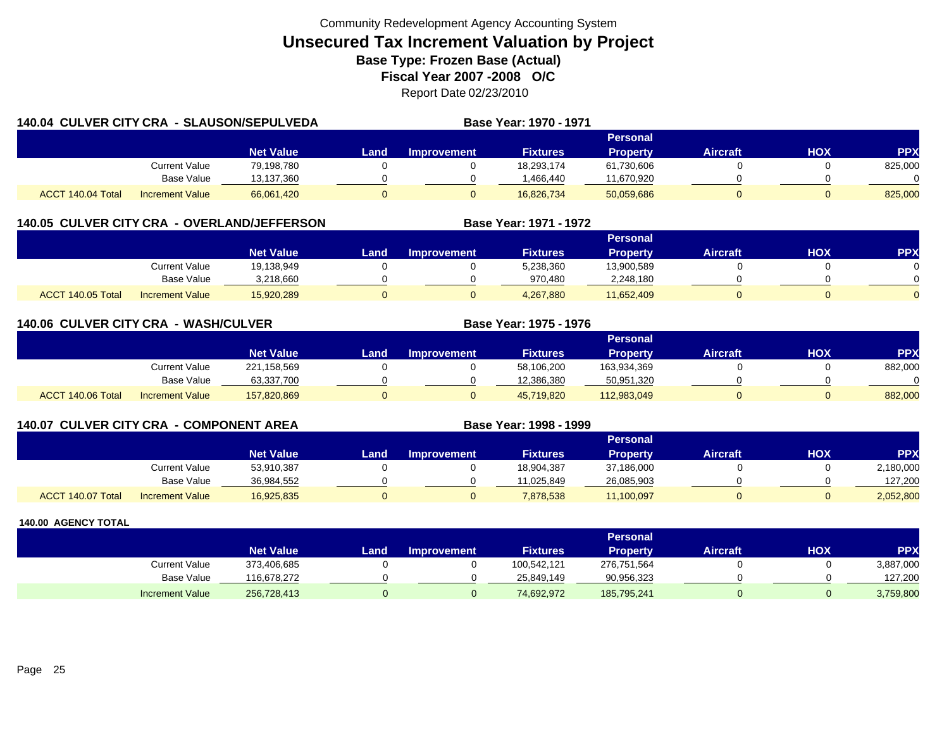| <b>140.04 CULVER CITY CRA - SLAUSON/SEPULVEDA</b> |                        |                  | <b>Base Year: 1970 - 1971</b> |                    |                 |                 |                 |     |            |
|---------------------------------------------------|------------------------|------------------|-------------------------------|--------------------|-----------------|-----------------|-----------------|-----|------------|
|                                                   |                        |                  |                               |                    |                 | Personal        |                 |     |            |
|                                                   |                        | <b>Net Value</b> | Land                          | <b>Improvement</b> | <b>Fixtures</b> | <b>Property</b> | <b>Aircraft</b> | HOX | <b>PPX</b> |
|                                                   | Current Value          | 79,198,780       |                               |                    | 18,293,174      | 61,730,606      |                 |     | 825,000    |
|                                                   | <b>Base Value</b>      | 13,137,360       |                               |                    | 1,466,440       | 11,670,920      |                 |     |            |
| ACCT 140.04 Total                                 | <b>Increment Value</b> | 66,061,420       |                               |                    | 16.826.734      | 50,059,686      |                 |     | 825,000    |

## **140.05 CULVER CITY CRA - OVERLAND/JEFFERSON**

|                   |                        |                  |      |                    |                 | <b>Personal</b> |                 |            |          |
|-------------------|------------------------|------------------|------|--------------------|-----------------|-----------------|-----------------|------------|----------|
|                   |                        | <b>Net Value</b> | Land | <b>Improvement</b> | <b>Fixtures</b> | <b>Property</b> | <b>Aircraft</b> | <b>XOH</b> | PPX      |
|                   | Current Value          | 19,138,949       |      |                    | 5,238,360       | 13,900,589      |                 |            |          |
|                   | <b>Base Value</b>      | 3.218.660        |      |                    | 970.480         | 2,248,180       |                 |            | 0        |
| ACCT 140.05 Total | <b>Increment Value</b> | 15,920,289       |      |                    | 4,267,880       | 11,652,409      |                 |            | $\Omega$ |

**Base Year: 1971 - 1972**

| 140.06 CULVER CITY CRA - WASH/CULVER |                        |                  |      |                    | Base Year: 1975 - 1976 |                 |                 |     |           |
|--------------------------------------|------------------------|------------------|------|--------------------|------------------------|-----------------|-----------------|-----|-----------|
|                                      |                        |                  |      |                    |                        | <b>Personal</b> |                 |     |           |
|                                      |                        | <b>Net Value</b> | Land | <b>Improvement</b> | <b>Fixtures</b>        | <b>Property</b> | <b>Aircraft</b> | нох | <b>PP</b> |
|                                      | Current Value          | 221,158,569      |      |                    | 58,106,200             | 163,934,369     |                 |     | 882,000   |
|                                      | Base Value             | 63,337,700       |      |                    | 12,386,380             | 50,951,320      |                 |     |           |
| ACCT 140.06 Total                    | <b>Increment Value</b> | 157,820,869      |      |                    | 45,719,820             | 112,983,049     | 0               |     | 882,000   |

| <b>140.07 CULVER CITY CRA - COMPONENT AREA</b> |                        |                  |      |                    | Base Year: 1998 - 1999 |                 |                 |            |            |
|------------------------------------------------|------------------------|------------------|------|--------------------|------------------------|-----------------|-----------------|------------|------------|
|                                                |                        |                  |      |                    |                        | <b>Personal</b> |                 |            |            |
|                                                |                        | <b>Net Value</b> | Land | <b>Improvement</b> | <b>Fixtures</b>        | <b>Property</b> | <b>Aircraft</b> | <b>XOH</b> | <b>PPX</b> |
|                                                | Current Value          | 53,910,387       |      |                    | 18,904,387             | 37,186,000      |                 |            | 2,180,000  |
|                                                | Base Value             | 36,984,552       |      |                    | 11.025.849             | 26,085,903      |                 |            | 127,200    |
| ACCT 140.07 Total                              | <b>Increment Value</b> | 16,925,835       |      |                    | 7,878,538              | 11,100,097      |                 |            | 2,052,800  |

|                        |                  |      |                    |                 | <b>Personal</b> |                 |            |            |
|------------------------|------------------|------|--------------------|-----------------|-----------------|-----------------|------------|------------|
|                        | <b>Net Value</b> | Land | <b>Improvement</b> | <b>Fixtures</b> | Property        | <b>Aircraft</b> | <b>HOX</b> | <b>PPX</b> |
| Current Value          | 373,406,685      |      |                    | 100,542,121     | 276,751,564     |                 |            | 3,887,000  |
| <b>Base Value</b>      | 116.678.272      |      |                    | 25.849.149      | 90,956,323      |                 |            | 127.200    |
| <b>Increment Value</b> | 256,728,413      |      |                    | 74,692,972      | 185,795,241     |                 |            | 3,759,800  |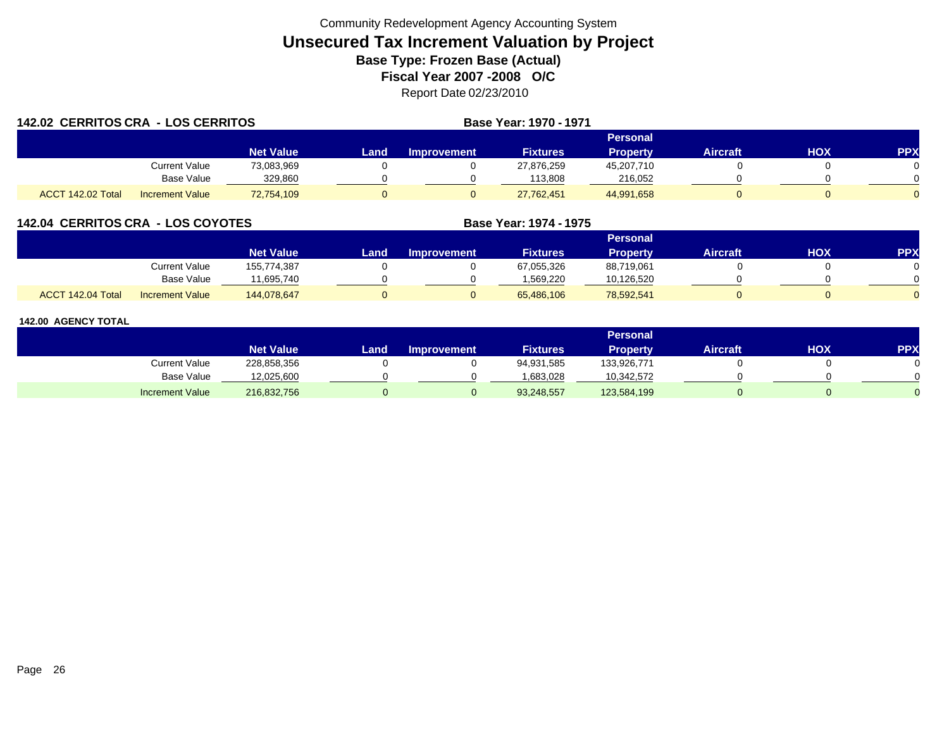|                   | <b>142.02 CERRITOS CRA - LOS CERRITOS</b> |                  |       |                    | <b>Base Year: 1970 - 1971</b> |                 |                 |     |            |
|-------------------|-------------------------------------------|------------------|-------|--------------------|-------------------------------|-----------------|-----------------|-----|------------|
|                   |                                           |                  |       |                    |                               | <b>Personal</b> |                 |     |            |
|                   |                                           | <b>Net Value</b> | Land. | <b>Improvement</b> | <b>Fixtures</b>               | <b>Property</b> | <b>Aircraft</b> | HOX | <b>PPX</b> |
|                   | Current Value                             | 73,083,969       |       |                    | 27,876,259                    | 45,207,710      |                 |     |            |
|                   | <b>Base Value</b>                         | 329.860          |       |                    | 113,808                       | 216.052         |                 |     |            |
| ACCT 142.02 Total | <b>Increment Value</b>                    | 72,754,109       |       |                    | 27,762,451                    | 44,991,658      |                 |     |            |

## **142.04 CERRITOS CRA - LOS COYOTES**

|                   |                        |                  |      |                    |                 | Personal        |          |     |     |
|-------------------|------------------------|------------------|------|--------------------|-----------------|-----------------|----------|-----|-----|
|                   |                        | <b>Net Value</b> | Land | <b>Improvement</b> | <b>Fixtures</b> | <b>Property</b> | Aircraft | нох | PPX |
|                   | Current Value          | 155,774,387      |      |                    | 67,055,326      | 88,719,061      |          |     |     |
|                   | Base Value             | 11,695,740       |      |                    | 1.569.220       | 10,126,520      |          |     |     |
| ACCT 142.04 Total | <b>Increment Value</b> | 144,078,647      |      |                    | 65,486,106      | 78,592,541      |          |     |     |

**Base Year: 1974 - 1975**

|                        |                  |      |                    |                 | Personal        |                 |     |            |
|------------------------|------------------|------|--------------------|-----------------|-----------------|-----------------|-----|------------|
|                        | <b>Net Value</b> | Land | <b>Improvement</b> | <b>Fixtures</b> | <b>Property</b> | <b>Aircraft</b> | нох | <b>PPX</b> |
| Current Value          | 228,858,356      |      |                    | 94,931,585      | 133,926,771     |                 |     |            |
| <b>Base Value</b>      | 12,025,600       |      |                    | 1,683,028       | 10,342,572      |                 |     |            |
| <b>Increment Value</b> | 216,832,756      |      |                    | 93,248,557      | 123,584,199     |                 |     |            |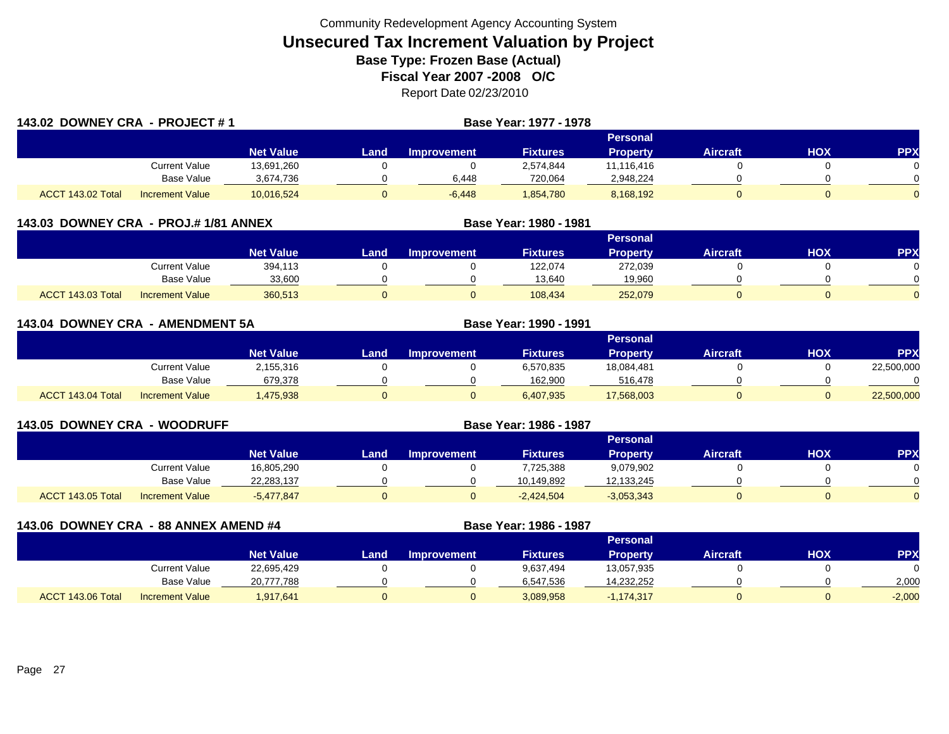| 143.02 DOWNEY CRA - PROJECT #1 |                        |                  |      |                    | Base Year: 1977 - 1978 |                 |                 |     |            |
|--------------------------------|------------------------|------------------|------|--------------------|------------------------|-----------------|-----------------|-----|------------|
|                                |                        |                  |      |                    |                        | Personal        |                 |     |            |
|                                |                        | <b>Net Value</b> | Land | <b>Improvement</b> | <b>Fixtures</b>        | <b>Property</b> | <b>Aircraft</b> | HOX | <b>PPX</b> |
|                                | Current Value          | 13,691,260       |      |                    | 2,574,844              | 11,116,416      |                 |     |            |
|                                | Base Value             | 3,674,736        |      | 6,448              | 720,064                | 2,948,224       |                 |     |            |
| ACCT 143.02 Total              | <b>Increment Value</b> | 10,016,524       |      | $-6,448$           | 1,854,780              | 8,168,192       |                 |     | $\Omega$   |

| 143.03 DOWNEY CRA - PROJ.#1/81 ANNEX |                        |                  |      |                    | Base Year: 1980 - 1981 |          |                 |     |            |
|--------------------------------------|------------------------|------------------|------|--------------------|------------------------|----------|-----------------|-----|------------|
|                                      |                        |                  |      |                    |                        |          |                 |     |            |
|                                      |                        | <b>Net Value</b> | Land | <b>Improvement</b> | <b>Fixtures</b>        | Property | <b>Aircraft</b> | нох | <b>PPX</b> |
|                                      | <b>Current Value</b>   | 394,113          |      |                    | 122,074                | 272,039  |                 |     |            |
|                                      | <b>Base Value</b>      | 33,600           |      |                    | 13,640                 | 19,960   |                 |     |            |
| ACCT 143.03 Total                    | <b>Increment Value</b> | 360,513          |      |                    | 108,434                | 252,079  |                 |     |            |

| 143.04 DOWNEY CRA - AMENDMENT 5A |                        |                  |      |                    | Base Year: 1990 - 1991 |                 |                 |            |            |
|----------------------------------|------------------------|------------------|------|--------------------|------------------------|-----------------|-----------------|------------|------------|
|                                  |                        |                  |      |                    |                        | <b>Personal</b> |                 |            |            |
|                                  |                        | <b>Net Value</b> | Land | <b>Improvement</b> | <b>Fixtures</b>        | <b>Property</b> | <b>Aircraft</b> | <b>HOX</b> | <b>PPX</b> |
|                                  | <b>Current Value</b>   | 2,155,316        |      |                    | 6,570,835              | 18,084,481      |                 |            | 22,500,000 |
|                                  | <b>Base Value</b>      | 679,378          |      |                    | 162,900                | 516,478         |                 |            |            |
| ACCT 143.04 Total                | <b>Increment Value</b> | ,475,938         |      |                    | 6,407,935              | 17,568,003      |                 |            | 22,500,000 |

| <b>143.05 DOWNEY CRA - WOODRUFF</b> |                        |                  | Base Year: 1986 - 1987 |                    |                 |                 |                 |     |           |
|-------------------------------------|------------------------|------------------|------------------------|--------------------|-----------------|-----------------|-----------------|-----|-----------|
|                                     |                        |                  |                        |                    |                 | <b>Personal</b> |                 |     |           |
|                                     |                        | <b>Net Value</b> | Land                   | <b>Improvement</b> | <b>Fixtures</b> | <b>Property</b> | <b>Aircraft</b> | нох | <b>PP</b> |
|                                     | Current Value          | 16,805,290       |                        |                    | 7,725,388       | 9,079,902       |                 |     |           |
|                                     | Base Value             | 22,283,137       |                        |                    | 10.149.892      | 12,133,245      |                 |     |           |
| ACCT 143.05 Total                   | <b>Increment Value</b> | $-5,477,847$     | ν                      |                    | $-2,424,504$    | $-3,053,343$    | 0               |     |           |

| 143.06 DOWNEY CRA - 88 ANNEX AMEND #4 |                        |                  |      |                    | Base Year: 1986 - 1987 |                 |                 |            |            |
|---------------------------------------|------------------------|------------------|------|--------------------|------------------------|-----------------|-----------------|------------|------------|
|                                       |                        |                  |      |                    |                        | <b>Personal</b> |                 |            |            |
|                                       |                        | <b>Net Value</b> | Land | <b>Improvement</b> | <b>Fixtures</b>        | <b>Property</b> | <b>Aircraft</b> | <b>HOX</b> | <b>PPX</b> |
|                                       | Current Value          | 22,695,429       |      |                    | 9,637,494              | 13,057,935      |                 |            |            |
|                                       | <b>Base Value</b>      | 20,777,788       |      |                    | 6,547,536              | 14,232,252      |                 |            | 2,000      |
| ACCT 143.06 Total                     | <b>Increment Value</b> | 1,917,641        |      | 0                  | 3,089,958              | $-1,174,317$    |                 |            | $-2,000$   |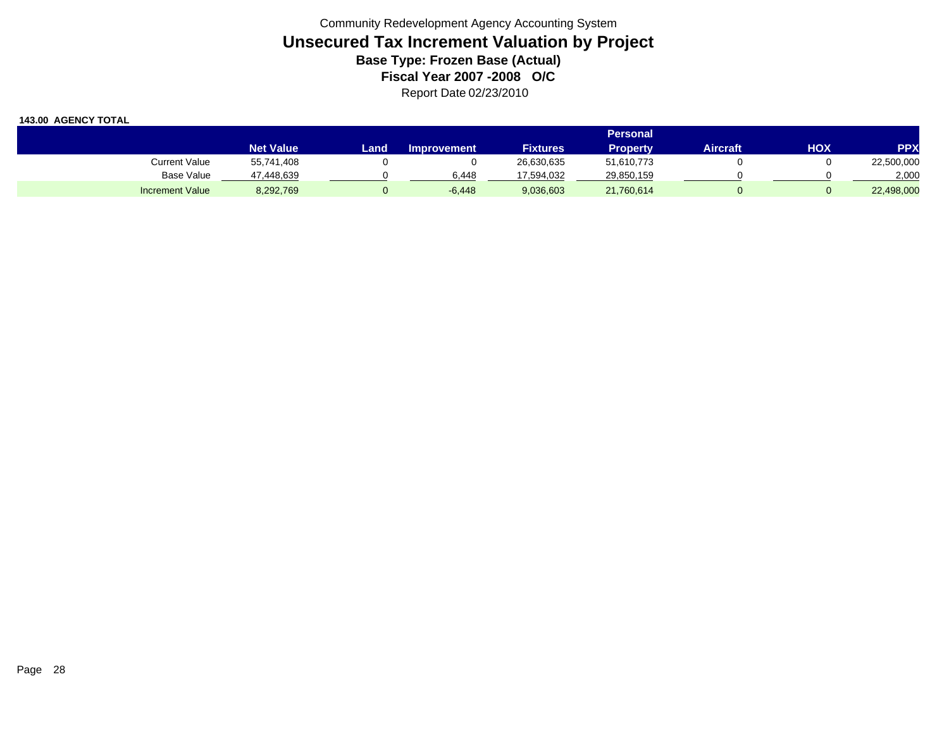|                        |                  |       |                    |                 | Personal <b>'</b> |          |     |            |
|------------------------|------------------|-------|--------------------|-----------------|-------------------|----------|-----|------------|
|                        | <b>Net Value</b> | Landı | <b>Improvement</b> | <b>Fixtures</b> | Property          | Aircraft | HOX | <b>PPX</b> |
| Current Value          | 55,741,408       |       |                    | 26,630,635      | 51,610,773        |          |     | 22,500,000 |
| Base Value             | 47,448,639       |       | 6.448              | 17,594,032      | 29,850,159        |          |     | 2,000      |
| <b>Increment Value</b> | 8,292,769        |       | $-6,448$           | 9,036,603       | 21,760,614        |          |     | 22,498,000 |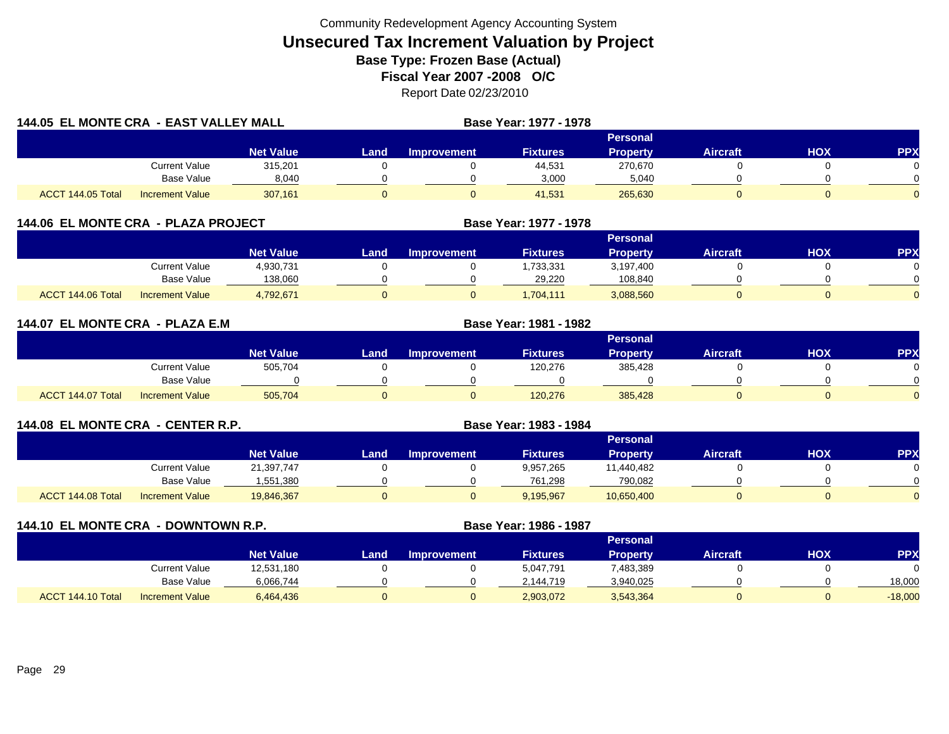| 144.05 EL MONTE CRA - EAST VALLEY MALL |                        |                  |        |                    | Base Year: 1977 - 1978 |                 |                 |            |            |
|----------------------------------------|------------------------|------------------|--------|--------------------|------------------------|-----------------|-----------------|------------|------------|
|                                        |                        |                  |        |                    |                        | <b>Personal</b> |                 |            |            |
|                                        |                        | <b>Net Value</b> | Land . | <b>Improvement</b> | <b>Fixtures</b>        | Property        | <b>Aircraft</b> | <b>HOX</b> | <b>PPX</b> |
|                                        | <b>Current Value</b>   | 315,201          |        |                    | 44,531                 | 270,670         |                 |            |            |
|                                        | <b>Base Value</b>      | 8,040            |        |                    | 3,000                  | 5,040           |                 |            |            |
| ACCT 144.05 Total                      | <b>Increment Value</b> | 307,161          |        |                    | 41,531                 | 265,630         |                 |            |            |

| 144.06 EL MONTE CRA - PLAZA PROJECT |                        |                  |      |                    | Base Year: 1977 - 1978 |                 |                 |     |            |
|-------------------------------------|------------------------|------------------|------|--------------------|------------------------|-----------------|-----------------|-----|------------|
|                                     |                        |                  |      |                    |                        | <b>Personal</b> |                 |     |            |
|                                     |                        | <b>Net Value</b> | Land | <b>Improvement</b> | <b>Fixtures</b>        | <b>Property</b> | <b>Aircraft</b> | нох | <b>PPX</b> |
|                                     | <b>Current Value</b>   | 4,930,731        |      |                    | ,733,331               | 3,197,400       |                 |     |            |
|                                     | <b>Base Value</b>      | 138,060          |      |                    | 29.220                 | 108.840         |                 |     |            |
| ACCT 144.06 Total                   | <b>Increment Value</b> | 4,792,671        |      |                    | .704.111               | 3,088,560       |                 | 0   |            |

| 144.07 EL MONTE CRA - PLAZA E.M |                        |                  | <b>Base Year: 1981 - 1982</b> |                    |                 |                 |                 |            |            |
|---------------------------------|------------------------|------------------|-------------------------------|--------------------|-----------------|-----------------|-----------------|------------|------------|
|                                 |                        |                  |                               |                    |                 | <b>Personal</b> |                 |            |            |
|                                 |                        | <b>Net Value</b> | Land,                         | <b>Improvement</b> | <b>Fixtures</b> | <b>Property</b> | <b>Aircraft</b> | <b>HOX</b> | <b>PPX</b> |
|                                 | <b>Current Value</b>   | 505,704          |                               |                    | 120,276         | 385,428         |                 |            |            |
|                                 | Base Value             |                  |                               |                    |                 |                 |                 |            |            |
| ACCT 144.07 Total               | <b>Increment Value</b> | 505,704          |                               | υ                  | 120,276         | 385,428         |                 |            |            |

| 144.08 EL MONTE CRA - CENTER R.P. |                        |                  | Base Year: 1983 - 1984 |                    |                 |                 |                 |     |            |
|-----------------------------------|------------------------|------------------|------------------------|--------------------|-----------------|-----------------|-----------------|-----|------------|
|                                   |                        |                  |                        |                    |                 | <b>Personal</b> |                 |     |            |
|                                   |                        | <b>Net Value</b> | Land                   | <b>Improvement</b> | <b>Fixtures</b> | <b>Property</b> | <b>Aircraft</b> | нох | <b>PPX</b> |
|                                   | Current Value          | 21,397,747       |                        |                    | 9,957,265       | 11.440.482      |                 |     |            |
|                                   | <b>Base Value</b>      | 1,551,380        |                        |                    | 761,298         | 790,082         |                 |     |            |
| ACCT 144.08 Total                 | <b>Increment Value</b> | 19,846,367       |                        |                    | 9,195,967       | 10,650,400      | 0               |     |            |

| 144.10 EL MONTE CRA - DOWNTOWN R.P. |                        |                  |      |                    | Base Year: 1986 - 1987 |                 |                 |     |            |
|-------------------------------------|------------------------|------------------|------|--------------------|------------------------|-----------------|-----------------|-----|------------|
|                                     |                        |                  |      |                    |                        | <b>Personal</b> |                 |     |            |
|                                     |                        | <b>Net Value</b> | Land | <b>Improvement</b> | <b>Fixtures</b>        | <b>Property</b> | <b>Aircraft</b> | нох | <b>PPX</b> |
|                                     | <b>Current Value</b>   | 12,531,180       |      |                    | 5,047,791              | 7,483,389       |                 |     |            |
|                                     | Base Value             | 6,066,744        |      |                    | 2,144,719              | 3,940,025       |                 |     | 18,000     |
| ACCT 144.10 Total                   | <b>Increment Value</b> | 6,464,436        |      |                    | 2,903,072              | 3,543,364       | 0               |     | $-18,000$  |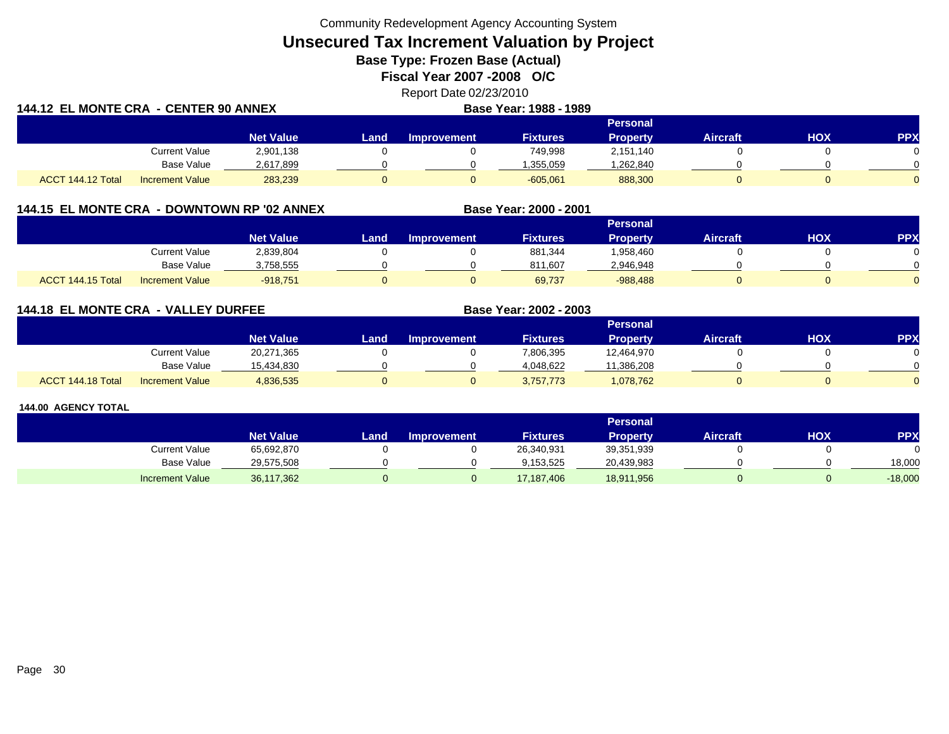Community Redevelopment Agency Accounting System

**Unsecured Tax Increment Valuation by Project**

**Base Type: Frozen Base (Actual)** 

**Fiscal Year 2007 -2008 O/C**

Report Date 02/23/2010

| 144.12 EL MONTE CRA  - CENTER 90 ANNEX |                        |                  |        |                    | Base Year: 1988 - 1989 |           |                 |     |     |
|----------------------------------------|------------------------|------------------|--------|--------------------|------------------------|-----------|-----------------|-----|-----|
|                                        |                        |                  |        |                    |                        | Personal  |                 |     |     |
|                                        |                        | <b>Net Value</b> | Land . | <b>Improvement</b> | <b>Fixtures</b>        | Propertv  | <b>Aircraft</b> | ΗΟΧ | PPX |
|                                        | <b>Current Value</b>   | 2,901,138        |        |                    | 749.998                | 2.151.140 |                 |     |     |
|                                        | Base Value             | 2,617,899        |        |                    | 1.355.059              | ,262,840  |                 |     |     |
| ACCT 144.12 Total                      | <b>Increment Value</b> | 283,239          |        |                    | $-605.061$             | 888,300   |                 |     |     |

## **144.15 EL MONTE CRA - DOWNTOWN RP '02 ANNEX**

|                             |                        |                  |      |                    |                 | Personal   |                 |            |           |
|-----------------------------|------------------------|------------------|------|--------------------|-----------------|------------|-----------------|------------|-----------|
|                             |                        | <b>Net Value</b> | Land | <b>Improvement</b> | <b>Fixtures</b> | Property   | <b>Aircraft</b> | <b>HOX</b> | <b>PP</b> |
|                             | Current Value          | 2,839,804        |      |                    | 881,344         | .958,460   |                 |            |           |
|                             | Base Value             | 3,758,555        |      |                    | 811.607         | 2,946,948  |                 |            |           |
| 144.15 Total<br><b>ACCT</b> | <b>Increment Value</b> | $-918,751$       |      |                    | 69,737          | $-988,488$ |                 |            |           |

**Base Year: 2000 - 2001**

**Base Year: 2002 - 2003**

## **144.18 EL MONTE CRA - VALLEY DURFEE**

|                   |                        |                  |      |                    |                 | Personal   |                 |            |          |
|-------------------|------------------------|------------------|------|--------------------|-----------------|------------|-----------------|------------|----------|
|                   |                        | <b>Net Value</b> | Land | <b>Improvement</b> | <b>Fixtures</b> | Property   | <b>Aircraft</b> | <b>HOX</b> | PPX      |
|                   | <b>Current Value</b>   | 20,271,365       |      |                    | 7,806,395       | 12,464,970 |                 |            | 0        |
|                   | <b>Base Value</b>      | 15.434.830       |      |                    | 4.048.622       | 11,386,208 |                 |            | $\Omega$ |
| ACCT 144.18 Total | <b>Increment Value</b> | 4,836,535        |      |                    | 3,757,773       | 1,078,762  |                 |            | $\Omega$ |

|                      |                  |      |                    |                 | <b>Personal</b> |                 |            |           |
|----------------------|------------------|------|--------------------|-----------------|-----------------|-----------------|------------|-----------|
|                      | <b>Net Value</b> | Land | <b>Improvement</b> | <b>Fixtures</b> | Propertv        | <b>Aircraft</b> | <b>HOX</b> | PPX       |
| <b>Current Value</b> | 65,692,870       |      |                    | 26,340,931      | 39,351,939      |                 |            |           |
| Base Value           | 29,575,508       |      |                    | 9.153.525       | 20,439,983      |                 |            | 18.000    |
| Increment Value      | 36,117,362       |      |                    | 17,187,406      | 18,911,956      |                 |            | $-18,000$ |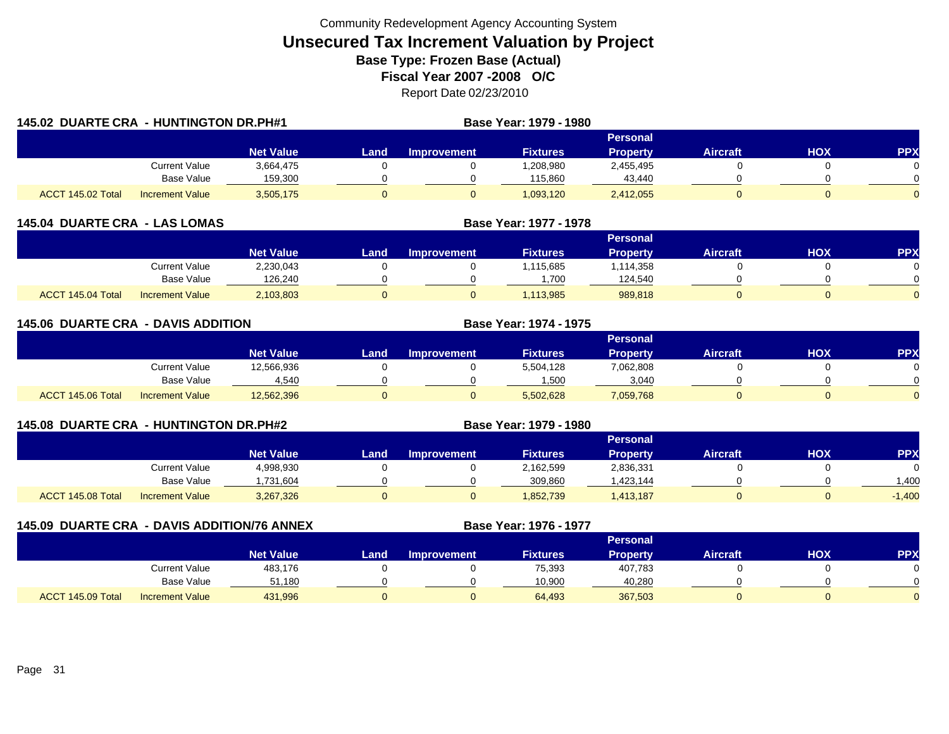| 145.02 DUARTE CRA - HUNTINGTON DR.PH#1 |                        |                  |       | Base Year: 1979 - 1980 |                 |                 |                 |            |            |
|----------------------------------------|------------------------|------------------|-------|------------------------|-----------------|-----------------|-----------------|------------|------------|
|                                        |                        |                  |       |                        |                 | <b>Personal</b> |                 |            |            |
|                                        |                        | <b>Net Value</b> | Land. | <b>Improvement</b>     | <b>Fixtures</b> | <b>Property</b> | <b>Aircraft</b> | <b>HOX</b> | <b>PPX</b> |
|                                        | <b>Current Value</b>   | 3,664,475        |       |                        | 1,208,980       | 2,455,495       |                 |            |            |
|                                        | Base Value             | 159,300          |       |                        | 115,860         | 43,440          |                 |            |            |
| ACCT 145.02 Total                      | <b>Increment Value</b> | 3,505,175        |       |                        | 1,093,120       | 2,412,055       |                 |            |            |

| <b>145.04 DUARTE CRA - LAS LOMAS</b> |                        |                  |      |                    |                 |                 |                 |     |            |
|--------------------------------------|------------------------|------------------|------|--------------------|-----------------|-----------------|-----------------|-----|------------|
|                                      |                        |                  |      |                    |                 | <b>Personal</b> |                 |     |            |
|                                      |                        | <b>Net Value</b> | Land | <b>Improvement</b> | <b>Fixtures</b> | <b>Property</b> | <b>Aircraft</b> | нох | <b>PPX</b> |
|                                      | Current Value          | 2,230,043        |      |                    | ,115,685        | 1,114,358       |                 |     |            |
|                                      | <b>Base Value</b>      | 126,240          |      |                    | .700            | 124,540         |                 |     |            |
| ACCT 145.04 Total                    | <b>Increment Value</b> | 2,103,803        |      |                    | 113,985         | 989,818         |                 |     |            |

| <b>145.06 DUARTE CRA - DAVIS ADDITION</b> |                        |                  |      |             | <b>Base Year: 1974 - 1975</b> |                 |                 |            |            |
|-------------------------------------------|------------------------|------------------|------|-------------|-------------------------------|-----------------|-----------------|------------|------------|
|                                           |                        |                  |      |             |                               | Personal        |                 |            |            |
|                                           |                        | <b>Net Value</b> | Land | Improvement | <b>Fixtures</b>               | <b>Property</b> | <b>Aircraft</b> | <b>HOX</b> | <b>PPX</b> |
|                                           | <b>Current Value</b>   | 12,566,936       |      |             | 5,504,128                     | 7,062,808       |                 |            |            |
|                                           | Base Value             | 4,540            |      |             | 1,500                         | 3,040           |                 |            |            |
| ACCT 145.06 Total                         | <b>Increment Value</b> | 12,562,396       |      | J.          | 5,502,628                     | 7,059,768       |                 |            |            |

| 145.08 DUARTE CRA - HUNTINGTON DR.PH#2 |                        |                  |      |                    | <b>Base Year: 1979 - 1980</b> |                 |                 |     |            |
|----------------------------------------|------------------------|------------------|------|--------------------|-------------------------------|-----------------|-----------------|-----|------------|
|                                        |                        |                  |      |                    |                               | <b>Personal</b> |                 |     |            |
|                                        |                        | <b>Net Value</b> | Land | <b>Improvement</b> | <b>Fixtures</b>               | <b>Property</b> | <b>Aircraft</b> | ΗΟΧ | <b>PPX</b> |
|                                        | Current Value          | 4,998,930        |      |                    | 2,162,599                     | 2,836,331       |                 |     |            |
|                                        | Base Value             | 731,604,         |      |                    | 309,860                       | .423,144        |                 |     | .400       |
| ACCT 145.08 Total                      | <b>Increment Value</b> | 3,267,326        |      |                    | 1,852,739                     | 1,413,187       |                 |     | $-1,400$   |

| <b>145.09 DUARTE CRA</b> |                        | - DAVIS ADDITION/76 ANNEX |      |                    | Base Year: 1976 - 1977 |                 |                 |     |            |
|--------------------------|------------------------|---------------------------|------|--------------------|------------------------|-----------------|-----------------|-----|------------|
|                          |                        |                           |      |                    |                        | <b>Personal</b> |                 |     |            |
|                          |                        | <b>Net Value</b>          | Land | <b>Improvement</b> | <b>Fixtures</b>        | <b>Property</b> | <b>Aircraft</b> | нох | <b>PPX</b> |
|                          | Current Value          | 483,176                   |      |                    | 75,393                 | 407,783         |                 |     |            |
|                          | Base Value             | 51,180                    |      |                    | 10,900                 | 40,280          |                 |     |            |
| ACCT 145.09 Total        | <b>Increment Value</b> | 431,996                   |      |                    | 64,493                 | 367,503         |                 |     |            |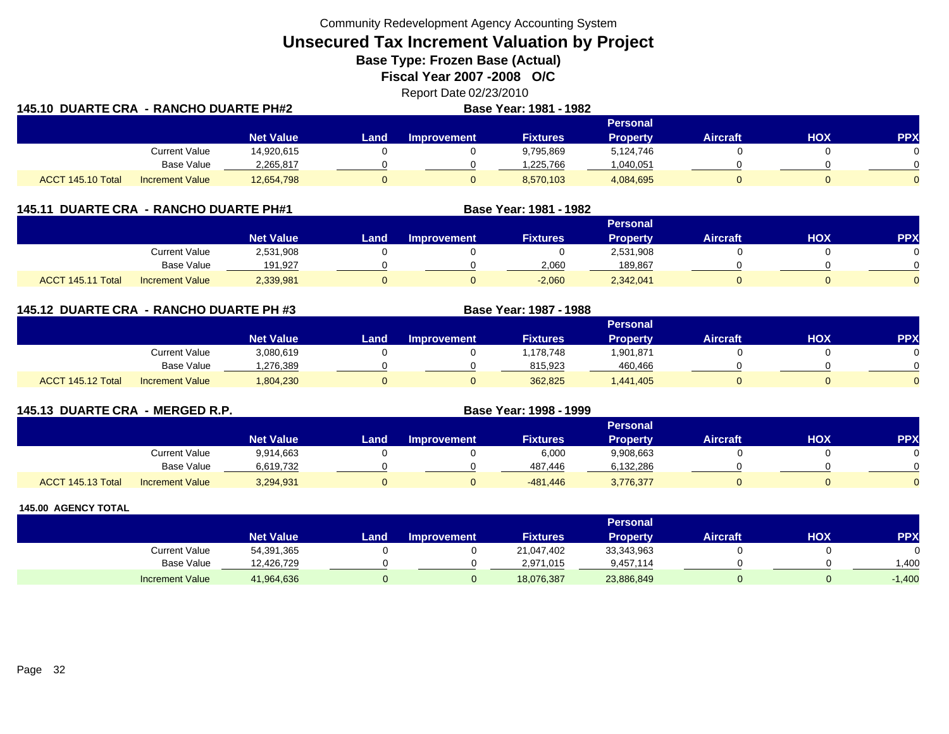Community Redevelopment Agency Accounting System

**Unsecured Tax Increment Valuation by Project**

**Base Type: Frozen Base (Actual)** 

**Fiscal Year 2007 -2008 O/C**

Report Date 02/23/2010 **DUARTE CRA - RANCHO DUARTE PH#2 Base Year: 1981 - 1982**

| 145.10 DUARTE CRA - RANCHO DUARTE PH#2 |                        |                  |       | Base Year: 1981 - 1982 |                 |                 |                 |     |            |
|----------------------------------------|------------------------|------------------|-------|------------------------|-----------------|-----------------|-----------------|-----|------------|
|                                        |                        |                  |       |                        |                 | <b>Personal</b> |                 |     |            |
|                                        |                        | <b>Net Value</b> | Landı | Improvement            | <b>Fixtures</b> | <b>Property</b> | <b>Aircraft</b> | нох | <b>PPX</b> |
|                                        | Current Value          | 14,920,615       |       |                        | 9,795,869       | 5,124,746       |                 |     |            |
|                                        | Base Value             | 2,265,817        |       |                        | ,225,766        | 040,051. ا      |                 |     |            |
| ACCT 145.10 Total                      | <b>Increment Value</b> | 12,654,798       |       |                        | 8,570,103       | 4,084,695       |                 |     |            |

| 145.11            | <b>DUARTE CRA - RANCHO DUARTE PH#1</b> |                  |      | Base Year: 1981 - 1982 |                 |                 |                 |     |            |
|-------------------|----------------------------------------|------------------|------|------------------------|-----------------|-----------------|-----------------|-----|------------|
|                   |                                        |                  |      |                        |                 | <b>Personal</b> |                 |     |            |
|                   |                                        | <b>Net Value</b> | Land | <b>Improvement</b>     | <b>Fixtures</b> | <b>Property</b> | <b>Aircraft</b> | нох | <b>PPX</b> |
|                   | Current Value                          | 2,531,908        |      |                        |                 | 2,531,908       |                 |     |            |
|                   | Base Value                             | 191,927          |      |                        | 2,060           | 189.867         |                 |     |            |
| ACCT 145.11 Total | <b>Increment Value</b>                 | 2,339,981        |      |                        | $-2,060$        | 2,342,041       |                 |     |            |

**145.12 DUARTE CRA - RANCHO DUARTE PH #3 Base Year: 1987 - 1988 Personal Net Value Land Improvement Fixtures Property Aircraft HOX PPX** Current Value 3,080,619 0 0 1,178,748 1,901,871 0 0 Base Value 1,276,389 0 0 815,923 460,466 0 0 ACCT 145.12 Totall Increment Value 1,804,230 0 0 362,825 1,441,405 0 0

| 145.13 DUARTE CRA - MERGED R.P. |                        | Base Year: 1998 - 1999 |      |                    |                 |                 |                 |     |     |
|---------------------------------|------------------------|------------------------|------|--------------------|-----------------|-----------------|-----------------|-----|-----|
|                                 |                        |                        |      |                    |                 | <b>Personal</b> |                 |     |     |
|                                 |                        | <b>Net Value</b>       | Land | <b>Improvement</b> | <b>Fixtures</b> | <b>Property</b> | <b>Aircraft</b> | нох | PP) |
|                                 | <b>Current Value</b>   | 9,914,663              |      |                    | 6,000           | 9,908,663       |                 |     |     |
|                                 | <b>Base Value</b>      | 6,619,732              |      |                    | 487.446         | 6,132,286       |                 |     |     |
| ACCT 145.13 Total               | <b>Increment Value</b> | 3,294,931              |      |                    | -481,446        | 3,776,377       |                 |     |     |

|                        |                  |       |                    |                 | <b>Personal</b> |                 |            |          |
|------------------------|------------------|-------|--------------------|-----------------|-----------------|-----------------|------------|----------|
|                        | <b>Net Value</b> | Land. | <b>Improvement</b> | <b>Fixtures</b> | Property        | <b>Aircraft</b> | <b>HOX</b> | PPX      |
| Current Value          | 54,391,365       |       |                    | 21,047,402      | 33,343,963      |                 |            |          |
| <b>Base Value</b>      | 12,426,729       |       |                    | 2.971.015       | 9,457,114       |                 |            | .400     |
| <b>Increment Value</b> | 41,964,636       |       |                    | 18,076,387      | 23,886,849      |                 |            | $-1,400$ |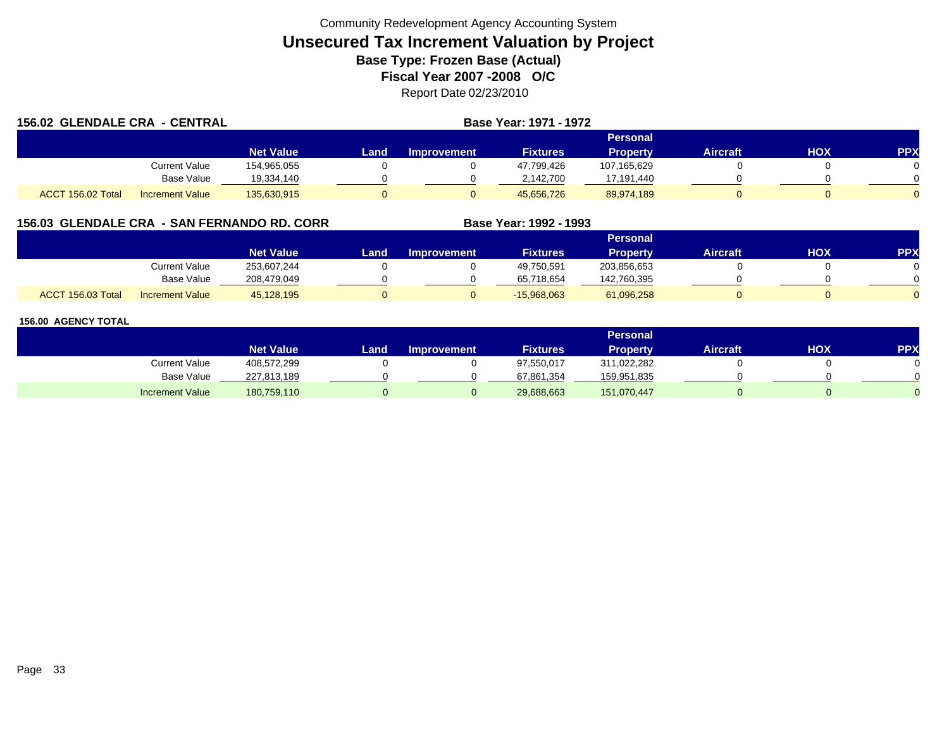| <b>156.02 GLENDALE CRA - CENTRAL</b> |                        |                  |      |                    | <b>Base Year: 1971 - 1972</b> |                 |                 |     |            |
|--------------------------------------|------------------------|------------------|------|--------------------|-------------------------------|-----------------|-----------------|-----|------------|
|                                      |                        |                  |      |                    |                               | Personal        |                 |     |            |
|                                      |                        | <b>Net Value</b> | Land | <b>Improvement</b> | <b>Fixtures</b>               | <b>Property</b> | <b>Aircraft</b> | HOX | <b>PPX</b> |
|                                      | Current Value          | 154,965,055      |      |                    | 47,799,426                    | 107,165,629     |                 |     |            |
|                                      | <b>Base Value</b>      | 19,334,140       |      |                    | 2,142,700                     | 17,191,440      |                 |     |            |
| ACCT 156.02 Total                    | <b>Increment Value</b> | 135,630,915      |      |                    | 45.656.726                    | 89,974,189      |                 |     |            |

## **156.03 GLENDALE CRA - SAN FERNANDO RD. CORR**

|                   |                        |                  |      |                    |                 | <b>Personal</b> |          |     |            |
|-------------------|------------------------|------------------|------|--------------------|-----------------|-----------------|----------|-----|------------|
|                   |                        | <b>Net Value</b> | Land | <b>Improvement</b> | <b>Fixtures</b> | Property        | Aircraft | ΗΟΧ | <b>PPX</b> |
|                   | <b>Current Value</b>   | 253,607,244      |      |                    | 49,750,591      | 203,856,653     |          |     |            |
|                   | <b>Base Value</b>      | 208,479,049      |      |                    | 65,718,654      | 142,760,395     |          |     |            |
| ACCT 156.03 Total | <b>Increment Value</b> | 45,128,195       |      |                    | $-15,968,063$   | 61,096,258      |          |     |            |

**Base Year: 1992 - 1993**

|                        |                  |      |                    |                 | <b>Personal</b> |                 |     |           |
|------------------------|------------------|------|--------------------|-----------------|-----------------|-----------------|-----|-----------|
|                        | <b>Net Value</b> | Land | <b>Improvement</b> | <b>Fixtures</b> | <b>Property</b> | <b>Aircraft</b> | нох | <b>PP</b> |
| Current Value          | 408,572,299      |      |                    | 97,550,017      | 311,022,282     |                 |     |           |
| <b>Base Value</b>      | 227,813,189      |      |                    | 67,861,354      | 159,951,835     |                 |     |           |
| <b>Increment Value</b> | 180,759,110      |      |                    | 29,688,663      | 151,070,447     |                 |     |           |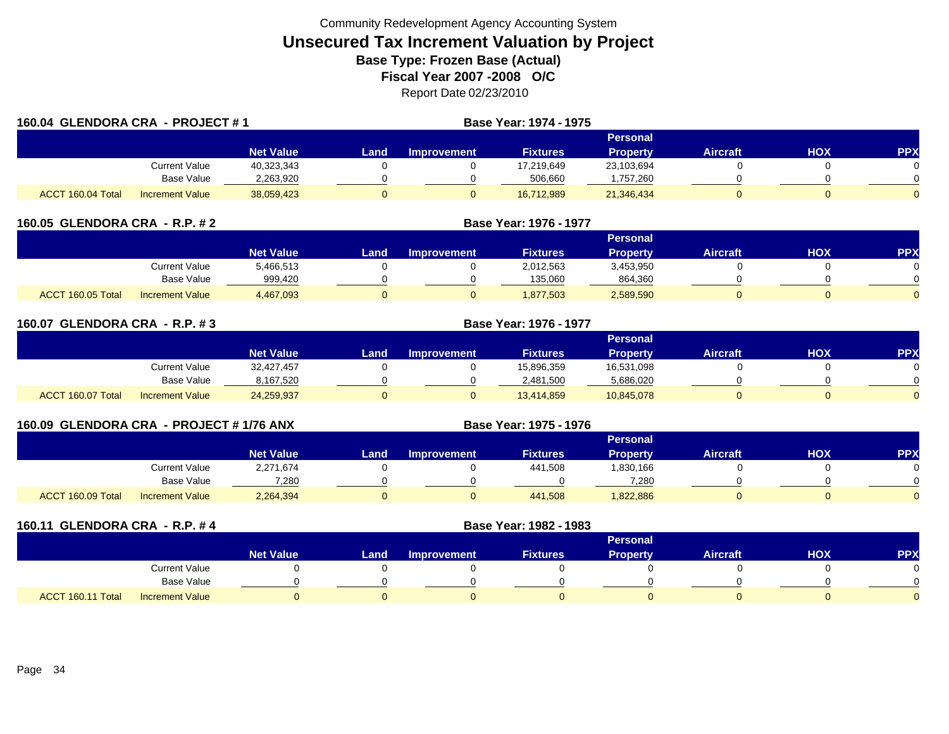|                                                           | 160.04 GLENDORA CRA - PROJECT #1 |                  |      |                    | Base Year: 1974 - 1975 |                 |                 |            |                |
|-----------------------------------------------------------|----------------------------------|------------------|------|--------------------|------------------------|-----------------|-----------------|------------|----------------|
|                                                           |                                  |                  |      |                    |                        | Personal        |                 |            |                |
|                                                           |                                  | <b>Net Value</b> | Land | <b>Improvement</b> | <b>Fixtures</b>        | <b>Property</b> | <b>Aircraft</b> | <b>HOX</b> | <b>PPX</b>     |
|                                                           | Current Value                    | 40,323,343       |      |                    | 17,219,649             | 23,103,694      |                 |            | 0.             |
|                                                           | Base Value                       | 2,263,920        |      |                    | 506,660                | 1,757,260       |                 |            | $\Omega$       |
| ACCT 160.04 Total<br>38,059,423<br><b>Increment Value</b> |                                  |                  |      | O                  | 16,712,989             | 21,346,434      |                 |            | $\overline{0}$ |

|                   | 160.05 GLENDORA CRA - R.P. # 2 |                  |      |                    | Base Year: 1976 - 1977 |                 |                 |     |            |
|-------------------|--------------------------------|------------------|------|--------------------|------------------------|-----------------|-----------------|-----|------------|
|                   |                                |                  |      |                    |                        | Personal        |                 |     |            |
|                   |                                | <b>Net Value</b> | Land | <b>Improvement</b> | <b>Fixtures</b>        | <b>Property</b> | <b>Aircraft</b> | нох | <b>PPX</b> |
|                   | Current Value                  | 5,466,513        |      |                    | 2,012,563              | 3,453,950       |                 |     |            |
|                   | <b>Base Value</b>              | 999,420          |      |                    | 135,060                | 864,360         |                 |     |            |
| ACCT 160.05 Total | <b>Increment Value</b>         | 4,467,093        |      |                    | 1,877,503              | 2,589,590       |                 |     |            |

| 160.07 GLENDORA CRA - R.P. #3 |                        |                  | <b>Base Year: 1976 - 1977</b> |             |                 |                 |                 |     |            |  |  |
|-------------------------------|------------------------|------------------|-------------------------------|-------------|-----------------|-----------------|-----------------|-----|------------|--|--|
|                               |                        |                  | <b>Personal</b>               |             |                 |                 |                 |     |            |  |  |
|                               |                        | <b>Net Value</b> | <b>Land</b>                   | Improvement | <b>Fixtures</b> | <b>Property</b> | <b>Aircraft</b> | HOX | <b>PPX</b> |  |  |
|                               | Current Value          | 32,427,457       |                               |             | 15,896,359      | 16,531,098      |                 |     |            |  |  |
|                               | Base Value             | 8,167,520        |                               |             | 2,481,500       | 5,686,020       |                 |     |            |  |  |
| ACCT 160.07 Total             | <b>Increment Value</b> | 24,259,937       |                               |             | 13,414,859      | 10,845,078      |                 |     |            |  |  |

| 160.09 GLENDORA CRA - PROJECT # 1/76 ANX |                   |                        |                  |      |                    | Base Year: 1975 - 1976 |                 |          |     |     |  |  |  |
|------------------------------------------|-------------------|------------------------|------------------|------|--------------------|------------------------|-----------------|----------|-----|-----|--|--|--|
|                                          |                   |                        |                  |      | Personal           |                        |                 |          |     |     |  |  |  |
|                                          |                   |                        | <b>Net Value</b> | Land | <b>Improvement</b> | <b>Fixtures</b>        | <b>Property</b> | Aircraft | нох | PPX |  |  |  |
|                                          |                   | Current Value          | 2,271,674        |      |                    | 441,508                | 830,166         |          |     |     |  |  |  |
|                                          |                   | Base Value             | 7.280            |      |                    |                        | 7.280           |          |     |     |  |  |  |
|                                          | ACCT 160.09 Total | <b>Increment Value</b> | 2,264,394        |      |                    | 441.508                | 822,886         |          |     |     |  |  |  |

|                   | 160.11 GLENDORA CRA - R.P. #4 |                  | Base Year: 1982 - 1983 |                    |                 |                 |                 |            |            |
|-------------------|-------------------------------|------------------|------------------------|--------------------|-----------------|-----------------|-----------------|------------|------------|
|                   |                               |                  |                        |                    |                 | <b>Personal</b> |                 |            |            |
|                   |                               | <b>Net Value</b> | Land                   | <b>Improvement</b> | <b>Fixtures</b> | <b>Property</b> | <b>Aircraft</b> | <b>HOX</b> | <b>PPX</b> |
|                   | Current Value                 |                  |                        |                    |                 |                 |                 |            |            |
|                   | Base Value                    |                  |                        |                    |                 |                 |                 |            | $\Omega$   |
| ACCT 160.11 Total | <b>Increment Value</b>        |                  |                        |                    |                 |                 |                 |            | $\Omega$   |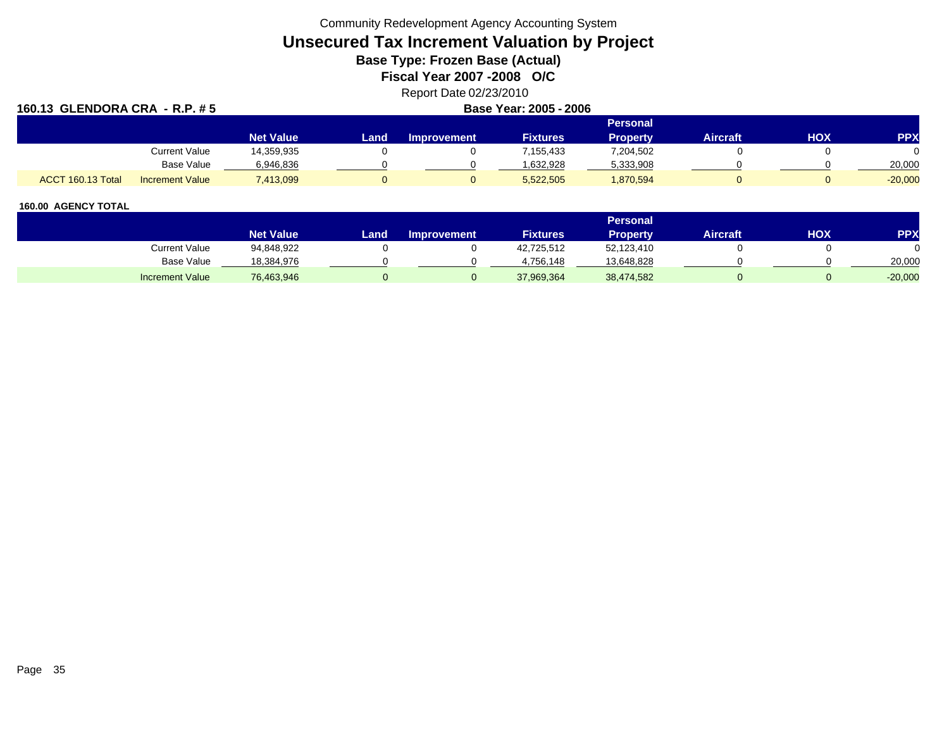Community Redevelopment Agency Accounting System

# **Unsecured Tax Increment Valuation by Project**

**Base Type: Frozen Base (Actual)** 

**Fiscal Year 2007 -2008 O/C**

## Report Date 02/23/2010

## **160.13 GLENDORA CRA - R.P. # 5 Base Year: 2005 - 2006**

|  | Base Year: 2005 - 200 |  |  |
|--|-----------------------|--|--|
|--|-----------------------|--|--|

|                   |                        | Personal         |      |                    |                 |                 |          |     |            |  |
|-------------------|------------------------|------------------|------|--------------------|-----------------|-----------------|----------|-----|------------|--|
|                   |                        | <b>Net Value</b> | Land | <b>Improvement</b> | <b>Fixtures</b> | <b>Property</b> | Aircraft | нох | <b>PPX</b> |  |
|                   | <b>Current Value</b>   | 14,359,935       |      |                    | 155,433,        | 7,204,502       |          |     |            |  |
|                   | <b>Base Value</b>      | 6.946.836        |      |                    | 632,928.        | 5,333,908       |          |     | 20,000     |  |
| ACCT 160.13 Total | <b>Increment Value</b> | 7,413,099        |      |                    | 5,522,505       | 1,870,594       |          |     | $-20,000$  |  |

|                        |                  |       |                    |                 | <b>Personal</b> |                 |     |           |
|------------------------|------------------|-------|--------------------|-----------------|-----------------|-----------------|-----|-----------|
|                        | <b>Net Value</b> | Land. | <b>Improvement</b> | <b>Fixtures</b> | Property.       | <b>Aircraft</b> | HOX | PPX       |
| Current Value          | 94,848,922       |       |                    | 42,725,512      | 52,123,410      |                 |     |           |
| <b>Base Value</b>      | 18,384,976       |       |                    | 4.756.148       | 13,648,828      |                 |     | 20,000    |
| <b>Increment Value</b> | 76,463,946       |       |                    | 37,969,364      | 38,474,582      |                 |     | $-20,000$ |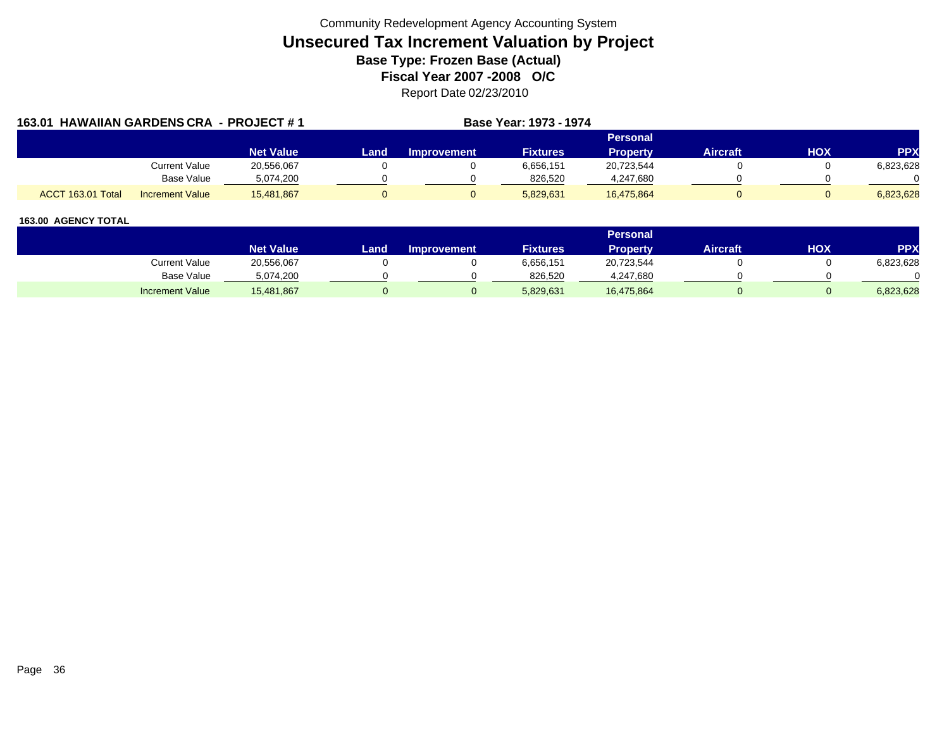| 163.01 HAWAIIAN GARDENS CRA - PROJECT #1 |                        |                  |      |                    | <b>Base Year: 1973 - 1974</b> |                 |                 |     |            |
|------------------------------------------|------------------------|------------------|------|--------------------|-------------------------------|-----------------|-----------------|-----|------------|
|                                          |                        |                  |      |                    |                               | Personal        |                 |     |            |
|                                          |                        | <b>Net Value</b> | Land | <b>Improvement</b> | <b>Fixtures</b>               | <b>Property</b> | <b>Aircraft</b> | HOX | <b>PPX</b> |
|                                          | Current Value          | 20,556,067       |      |                    | 6,656,151                     | 20,723,544      |                 |     | 6,823,628  |
|                                          | Base Value             | 5,074,200        |      |                    | 826,520                       | 4,247,680       |                 |     |            |
| ACCT 163.01 Total                        | <b>Increment Value</b> | 15,481,867       |      |                    | 5,829,631                     | 16,475,864      |                 |     | 6,823,628  |

|                        |                  |      |                    |                 | Personal   |                 |            |           |
|------------------------|------------------|------|--------------------|-----------------|------------|-----------------|------------|-----------|
|                        | <b>Net Value</b> | Land | <b>Improvement</b> | <b>Fixtures</b> | Property   | <b>Aircraft</b> | <b>HOX</b> | PPX       |
| Current Value          | 20,556,067       |      |                    | 6,656,151       | 20,723,544 |                 |            | 6,823,628 |
| <b>Base Value</b>      | 5,074,200        |      |                    | 826,520         | 4,247,680  |                 |            |           |
| <b>Increment Value</b> | 15,481,867       |      |                    | 5,829,631       | 16,475,864 |                 |            | 6,823,628 |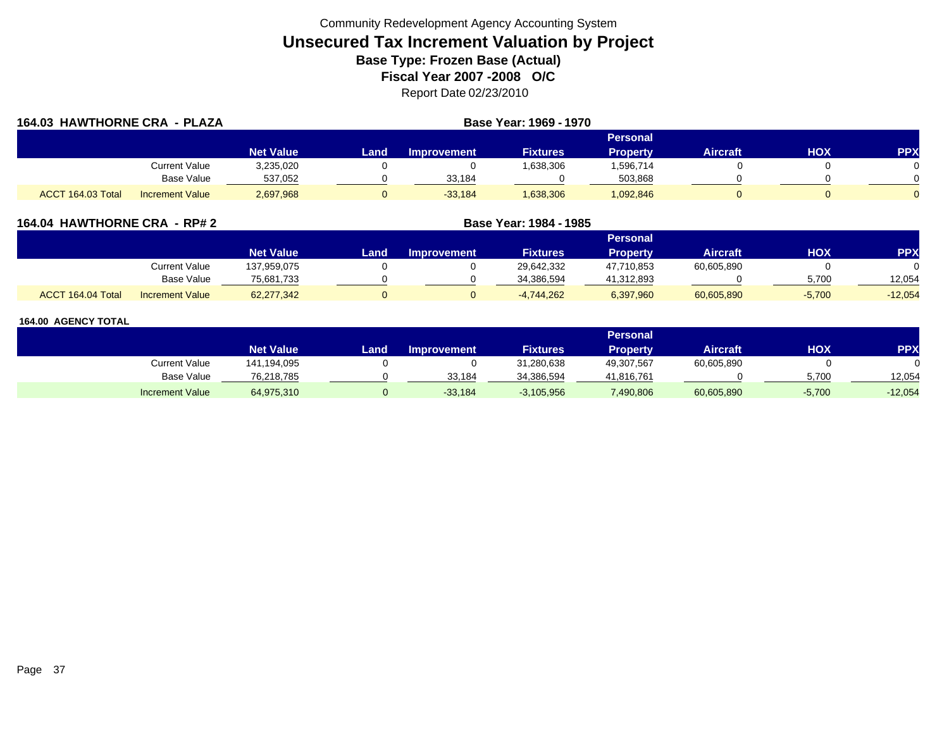| 164.03 HAWTHORNE CRA - PLAZA |                        |                  |      |                    |                 |                 |                 |     |            |
|------------------------------|------------------------|------------------|------|--------------------|-----------------|-----------------|-----------------|-----|------------|
|                              |                        |                  |      |                    |                 | Personal        |                 |     |            |
|                              |                        | <b>Net Value</b> | Land | <b>Improvement</b> | <b>Fixtures</b> | <b>Property</b> | <b>Aircraft</b> | HOX | <b>PPX</b> |
|                              | <b>Current Value</b>   | 3,235,020        |      |                    | 1,638,306       | 1,596,714       |                 |     |            |
|                              | Base Value             | 537,052          |      | 33,184             |                 | 503,868         |                 |     |            |
| ACCT 164.03 Total            | <b>Increment Value</b> | 2,697,968        |      | $-33,184$          | 1,638,306       | 1,092,846       |                 |     |            |

### **164.04 HAWTHORNE CRA - RP# 2 Base Year: 1984 - 1985**

|                                             |                  | Personal |             |                 |                 |            |          |           |  |  |  |
|---------------------------------------------|------------------|----------|-------------|-----------------|-----------------|------------|----------|-----------|--|--|--|
|                                             | <b>Net Value</b> | Land.    | Improvement | <b>Fixtures</b> | <b>Property</b> | Aircraft   | нох      | PPX       |  |  |  |
| Current Value                               | 137,959,075      |          |             | 29,642,332      | 47,710,853      | 60,605,890 |          |           |  |  |  |
| Base Value                                  | 75,681,733       |          |             | 34.386.594      | 41,312,893      |            | 5.700    | 12.054    |  |  |  |
| ACCT 164.04 Total<br><b>Increment Value</b> | 62,277,342       |          |             | $-4,744,262$    | 6,397,960       | 60,605,890 | $-5,700$ | $-12,054$ |  |  |  |

|                        |                  | Personal |                    |                 |                 |                 |          |            |  |  |  |
|------------------------|------------------|----------|--------------------|-----------------|-----------------|-----------------|----------|------------|--|--|--|
|                        | <b>Net Value</b> | Land.    | <b>Improvement</b> | <b>Fixtures</b> | <b>Property</b> | <b>Aircraft</b> | нох      | <b>PPX</b> |  |  |  |
| Current Value          | 141,194,095      |          |                    | 31,280,638      | 49,307,567      | 60,605,890      |          |            |  |  |  |
| Base Value             | 76,218,785       |          | 33.184             | 34,386,594      | 41,816,761      |                 | 5.700    | 12.054     |  |  |  |
| <b>Increment Value</b> | 64,975,310       |          | $-33,184$          | $-3,105,956$    | 7,490,806       | 60,605,890      | $-5,700$ | $-12,054$  |  |  |  |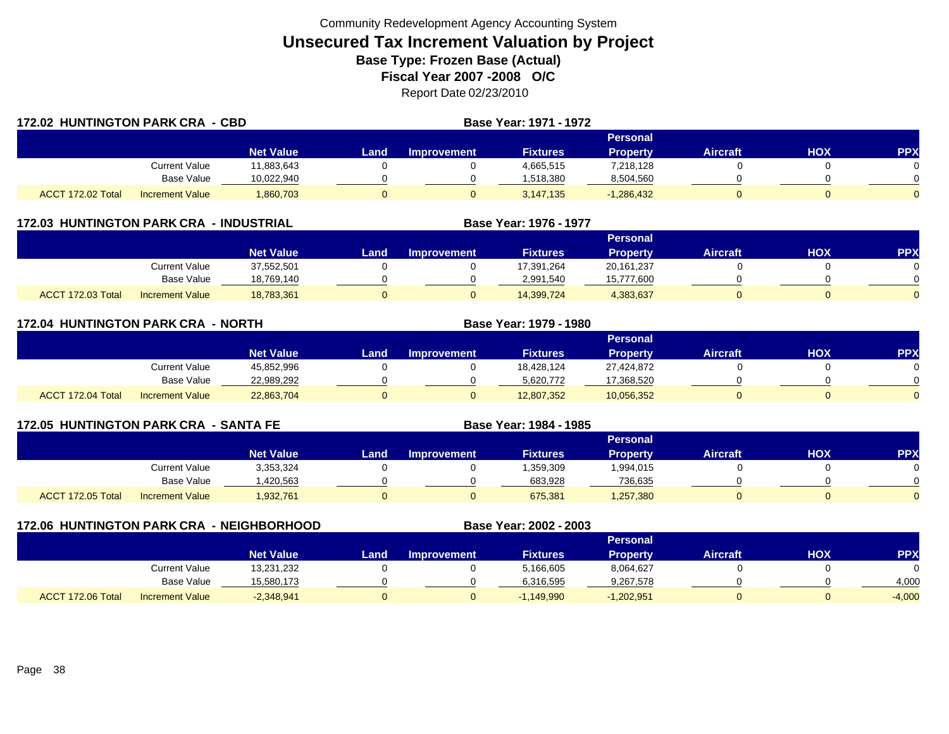| <b>172.02 HUNTINGTON PARK CRA - CBD</b> |                        |                  |      |                    | Base Year: 1971 - 1972 |                 |                 |     |            |  |
|-----------------------------------------|------------------------|------------------|------|--------------------|------------------------|-----------------|-----------------|-----|------------|--|
|                                         |                        |                  |      | Personal           |                        |                 |                 |     |            |  |
|                                         |                        | <b>Net Value</b> | Land | <b>Improvement</b> | <b>Fixtures</b>        | <b>Property</b> | <b>Aircraft</b> | HOX | <b>PPX</b> |  |
|                                         | Current Value          | 11,883,643       |      |                    | 4,665,515              | 7,218,128       |                 |     |            |  |
|                                         | <b>Base Value</b>      | 10,022,940       |      |                    | 1,518,380              | 8,504,560       |                 |     |            |  |
| ACCT 172.02 Total                       | <b>Increment Value</b> | 1,860,703        |      |                    | 3.147.135              | $-1,286,432$    |                 |     |            |  |

|  | 172.03 HUNTINGTON PARK CRA - INDUSTRIAL |  |
|--|-----------------------------------------|--|
|--|-----------------------------------------|--|

|                   |                        |                    |      |                    |                 | Personal     |                 |     |            |
|-------------------|------------------------|--------------------|------|--------------------|-----------------|--------------|-----------------|-----|------------|
|                   |                        | Net Value <b>\</b> | Land | <b>Improvement</b> | <b>Fixtures</b> | Property     | <b>Aircraft</b> | HOX | <b>PPX</b> |
|                   | Current Value          | 37,552,501         |      |                    | 17,391,264      | 20, 161, 237 |                 |     |            |
|                   | <b>Base Value</b>      | 18,769,140         |      |                    | 2.991.540       | 15,777,600   |                 |     |            |
| ACCT 172.03 Total | <b>Increment Value</b> | 18,783,361         |      |                    | 14,399,724      | 4,383,637    |                 |     |            |

**Base Year: 1976 - 1977**

| <b>172.04 HUNTINGTON PARK CRA - NORTH</b> |                        |            |      |                    | Base Year: 1979 - 1980 |                 |                 |     |            |  |
|-------------------------------------------|------------------------|------------|------|--------------------|------------------------|-----------------|-----------------|-----|------------|--|
|                                           |                        |            |      | <b>Personal</b>    |                        |                 |                 |     |            |  |
|                                           |                        | Net Value  | Land | <b>Improvement</b> | <b>Fixtures</b>        | <b>Property</b> | <b>Aircraft</b> | HOX | <b>PPX</b> |  |
|                                           | Current Value          | 45,852,996 |      |                    | 18,428,124             | 27,424,872      |                 |     |            |  |
|                                           | Base Value             | 22,989,292 |      |                    | 5,620,772              | 17,368,520      |                 |     |            |  |
| ACCT 172.04 Total                         | <b>Increment Value</b> | 22,863,704 |      |                    | 12,807,352             | 10,056,352      |                 |     |            |  |

| <b>172.05 HUNTINGTON PARK CRA - SANTA FE</b> |                        |                  |      |                 | Base Year: 1984 - 1985 |                 |                 |     |            |  |  |
|----------------------------------------------|------------------------|------------------|------|-----------------|------------------------|-----------------|-----------------|-----|------------|--|--|
|                                              |                        |                  |      | <b>Personal</b> |                        |                 |                 |     |            |  |  |
|                                              |                        | <b>Net Value</b> | Land | Improvement     | <b>Fixtures</b>        | <b>Property</b> | <b>Aircraft</b> | нох | <b>PPX</b> |  |  |
|                                              | <b>Current Value</b>   | 3,353,324        |      |                 | 359,309                | 1,994,015       |                 |     |            |  |  |
|                                              | <b>Base Value</b>      | ,420,563         |      |                 | 683,928                | 736,635         |                 |     |            |  |  |
| ACCT 172.05 Total                            | <b>Increment Value</b> | 1,932,761        |      |                 | 675,381                | ,257,380        | 0               |     |            |  |  |

|                   |                        | <b>172.06 HUNTINGTON PARK CRA - NEIGHBORHOOD</b> |      | Base Year: 2002 - 2003 |                 |                 |                 |     |           |
|-------------------|------------------------|--------------------------------------------------|------|------------------------|-----------------|-----------------|-----------------|-----|-----------|
|                   |                        |                                                  |      |                        |                 | <b>Personal</b> |                 |     |           |
|                   |                        | <b>Net Value</b>                                 | Land | <b>Improvement</b>     | <b>Fixtures</b> | <b>Property</b> | <b>Aircraft</b> | HOX | <b>PP</b> |
|                   | Current Value          | 13,231,232                                       |      |                        | 5,166,605       | 8,064,627       |                 |     |           |
|                   | <b>Base Value</b>      | 15,580,173                                       |      |                        | 6,316,595       | 9,267,578       |                 |     | 4,000     |
| ACCT 172.06 Total | <b>Increment Value</b> | $-2,348,941$                                     |      | 0                      | $-1,149,990$    | $-1,202,951$    |                 |     | $-4,000$  |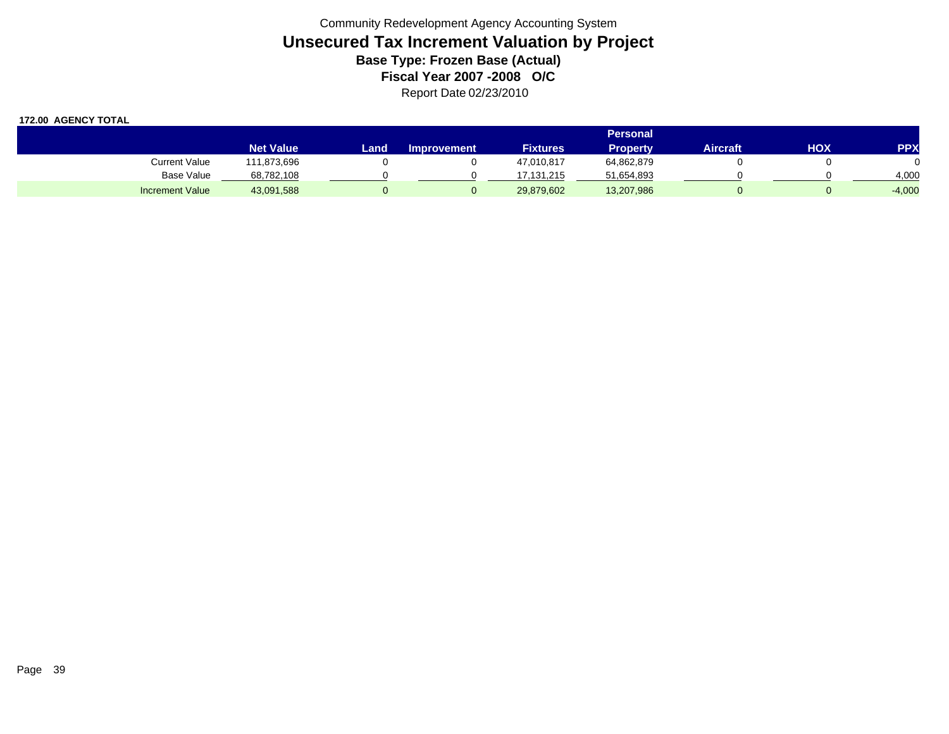|                        | <b>Personal</b>  |      |                    |                 |                 |          |            |            |  |  |
|------------------------|------------------|------|--------------------|-----------------|-----------------|----------|------------|------------|--|--|
|                        | <b>Net Value</b> | Land | <b>Improvement</b> | <b>Fixtures</b> | <b>Property</b> | Aircraft | <b>HOX</b> | <b>PPX</b> |  |  |
| <b>Current Value</b>   | 111,873,696      |      |                    | 47,010,817      | 64,862,879      |          |            |            |  |  |
| Base Value             | 68,782,108       |      |                    | 17.131.215      | 51,654,893      |          |            | 4,000      |  |  |
| <b>Increment Value</b> | 43,091,588       |      |                    | 29,879,602      | 13,207,986      |          |            | $-4,000$   |  |  |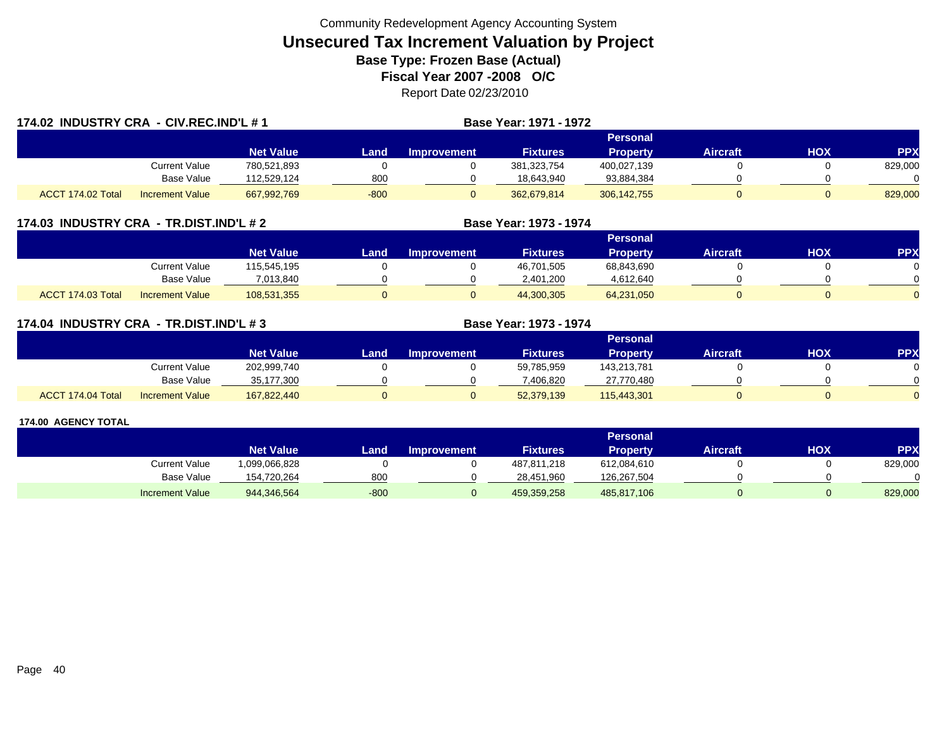| 174.02 INDUSTRY CRA - CIV.REC.IND'L # 1 |                        |                  |        |                    | Base Year: 1971 - 1972 |                 |                 |            |            |
|-----------------------------------------|------------------------|------------------|--------|--------------------|------------------------|-----------------|-----------------|------------|------------|
|                                         |                        |                  |        |                    |                        |                 |                 |            |            |
|                                         |                        | <b>Net Value</b> | Land.  | <b>Improvement</b> | <b>Fixtures</b>        | <b>Property</b> | <b>Aircraft</b> | <b>HOX</b> | <b>PPX</b> |
|                                         | <b>Current Value</b>   | 780,521,893      |        |                    | 381, 323, 754          | 400,027,139     |                 |            | 829,000    |
|                                         | <b>Base Value</b>      | 112,529,124      | 800    |                    | 18,643,940             | 93,884,384      |                 |            |            |
| ACCT 174.02 Total                       | <b>Increment Value</b> | 667,992,769      | $-800$ |                    | 362.679.814            | 306, 142, 755   |                 |            | 829,000    |

### **174.03 INDUSTRY CRA - TR.DIST.IND'L # 2 Base Year: 1973 - 1974**

|                   |                        |                  |      |                    |                 | Personal        |          |     |     |
|-------------------|------------------------|------------------|------|--------------------|-----------------|-----------------|----------|-----|-----|
|                   |                        | <b>Net Value</b> | Land | <b>Improvement</b> | <b>Fixtures</b> | <b>Property</b> | Aircraft | нох | PPX |
|                   | Current Value          | 115,545,195      |      |                    | 46,701,505      | 68,843,690      |          |     |     |
|                   | <b>Base Value</b>      | 7,013,840        |      |                    | 2,401,200       | 4,612,640       |          |     |     |
| ACCT 174.03 Total | <b>Increment Value</b> | 108,531,355      |      |                    | 44,300,305      | 64,231,050      |          |     |     |

### **174.04 INDUSTRY CRA - TR.DIST.IND'L # 3 Base Year: 1973 - 1974**

|                   |                        |                  |      |                    |                 | Personal    |                 |            |          |
|-------------------|------------------------|------------------|------|--------------------|-----------------|-------------|-----------------|------------|----------|
|                   |                        | <b>Net Value</b> | Land | <b>Improvement</b> | <b>Fixtures</b> | Property    | <b>Aircraft</b> | <b>HOX</b> | PPX      |
|                   | <b>Current Value</b>   | 202,999,740      |      |                    | 59,785,959      | 143,213,781 |                 |            |          |
|                   | <b>Base Value</b>      | 35,177,300       |      |                    | 406.820         | 27,770,480  |                 |            |          |
| ACCT 174.04 Total | <b>Increment Value</b> | 167,822,440      |      |                    | 52,379,139      | 115,443,301 |                 |            | $\Omega$ |

|                   |                  |        |                    |                 | <b>Personal</b> |                 |     |           |
|-------------------|------------------|--------|--------------------|-----------------|-----------------|-----------------|-----|-----------|
|                   | <b>Net Value</b> | Land   | <b>Improvement</b> | <b>Fixtures</b> | <b>Property</b> | <b>Aircraft</b> | ΧΟΗ | <b>PP</b> |
| Current Value     | 1,099,066,828    |        |                    | 487,811,218     | 612,084,610     |                 |     | 829,000   |
| <b>Base Value</b> | 154,720,264      | 800    |                    | 28,451,960      | 126,267,504     |                 |     |           |
| Increment Value   | 944,346,564      | $-800$ |                    | 459,359,258     | 485,817,106     |                 |     | 829,000   |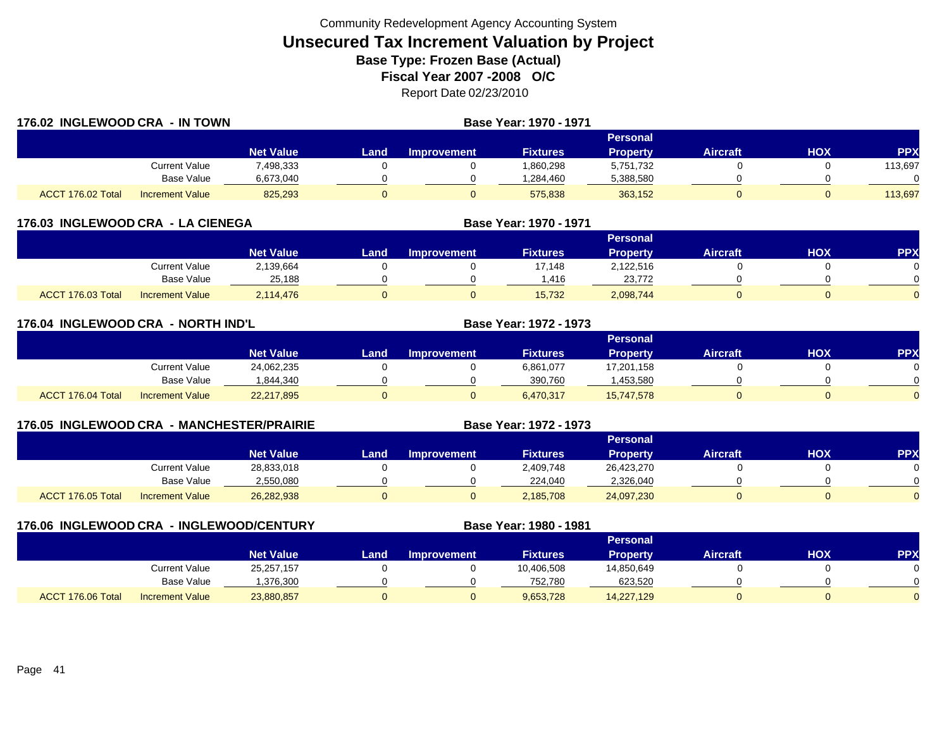| 176.02 INGLEWOOD CRA - IN TOWN |                        |                  | Base Year: 1970 - 1971 |                    |                 |                 |                 |     |            |  |  |
|--------------------------------|------------------------|------------------|------------------------|--------------------|-----------------|-----------------|-----------------|-----|------------|--|--|
|                                |                        |                  |                        | Personal           |                 |                 |                 |     |            |  |  |
|                                |                        | <b>Net Value</b> | Land                   | <b>Improvement</b> | <b>Fixtures</b> | <b>Property</b> | <b>Aircraft</b> | НОХ | <b>PPX</b> |  |  |
|                                | Current Value          | 498,333.         |                        |                    | 1,860,298       | 5,751,732       |                 |     | 113,697    |  |  |
|                                | <b>Base Value</b>      | 6,673,040        |                        |                    | 1,284,460       | 5,388,580       |                 |     |            |  |  |
| ACCT 176.02 Total              | <b>Increment Value</b> | 825,293          |                        | υ                  | 575,838         | 363,152         |                 |     | 113,697    |  |  |

| 176.03 INGLEWOOD CRA - LA CIENEGA |  |
|-----------------------------------|--|
|                                   |  |

|                   |                        |                  | Personal |             |                 |                 |          |     |              |  |  |
|-------------------|------------------------|------------------|----------|-------------|-----------------|-----------------|----------|-----|--------------|--|--|
|                   |                        | <b>Net Value</b> | Land     | Improvement | <b>Fixtures</b> | <b>Property</b> | Aircraft | НОХ | <b>PPX</b>   |  |  |
|                   | Current Value          | 2,139,664        |          |             | 17.148          | 2,122,516       |          |     |              |  |  |
|                   | <b>Base Value</b>      | 25.188           |          |             | .416            | 23,772          |          |     | <sup>n</sup> |  |  |
| ACCT 176.03 Total | <b>Increment Value</b> | 2,114,476        |          |             | 15,732          | 2,098,744       |          |     | $\Omega$     |  |  |

**Base Year: 1970 - 1971**

l Increment Value 26,282,938 0 0 2,185,708 24,097,230 0 0

|                   | 176.04 INGLEWOOD CRA -NORTH IND'L |                  |      |                    | Base Year: 1972 - 1973 |                 |                 |            |            |
|-------------------|-----------------------------------|------------------|------|--------------------|------------------------|-----------------|-----------------|------------|------------|
|                   |                                   |                  |      |                    |                        | <b>Personal</b> |                 |            |            |
|                   |                                   | <b>Net Value</b> | Land | <b>Improvement</b> | <b>Fixtures</b>        | <b>Property</b> | <b>Aircraft</b> | <b>HOX</b> | <b>PPX</b> |
|                   | <b>Current Value</b>              | 24,062,235       |      |                    | 6,861,077              | 17,201,158      |                 |            |            |
|                   | Base Value                        | 1,844,340        |      |                    | 390,760                | ,453,580        |                 |            |            |
| ACCT 176.04 Total | <b>Increment Value</b>            | 22,217,895       |      |                    | 6,470,317              | 15,747,578      |                 |            |            |

| <b>176.05 INGLEWOOD CRA</b> |                        | - MANCHESTER/PRAIRIE |       |                    | Base Year: 1972 - 1973 |                 |                 |     |            |
|-----------------------------|------------------------|----------------------|-------|--------------------|------------------------|-----------------|-----------------|-----|------------|
|                             |                        |                      |       |                    |                        | 'Personal i     |                 |     |            |
|                             |                        | <b>Net Value</b>     | Land. | <b>Improvement</b> | <b>Fixtures</b>        | <b>Property</b> | <b>Aircraft</b> | HOX | <b>PPX</b> |
|                             | Current Value          | 28,833,018           |       |                    | 2,409,748              | 26,423,270      |                 |     |            |
|                             | Base Value             | 2,550,080            |       |                    | 224.040                | 2,326,040       |                 |     |            |
| ACCT 176.05 Total           | <b>Increment Value</b> | 26,282,938           |       |                    | 2.185.708              | 24,097,230      |                 | 0   |            |

| 176.06 INGLEWOOD CRA - INGLEWOOD/CENTURY |                        |                  |      |                    | Base Year: 1980 - 1981 |                 |                 |     |            |
|------------------------------------------|------------------------|------------------|------|--------------------|------------------------|-----------------|-----------------|-----|------------|
|                                          |                        |                  |      |                    |                        | <b>Personal</b> |                 |     |            |
|                                          |                        | <b>Net Value</b> | Land | <b>Improvement</b> | <b>Fixtures</b>        | <b>Property</b> | <b>Aircraft</b> | нох | <b>PPX</b> |
|                                          | Current Value          | 25,257,157       |      |                    | 10,406,508             | 14,850,649      |                 |     |            |
|                                          | Base Value             | 1,376,300        |      |                    | 752,780                | 623,520         |                 |     |            |
| ACCT 176.06 Total                        | <b>Increment Value</b> | 23,880,857       |      | 0                  | 9,653,728              | 14,227,129      |                 |     |            |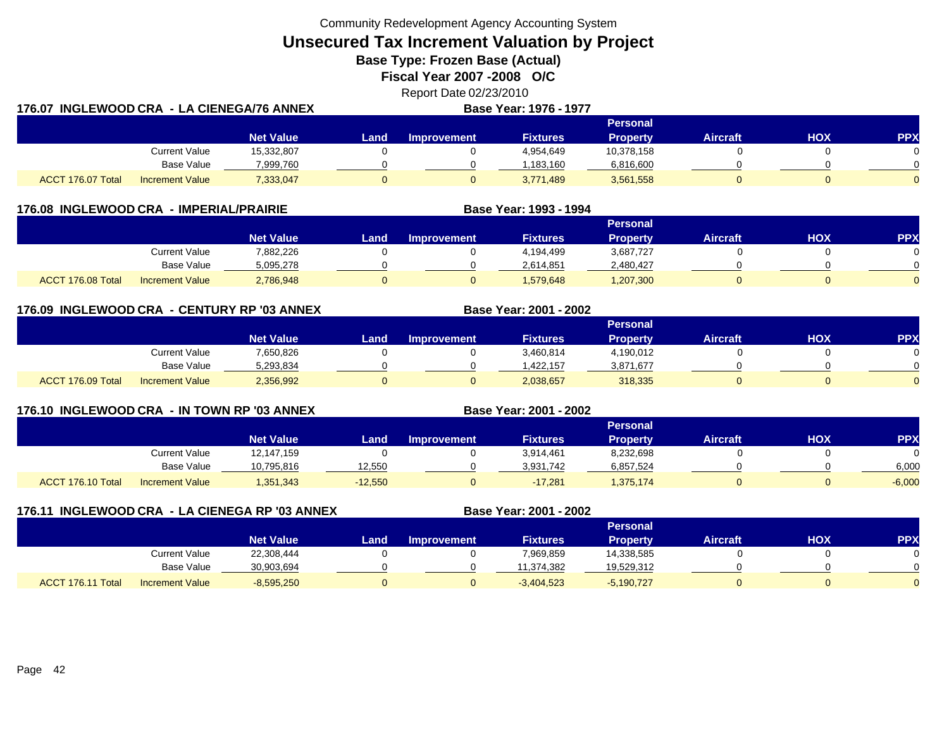**Unsecured Tax Increment Valuation by Project**

**Base Type: Frozen Base (Actual)** 

**Fiscal Year 2007 -2008 O/C**

|                                           | Report Date 02/23/2010        |  |
|-------------------------------------------|-------------------------------|--|
| 176.07 INGLEWOOD CRA -LA CIENEGA/76 ANNEX | <b>Base Year: 1976 - 1977</b> |  |
|                                           | <b>Developed</b>              |  |

|                   |                        |                  | Personal |                    |                 |            |          |     |            |  |  |  |
|-------------------|------------------------|------------------|----------|--------------------|-----------------|------------|----------|-----|------------|--|--|--|
|                   |                        | <b>Net Value</b> | Land     | <b>Improvement</b> | <b>Fixtures</b> | Property   | Aircraft | нох | <b>PPX</b> |  |  |  |
|                   | Current Value          | 15,332,807       |          |                    | 4,954,649       | 10,378,158 |          |     |            |  |  |  |
|                   | <b>Base Value</b>      | 7,999,760        |          |                    | 1.183.160       | 6,816,600  |          |     |            |  |  |  |
| ACCT 176.07 Total | <b>Increment Value</b> | 7,333,047        |          |                    | 3,771,489       | 3,561,558  |          |     | $\Omega$   |  |  |  |

|                   | 176.08 INGLEWOOD CRA - IMPERIAL/PRAIRIE |                  |      |                    | Base Year: 1993 - 1994 |                 |                 |     |            |  |  |
|-------------------|-----------------------------------------|------------------|------|--------------------|------------------------|-----------------|-----------------|-----|------------|--|--|
|                   |                                         |                  |      | <b>Personal</b>    |                        |                 |                 |     |            |  |  |
|                   |                                         | <b>Net Value</b> | Land | <b>Improvement</b> | <b>Fixtures</b>        | <b>Property</b> | <b>Aircraft</b> | нох | <b>PPX</b> |  |  |
|                   | Current Value                           | 7,882,226        |      |                    | 4,194,499              | 3,687,727       |                 |     |            |  |  |
|                   | <b>Base Value</b>                       | 5,095,278        |      |                    | 2,614,851              | 2,480,427       |                 |     |            |  |  |
| ACCT 176.08 Total | <b>Increment Value</b>                  | 2,786,948        |      |                    | 1.579.648              | 1,207,300       |                 |     |            |  |  |

### **176.09 INGLEWOOD CRA - CENTURY RP '03 ANNEX**

|                   |                        |                  |      |                    |                 | Personal  |                 |     |            |
|-------------------|------------------------|------------------|------|--------------------|-----------------|-----------|-----------------|-----|------------|
|                   |                        | <b>Net Value</b> | Land | <b>Improvement</b> | <b>Fixtures</b> | Property  | <b>Aircraft</b> | HOX | <b>PPX</b> |
|                   | Current Value          | 7,650,826        |      |                    | 3,460,814       | 4,190,012 |                 |     |            |
|                   | Base Value             | 5,293,834        |      |                    | ,422,157        | 3,871,677 |                 |     |            |
| ACCT 176.09 Total | <b>Increment Value</b> | 2,356,992        |      |                    | 2,038,657       | 318,335   |                 |     |            |

**Base Year: 2001 - 2002**

**Base Year: 2001 - 2002**

### **176.10 INGLEWOOD CRA - IN TOWN RP '03 ANNEX**

|                   |                        |                  |           |                    |                 | Personal  |                 |     |            |
|-------------------|------------------------|------------------|-----------|--------------------|-----------------|-----------|-----------------|-----|------------|
|                   |                        | <b>Net Value</b> | Land      | <b>Improvement</b> | <b>Fixtures</b> | Property  | <b>Aircraft</b> | HOX | <b>PPX</b> |
|                   | Current Value          | 12,147,159       |           |                    | 3,914,461       | 8,232,698 |                 |     |            |
|                   | <b>Base Value</b>      | 10,795,816       | 12,550    |                    | 3,931,742       | 6,857,524 |                 |     | 6,000      |
| ACCT 176.10 Total | <b>Increment Value</b> | 1,351,343        | $-12,550$ |                    | $-17,281$       | 1,375,174 |                 |     | $-6,000$   |

| 176.11 INGLEWOOD CRA - LA CIENEGA RP '03 ANNEX |                        |                  |      |                    | Base Year: 2001 - 2002 |                 |                 |     |            |
|------------------------------------------------|------------------------|------------------|------|--------------------|------------------------|-----------------|-----------------|-----|------------|
|                                                |                        |                  |      |                    |                        | <b>Personal</b> |                 |     |            |
|                                                |                        | <b>Net Value</b> | Land | <b>Improvement</b> | <b>Fixtures</b>        | <b>Property</b> | <b>Aircraft</b> | НОХ | <b>PPX</b> |
|                                                | <b>Current Value</b>   | 22,308,444       |      |                    | 7,969,859              | 14,338,585      |                 |     |            |
|                                                | Base Value             | 30,903,694       |      |                    | 11,374,382             | 19,529,312      |                 |     |            |
| ACCT 176.11 Total                              | <b>Increment Value</b> | $-8,595,250$     |      |                    | $-3,404,523$           | $-5,190,727$    |                 |     |            |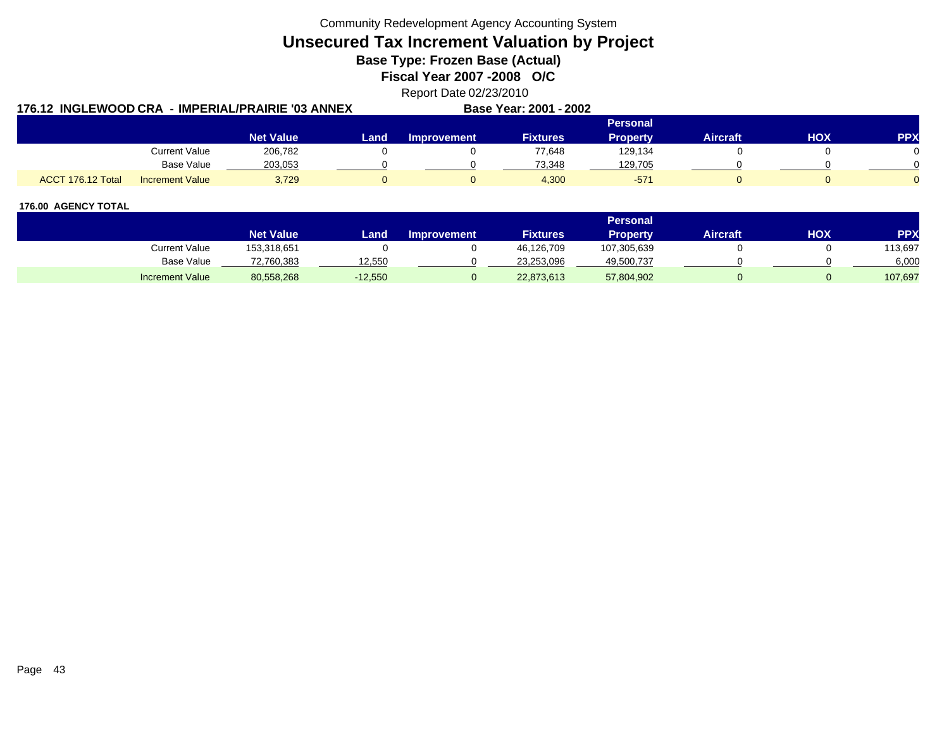**Unsecured Tax Increment Valuation by Project**

**Base Type: Frozen Base (Actual)** 

**Fiscal Year 2007 -2008 O/C**

Report Date 02/23/2010

|                   |                        | 176.12  INGLEWOOD CRA  - IMPERIAL/PRAIRIE '03 ANNEX |      |                    | Base Year: 2001 - 2002 |          |                 |            |            |
|-------------------|------------------------|-----------------------------------------------------|------|--------------------|------------------------|----------|-----------------|------------|------------|
|                   |                        |                                                     |      |                    |                        | Personal |                 |            |            |
|                   |                        | <b>Net Value</b>                                    | Land | <b>Improvement</b> | Fixtures               | Propertv | <b>Aircraft</b> | <b>HOX</b> | <b>PPX</b> |
|                   | <b>Current Value</b>   | 206.782                                             |      |                    | 77.648                 | 129,134  |                 |            |            |
|                   | <b>Base Value</b>      | 203.053                                             |      |                    | 73.348                 | 129,705  |                 |            |            |
| ACCT 176.12 Total | <b>Increment Value</b> | 3,729                                               |      |                    | 4,300                  | $-571$   |                 |            |            |

|                        |                  |           |                    |                 | 'Personal   |                 |     |            |
|------------------------|------------------|-----------|--------------------|-----------------|-------------|-----------------|-----|------------|
|                        | <b>Net Value</b> | Land      | <b>Improvement</b> | <b>Fixtures</b> | Propertv    | <b>Aircraft</b> | нох | <b>PPX</b> |
| Current Value          | 153,318,651      |           |                    | 46,126,709      | 107,305,639 |                 |     | 113,697    |
| Base Value             | 72,760,383       | 12.550    |                    | 23,253,096      | 49,500,737  |                 |     | 6,000      |
| <b>Increment Value</b> | 80,558,268       | $-12,550$ |                    | 22,873,613      | 57,804,902  |                 |     | 107,697    |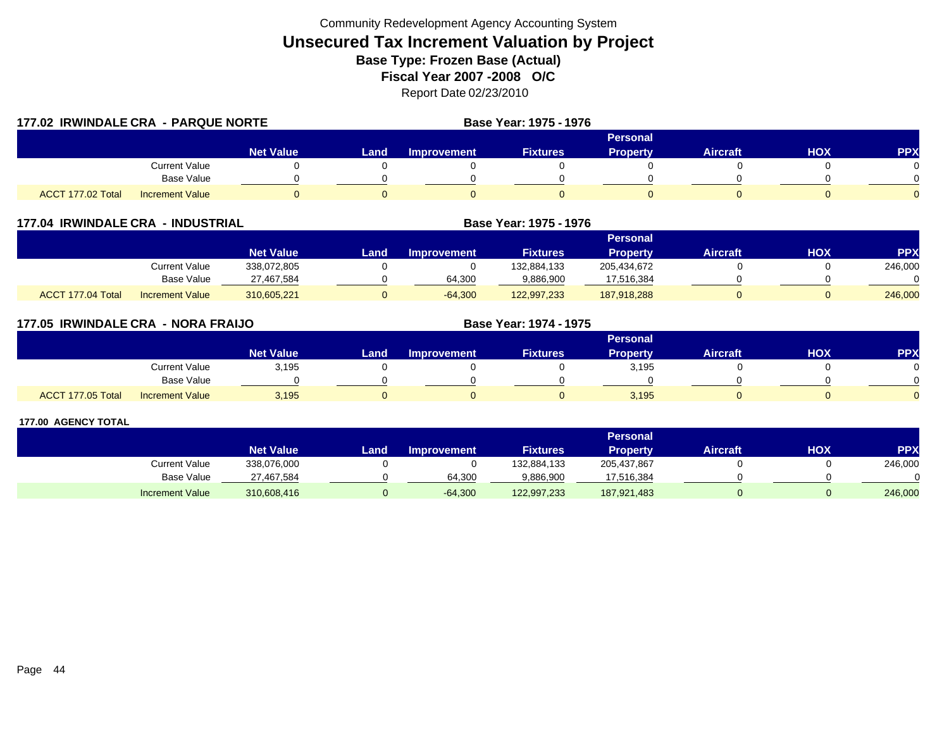| 177.02 IRWINDALE CRA - PARQUE NORTE |                        |                  |      |                    | Base Year: 1975 - 1976 |                 |                 |            |            |
|-------------------------------------|------------------------|------------------|------|--------------------|------------------------|-----------------|-----------------|------------|------------|
|                                     |                        |                  |      |                    |                        | <b>Personal</b> |                 |            |            |
|                                     |                        | <b>Net Value</b> | Land | <b>Improvement</b> | <b>Fixtures</b>        | <b>Property</b> | <b>Aircraft</b> | <b>HOX</b> | <b>PPX</b> |
|                                     | <b>Current Value</b>   |                  |      |                    |                        |                 |                 |            |            |
|                                     | <b>Base Value</b>      |                  |      |                    |                        |                 |                 |            |            |
| ACCT 177.02 Total                   | <b>Increment Value</b> |                  |      |                    |                        |                 |                 |            |            |

| 177.04 IRWINDALE CRA - INDUSTRIAL |                        |                  |      |                    | Base Year: 1975 - 1976 |                 |                 |     |           |
|-----------------------------------|------------------------|------------------|------|--------------------|------------------------|-----------------|-----------------|-----|-----------|
|                                   |                        |                  |      |                    |                        | <b>Personal</b> |                 |     |           |
|                                   |                        | <b>Net Value</b> | Land | <b>Improvement</b> | <b>Fixtures</b>        | <b>Property</b> | <b>Aircraft</b> | HOX | <b>PP</b> |
|                                   | Current Value          | 338.072.805      |      |                    | 132,884,133            | 205.434.672     |                 |     | 246,000   |
|                                   | Base Value             | 27,467,584       |      | 64,300             | 9,886,900              | 17,516,384      |                 |     |           |
| ACCT 177.04 Total                 | <b>Increment Value</b> | 310,605,221      |      | $-64,300$          | 122,997,233            | 187,918,288     |                 |     | 246,000   |

| 177.05 IRWINDALE CRA - NORA FRAIJO |                        |                  |      |                    | Base Year: 1974 - 1975 |                 |                 |            |            |
|------------------------------------|------------------------|------------------|------|--------------------|------------------------|-----------------|-----------------|------------|------------|
|                                    |                        |                  |      |                    |                        | <b>Personal</b> |                 |            |            |
|                                    |                        | <b>Net Value</b> | Land | <b>Improvement</b> | <b>Fixtures</b>        | Property        | <b>Aircraft</b> | <b>HOX</b> | <b>PPX</b> |
|                                    | <b>Current Value</b>   | 3,195            |      |                    |                        | 3,195           |                 |            | 0          |
|                                    | Base Value             |                  |      |                    |                        |                 |                 |            | $\Omega$   |
| ACCT 177.05 Total                  | <b>Increment Value</b> | 3,195            |      |                    |                        | 3,195           |                 |            | $\Omega$   |

|                        |                  |       |                    |                 | <b>Personal</b> |                 |     |            |
|------------------------|------------------|-------|--------------------|-----------------|-----------------|-----------------|-----|------------|
|                        | <b>Net Value</b> | Land, | <b>Improvement</b> | <b>Fixtures</b> | Property        | <b>Aircraft</b> | нох | <b>PPX</b> |
| Current Value          | 338,076,000      |       |                    | 132,884,133     | 205,437,867     |                 |     | 246,000    |
| Base Value             | 27.467.584       |       | 64.300             | 9,886,900       | 17,516,384      |                 |     |            |
| <b>Increment Value</b> | 310,608,416      |       | $-64,300$          | 122,997,233     | 187,921,483     |                 |     | 246,000    |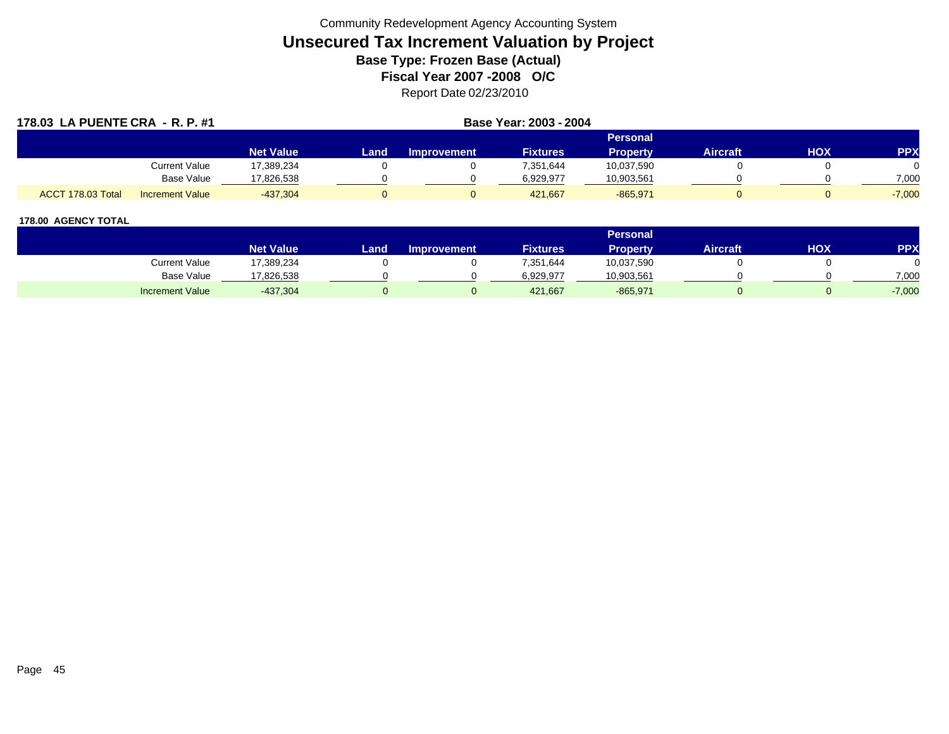| 178.03 LA PUENTE CRA - R. P. #1             |                  |      |                    | Base Year: 2003 - 2004 |                 |          |     |            |
|---------------------------------------------|------------------|------|--------------------|------------------------|-----------------|----------|-----|------------|
|                                             |                  |      |                    |                        | Personal        |          |     |            |
|                                             | <b>Net Value</b> | Land | <b>Improvement</b> | <b>Fixtures</b>        | <b>Property</b> | Aircraft | HOX | <b>PPX</b> |
| Current Value                               | 17,389,234       |      |                    | 7,351,644              | 10,037,590      |          |     |            |
| Base Value                                  | 17,826,538       |      |                    | 6,929,977              | 10,903,561      |          |     | 7,000      |
| ACCT 178.03 Total<br><b>Increment Value</b> | $-437,304$       |      |                    | 421.667                | $-865,971$      |          |     | $-7,000$   |

|                        |                      |                  |      |                    |                 | <b>Personal</b> |                 |            |          |
|------------------------|----------------------|------------------|------|--------------------|-----------------|-----------------|-----------------|------------|----------|
|                        |                      | <b>Net Value</b> | Land | <b>Improvement</b> | <b>Fixtures</b> | Property        | <b>Aircraft</b> | <b>HOX</b> | PPX      |
|                        | <b>Current Value</b> | 17,389,234       |      |                    | 7,351,644       | 10,037,590      |                 |            |          |
|                        | <b>Base Value</b>    | 17,826,538       |      |                    | 6,929,977       | 10,903,561      |                 |            | 7,000    |
| <b>Increment Value</b> |                      | $-437,304$       |      |                    | 421,667         | $-865,971$      |                 |            | $-7,000$ |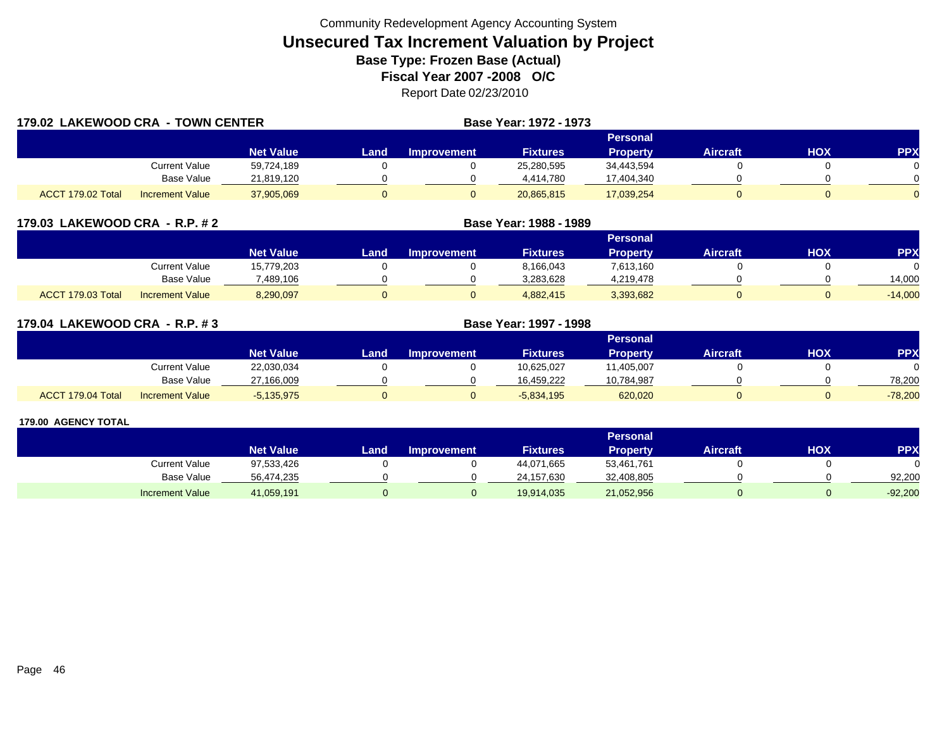| 179.02 LAKEWOOD CRA - TOWN CENTER |                        |                  |       |                    | Base Year: 1972 - 1973 |                 |                 |     |            |
|-----------------------------------|------------------------|------------------|-------|--------------------|------------------------|-----------------|-----------------|-----|------------|
|                                   |                        |                  |       |                    |                        | Personal        |                 |     |            |
|                                   |                        | <b>Net Value</b> | Landı | <b>Improvement</b> | <b>Fixtures</b>        | <b>Property</b> | <b>Aircraft</b> | HOX | <b>PPX</b> |
|                                   | <b>Current Value</b>   | 59,724,189       |       |                    | 25,280,595             | 34,443,594      |                 |     |            |
|                                   | <b>Base Value</b>      | 21,819,120       |       |                    | 4,414,780              | 17,404,340      |                 |     |            |
| ACCT 179.02 Total                 | <b>Increment Value</b> | 37,905,069       | 0     |                    | 20,865,815             | 17,039,254      |                 |     | $\Omega$   |

| 179.03 LAKEWOOD CRA - R.P. # 2 |
|--------------------------------|
|--------------------------------|

|                   |                        | Personal         |       |             |                 |                 |                 |            |            |  |  |  |
|-------------------|------------------------|------------------|-------|-------------|-----------------|-----------------|-----------------|------------|------------|--|--|--|
|                   |                        | <b>Net Value</b> | Land. | Improvement | <b>Fixtures</b> | <b>Property</b> | <b>Aircraft</b> | <b>HOX</b> | <b>PPX</b> |  |  |  |
|                   | <b>Current Value</b>   | 15,779,203       |       |             | 8,166,043       | 7,613,160       |                 |            |            |  |  |  |
|                   | <b>Base Value</b>      | 489.106          |       |             | 3,283,628       | 4,219,478       |                 |            | 14.000     |  |  |  |
| ACCT 179.03 Total | <b>Increment Value</b> | 8,290,097        |       |             | 4,882,415       | 3,393,682       |                 |            | $-14,000$  |  |  |  |

**LAKEWOOD CRA - R.P. # 2 Base Year: 1988 - 1989**

| 179.04 LAKEWOOD CRA - R.P. #3 |                        |                  | Base Year: 1997 - 1998 |                    |                 |                 |          |     |            |  |  |  |
|-------------------------------|------------------------|------------------|------------------------|--------------------|-----------------|-----------------|----------|-----|------------|--|--|--|
|                               |                        |                  |                        |                    |                 | <b>Personal</b> |          |     |            |  |  |  |
|                               |                        | <b>Net Value</b> | Land                   | <b>Improvement</b> | <b>Fixtures</b> | <b>Property</b> | Aircraft | HOX | <b>PPX</b> |  |  |  |
|                               | Current Value          | 22,030,034       |                        |                    | 10,625,027      | 11,405,007      |          |     |            |  |  |  |
|                               | Base Value             | 27,166,009       |                        |                    | 16.459.222      | 10,784,987      |          |     | 78.200     |  |  |  |
| ACCT 179.04 Total             | <b>Increment Value</b> | $-5.135.975$     |                        |                    | $-5,834,195$    | 620,020         |          |     | $-78,200$  |  |  |  |

|                        |                  |      |                    |                 | Personal        |                 |     |            |
|------------------------|------------------|------|--------------------|-----------------|-----------------|-----------------|-----|------------|
|                        | <b>Net Value</b> | Land | <b>Improvement</b> | <b>Fixtures</b> | <b>Property</b> | <b>Aircraft</b> | нох | <b>PPX</b> |
| Current Value          | 97,533,426       |      |                    | 44,071,665      | 53,461,761      |                 |     |            |
| <b>Base Value</b>      | 56,474,235       |      |                    | 24,157,630      | 32,408,805      |                 |     | 92.200     |
| <b>Increment Value</b> | 41,059,191       |      |                    | 19,914,035      | 21,052,956      |                 |     | $-92,200$  |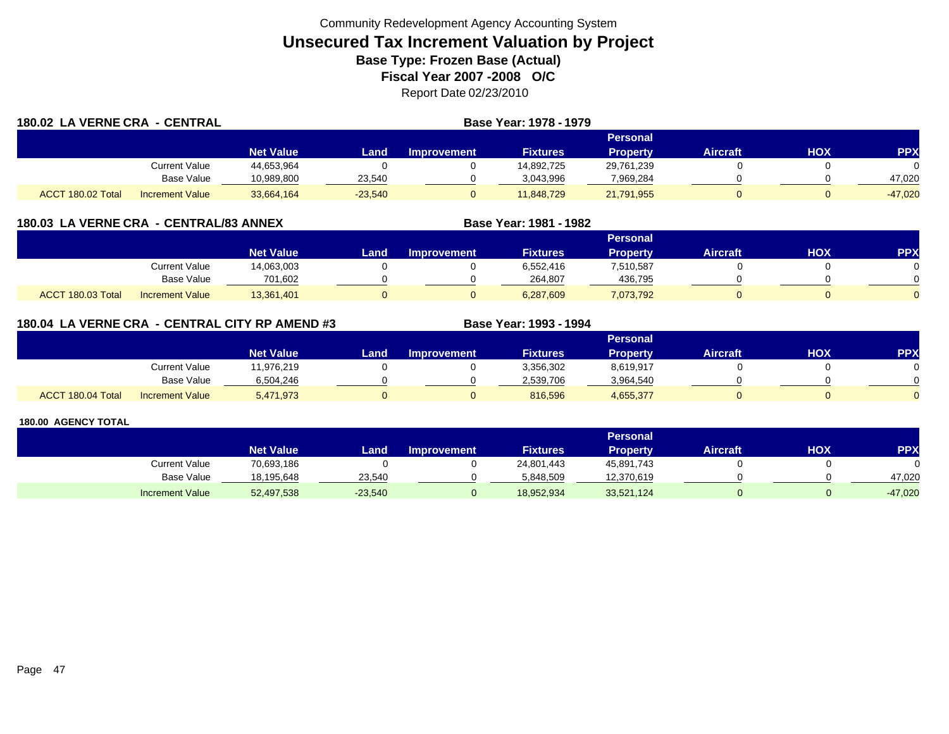| 180.02 LA VERNE CRA - CENTRAL |                        |                  | Base Year: 1978 - 1979 |                    |                 |                 |                 |     |            |  |  |  |
|-------------------------------|------------------------|------------------|------------------------|--------------------|-----------------|-----------------|-----------------|-----|------------|--|--|--|
|                               |                        |                  |                        |                    |                 | Personal        |                 |     |            |  |  |  |
|                               |                        | <b>Net Value</b> | Land                   | <b>Improvement</b> | <b>Fixtures</b> | <b>Property</b> | <b>Aircraft</b> | HOX | <b>PPX</b> |  |  |  |
|                               | Current Value          | 44,653,964       |                        |                    | 14,892,725      | 29,761,239      |                 |     |            |  |  |  |
|                               | Base Value             | 10.989.800       | 23,540                 |                    | 3.043.996       | 7,969,284       |                 |     | 47.020     |  |  |  |
| ACCT 180.02 Total             | <b>Increment Value</b> | 33,664,164       | $-23,540$              |                    | 11,848,729      | 21,791,955      |                 |     | $-47,020$  |  |  |  |

### **180.03 LA VERNE CRA - CENTRAL/83 ANNEX**

|                                             | Personal <b>\</b> |      |                    |                 |                 |                 |     |     |  |  |
|---------------------------------------------|-------------------|------|--------------------|-----------------|-----------------|-----------------|-----|-----|--|--|
|                                             | <b>Net Value</b>  | Land | <b>Improvement</b> | <b>Fixtures</b> | <b>Property</b> | <b>Aircraft</b> | нох | PPX |  |  |
| <b>Current Value</b>                        | 14,063,003        |      |                    | 6,552,416       | 7,510,587       |                 |     |     |  |  |
| Base Value                                  | 701,602           |      |                    | 264.807         | 436.795         |                 |     |     |  |  |
| ACCT 180.03 Total<br><b>Increment Value</b> | 13,361,401        |      |                    | 6,287,609       | 7,073,792       |                 |     |     |  |  |

**Base Year: 1981 - 1982**

### **180.04 LA VERNE CRA - CENTRAL CITY RP AMEND #3 Base Year: 1993 - 1994**

|                                             |                  |      |                    |                 | Personal  |                 |            |            |
|---------------------------------------------|------------------|------|--------------------|-----------------|-----------|-----------------|------------|------------|
|                                             | <b>Net Value</b> | Land | <b>Improvement</b> | <b>Fixtures</b> | Property  | <b>Aircraft</b> | <b>XOH</b> | <b>PPX</b> |
| <b>Current Value</b>                        | 11,976,219       |      |                    | 3,356,302       | 8,619,917 |                 |            |            |
| Base Value                                  | 6,504,246        |      |                    | 2.539.706       | 3,964,540 |                 |            | ∩          |
| ACCT 180.04 Total<br><b>Increment Value</b> | 5,471,973        |      |                    | 816,596         | 4,655,377 |                 |            | $\Omega$   |

|                        |                  | <b>Personal</b> |                    |                 |            |                 |            |            |  |  |  |
|------------------------|------------------|-----------------|--------------------|-----------------|------------|-----------------|------------|------------|--|--|--|
|                        | <b>Net Value</b> | Land,           | <b>Improvement</b> | <b>Fixtures</b> | Property   | <b>Aircraft</b> | <b>HOX</b> | <b>PPX</b> |  |  |  |
| Current Value          | 70,693,186       |                 |                    | 24,801,443      | 45,891,743 |                 |            |            |  |  |  |
| <b>Base Value</b>      | 18,195,648       | 23.540          |                    | 5.848.509       | 12,370,619 |                 |            | 47.020     |  |  |  |
| <b>Increment Value</b> | 52,497,538       | $-23,540$       |                    | 18,952,934      | 33,521,124 |                 |            | $-47,020$  |  |  |  |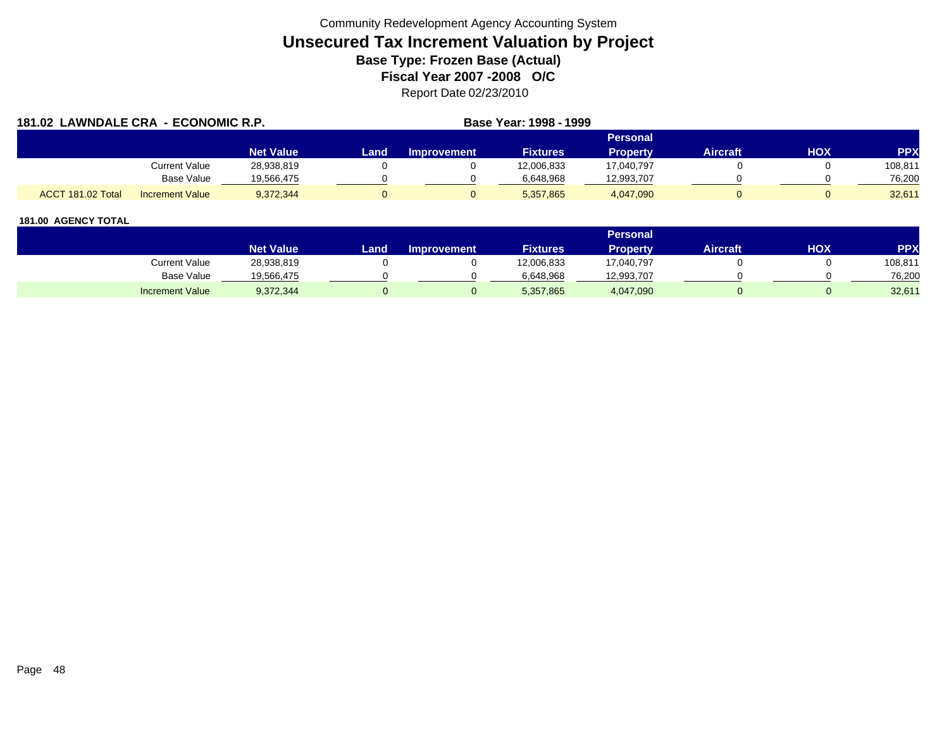| 181.02 LAWNDALE CRA - ECONOMIC R.P. |                        |                  |      |                    | Base Year: 1998 - 1999 |                 |          |     |            |
|-------------------------------------|------------------------|------------------|------|--------------------|------------------------|-----------------|----------|-----|------------|
|                                     |                        |                  |      |                    |                        | Personal        |          |     |            |
|                                     |                        | <b>Net Value</b> | Land | <b>Improvement</b> | <b>Fixtures</b>        | <b>Property</b> | Aircraft | нох | <b>PPX</b> |
|                                     | Current Value          | 28,938,819       |      |                    | 12,006,833             | 17,040,797      |          |     | 108,811    |
|                                     | <b>Base Value</b>      | 19.566.475       |      |                    | 6.648.968              | 12,993,707      |          |     | 76,200     |
| ACCT 181.02 Total                   | <b>Increment Value</b> | 9,372,344        |      |                    | 5,357,865              | 4,047,090       |          |     | 32,611     |

|                        |                  |      |                    |                 | <b>Personal</b> |                 |     |         |
|------------------------|------------------|------|--------------------|-----------------|-----------------|-----------------|-----|---------|
|                        | <b>Net Value</b> | Land | <b>Improvement</b> | <b>Fixtures</b> | Property        | <b>Aircraft</b> | нох | PPX     |
| Current Value          | 28,938,819       |      |                    | 12,006,833      | 17,040,797      |                 |     | 108,811 |
| Base Value             | 19,566,475       |      |                    | 6.648.968       | 12,993,707      |                 |     | 76,200  |
| <b>Increment Value</b> | 9,372,344        |      |                    | 5,357,865       | 4,047,090       |                 |     | 32,611  |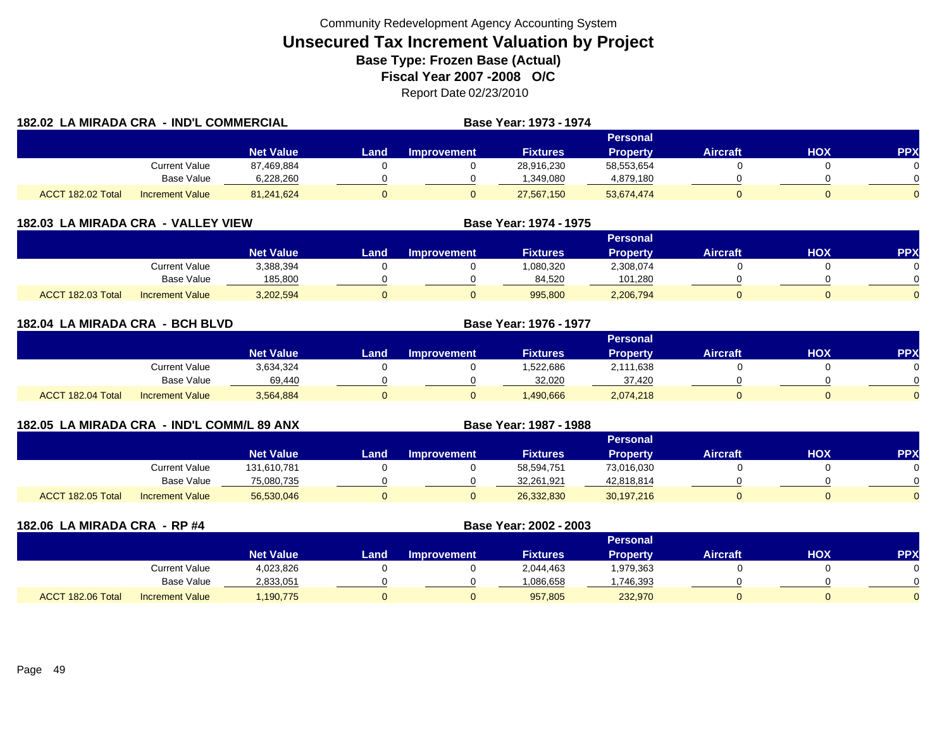|                   | 182.02 LA MIRADA CRA - IND'L COMMERCIAL |                  |      | Base Year: 1973 - 1974 |                 |                 |                 |     |            |
|-------------------|-----------------------------------------|------------------|------|------------------------|-----------------|-----------------|-----------------|-----|------------|
|                   |                                         |                  |      |                        |                 | <b>Personal</b> |                 |     |            |
|                   |                                         | <b>Net Value</b> | Land | <b>Improvement</b>     | <b>Fixtures</b> | <b>Property</b> | <b>Aircraft</b> | HOX | <b>PPX</b> |
|                   | <b>Current Value</b>                    | 87,469,884       |      |                        | 28,916,230      | 58,553,654      |                 |     |            |
|                   | <b>Base Value</b>                       | 6,228,260        |      |                        | 1,349,080       | 4,879,180       |                 |     |            |
| ACCT 182.02 Total | <b>Increment Value</b>                  | 81,241,624       |      |                        | 27,567,150      | 53,674,474      |                 |     |            |

| 182.03 LA MIRADA CRA - VALLEY VIEW |                        |                  |                 |                    | Base Year: 1974 - 1975 |                 |                 |     |            |  |  |
|------------------------------------|------------------------|------------------|-----------------|--------------------|------------------------|-----------------|-----------------|-----|------------|--|--|
|                                    |                        |                  | <b>Personal</b> |                    |                        |                 |                 |     |            |  |  |
|                                    |                        | <b>Net Value</b> | Land            | <b>Improvement</b> | <b>Fixtures</b>        | <b>Property</b> | <b>Aircraft</b> | нох | <b>PPX</b> |  |  |
|                                    | Current Value          | 3,388,394        |                 |                    | 1,080,320              | 2,308,074       |                 |     |            |  |  |
|                                    | <b>Base Value</b>      | 185,800          |                 |                    | 84,520                 | 101,280         |                 |     |            |  |  |
| ACCT 182.03 Total                  | <b>Increment Value</b> | 3,202,594        |                 |                    | 995,800                | 2,206,794       |                 |     |            |  |  |

| 182.04 LA MIRADA CRA - BCH BLVD |                        |                  | <b>Base Year: 1976 - 1977</b> |                    |                 |                 |                 |     |            |
|---------------------------------|------------------------|------------------|-------------------------------|--------------------|-----------------|-----------------|-----------------|-----|------------|
|                                 |                        |                  |                               |                    |                 | <b>Personal</b> |                 |     |            |
|                                 |                        | <b>Net Value</b> | Land                          | <b>Improvement</b> | <b>Fixtures</b> | <b>Property</b> | <b>Aircraft</b> | HOX | <b>PPX</b> |
|                                 | <b>Current Value</b>   | 3,634,324        |                               |                    | 1,522,686       | 2,111,638       |                 |     |            |
|                                 | Base Value             | 69,440           |                               |                    | 32,020          | 37,420          |                 |     |            |
| ACCT 182.04 Total               | <b>Increment Value</b> | 3,564,884        |                               |                    | 1,490,666       | 2,074,218       |                 |     |            |

| 182.05 LA MIRADA CRA - IND'L COMM/L 89 ANX |                        |                  | Base Year: 1987 - 1988 |                    |                 |                 |                 |     |            |
|--------------------------------------------|------------------------|------------------|------------------------|--------------------|-----------------|-----------------|-----------------|-----|------------|
|                                            |                        |                  |                        |                    |                 | Personal        |                 |     |            |
|                                            |                        | <b>Net Value</b> | Land                   | <b>Improvement</b> | <b>Fixtures</b> | <b>Property</b> | <b>Aircraft</b> | нох | <b>PPX</b> |
|                                            | <b>Current Value</b>   | 131,610,781      |                        |                    | 58,594,751      | 73,016,030      |                 |     |            |
|                                            | Base Value             | 75,080,735       |                        |                    | 32,261,921      | 42,818,814      |                 |     |            |
| ACCT 182.05 Total                          | <b>Increment Value</b> | 56,530,046       |                        |                    | 26,332,830      | 30,197,216      |                 |     |            |

| 182.06 LA MIRADA CRA - RP #4 |                        |                  |      | Base Year: 2002 - 2003 |                 |                 |                 |            |            |
|------------------------------|------------------------|------------------|------|------------------------|-----------------|-----------------|-----------------|------------|------------|
|                              |                        |                  |      |                        |                 | <b>Personal</b> |                 |            |            |
|                              |                        | <b>Net Value</b> | Land | <b>Improvement</b>     | <b>Fixtures</b> | <b>Property</b> | <b>Aircraft</b> | <b>HOX</b> | <b>PPX</b> |
|                              | Current Value          | 4,023,826        |      |                        | 2,044,463       | 1,979,363       |                 |            |            |
|                              | Base Value             | 2,833,051        |      |                        | 1,086,658       | .746,393        |                 |            |            |
| ACCT 182.06 Total            | <b>Increment Value</b> | .190.775         |      |                        | 957.805         | 232,970         |                 |            |            |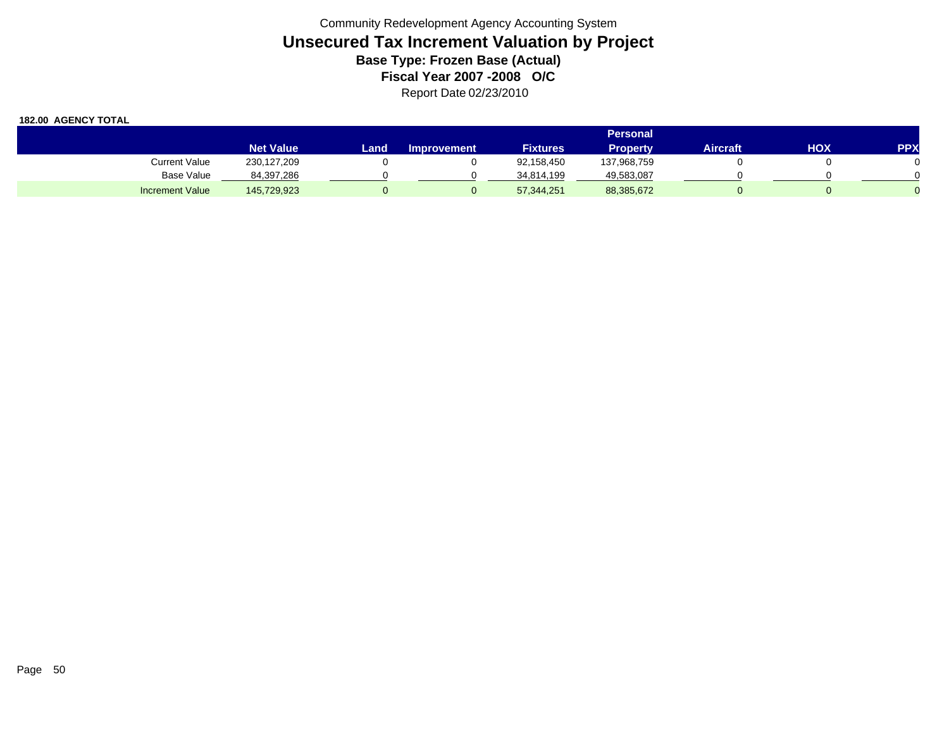|                        | <b>Personal</b>  |       |                    |                 |                 |                 |     |            |  |  |
|------------------------|------------------|-------|--------------------|-----------------|-----------------|-----------------|-----|------------|--|--|
|                        | <b>Net Value</b> | Landı | <b>Improvement</b> | <b>Fixtures</b> | <b>Property</b> | <b>Aircraft</b> | HOX | <b>PPX</b> |  |  |
| Current Value          | 230,127,209      |       |                    | 92,158,450      | 137,968,759     |                 |     |            |  |  |
| Base Value             | 84,397,286       |       |                    | 34,814,199      | 49,583,087      |                 |     |            |  |  |
| <b>Increment Value</b> | 145,729,923      |       |                    | 57,344,251      | 88,385,672      |                 |     |            |  |  |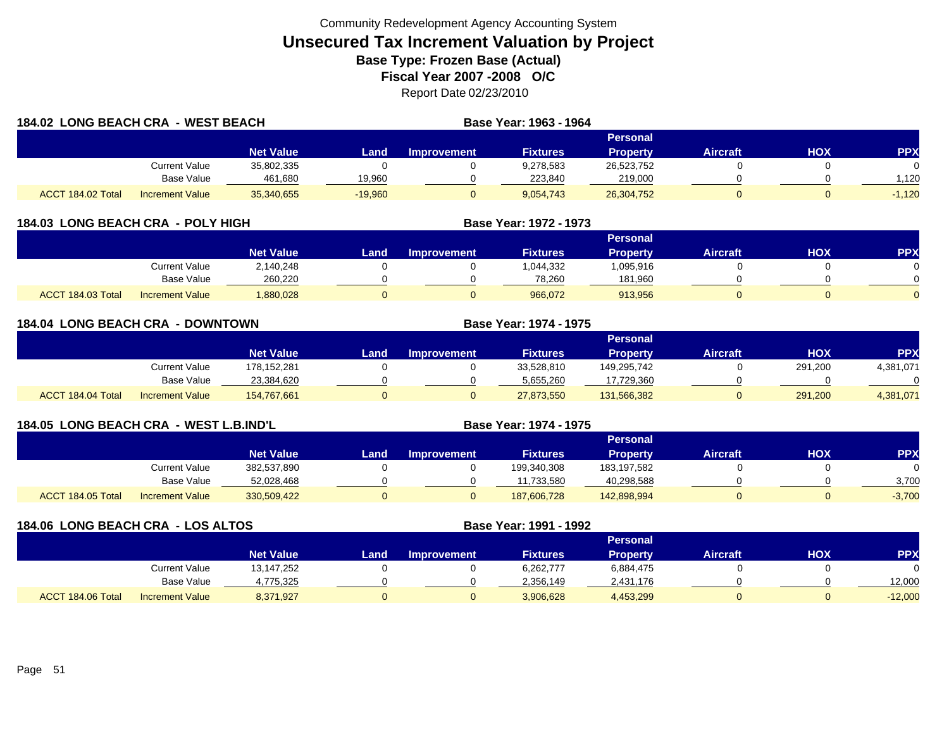| 184.02 LONG BEACH CRA - WEST BEACH |                        |                  |           |                    | Base Year: 1963 - 1964 |                 |                 |     |            |
|------------------------------------|------------------------|------------------|-----------|--------------------|------------------------|-----------------|-----------------|-----|------------|
|                                    |                        |                  |           |                    |                        | Personal        |                 |     |            |
|                                    |                        | <b>Net Value</b> | Land.     | <b>Improvement</b> | <b>Fixtures</b>        | <b>Property</b> | <b>Aircraft</b> | HOX | <b>PPX</b> |
|                                    | <b>Current Value</b>   | 35,802,335       |           |                    | 9,278,583              | 26,523,752      |                 |     |            |
|                                    | Base Value             | 461,680          | 19,960    |                    | 223.840                | 219,000         |                 |     | .120       |
| ACCT 184.02 Total                  | <b>Increment Value</b> | 35,340,655       | $-19,960$ |                    | 9,054,743              | 26,304,752      |                 |     | $-1,120$   |

| 184.03 LONG BEACH CRA - POLY HIGH |                        | Base Year: 1972 - 1973 |      |                    |                 |                 |                 |     |            |
|-----------------------------------|------------------------|------------------------|------|--------------------|-----------------|-----------------|-----------------|-----|------------|
|                                   |                        |                        |      |                    |                 | <b>Personal</b> |                 |     |            |
|                                   |                        | <b>Net Value</b>       | Land | <b>Improvement</b> | <b>Fixtures</b> | <b>Property</b> | <b>Aircraft</b> | нох | <b>PPX</b> |
|                                   | Current Value          | 2.140.248              |      |                    | 1,044,332       | ,095,916        |                 |     |            |
|                                   | Base Value             | 260.220                |      |                    | 78.260          | 181.960         |                 |     |            |
| ACCT 184.03 Total                 | <b>Increment Value</b> | 880,028.               |      |                    | 966.072         | 913.956         |                 |     |            |

|                   | <b>184.04 LONG BEACH CRA - DOWNTOWN</b> |                  |       |             | <b>Base Year: 1974 - 1975</b> |                 |                 |            |            |
|-------------------|-----------------------------------------|------------------|-------|-------------|-------------------------------|-----------------|-----------------|------------|------------|
|                   |                                         |                  |       |             |                               | Personal        |                 |            |            |
|                   |                                         | <b>Net Value</b> | Landı | Improvement | <b>Fixtures</b>               | <b>Property</b> | <b>Aircraft</b> | <b>HOX</b> | <b>PPX</b> |
|                   | <b>Current Value</b>                    | 178,152,281      |       |             | 33,528,810                    | 149,295,742     |                 | 291,200    | 4,381,071  |
|                   | Base Value                              | 23,384,620       |       |             | 5,655,260                     | 17,729,360      |                 |            | $\Omega$   |
| ACCT 184.04 Total | <b>Increment Value</b>                  | 154,767,661      |       |             | 27,873,550                    | 131,566,382     |                 | 291,200    | 4,381,071  |

| 184.05 LONG BEACH CRA - WEST L.B.IND'L |                 |                  |      | Base Year: 1974 - 1975 |                 |                 |                 |     |           |
|----------------------------------------|-----------------|------------------|------|------------------------|-----------------|-----------------|-----------------|-----|-----------|
|                                        |                 |                  |      |                        |                 | Personal        |                 |     |           |
|                                        |                 | <b>Net Value</b> | Land | <b>Improvement</b>     | <b>Fixtures</b> | <b>Property</b> | <b>Aircraft</b> | нох | <b>PP</b> |
|                                        | Current Value   | 382,537,890      |      |                        | 199,340,308     | 183.197.582     |                 |     |           |
|                                        | Base Value      | 52,028,468       |      |                        | 11,733,580      | 40,298,588      |                 |     | 3.700     |
| ACCT 184.05 Total                      | Increment Value | 330.509.422      |      |                        | 187,606,728     | 142.898.994     |                 |     | $-3,700$  |

| 184.06 LONG BEACH CRA - LOS ALTOS |                        |                  |      |                    | Base Year: 1991 - 1992 |                 |                 |     |            |
|-----------------------------------|------------------------|------------------|------|--------------------|------------------------|-----------------|-----------------|-----|------------|
|                                   |                        |                  |      |                    |                        | <b>Personal</b> |                 |     |            |
|                                   |                        | <b>Net Value</b> | Land | <b>Improvement</b> | <b>Fixtures</b>        | <b>Property</b> | <b>Aircraft</b> | нох | <b>PPX</b> |
|                                   | Current Value          | 13,147,252       |      |                    | 6,262,777              | 6,884,475       |                 |     |            |
|                                   | Base Value             | 4,775,325        |      |                    | 2,356,149              | 2,431,176       |                 |     | 12,000     |
| ACCT 184.06 Total                 | <b>Increment Value</b> | 8,371,927        |      |                    | 3,906,628              | 4,453,299       |                 |     | $-12,000$  |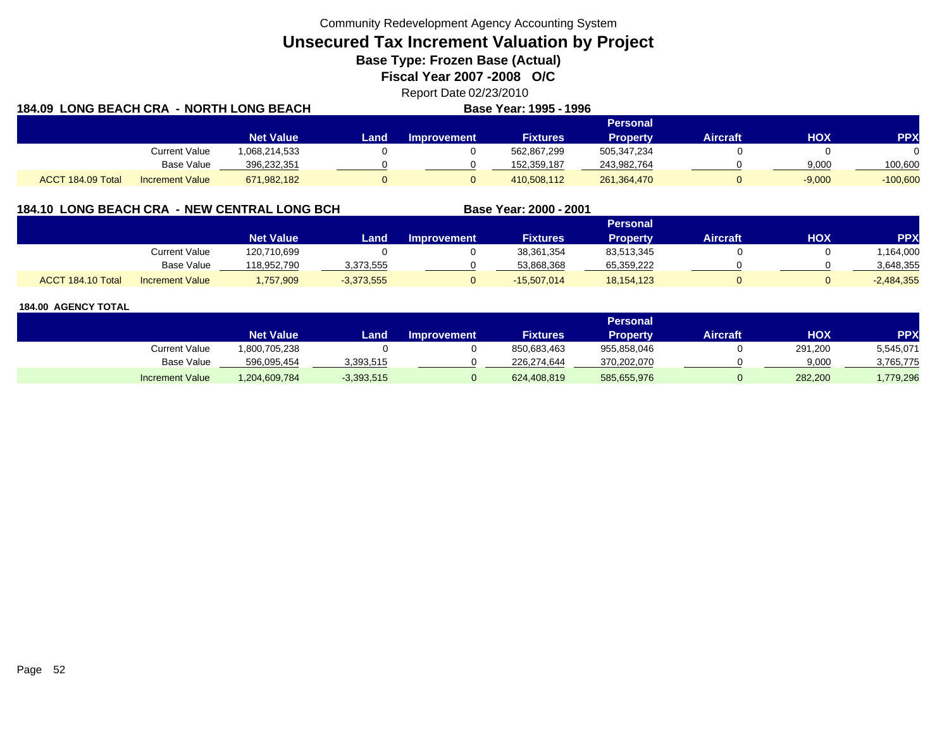**Unsecured Tax Increment Valuation by Project**

**Base Type: Frozen Base (Actual)** 

**Fiscal Year 2007 -2008 O/C**

Report Date 02/23/2010 **184.09 LONG BEACH CRA - NORTH LONG BEACHBase Year: 1995 - 1996**

|                   |                        |                  |      |                    | _ _ _ _ . _ _   | .           |                 |          |            |
|-------------------|------------------------|------------------|------|--------------------|-----------------|-------------|-----------------|----------|------------|
| Personal          |                        |                  |      |                    |                 |             |                 |          |            |
|                   |                        | <b>Net Value</b> | Land | <b>Improvement</b> | <b>Fixtures</b> | Propertv    | <b>Aircraft</b> | нох      | <b>PPX</b> |
|                   | <b>Current Value</b>   | 1,068,214,533    |      |                    | 562,867,299     | 505,347,234 |                 |          |            |
|                   | <b>Base Value</b>      | 396,232,351      |      |                    | 152.359.187     | 243,982,764 |                 | 9,000    | 100.600    |
| ACCT 184.09 Total | <b>Increment Value</b> | 671,982,182      |      |                    | 410,508,112     | 261,364,470 |                 | $-9,000$ | $-100,600$ |

### **184.10 LONG BEACH CRA - NEW CENTRAL LONG BCH**

|                   |                        |                  |              |                    |                 | Personal   |                 |     |              |
|-------------------|------------------------|------------------|--------------|--------------------|-----------------|------------|-----------------|-----|--------------|
|                   |                        | <b>Net Value</b> | Land.        | <b>Improvement</b> | <b>Fixtures</b> | Property   | <b>Aircraft</b> | НОХ | <b>PP</b>    |
|                   | <b>Current Value</b>   | 120,710,699      |              |                    | 38,361,354      | 83,513,345 |                 |     | ,164,000     |
|                   | <b>Base Value</b>      | 118.952.790      | 3,373,555    |                    | 53.868.368      | 65,359,222 |                 |     | 3,648,355    |
| ACCT 184.10 Total | <b>Increment Value</b> | 1,757,909        | $-3,373,555$ |                    | $-15,507,014$   | 18,154,123 |                 |     | $-2,484,355$ |

**Base Year: 2000 - 2001**

|                        |                  |              |                    |                 | Personal    |                 |            |           |
|------------------------|------------------|--------------|--------------------|-----------------|-------------|-----------------|------------|-----------|
|                        | <b>Net Value</b> | Land         | <b>Improvement</b> | <b>Fixtures</b> | Propertv    | <b>Aircraft</b> | <b>HOX</b> | PPX       |
| Current Value          | 800,705,238      |              |                    | 850,683,463     | 955,858,046 |                 | 291,200    | 5,545,071 |
| <b>Base Value</b>      | 596,095,454      | 3,393,515    |                    | 226,274,644     | 370,202,070 |                 | 9,000      | 3,765,775 |
| <b>Increment Value</b> | 1,204,609,784    | $-3,393,515$ |                    | 624,408,819     | 585,655,976 |                 | 282,200    | .779,296  |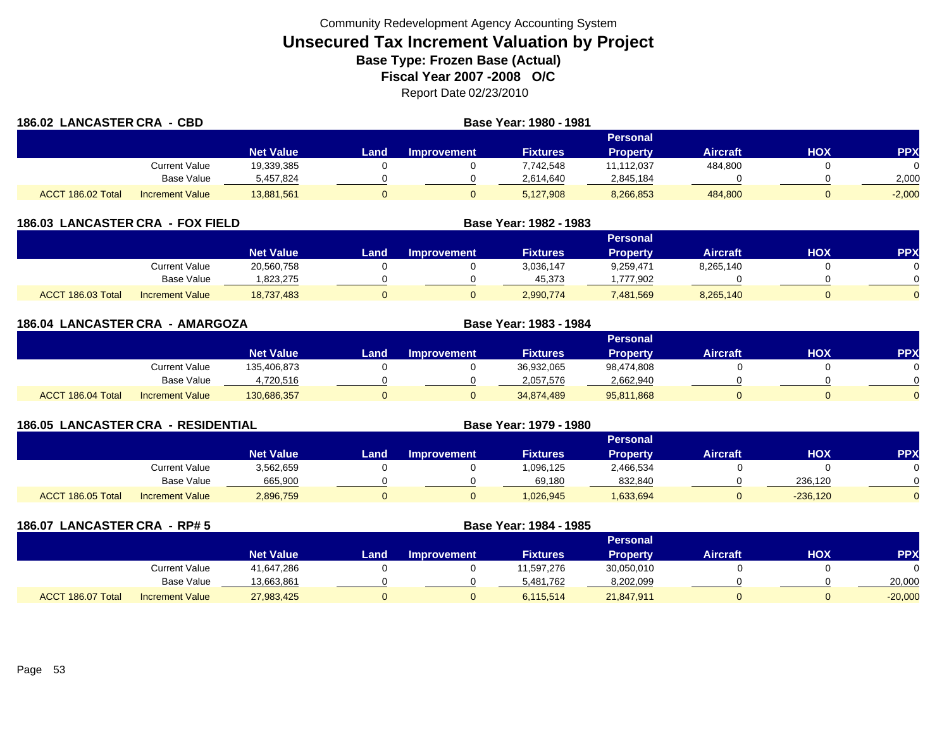| 186.02 LANCASTER CRA - CBD |                        |                  |      | Base Year: 1980 - 1981 |                 |                 |                 |            |            |
|----------------------------|------------------------|------------------|------|------------------------|-----------------|-----------------|-----------------|------------|------------|
|                            |                        |                  |      |                        |                 | Personal        |                 |            |            |
|                            |                        | <b>Net Value</b> | Land | <b>Improvement</b>     | <b>Fixtures</b> | <b>Property</b> | <b>Aircraft</b> | <b>HOX</b> | <b>PPX</b> |
|                            | Current Value          | 19,339,385       |      |                        | 7,742,548       | 11,112,037      | 484,800         |            |            |
|                            | <b>Base Value</b>      | 5,457,824        |      |                        | 2,614,640       | 2,845,184       |                 |            | 2,000      |
| ACCT 186.02 Total          | <b>Increment Value</b> | 13,881,561       |      | 0                      | 5,127,908       | 8,266,853       | 484,800         |            | $-2,000$   |

| <b>LANCASTER CRA - FOX FIELD</b><br>186.03 |                        |                  |      | Base Year: 1982 - 1983 |                 |                 |                 |     |            |
|--------------------------------------------|------------------------|------------------|------|------------------------|-----------------|-----------------|-----------------|-----|------------|
|                                            |                        |                  |      |                        |                 | <b>Personal</b> |                 |     |            |
|                                            |                        | <b>Net Value</b> | Land | <b>Improvement</b>     | <b>Fixtures</b> | <b>Property</b> | <b>Aircraft</b> | нох | <b>PPX</b> |
|                                            | Current Value          | 20,560,758       |      |                        | 3,036,147       | 9,259,471       | 8,265,140       |     |            |
|                                            | Base Value             | .823.275         |      |                        | 45,373          | .777.902        |                 |     |            |
| ACCT 186.03 Total                          | <b>Increment Value</b> | 18.737.483       |      |                        | 2,990,774       | 7,481,569       | 8,265,140       |     |            |

| 186.04 LANCASTER CRA - AMARGOZA |                        |                  | Base Year: 1983 - 1984 |                    |                 |                 |                 |            |            |
|---------------------------------|------------------------|------------------|------------------------|--------------------|-----------------|-----------------|-----------------|------------|------------|
|                                 |                        |                  |                        |                    |                 | <b>Personal</b> |                 |            |            |
|                                 |                        | <b>Net Value</b> | Land                   | <b>Improvement</b> | <b>Fixtures</b> | <b>Property</b> | <b>Aircraft</b> | <b>HOX</b> | <b>PPX</b> |
|                                 | <b>Current Value</b>   | 135,406,873      |                        |                    | 36,932,065      | 98,474,808      |                 |            |            |
|                                 | <b>Base Value</b>      | 4,720,516        |                        |                    | 2,057,576       | 2,662,940       |                 |            |            |
| ACCT 186.04 Total               | <b>Increment Value</b> | 130,686,357      |                        |                    | 34,874,489      | 95,811,868      |                 |            | $\Omega$   |

| <b>186.05 LANCASTER CRA - RESIDENTIAL</b> |                        |                  |      | Base Year: 1979 - 1980 |                 |                 |                 |            |            |
|-------------------------------------------|------------------------|------------------|------|------------------------|-----------------|-----------------|-----------------|------------|------------|
|                                           |                        |                  |      |                        |                 | Personal        |                 |            |            |
|                                           |                        | <b>Net Value</b> | Land | <b>Improvement</b>     | <b>Fixtures</b> | <b>Property</b> | <b>Aircraft</b> | нох        | <b>PPX</b> |
|                                           | Current Value          | 3,562,659        |      |                        | 1,096,125       | 2,466,534       |                 |            |            |
|                                           | Base Value             | 665,900          |      |                        | 69,180          | 832,840         |                 | 236,120    |            |
| ACCT 186.05 Total                         | <b>Increment Value</b> | 2,896,759        |      |                        | 1,026,945       | 1,633,694       |                 | $-236,120$ |            |

| 186.07 LANCASTER CRA - RP# 5 |                        |                  |      |                    | Base Year: 1984 - 1985 |                 |                 |            |            |
|------------------------------|------------------------|------------------|------|--------------------|------------------------|-----------------|-----------------|------------|------------|
|                              |                        |                  |      |                    |                        | <b>Personal</b> |                 |            |            |
|                              |                        | <b>Net Value</b> | Land | <b>Improvement</b> | <b>Fixtures</b>        | <b>Property</b> | <b>Aircraft</b> | <b>HOX</b> | <b>PPX</b> |
|                              | <b>Current Value</b>   | 41,647,286       |      |                    | 11,597,276             | 30,050,010      |                 |            |            |
|                              | <b>Base Value</b>      | 13,663,861       |      |                    | 5,481,762              | 8,202,099       |                 |            | 20,000     |
| ACCT 186.07 Total            | <b>Increment Value</b> | 27,983,425       |      |                    | 6,115,514              | 21,847,911      |                 |            | $-20,000$  |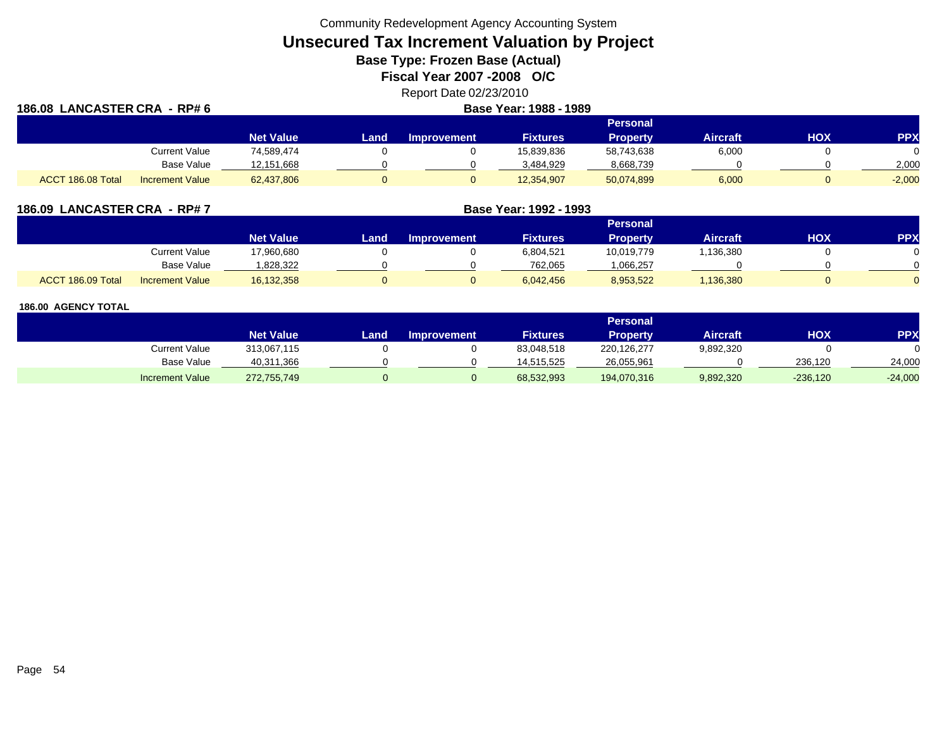**Unsecured Tax Increment Valuation by Project**

**Base Type: Frozen Base (Actual)** 

**Fiscal Year 2007 -2008 O/C**

Report Date 02/23/2010

| 186.08 LANCASTER CRA - RP# 6 |                        |                  |      |                    |                 |                 |                 |            |            |
|------------------------------|------------------------|------------------|------|--------------------|-----------------|-----------------|-----------------|------------|------------|
|                              |                        |                  |      |                    |                 | <b>Personal</b> |                 |            |            |
|                              |                        | <b>Net Value</b> | Land | <b>Improvement</b> | <b>Fixtures</b> | <b>Property</b> | <b>Aircraft</b> | <b>HOX</b> | <b>PPX</b> |
|                              | Current Value          | 74,589,474       |      |                    | 15,839,836      | 58,743,638      | 6,000           |            | 0          |
|                              | <b>Base Value</b>      | 12,151,668       |      |                    | 3,484,929       | 8,668,739       |                 |            | 2,000      |
| ACCT 186.08 Total            | <b>Increment Value</b> | 62,437,806       |      |                    | 12,354,907      | 50,074,899      | 6,000           |            | $-2,000$   |

| 186.09 LANCASTER CRA - RP# 7 |                        |                  | Base Year: 1992 - 1993 |                    |                 |                 |                 |            |            |
|------------------------------|------------------------|------------------|------------------------|--------------------|-----------------|-----------------|-----------------|------------|------------|
|                              |                        |                  |                        |                    |                 | <b>Personal</b> |                 |            |            |
|                              |                        | <b>Net Value</b> | Land                   | <b>Improvement</b> | <b>Fixtures</b> | Property        | <b>Aircraft</b> | <b>HOX</b> | <b>PPX</b> |
|                              | Current Value          | 17,960,680       |                        |                    | 6,804,521       | 10,019,779      | 1,136,380       |            | $\Omega$   |
|                              | Base Value             | 828,322.         |                        |                    | 762.065         | .066.257        |                 |            | $\Omega$   |
| ACCT 186.09 Total            | <b>Increment Value</b> | 16,132,358       |                        |                    | 6.042.456       | 8,953,522       | 1,136,380       |            | $\Omega$   |

|                        |                  |      |                    |                 | Personal    |                 |            |           |
|------------------------|------------------|------|--------------------|-----------------|-------------|-----------------|------------|-----------|
|                        | <b>Net Value</b> | Land | <b>Improvement</b> | <b>Fixtures</b> | Property    | <b>Aircraft</b> | <b>HOX</b> | PPX       |
| Current Value          | 313,067,115      |      |                    | 83,048,518      | 220,126,277 | 9,892,320       |            |           |
| <b>Base Value</b>      | 40,311,366       |      |                    | 14.515.525      | 26,055,961  |                 | 236.120    | 24,000    |
| <b>Increment Value</b> | 272,755,749      |      |                    | 68,532,993      | 194,070,316 | 9,892,320       | $-236,120$ | $-24,000$ |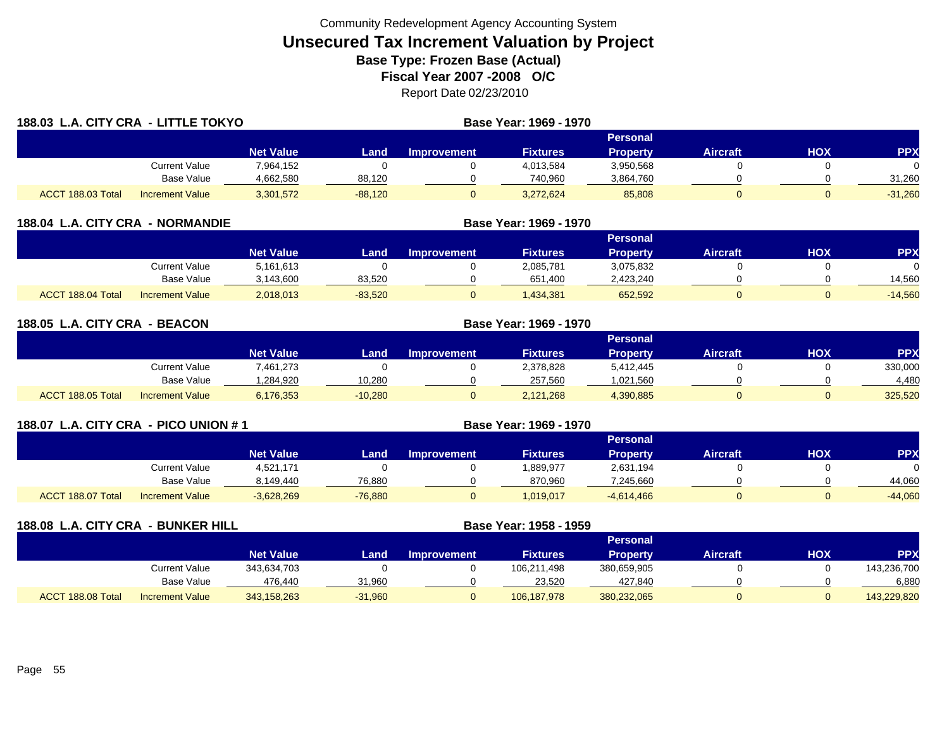|                   | 188.03 L.A. CITY CRA - LITTLE TOKYO |                  |           |                    | Base Year: 1969 - 1970 |                 |                 |            |            |
|-------------------|-------------------------------------|------------------|-----------|--------------------|------------------------|-----------------|-----------------|------------|------------|
|                   |                                     |                  |           |                    |                        | <b>Personal</b> |                 |            |            |
|                   |                                     | <b>Net Value</b> | Land      | <b>Improvement</b> | <b>Fixtures</b>        | <b>Property</b> | <b>Aircraft</b> | <b>HOX</b> | <b>PPX</b> |
|                   | Current Value                       | 7,964,152        |           |                    | 4,013,584              | 3,950,568       |                 |            | 0          |
|                   | Base Value                          | 4,662,580        | 88,120    |                    | 740,960                | 3,864,760       |                 |            | 31,260     |
| ACCT 188.03 Total | <b>Increment Value</b>              | 3,301,572        | $-88,120$ | 0                  | 3,272,624              | 85,808          |                 |            | $-31,260$  |

| 188.04<br>L.A. CITY CRA - NORMANDIE         |                  | Base Year: 1969 - 1970 |                    |                 |                 |                 |            |            |
|---------------------------------------------|------------------|------------------------|--------------------|-----------------|-----------------|-----------------|------------|------------|
|                                             |                  |                        |                    |                 | Personal        |                 |            |            |
|                                             | <b>Net Value</b> | Land                   | <b>Improvement</b> | <b>Fixtures</b> | <b>Property</b> | <b>Aircraft</b> | <b>XOH</b> | <b>PPX</b> |
| Current Value                               | 5,161,613        |                        |                    | 2,085,781       | 3,075,832       |                 |            |            |
| Base Value                                  | 3,143,600        | 83,520                 |                    | 651,400         | 2,423,240       |                 |            | 14.560     |
| ACCT 188.04 Total<br><b>Increment Value</b> | 2,018,013        | $-83,520$              |                    | 1,434,381       | 652,592         |                 |            | $-14,560$  |

| 188.05 L.A. CITY CRA - BEACON |                        |                  | Base Year: 1969 - 1970 |                    |                 |                 |                 |     |            |
|-------------------------------|------------------------|------------------|------------------------|--------------------|-----------------|-----------------|-----------------|-----|------------|
|                               |                        |                  |                        |                    |                 | <b>Personal</b> |                 |     |            |
|                               |                        | <b>Net Value</b> | Land                   | <b>Improvement</b> | <b>Fixtures</b> | <b>Property</b> | <b>Aircraft</b> | нох | <b>PPX</b> |
|                               | <b>Current Value</b>   | 7,461,273        |                        |                    | 2,378,828       | 5,412,445       |                 |     | 330,000    |
|                               | Base Value             | .284.920         | 10.280                 |                    | 257,560         | 1,021,560       |                 |     | 4.480      |
| ACCT 188.05 Total             | <b>Increment Value</b> | 6,176,353        | $-10,280$              |                    | 2,121,268       | 4,390,885       |                 |     | 325,520    |

| 188.07 L.A. CITY CRA - PICO UNION # 1 |                   |                        |                  |           | Base Year: 1969 - 1970 |                 |                 |                 |     |            |
|---------------------------------------|-------------------|------------------------|------------------|-----------|------------------------|-----------------|-----------------|-----------------|-----|------------|
|                                       |                   |                        |                  |           |                        |                 | <b>Personal</b> |                 |     |            |
|                                       |                   |                        | <b>Net Value</b> | Land      | <b>Improvement</b>     | <b>Fixtures</b> | <b>Property</b> | <b>Aircraft</b> | HOX | <b>PPX</b> |
|                                       |                   | Current Value          | 4.521.171        |           |                        | .889,977        | 2,631,194       |                 |     |            |
|                                       |                   | <b>Base Value</b>      | 8,149,440        | 76,880    |                        | 870,960         | 7,245,660       |                 |     | 44,060     |
|                                       | ACCT 188.07 Total | <b>Increment Value</b> | $-3,628,269$     | $-76,880$ |                        | 1,019,017       | $-4,614,466$    |                 |     | $-44,060$  |

| 188.08 L.A. CITY CRA - BUNKER HILL |                        |                  | Base Year: 1958 - 1959 |                    |                 |                 |                 |     |             |
|------------------------------------|------------------------|------------------|------------------------|--------------------|-----------------|-----------------|-----------------|-----|-------------|
|                                    |                        |                  |                        |                    |                 | <b>Personal</b> |                 |     |             |
|                                    |                        | <b>Net Value</b> | Land                   | <b>Improvement</b> | <b>Fixtures</b> | <b>Property</b> | <b>Aircraft</b> | HOX | <b>PPX</b>  |
|                                    | <b>Current Value</b>   | 343,634,703      |                        |                    | 106,211,498     | 380,659,905     |                 |     | 143,236,700 |
|                                    | Base Value             | 476,440          | 31,960                 |                    | 23,520          | 427,840         |                 |     | 6,880       |
| ACCT 188.08 Total                  | <b>Increment Value</b> | 343,158,263      | $-31,960$              |                    | 106,187,978     | 380,232,065     |                 |     | 143,229,820 |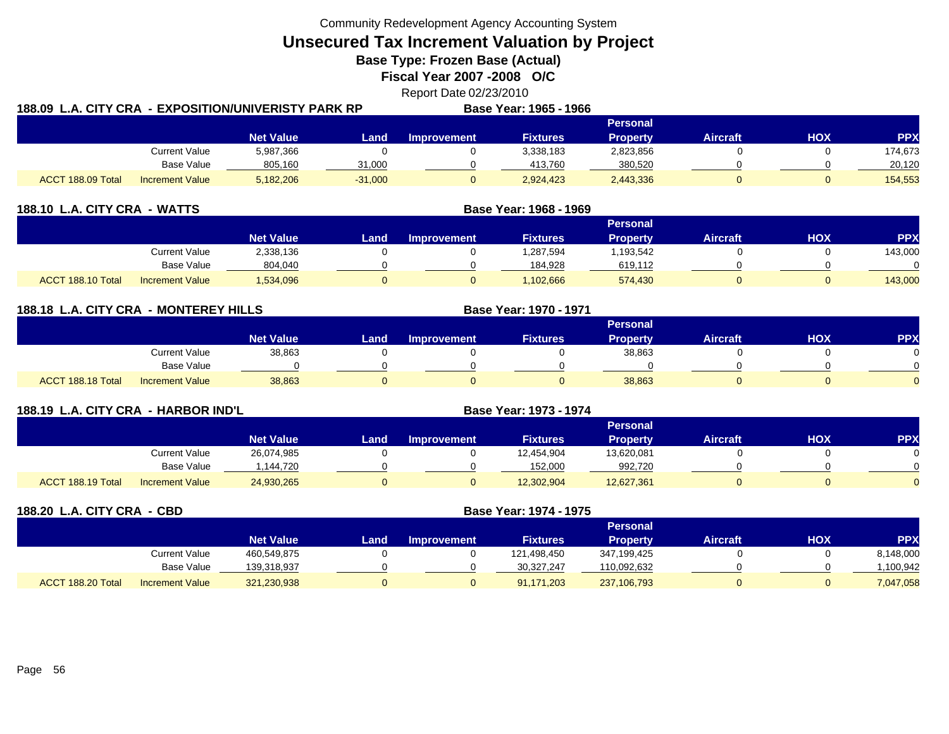**Unsecured Tax Increment Valuation by Project**

**Base Type: Frozen Base (Actual)** 

**Fiscal Year 2007 -2008 O/C**

Report Date 02/23/2010

| 188.09  L.A. CITY CRA  - EXPOSITION/UNIVERISTY PARK RP |                        |                  |           |             | Base Year: 1965 - 1966 |                 |          |     |            |
|--------------------------------------------------------|------------------------|------------------|-----------|-------------|------------------------|-----------------|----------|-----|------------|
|                                                        |                        |                  |           |             |                        | <b>Personal</b> |          |     |            |
|                                                        |                        | <b>Net Value</b> | Land      | Improvement | <b>Fixtures</b>        | <b>Property</b> | Aircraft | HOX | <b>PPX</b> |
|                                                        | <b>Current Value</b>   | 5,987,366        |           |             | 3,338,183              | 2,823,856       |          |     | 174,673    |
|                                                        | Base Value             | 805,160          | 31,000    |             | 413.760                | 380,520         |          |     | 20,120     |
| ACCT 188.09 Total                                      | <b>Increment Value</b> | 5,182,206        | $-31,000$ |             | 2,924,423              | 2,443,336       |          |     | 154,553    |

| 188.10 L.A. CITY CRA - WATTS |                        |                  | Base Year: 1968 - 1969 |                    |                 |                 |                 |     |           |
|------------------------------|------------------------|------------------|------------------------|--------------------|-----------------|-----------------|-----------------|-----|-----------|
|                              |                        |                  |                        |                    |                 | <b>Personal</b> |                 |     |           |
|                              |                        | <b>Net Value</b> | Land                   | <b>Improvement</b> | <b>Fixtures</b> | <b>Property</b> | <b>Aircraft</b> | нох | <b>PP</b> |
|                              | Current Value          | 2,338,136        |                        |                    | 1,287,594       | 1,193,542       |                 |     | 143,000   |
|                              | <b>Base Value</b>      | 804,040          |                        |                    | 184.928         | 619,112         |                 |     |           |
| ACCT 188.10 Total            | <b>Increment Value</b> | 1,534,096        |                        |                    | 1.102.666       | 574,430         |                 |     | 143,000   |

| 188.18 L.A. CITY CRA - MONTEREY HILLS |                        |                  |      |                    | Base Year: 1970 - 1971 |                 |                 |            |            |
|---------------------------------------|------------------------|------------------|------|--------------------|------------------------|-----------------|-----------------|------------|------------|
|                                       |                        |                  |      |                    |                        | <b>Personal</b> |                 |            |            |
|                                       |                        | <b>Net Value</b> | Land | <b>Improvement</b> | <b>Fixtures</b>        | <b>Property</b> | <b>Aircraft</b> | <b>HOX</b> | <b>PPX</b> |
|                                       | <b>Current Value</b>   | 38,863           |      |                    |                        | 38,863          |                 |            |            |
|                                       | Base Value             |                  |      |                    |                        |                 |                 |            |            |
| ACCT 188.18 Total                     | <b>Increment Value</b> | 38,863           |      |                    |                        | 38,863          |                 |            |            |

| 188.19 L.A. CITY CRA - HARBOR IND'L |                        |                  |      | Base Year: 1973 - 1974 |                 |                 |                 |     |            |
|-------------------------------------|------------------------|------------------|------|------------------------|-----------------|-----------------|-----------------|-----|------------|
|                                     |                        |                  |      |                        |                 | <b>Personal</b> |                 |     |            |
|                                     |                        | <b>Net Value</b> | Land | <b>Improvement</b>     | <b>Fixtures</b> | Property        | <b>Aircraft</b> | нох | <b>PPX</b> |
|                                     | Current Value          | 26,074,985       |      |                        | 12,454,904      | 13,620,081      |                 |     |            |
|                                     | Base Value             | .144.720         |      |                        | 152.000         | 992,720         |                 |     |            |
| ACCT 188.19 Total                   | <b>Increment Value</b> | 24,930,265       |      |                        | 12,302,904      | 12,627,361      |                 |     |            |

| 188.20 L.A. CITY CRA - CBD |                        |                  | Base Year: 1974 - 1975 |                    |                 |                 |                 |            |            |
|----------------------------|------------------------|------------------|------------------------|--------------------|-----------------|-----------------|-----------------|------------|------------|
|                            |                        |                  |                        |                    |                 | <b>Personal</b> |                 |            |            |
|                            |                        | <b>Net Value</b> | Land                   | <b>Improvement</b> | <b>Fixtures</b> | <b>Property</b> | <b>Aircraft</b> | <b>HOX</b> | <b>PPX</b> |
|                            | <b>Current Value</b>   | 460,549,875      |                        |                    | 121,498,450     | 347,199,425     |                 |            | 8,148,000  |
|                            | Base Value             | 139,318,937      |                        |                    | 30,327,247      | 110,092,632     |                 |            | .100,942   |
| ACCT 188.20 Total          | <b>Increment Value</b> | 321,230,938      |                        | 0                  | 91,171,203      | 237,106,793     |                 |            | 7,047,058  |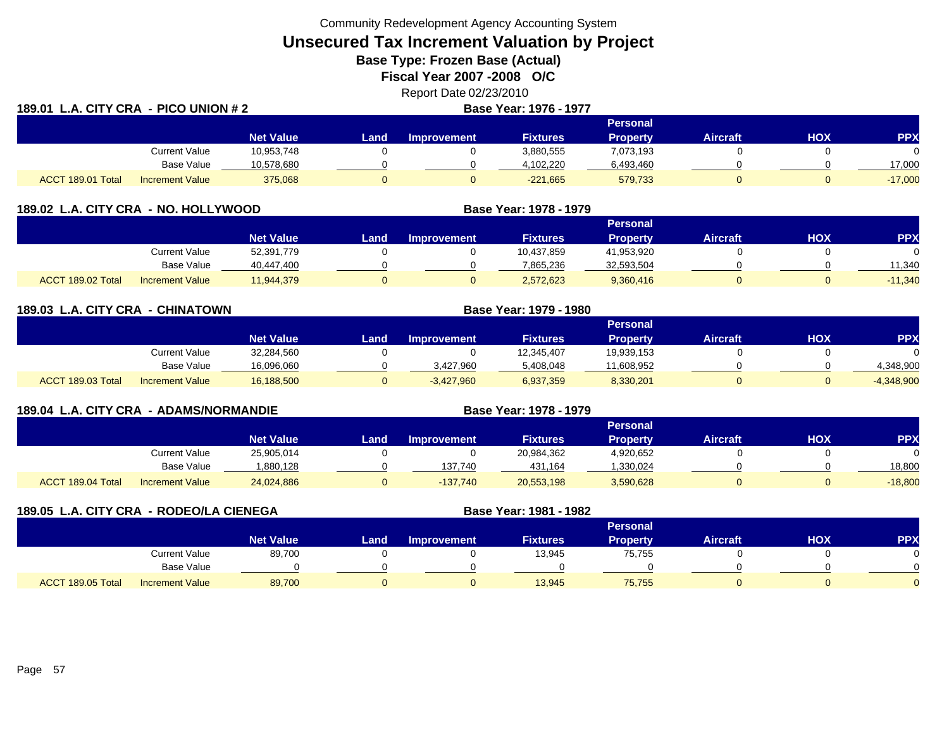**Unsecured Tax Increment Valuation by Project**

**Base Type: Frozen Base (Actual)** 

**Fiscal Year 2007 -2008 O/C**

Report Date 02/23/2010

| 189.01 L.A. CITY CRA - PICO UNION # 2 |                        |                  |      | Base Year: 1976 - 1977 |                 |                 |                 |     |            |
|---------------------------------------|------------------------|------------------|------|------------------------|-----------------|-----------------|-----------------|-----|------------|
|                                       |                        |                  |      |                        |                 | <b>Personal</b> |                 |     |            |
|                                       |                        | <b>Net Value</b> | Land | Improvement            | <b>Fixtures</b> | <b>Property</b> | <b>Aircraft</b> | HOX | <b>PPX</b> |
|                                       | <b>Current Value</b>   | 10,953,748       |      |                        | 3,880,555       | 7,073,193       |                 |     |            |
|                                       | Base Value             | 10,578,680       |      |                        | 4,102,220       | 6,493,460       |                 |     | 17,000     |
| ACCT 189.01 Total                     | <b>Increment Value</b> | 375,068          |      |                        | $-221,665$      | 579,733         |                 |     | $-17,000$  |

| 189.02 L.A. CITY CRA - NO. HOLLYWOOD |                        |                  |      |                    | Base Year: 1978 - 1979 |                 |                 |     |           |
|--------------------------------------|------------------------|------------------|------|--------------------|------------------------|-----------------|-----------------|-----|-----------|
|                                      |                        |                  |      |                    |                        | <b>Personal</b> |                 |     |           |
|                                      |                        | <b>Net Value</b> | Land | <b>Improvement</b> | <b>Fixtures</b>        | <b>Property</b> | <b>Aircraft</b> | нох | <b>PP</b> |
|                                      | Current Value          | 52,391,779       |      |                    | 10,437,859             | 41,953,920      |                 |     |           |
|                                      | <b>Base Value</b>      | 40.447.400       |      |                    | 7,865,236              | 32,593,504      |                 |     | 11.340    |
| ACCT 189.02 Total                    | <b>Increment Value</b> | 11,944,379       |      |                    | 2,572,623              | 9,360,416       |                 |     | $-11,340$ |

| 189.03 L.A. CITY CRA - CHINATOWN |                        |                  | Base Year: 1979 - 1980 |                    |                 |                 |                 |     |              |  |
|----------------------------------|------------------------|------------------|------------------------|--------------------|-----------------|-----------------|-----------------|-----|--------------|--|
|                                  |                        |                  | <b>Personal</b>        |                    |                 |                 |                 |     |              |  |
|                                  |                        | <b>Net Value</b> | Land                   | <b>Improvement</b> | <b>Fixtures</b> | <b>Property</b> | <b>Aircraft</b> | ΗΟΧ | <b>PPX</b>   |  |
|                                  | <b>Current Value</b>   | 32,284,560       |                        |                    | 12,345,407      | 19,939,153      |                 |     |              |  |
|                                  | Base Value             | 16,096,060       |                        | 3,427,960          | 5,408,048       | 11,608,952      |                 |     | 4,348,900    |  |
| ACCT 189.03 Total                | <b>Increment Value</b> | 16,188,500       | 0                      | $-3,427,960$       | 6,937,359       | 8,330,201       |                 |     | $-4,348,900$ |  |

| 189.04 L.A. CITY CRA - ADAMS/NORMANDIE |                        |                  | Base Year: 1978 - 1979 |                    |                 |                 |                 |     |            |
|----------------------------------------|------------------------|------------------|------------------------|--------------------|-----------------|-----------------|-----------------|-----|------------|
|                                        |                        |                  |                        |                    |                 | <b>Personal</b> |                 |     |            |
|                                        |                        | <b>Net Value</b> | Land                   | <b>Improvement</b> | <b>Fixtures</b> | <b>Property</b> | <b>Aircraft</b> | нох | <b>PPX</b> |
|                                        | Current Value          | 25,905,014       |                        |                    | 20,984,362      | 4,920,652       |                 |     |            |
|                                        | <b>Base Value</b>      | 1,880,128        |                        | 137,740            | 431,164         | 1,330,024       |                 |     | 18,800     |
| ACCT 189.04 Total                      | <b>Increment Value</b> | 24,024,886       |                        | $-137.740$         | 20,553,198      | 3,590,628       |                 |     | $-18,800$  |

| 189.05 L.A. CITY CRA - RODEO/LA CIENEGA |                        |                  | Base Year: 1981 - 1982 |                    |                 |                 |                 |            |            |
|-----------------------------------------|------------------------|------------------|------------------------|--------------------|-----------------|-----------------|-----------------|------------|------------|
|                                         |                        |                  |                        |                    |                 | <b>Personal</b> |                 |            |            |
|                                         |                        | <b>Net Value</b> | Land                   | <b>Improvement</b> | <b>Fixtures</b> | <b>Property</b> | <b>Aircraft</b> | <b>HOX</b> | <b>PPX</b> |
|                                         | <b>Current Value</b>   | 89,700           |                        |                    | 13,945          | 75,755          |                 |            | 0          |
|                                         | Base Value             |                  |                        |                    |                 |                 |                 |            | $\Omega$   |
| ACCT 189.05 Total                       | <b>Increment Value</b> | 89,700           |                        | 0                  | 13,945          | 75,755          |                 |            | $\Omega$   |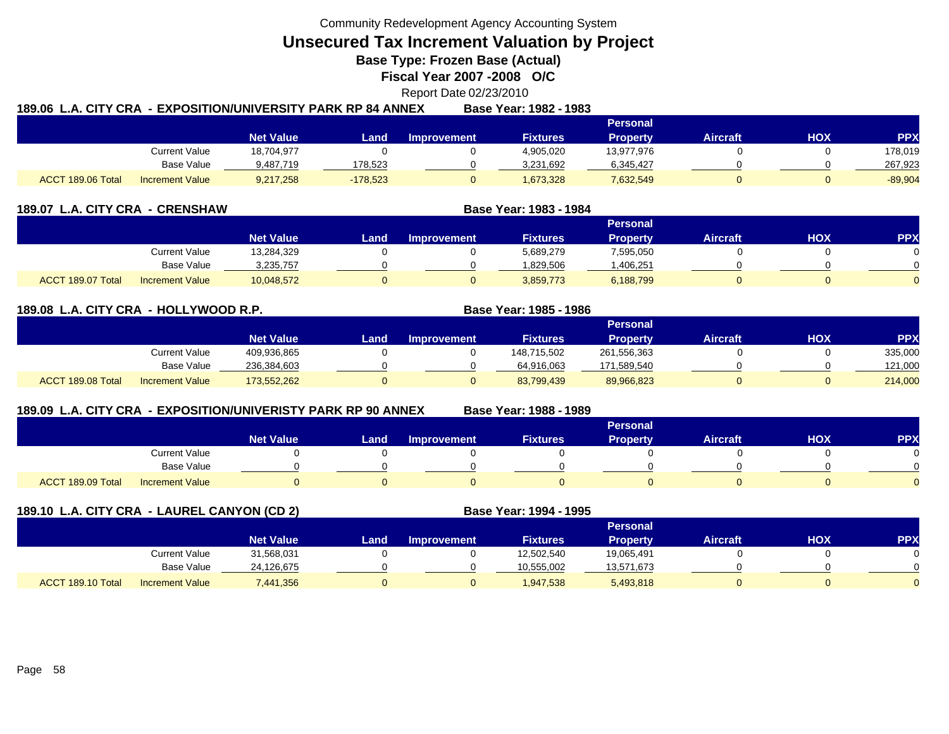**Unsecured Tax Increment Valuation by Project**

**Base Type: Frozen Base (Actual)** 

**Fiscal Year 2007 -2008 O/C**

# Report Date 02/23/2010

|                   |                        |                  | 189.06  L.A. CITY CRA  - EXPOSITION/UNIVERSITY PARK RP 84 ANNEX |                    | Base Year: 1982 - 1983 |            |          |     |           |
|-------------------|------------------------|------------------|-----------------------------------------------------------------|--------------------|------------------------|------------|----------|-----|-----------|
|                   |                        |                  |                                                                 |                    |                        | Personal   |          |     |           |
|                   |                        | <b>Net Value</b> | Land                                                            | <b>Improvement</b> | <b>Fixtures</b>        | Property   | Aircraft | ΗΟΧ | PPX       |
|                   | Current Value          | 18,704,977       |                                                                 |                    | 4,905,020              | 13,977,976 |          |     | 178,019   |
|                   | Base Value             | 9.487.719        | 178.523                                                         |                    | 3.231.692              | 6,345,427  |          |     | 267.923   |
| ACCT 189.06 Total | <b>Increment Value</b> | 9,217,258        | $-178,523$                                                      |                    | 1,673,328              | 7,632,549  |          |     | $-89,904$ |

| 189.07            | L.A. CITY CRA - CRENSHAW |                  |      | Base Year: 1983 - 1984 |                 |                 |                 |     |           |
|-------------------|--------------------------|------------------|------|------------------------|-----------------|-----------------|-----------------|-----|-----------|
|                   |                          |                  |      |                        |                 | <b>Personal</b> |                 |     |           |
|                   |                          | <b>Net Value</b> | Land | <b>Improvement</b>     | <b>Fixtures</b> | <b>Property</b> | <b>Aircraft</b> | нох | <b>PP</b> |
|                   | Current Value            | 13,284,329       |      |                        | 5,689,279       | 7,595,050       |                 |     |           |
|                   | <b>Base Value</b>        | 3.235.757        |      |                        | .829.506        | .406,251        |                 |     |           |
| ACCT 189.07 Total | <b>Increment Value</b>   | 10,048,572       |      |                        | 3,859,773       | 6,188,799       |                 |     |           |

### **189.08 L.A. CITY CRA - HOLLYWOOD R.P. Base Year: 1985 - 1986**

|                   |                        |                  |       |             |                 | Personal        |                 |            |            |
|-------------------|------------------------|------------------|-------|-------------|-----------------|-----------------|-----------------|------------|------------|
|                   |                        | <b>Net Value</b> | Land. | Improvement | <b>Fixtures</b> | <b>Property</b> | <b>Aircraft</b> | <b>HOX</b> | <b>PPX</b> |
|                   | Current Value          | 409,936,865      |       |             | 148,715,502     | 261,556,363     |                 |            | 335,000    |
|                   | <b>Base Value</b>      | 236,384,603      |       |             | 64.916.063      | 171,589,540     |                 |            | 121.000    |
| ACCT 189.08 Total | <b>Increment Value</b> | 173,552,262      |       |             | 83,799,439      | 89,966,823      |                 |            | 214,000    |

### **189.09 L.A. CITY CRA - EXPOSITION/UNIVERISTY PARK RP 90 ANNEX**

**Base Year: 1988 - 1989**

|                   |                        | <b>Personal</b>  |      |                    |                 |                 |                 |            |            |  |  |
|-------------------|------------------------|------------------|------|--------------------|-----------------|-----------------|-----------------|------------|------------|--|--|
|                   |                        | <b>Net Value</b> | Land | <b>Improvement</b> | <b>Fixtures</b> | <b>Property</b> | <b>Aircraft</b> | <b>HOX</b> | <b>PPX</b> |  |  |
|                   | <b>Current Value</b>   |                  |      |                    |                 |                 |                 |            |            |  |  |
|                   | <b>Base Value</b>      |                  |      |                    |                 |                 |                 |            |            |  |  |
| ACCT 189.09 Total | <b>Increment Value</b> |                  |      |                    |                 |                 |                 |            |            |  |  |

| 189.10 L.A. CITY CRA - LAUREL CANYON (CD 2) |                        |                  |      |                    | Base Year: 1994 - 1995 |                 |                 |     |            |
|---------------------------------------------|------------------------|------------------|------|--------------------|------------------------|-----------------|-----------------|-----|------------|
|                                             |                        |                  |      |                    |                        | <b>Personal</b> |                 |     |            |
|                                             |                        | <b>Net Value</b> | Land | <b>Improvement</b> | <b>Fixtures</b>        | <b>Property</b> | <b>Aircraft</b> | нох | <b>PPX</b> |
|                                             | Current Value          | 31,568,031       |      |                    | 12,502,540             | 19,065,491      |                 |     |            |
|                                             | Base Value             | 24,126,675       |      |                    | 10.555.002             | 13,571,673      |                 |     |            |
| ACCT 189.10 Total                           | <b>Increment Value</b> | 7,441,356        |      | 0                  | 1,947,538              | 5,493,818       |                 |     |            |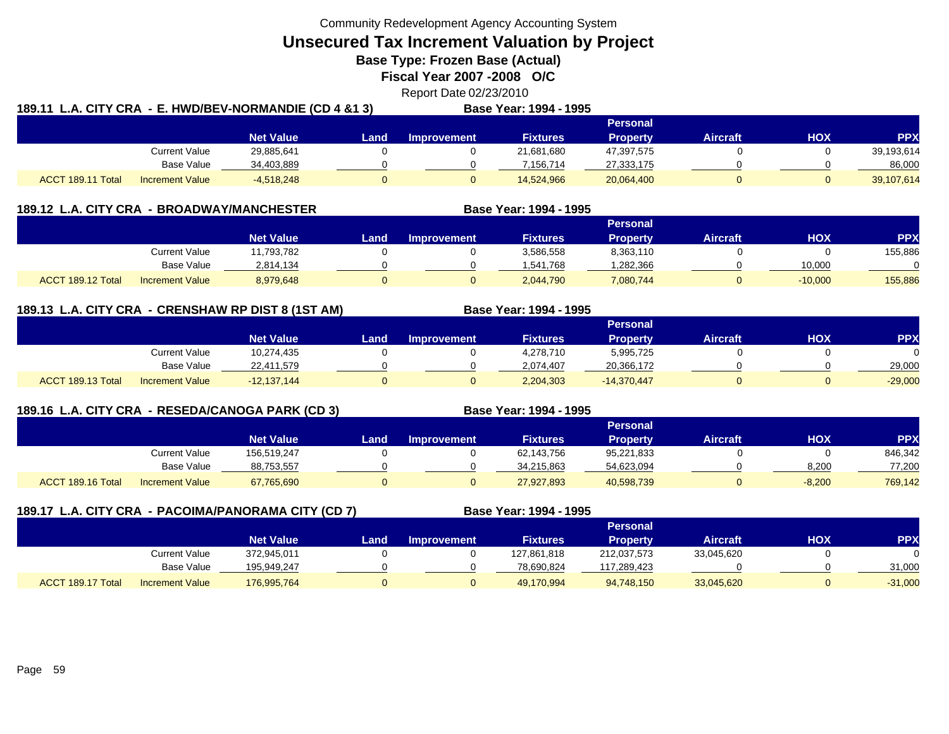**Unsecured Tax Increment Valuation by Project**

**Base Type: Frozen Base (Actual)** 

**Fiscal Year 2007 -2008 O/C**

Report Date 02/23/2010

| 189.11 L.A. CITY CRA - E. HWD/BEV-NORMANDIE (CD 4 &1 3) |                        |                  |       |             | <b>Base Year: 1994 - 1995</b> |                 |                 |     |            |  |
|---------------------------------------------------------|------------------------|------------------|-------|-------------|-------------------------------|-----------------|-----------------|-----|------------|--|
|                                                         |                        |                  |       |             |                               | Personal        |                 |     |            |  |
|                                                         |                        | <b>Net Value</b> | Land. | Improvement | <b>Fixtures</b>               | <b>Property</b> | <b>Aircraft</b> | HOX | PPX        |  |
|                                                         | Current Value          | 29,885,641       |       |             | 21,681,680                    | 47,397,575      |                 |     | 39,193,614 |  |
|                                                         | <b>Base Value</b>      | 34,403,889       |       |             | 7.156.714                     | 27,333,175      |                 |     | 86,000     |  |
| ACCT 189.11 Total                                       | <b>Increment Value</b> | $-4.518.248$     |       |             | 14,524,966                    | 20,064,400      |                 |     | 39,107,614 |  |

|                   | 189.12 L.A. CITY CRA - BROADWAY/MANCHESTER |                  |      |                    | Base Year: 1994 - 1995 |                 |                 |           |           |
|-------------------|--------------------------------------------|------------------|------|--------------------|------------------------|-----------------|-----------------|-----------|-----------|
|                   |                                            |                  |      |                    |                        | <b>Personal</b> |                 |           |           |
|                   |                                            | <b>Net Value</b> | Land | <b>Improvement</b> | <b>Fixtures</b>        | <b>Property</b> | <b>Aircraft</b> | HOX       | <b>PP</b> |
|                   | Current Value                              | 11,793,782       |      |                    | 3,586,558              | 8,363,110       |                 |           | 155,886   |
|                   | <b>Base Value</b>                          | 2,814,134        |      |                    | 1,541,768              | ,282,366        |                 | 10,000    |           |
| ACCT 189.12 Total | <b>Increment Value</b>                     | 8,979,648        |      |                    | 2,044,790              | 7,080,744       | 0               | $-10,000$ | 155,886   |

## **189.13 L.A. CITY CRA - CRENSHAW RP DIST 8 (1ST AM) Base Year: 1994 - 1995**

|                                             |                  |       |             |           | Personal        |                 |     |            |
|---------------------------------------------|------------------|-------|-------------|-----------|-----------------|-----------------|-----|------------|
|                                             | <b>Net Value</b> | Land. | Improvement | Fixtures' | <b>Property</b> | <b>Aircraft</b> | НОХ | <b>PPX</b> |
| Current Value                               | 10,274,435       |       |             | 4,278,710 | 5,995,725       |                 |     |            |
| <b>Base Value</b>                           | 22,411,579       |       |             | 2.074.407 | 20,366,172      |                 |     | 29.000     |
| ACCT 189.13 Total<br><b>Increment Value</b> | $-12,137,144$    |       |             | 2,204,303 | $-14,370,447$   |                 |     | $-29,000$  |

# **189.16 L.A. CITY CRA - RESEDA/CANOGA PARK (CD 3) Base Year: 1994 - 1995**

|                                             |                  |      |                    |                 | <b>Personal</b> |                 |            |            |
|---------------------------------------------|------------------|------|--------------------|-----------------|-----------------|-----------------|------------|------------|
|                                             | <b>Net Value</b> | Land | <b>Improvement</b> | <b>Fixtures</b> | Property        | <b>Aircraft</b> | <b>HOX</b> | <b>PPX</b> |
| Current Value                               | 156,519,247      |      |                    | 62,143,756      | 95,221,833      |                 |            | 846,342    |
| <b>Base Value</b>                           | 88,753,557       |      |                    | 34.215.863      | 54,623,094      |                 | 8.200      | 77,200     |
| ACCT 189.16 Total<br><b>Increment Value</b> | 67,765,690       |      |                    | 27,927,893      | 40,598,739      |                 | $-8,200$   | 769,142    |

|                   |                        | 189.17 L.A. CITY CRA - PACOIMA/PANORAMA CITY (CD 7) |      |                    | Base Year: 1994 - 1995 |                 |                 |            |            |
|-------------------|------------------------|-----------------------------------------------------|------|--------------------|------------------------|-----------------|-----------------|------------|------------|
|                   |                        |                                                     |      |                    |                        | Personal        |                 |            |            |
|                   |                        | <b>Net Value</b>                                    | Land | <b>Improvement</b> | <b>Fixtures</b>        | <b>Property</b> | <b>Aircraft</b> | <b>XOH</b> | <b>PPX</b> |
|                   | Current Value          | 372.945.011                                         |      |                    | 127,861,818            | 212,037,573     | 33,045,620      |            |            |
|                   | Base Value             | 195.949.247                                         |      |                    | 78,690,824             | 117,289,423     |                 |            | 31,000     |
| ACCT 189.17 Total | <b>Increment Value</b> | 176,995,764                                         |      |                    | 49,170,994             | 94,748,150      | 33,045,620      |            | $-31,000$  |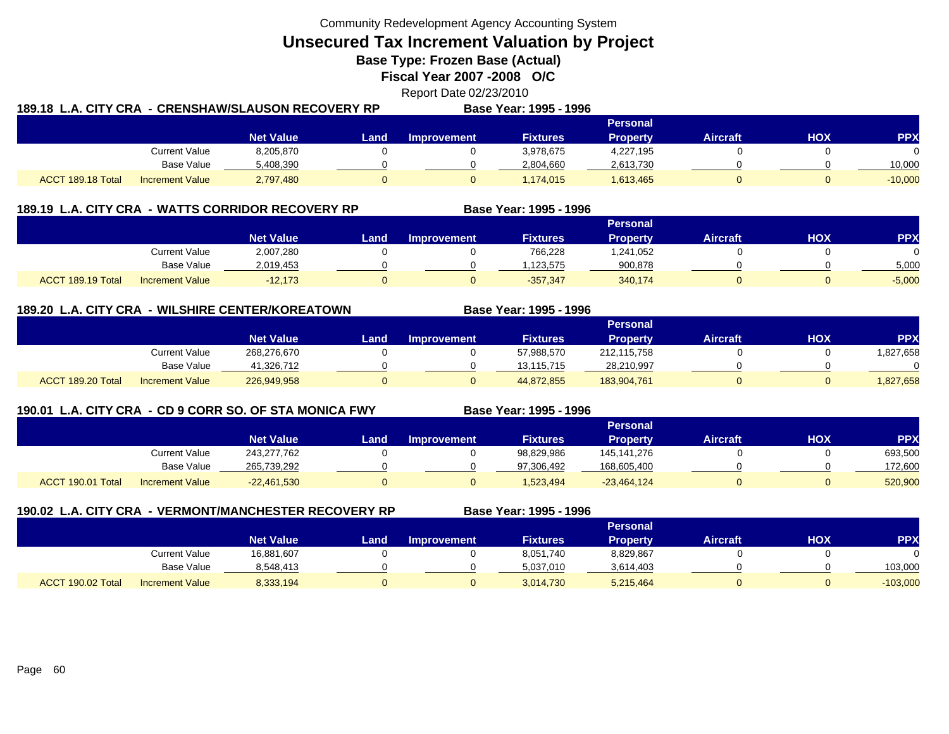**Unsecured Tax Increment Valuation by Project**

**Base Type: Frozen Base (Actual)** 

**Fiscal Year 2007 -2008 O/C**

# Report Date 02/23/2010

| 189.18  L.A. CITY CRA  - CRENSHAW/SLAUSON RECOVERY RP |                        |                  |       |                    | Base Year: 1995 - 1996 |                 |          |     |            |
|-------------------------------------------------------|------------------------|------------------|-------|--------------------|------------------------|-----------------|----------|-----|------------|
|                                                       |                        |                  |       |                    |                        | <b>Personal</b> |          |     |            |
|                                                       |                        | <b>Net Value</b> | Land. | <b>Improvement</b> | <b>Fixtures</b>        | <b>Property</b> | Aircraft | HOX | <b>PPX</b> |
|                                                       | Current Value          | 8,205,870        |       |                    | 3.978.675              | 4,227,195       |          |     | $\Omega$   |
|                                                       | Base Value             | 5,408,390        |       |                    | 2,804,660              | 2,613,730       |          |     | 10.000     |
| ACCT 189.18 Total                                     | <b>Increment Value</b> | 2,797,480        |       |                    | 1,174,015              | 1,613,465       |          |     | $-10,000$  |

#### **189.19 L.A. CITY CRA - WATTS CORRIDOR RECOVERY RP Base Year: 1995 - 1996 Personal Net Value Land Improvement Fixtures Property Aircraft HOX PPX** Current Value 2,007,280 0 0 766,228 1,241,052 0 0 0 Base Value 2,019,453 0 0 1,123,575 900,878 0 0 5,000 ACCT 189.19 TotalI Increment Value -12,173 0 0 -357,347 340,174 0 0 -5,000

### **189.20 L.A. CITY CRA - WILSHIRE CENTER/KOREATOWN**

|                   |                        | Personal         |      |                    |                 |                 |          |     |          |  |
|-------------------|------------------------|------------------|------|--------------------|-----------------|-----------------|----------|-----|----------|--|
|                   |                        | <b>Net Value</b> | Land | <b>Improvement</b> | <b>Fixtures</b> | <b>Property</b> | Aircraft | нох | PPX      |  |
|                   | Current Value          | 268,276,670      |      |                    | 57,988,570      | 212,115,758     |          |     | .827,658 |  |
|                   | <b>Base Value</b>      | 41.326.712       |      |                    | 13,115,715      | 28,210,997      |          |     | 0        |  |
| ACCT 189.20 Total | <b>Increment Value</b> | 226,949,958      |      |                    | 44,872,855      | 183,904,761     |          |     | 827,658  |  |

# **190.01 L.A. CITY CRA - CD 9 CORR SO. OF STA MONICA FWY**

**Base Year: 1995 - 1996**

**Base Year: 1995 - 1996**

|                   |                        |                  |      |             | _ _ _ _ _ _ _ _ _ _ _ _ _ | .               |                 |            |            |
|-------------------|------------------------|------------------|------|-------------|---------------------------|-----------------|-----------------|------------|------------|
|                   |                        |                  |      |             |                           | Personal        |                 |            |            |
|                   |                        | <b>Net Value</b> | Land | Improvement | <b>Fixtures</b>           | <b>Property</b> | <b>Aircraft</b> | <b>HOX</b> | <b>PPX</b> |
|                   | <b>Current Value</b>   | 243,277,762      |      |             | 98,829,986                | 145, 141, 276   |                 |            | 693,500    |
|                   | <b>Base Value</b>      | 265,739,292      |      |             | 97.306.492                | 168,605,400     |                 |            | 172.600    |
| ACCT 190.01 Total | <b>Increment Value</b> | $-22,461,530$    |      |             | 1,523,494                 | $-23,464,124$   |                 |            | 520,900    |

| <b>190.02 L.A. CITY CRA</b> |                        | - VERMONT/MANCHESTER RECOVERY RP |      |                    | Base Year: 1995 - 1996 |                 |                 |     |            |  |
|-----------------------------|------------------------|----------------------------------|------|--------------------|------------------------|-----------------|-----------------|-----|------------|--|
|                             |                        |                                  |      |                    |                        | <b>Personal</b> |                 |     |            |  |
|                             |                        | <b>Net Value</b>                 | Land | <b>Improvement</b> | <b>Fixtures</b>        | <b>Property</b> | <b>Aircraft</b> | нох | <b>PPX</b> |  |
|                             | Current Value          | 16,881,607                       |      |                    | 8,051,740              | 8,829,867       |                 |     |            |  |
|                             | Base Value             | 8,548,413                        |      |                    | 5,037,010              | 3,614,403       |                 |     | 103,000    |  |
| ACCT 190.02 Total           | <b>Increment Value</b> | 8,333,194                        |      | 0                  | 3,014,730              | 5,215,464       |                 |     | $-103,000$ |  |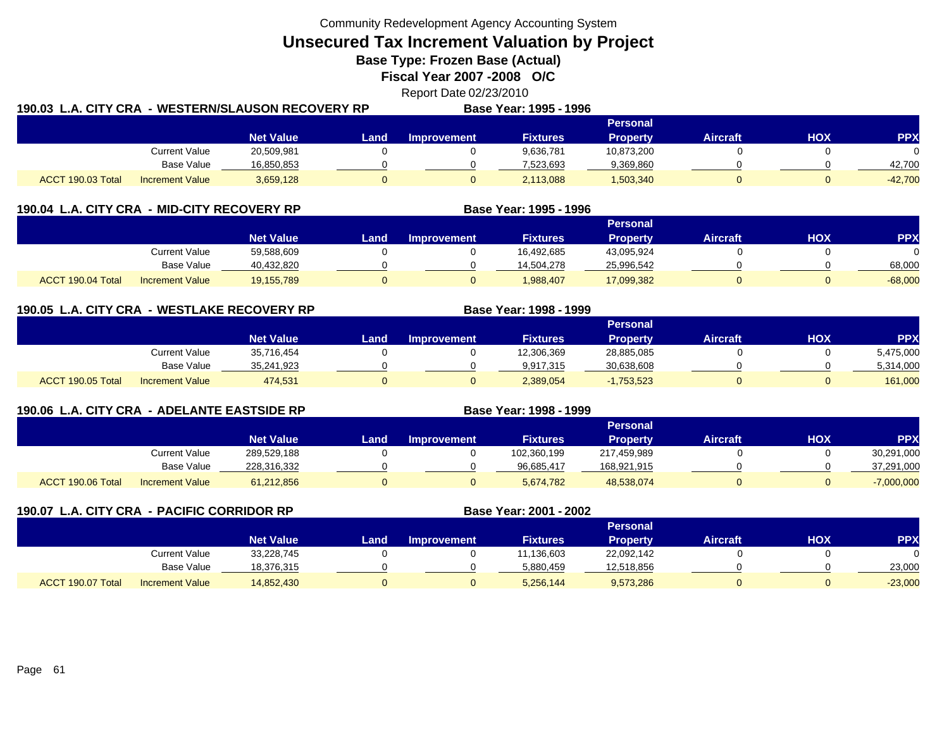**Unsecured Tax Increment Valuation by Project**

**Base Type: Frozen Base (Actual)** 

**Fiscal Year 2007 -2008 O/C**

Report Date 02/23/2010

| 190.03 L.A. CITY CRA |                        | . - WESTERN/SLAUSON RECOVERY RP |             |             | Base Year: 1995 - 1996 |                 |                 |     |            |
|----------------------|------------------------|---------------------------------|-------------|-------------|------------------------|-----------------|-----------------|-----|------------|
|                      |                        |                                 |             |             |                        | <b>Personal</b> |                 |     |            |
|                      |                        | <b>Net Value</b>                | <b>Land</b> | Improvement | <b>Fixtures</b>        | Propertv        | <b>Aircraft</b> | нох | <b>PPX</b> |
|                      | Current Value          | 20,509,981                      |             |             | 9,636,781              | 10,873,200      |                 |     |            |
|                      | Base Value             | 16,850,853                      |             |             | 7.523.693              | 9,369,860       |                 |     | 42.700     |
| ACCT 190.03 Total    | <b>Increment Value</b> | 3,659,128                       |             |             | 2,113,088              | 1,503,340       |                 |     | $-42,700$  |

| 190.04 L.A. CITY CRA - MID-CITY RECOVERY RP |                        |                  |      |                    | Base Year: 1995 - 1996 |                 |                 |     |           |
|---------------------------------------------|------------------------|------------------|------|--------------------|------------------------|-----------------|-----------------|-----|-----------|
|                                             |                        |                  |      |                    |                        | Personal        |                 |     |           |
|                                             |                        | <b>Net Value</b> | Land | <b>Improvement</b> | <b>Fixtures</b>        | <b>Property</b> | <b>Aircraft</b> | нох | PPX       |
|                                             | Current Value          | 59,588,609       |      |                    | 16.492.685             | 43.095.924      |                 |     |           |
|                                             | <b>Base Value</b>      | 40,432,820       |      |                    | 14,504,278             | 25,996,542      |                 |     | 68,000    |
| ACCT 190.04 Total                           | <b>Increment Value</b> | 19.155.789       |      |                    | 1.988.407              | 17,099,382      |                 |     | $-68,000$ |

**190.05 L.A. CITY CRA - WESTLAKE RECOVERY RP Base Year: 1998 - 1999 Personal Net Value Land Improvement Fixtures Property Aircraft HOX PPX** Current Value 35,716,454 0 0 12,306,369 28,885,085 0 0 5,475,000 Base Value 35,241,923 0 0 9,917,315 30,638,608 0 0 5,314,000 ACCT 190.05 TotalIncrement Value 474,531 0 0 2,389,054 -1,753,523 0 0 161,000

|                   | 190.06 L.A. CITY CRA - ADELANTE EASTSIDE RP |                  |      |                    | Base Year: 1998 - 1999 |                 |                 |     |              |
|-------------------|---------------------------------------------|------------------|------|--------------------|------------------------|-----------------|-----------------|-----|--------------|
|                   |                                             |                  |      |                    |                        | <b>Personal</b> |                 |     |              |
|                   |                                             | <b>Net Value</b> | Land | <b>Improvement</b> | <b>Fixtures</b>        | <b>Property</b> | <b>Aircraft</b> | HOX | <b>PPX</b>   |
|                   | Current Value                               | 289,529,188      |      |                    | 102,360,199            | 217,459,989     |                 |     | 30,291,000   |
|                   | <b>Base Value</b>                           | 228,316,332      |      |                    | 96,685,417             | 168,921,915     |                 |     | 37,291,000   |
| ACCT 190.06 Total | <b>Increment Value</b>                      | 61,212,856       | U    | 0                  | 5,674,782              | 48,538,074      |                 |     | $-7,000,000$ |

| 190.07 L.A. CITY CRA - PACIFIC CORRIDOR RP |                        |                  |      |                    | Base Year: 2001 - 2002 |                 |                 |     |            |
|--------------------------------------------|------------------------|------------------|------|--------------------|------------------------|-----------------|-----------------|-----|------------|
|                                            |                        |                  |      |                    |                        | <b>Personal</b> |                 |     |            |
|                                            |                        | <b>Net Value</b> | Land | <b>Improvement</b> | <b>Fixtures</b>        | <b>Property</b> | <b>Aircraft</b> | НОХ | <b>PPX</b> |
|                                            | Current Value          | 33,228,745       |      |                    | 11,136,603             | 22,092,142      |                 |     |            |
|                                            | Base Value             | 18,376,315       |      |                    | 5,880,459              | 12,518,856      |                 |     | 23,000     |
| ACCT 190.07 Total                          | <b>Increment Value</b> | 14,852,430       |      |                    | 5,256,144              | 9,573,286       |                 |     | $-23,000$  |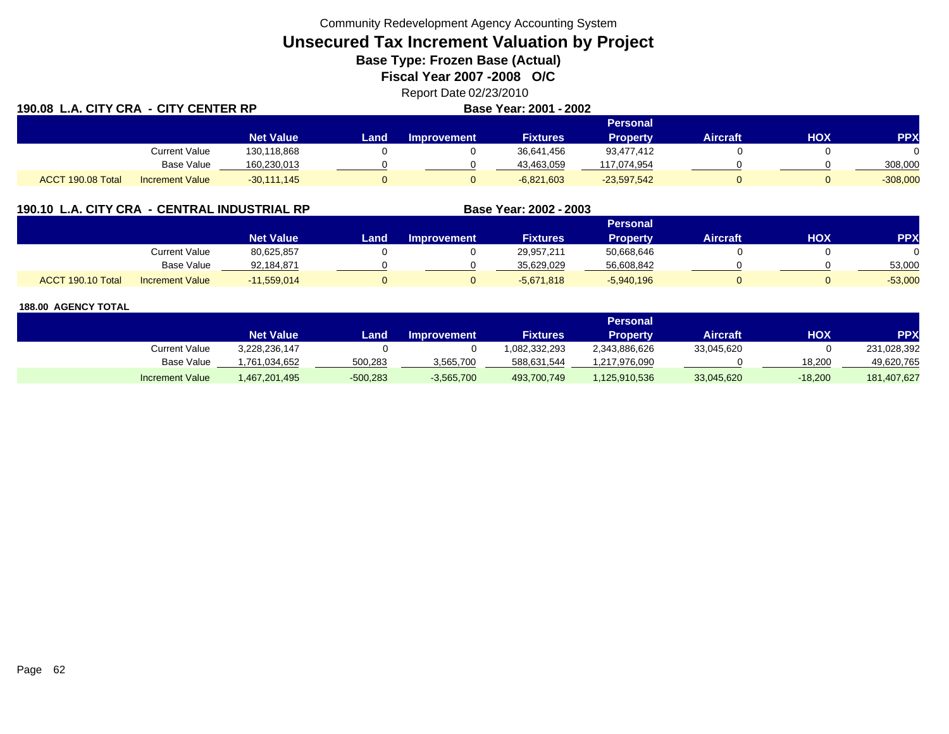# **Unsecured Tax Increment Valuation by Project**

**Base Type: Frozen Base (Actual)** 

**Fiscal Year 2007 -2008 O/C**

Report Date 02/23/2010

| 190.08 L.A. CITY CRA - CITY CENTER RP |                        |                  |      |                    | Base Year: 2001 - 2002 |               |                 |            |            |
|---------------------------------------|------------------------|------------------|------|--------------------|------------------------|---------------|-----------------|------------|------------|
|                                       |                        |                  |      |                    |                        | Personal      |                 |            |            |
|                                       |                        | <b>Net Value</b> | Land | <b>Improvement</b> | <b>Fixtures</b>        | Property      | <b>Aircraft</b> | <b>HOX</b> | <b>PPX</b> |
|                                       | <b>Current Value</b>   | 130,118,868      |      |                    | 36,641,456             | 93.477.412    |                 |            |            |
|                                       | Base Value             | 160,230,013      |      |                    | 43,463,059             | 117,074,954   |                 |            | 308,000    |
| ACCT 190.08 Total                     | <b>Increment Value</b> | $-30,111,145$    |      |                    | $-6,821,603$           | $-23,597,542$ |                 |            | $-308,000$ |

### **190.10 L.A. CITY CRA - CENTRAL INDUSTRIAL RP**

|                   |                        |                  |      |                    |                 | <b>Personal</b> |                 |     |           |
|-------------------|------------------------|------------------|------|--------------------|-----------------|-----------------|-----------------|-----|-----------|
|                   |                        | <b>Net Value</b> | Land | <b>Improvement</b> | <b>Fixtures</b> | Property        | <b>Aircraft</b> | HOX | PPX       |
|                   | <b>Current Value</b>   | 80,625,857       |      |                    | 29,957,211      | 50,668,646      |                 |     |           |
|                   | <b>Base Value</b>      | 92,184,871       |      |                    | 35.629.029      | 56,608,842      |                 |     | 53,000    |
| ACCT 190.10 Total | <b>Increment Value</b> | $-11,559,014$    |      |                    | $-5,671,818$    | $-5,940,196$    |                 |     | $-53,000$ |

**Base Year: 2002 - 2003**

|                        | Personal         |            |                    |                 |                 |            |           |             |  |  |
|------------------------|------------------|------------|--------------------|-----------------|-----------------|------------|-----------|-------------|--|--|
|                        | <b>Net Value</b> | Land       | <b>Improvement</b> | <b>Fixtures</b> | <b>Property</b> | Aircraft   | нох       | PPX         |  |  |
| Current Value          | 3.228.236.147    |            |                    | 082.332.293     | 2,343,886,626   | 33,045,620 |           | 231,028,392 |  |  |
| Base Value             | .761.034.652     | 500,283    | 3,565,700          | 588,631,544     | 1,217,976,090   |            | 18.200    | 49,620,765  |  |  |
| <b>Increment Value</b> | 467,201,495,     | $-500,283$ | $-3,565,700$       | 493,700,749     | 125,910,536     | 33,045,620 | $-18,200$ | 181,407,627 |  |  |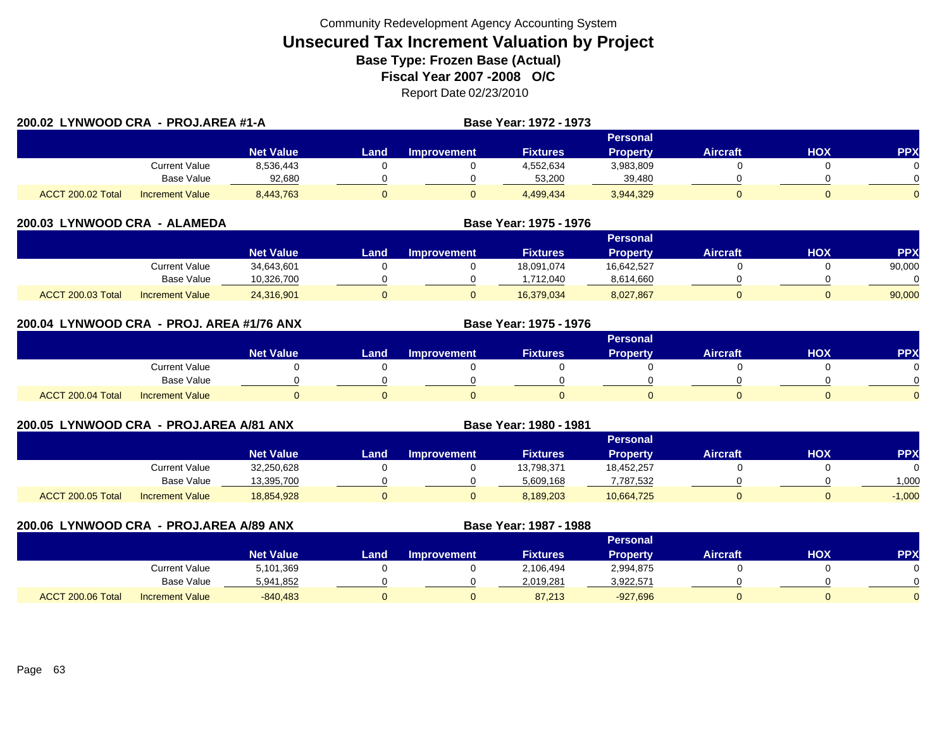|                   | 200.02 LYNWOOD CRA - PROJ.AREA #1-A |                  |       |                    | Base Year: 1972 - 1973 |                 |                 |     |            |
|-------------------|-------------------------------------|------------------|-------|--------------------|------------------------|-----------------|-----------------|-----|------------|
|                   |                                     |                  |       |                    |                        | <b>Personal</b> |                 |     |            |
|                   |                                     | <b>Net Value</b> | Landı | <b>Improvement</b> | <b>Fixtures</b>        | <b>Property</b> | <b>Aircraft</b> | нох | <b>PPX</b> |
|                   | Current Value                       | 8,536,443        |       |                    | 4,552,634              | 3,983,809       |                 |     |            |
|                   | Base Value                          | 92,680           |       |                    | 53,200                 | 39,480          |                 |     |            |
| ACCT 200.02 Total | <b>Increment Value</b>              | 8,443,763        |       |                    | 4,499,434              | 3,944,329       |                 |     | $\Omega$   |

| 200.03 LYNWOOD CRA - ALAMEDA |                        |                  |      | Base Year: 1975 - 1976 |                 |                 |                 |     |            |
|------------------------------|------------------------|------------------|------|------------------------|-----------------|-----------------|-----------------|-----|------------|
|                              |                        |                  |      |                        |                 | <b>Personal</b> |                 |     |            |
|                              |                        | <b>Net Value</b> | Land | <b>Improvement</b>     | <b>Fixtures</b> | <b>Property</b> | <b>Aircraft</b> | нох | <b>PPX</b> |
|                              | Current Value          | 34,643,601       |      |                        | 18.091.074      | 16,642,527      |                 |     | 90,000     |
|                              | Base Value             | 10,326,700       |      |                        | .712.040        | 8,614,660       |                 |     |            |
| ACCT 200.03 Total            | <b>Increment Value</b> | 24,316,901       |      |                        | 16.379.034      | 8,027,867       |                 |     | 90,000     |

| 200.04 LYNWOOD CRA - PROJ. AREA #1/76 ANX |                        |                  |      |                    | Base Year: 1975 - 1976 |                 |                 |     |                 |
|-------------------------------------------|------------------------|------------------|------|--------------------|------------------------|-----------------|-----------------|-----|-----------------|
|                                           |                        |                  |      |                    |                        | <b>Personal</b> |                 |     |                 |
|                                           |                        | <b>Net Value</b> | Land | <b>Improvement</b> | <b>Fixtures</b>        | <b>Property</b> | <b>Aircraft</b> | нох | PP <sub>2</sub> |
|                                           | <b>Current Value</b>   |                  |      |                    |                        |                 |                 |     |                 |
|                                           | <b>Base Value</b>      |                  |      |                    |                        |                 |                 |     |                 |
| ACCT 200.04 Total                         | <b>Increment Value</b> |                  |      |                    |                        |                 |                 |     |                 |

| 200.05 LYNWOOD CRA - PROJ.AREA A/81 ANX |                        |                  |      |                    | Base Year: 1980 - 1981 |                 |                 |     |            |
|-----------------------------------------|------------------------|------------------|------|--------------------|------------------------|-----------------|-----------------|-----|------------|
|                                         |                        |                  |      |                    |                        | <b>Personal</b> |                 |     |            |
|                                         |                        | <b>Net Value</b> | Land | <b>Improvement</b> | <b>Fixtures</b>        | <b>Property</b> | <b>Aircraft</b> | HOX | <b>PPX</b> |
|                                         | Current Value          | 32,250,628       |      |                    | 13,798,371             | 18,452,257      |                 |     | 0          |
|                                         | <b>Base Value</b>      | 13,395,700       |      |                    | 5,609,168              | 7,787,532       |                 |     | 1.000      |
| ACCT 200.05 Total                       | <b>Increment Value</b> | 18,854,928       |      |                    | 8,189,203              | 10,664,725      |                 |     | $-1,000$   |

| 200.06 LYNWOOD CRA - PROJ.AREA A/89 ANX |                        |                  | Base Year: 1987 - 1988 |                    |                 |                 |                 |            |            |
|-----------------------------------------|------------------------|------------------|------------------------|--------------------|-----------------|-----------------|-----------------|------------|------------|
|                                         |                        |                  |                        |                    |                 | Personal        |                 |            |            |
|                                         |                        | <b>Net Value</b> | Land                   | <b>Improvement</b> | <b>Fixtures</b> | <b>Property</b> | <b>Aircraft</b> | <b>NOH</b> | <b>PPX</b> |
|                                         | <b>Current Value</b>   | 5,101,369        |                        |                    | 2,106,494       | 2,994,875       |                 |            |            |
|                                         | Base Value             | 5,941,852        |                        |                    | 2,019,281       | 3,922,571       |                 |            |            |
| ACCT 200.06 Total                       | <b>Increment Value</b> | $-840.483$       |                        |                    | 87,213          | $-927,696$      |                 |            |            |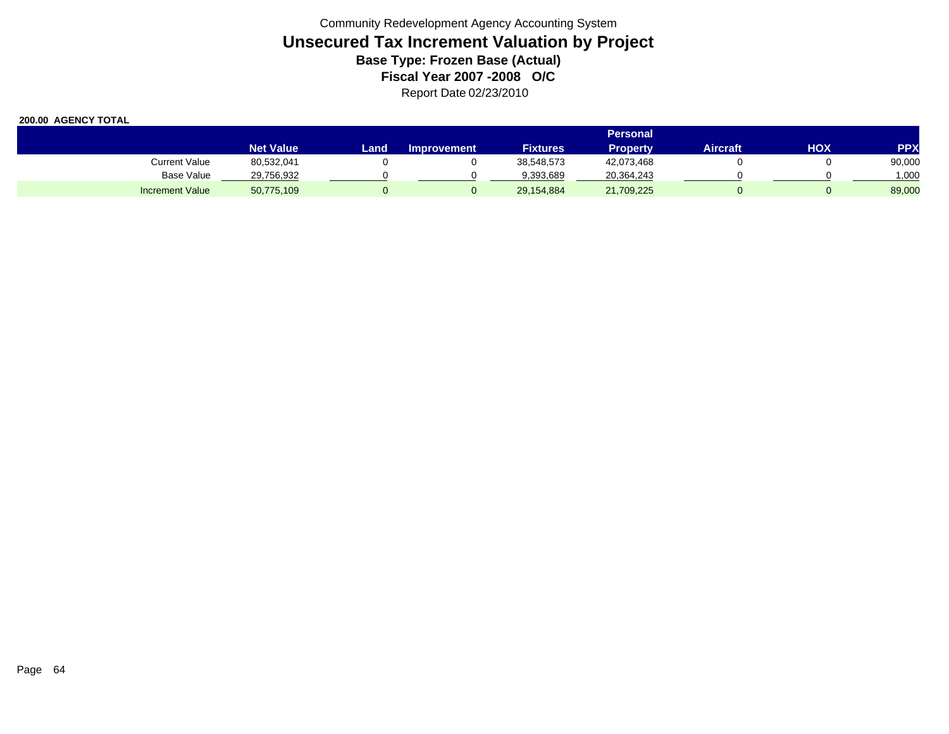|                        |                  | <b>Personal</b> |                    |                 |                 |          |            |            |  |  |
|------------------------|------------------|-----------------|--------------------|-----------------|-----------------|----------|------------|------------|--|--|
|                        | <b>Net Value</b> | Land            | <b>Improvement</b> | <b>Fixtures</b> | <b>Property</b> | Aircraft | <b>HOX</b> | <b>PPX</b> |  |  |
| Current Value          | 80,532,041       |                 |                    | 38,548,573      | 42,073,468      |          |            | 90,000     |  |  |
| Base Value             | 29,756,932       |                 |                    | 9,393,689       | 20,364,243      |          |            | 000,       |  |  |
| <b>Increment Value</b> | 50,775,109       |                 |                    | 29,154,884      | 21,709,225      |          |            | 89,000     |  |  |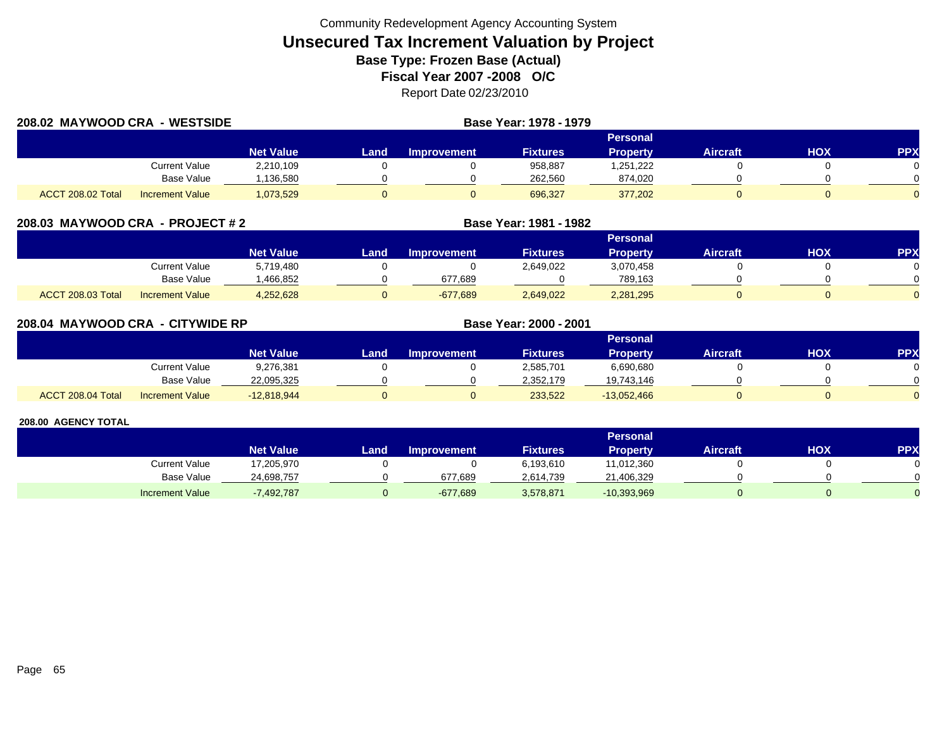| 208.02 MAYWOOD CRA - WESTSIDE |                        |                  | Base Year: 1978 - 1979 |                    |                 |                 |                 |            |            |
|-------------------------------|------------------------|------------------|------------------------|--------------------|-----------------|-----------------|-----------------|------------|------------|
|                               |                        |                  |                        |                    |                 | Personal        |                 |            |            |
|                               |                        | <b>Net Value</b> | Land                   | <b>Improvement</b> | <b>Fixtures</b> | <b>Property</b> | <b>Aircraft</b> | <b>HOX</b> | <b>PPX</b> |
|                               | Current Value          | 2,210,109        |                        |                    | 958,887         | 1,251,222       |                 |            |            |
|                               | Base Value             | ,136,580         |                        |                    | 262,560         | 874,020         |                 |            |            |
| ACCT 208.02 Total             | <b>Increment Value</b> | 1,073,529        |                        |                    | 696,327         | 377,202         |                 |            |            |

| 208.03 MAYWOOD CRA - PROJECT # 2 |  |
|----------------------------------|--|
|----------------------------------|--|

|                                                    |                        | Personal |                    |                 |           |                 |            |           |  |  |
|----------------------------------------------------|------------------------|----------|--------------------|-----------------|-----------|-----------------|------------|-----------|--|--|
|                                                    | <b>Net Value</b>       | Land     | <b>Improvement</b> | <b>Fixtures</b> | Property  | <b>Aircraft</b> | <b>HOX</b> | <b>PP</b> |  |  |
| Current Value                                      | 5,719,480              |          |                    | 2,649,022       | 3,070,458 |                 |            |           |  |  |
|                                                    | Base Value<br>.466.852 |          | 677.689            |                 | 789.163   |                 |            |           |  |  |
| <b>ACCT 208.03 Total</b><br><b>Increment Value</b> | 4,252,628              |          | $-677,689$         | 2,649,022       | 2,281,295 |                 |            |           |  |  |

**MAYWOOD CRA - PROJECT # 2 Base Year: 1981 - 1982**

| 208.04 MAYWOOD CRA - CITYWIDE RP |                        |                  | Base Year: 2000 - 2001 |                    |                 |                 |                 |            |          |
|----------------------------------|------------------------|------------------|------------------------|--------------------|-----------------|-----------------|-----------------|------------|----------|
|                                  |                        |                  |                        |                    |                 | Personal        |                 |            |          |
|                                  |                        | <b>Net Value</b> | Land                   | <b>Improvement</b> | <b>Fixtures</b> | <b>Property</b> | <b>Aircraft</b> | <b>HOX</b> | PPX      |
|                                  | Current Value          | 9,276,381        |                        |                    | 2,585,701       | 6,690,680       |                 |            | $\Omega$ |
|                                  | <b>Base Value</b>      | 22,095,325       |                        |                    | 2,352,179       | 19,743,146      |                 |            | $\Omega$ |
| ACCT 208.04 Total                | <b>Increment Value</b> | $-12,818,944$    |                        |                    | 233,522         | $-13,052,466$   |                 |            | $\Omega$ |

|                        |                  | Personal |                    |                 |               |                 |     |            |  |  |
|------------------------|------------------|----------|--------------------|-----------------|---------------|-----------------|-----|------------|--|--|
|                        | <b>Net Value</b> | Land     | <b>Improvement</b> | <b>Fixtures</b> | Property      | <b>Aircraft</b> | нох | <b>PPX</b> |  |  |
| Current Value          | 17,205,970       |          |                    | 6,193,610       | 11,012,360    |                 |     |            |  |  |
| <b>Base Value</b>      | 24,698,757       |          | 677.689            | 2.614.739       | 21,406,329    |                 |     |            |  |  |
| <b>Increment Value</b> | 7,492,787        |          | $-677,689$         | 3,578,871       | $-10,393,969$ |                 |     |            |  |  |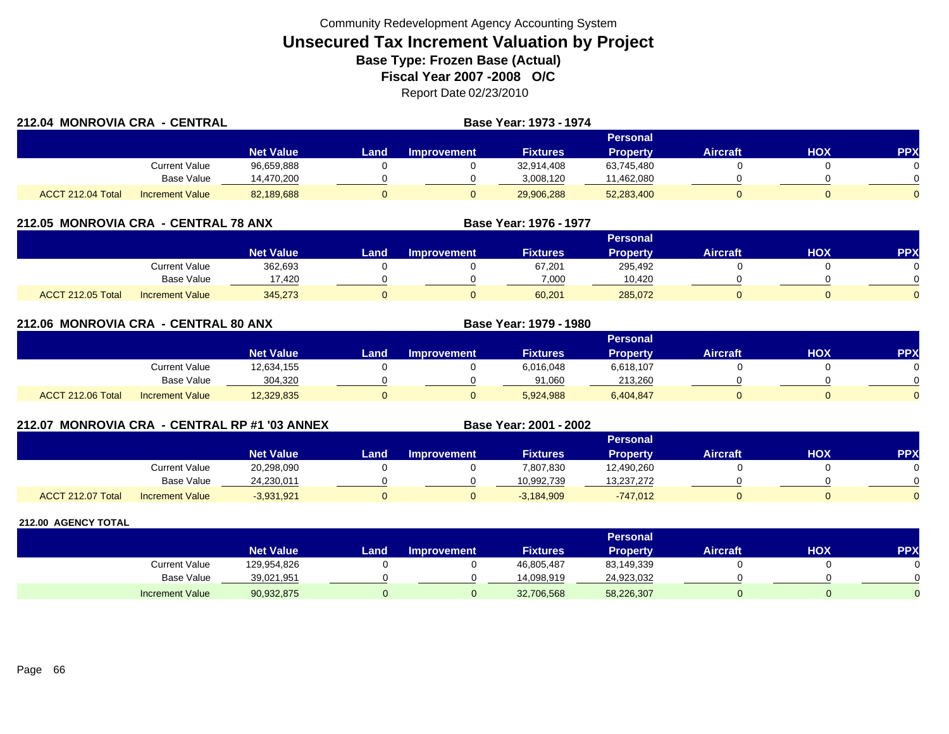| 212.04 MONROVIA CRA - CENTRAL |                        |                  |      |                    | Base Year: 1973 - 1974 |                 |                 |     |            |
|-------------------------------|------------------------|------------------|------|--------------------|------------------------|-----------------|-----------------|-----|------------|
|                               |                        |                  |      |                    |                        | Personal        |                 |     |            |
|                               |                        | <b>Net Value</b> | Land | <b>Improvement</b> | <b>Fixtures</b>        | <b>Property</b> | <b>Aircraft</b> | HOX | <b>PPX</b> |
|                               | Current Value          | 96,659,888       |      |                    | 32,914,408             | 63,745,480      |                 |     |            |
|                               | <b>Base Value</b>      | 14,470,200       |      |                    | 3,008,120              | 11,462,080      |                 |     |            |
| ACCT 212.04 Total             | <b>Increment Value</b> | 82,189,688       |      |                    | 29,906,288             | 52,283,400      |                 |     |            |

### **212.05 MONROVIA CRA - CENTRAL 78 ANX**

|                          |                        |                        | <b>Personal</b> |             |                 |          |                 |            |           |  |  |
|--------------------------|------------------------|------------------------|-----------------|-------------|-----------------|----------|-----------------|------------|-----------|--|--|
|                          |                        | Net Value <sup>1</sup> | Land            | Improvement | <b>Fixtures</b> | Property | <b>Aircraft</b> | <b>HOX</b> | <b>PP</b> |  |  |
|                          | Current Value          | 362,693                |                 |             | 67,201          | 295,492  |                 |            |           |  |  |
|                          | <b>Base Value</b>      | 17.420                 |                 |             | 7.000           | 10.420   |                 |            |           |  |  |
| <b>ACCT 212.05 Total</b> | <b>Increment Value</b> | 345,273                |                 |             | 60,201          | 285,072  |                 |            |           |  |  |

**Base Year: 1976 - 1977**

**Base Year: 2001 - 2002**

| 212.06 MONROVIA CRA - CENTRAL 80 ANX |                        |                  |                 | Base Year: 1979 - 1980 |                 |                 |                 |            |            |
|--------------------------------------|------------------------|------------------|-----------------|------------------------|-----------------|-----------------|-----------------|------------|------------|
|                                      |                        |                  | <b>Personal</b> |                        |                 |                 |                 |            |            |
|                                      |                        | <b>Net Value</b> | Land            | <b>Improvement</b>     | <b>Fixtures</b> | <b>Property</b> | <b>Aircraft</b> | <b>NOH</b> | <b>PPX</b> |
|                                      | Current Value          | 12,634,155       |                 |                        | 6,016,048       | 6,618,107       |                 |            |            |
|                                      | <b>Base Value</b>      | 304,320          |                 |                        | 91,060          | 213,260         |                 |            |            |
| ACCT 212.06 Total                    | <b>Increment Value</b> | 12,329,835       |                 |                        | 5,924,988       | 6,404,847       |                 |            |            |

### **212.07 MONROVIA CRA - CENTRAL RP #1 '03 ANNEX**

|                          |                        |                  | <b>Personal</b> |             |                 |                 |          |            |          |  |  |
|--------------------------|------------------------|------------------|-----------------|-------------|-----------------|-----------------|----------|------------|----------|--|--|
|                          |                        | <b>Net Value</b> | _and            | Improvement | <b>Fixtures</b> | <b>Property</b> | Aircraft | <b>HOX</b> | PPX      |  |  |
|                          | Current Value          | 20,298,090       |                 |             | 7,807,830       | 12,490,260      |          |            |          |  |  |
|                          | <b>Base Value</b>      | 24,230,011       |                 |             | 10.992.739      | 13,237,272      |          |            | ∩        |  |  |
| <b>ACCT 212.07 Total</b> | <b>Increment Value</b> | $-3,931,921$     |                 |             | $-3,184,909$    | $-747.012$      |          |            | $\Omega$ |  |  |

|                        |                  |      |                    |                 | Personal   |                 |     |              |
|------------------------|------------------|------|--------------------|-----------------|------------|-----------------|-----|--------------|
|                        | <b>Net Value</b> | Land | <b>Improvement</b> | <b>Fixtures</b> | Property   | <b>Aircraft</b> | нох | PPX          |
| <b>Current Value</b>   | 129,954,826      |      |                    | 46,805,487      | 83,149,339 |                 |     | 0            |
| <b>Base Value</b>      | 39,021,951       |      |                    | 14.098.919      | 24,923,032 |                 |     | <sup>n</sup> |
| <b>Increment Value</b> | 90,932,875       |      |                    | 32,706,568      | 58,226,307 |                 |     |              |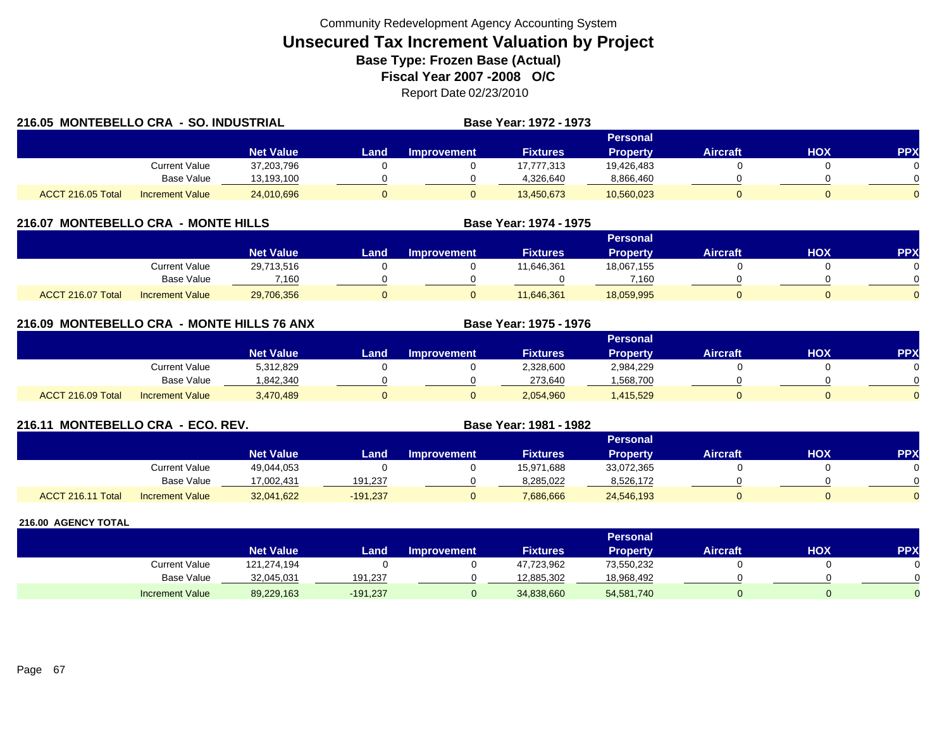| 216.05 MONTEBELLO CRA - SO. INDUSTRIAL |                        |                  |                 |                    | Base Year: 1972 - 1973 |                 |                 |     |            |
|----------------------------------------|------------------------|------------------|-----------------|--------------------|------------------------|-----------------|-----------------|-----|------------|
|                                        |                        |                  | <b>Personal</b> |                    |                        |                 |                 |     |            |
|                                        |                        | <b>Net Value</b> | Land.           | <b>Improvement</b> | <b>Fixtures</b>        | <b>Property</b> | <b>Aircraft</b> | нох | <b>PPX</b> |
|                                        | Current Value          | 37,203,796       |                 |                    | 17,777,313             | 19,426,483      |                 |     |            |
|                                        | Base Value             | 13,193,100       |                 |                    | 4,326,640              | 8,866,460       |                 |     |            |
| ACCT 216.05 Total                      | <b>Increment Value</b> | 24,010,696       |                 |                    | 13,450,673             | 10,560,023      |                 |     |            |

### **216.07 MONTEBELLO CRA - MONTE HILLS**

|                                             |                  |      |                    |                 | Personal   |                 |     |          |
|---------------------------------------------|------------------|------|--------------------|-----------------|------------|-----------------|-----|----------|
|                                             | <b>Net Value</b> | Land | <b>Improvement</b> | <b>Fixtures</b> | Property   | <b>Aircraft</b> | HOX | PPX      |
| Current Value                               | 29,713,516       |      |                    | 11,646,361      | 18,067,155 |                 |     |          |
| Base Value                                  | 7.160            |      |                    |                 | 7.160      |                 |     | ∩        |
| ACCT 216.07 Total<br><b>Increment Value</b> | 29,706,356       |      |                    | 11,646,361      | 18,059,995 |                 |     | $\Omega$ |

**Base Year: 1974 - 1975**

**Base Year: 1975 - 1976**

### **216.09 MONTEBELLO CRA - MONTE HILLS 76 ANX**

|                   |                        |                  |      |                    |                 | Personal  |                 |            |           |
|-------------------|------------------------|------------------|------|--------------------|-----------------|-----------|-----------------|------------|-----------|
|                   |                        | <b>Net Value</b> | Land | <b>Improvement</b> | <b>Fixtures</b> | Property  | <b>Aircraft</b> | <b>HOX</b> | <b>PP</b> |
|                   | Current Value          | 5,312,829        |      |                    | 2,328,600       | 2,984,229 |                 |            |           |
|                   | <b>Base Value</b>      | 1,842,340        |      |                    | 273,640         | .568,700  |                 |            |           |
| ACCT 216.09 Total | <b>Increment Value</b> | 3,470,489        |      |                    | 2,054,960       | 1,415,529 |                 |            |           |

### **216.11 MONTEBELLO CRA - ECO. REV. Base Year: 1981 - 1982**

|                   |                        |                  |            |             |                 | Personal        |                 |     |     |
|-------------------|------------------------|------------------|------------|-------------|-----------------|-----------------|-----------------|-----|-----|
|                   |                        | <b>Net Value</b> | Land.      | Improvement | <b>Fixtures</b> | <b>Property</b> | <b>Aircraft</b> | нох | PPX |
|                   | Current Value          | 49,044,053       |            |             | 15,971,688      | 33,072,365      |                 |     |     |
|                   | <b>Base Value</b>      | 17.002.431       | 191.237    |             | 8,285,022       | 8,526,172       |                 |     |     |
| ACCT 216.11 Total | <b>Increment Value</b> | 32,041,622       | $-191,237$ |             | 7,686,666       | 24,546,193      |                 |     |     |

|                        |                  |            |                    |                 | <b>Personal</b> |                 |     |     |
|------------------------|------------------|------------|--------------------|-----------------|-----------------|-----------------|-----|-----|
|                        | <b>Net Value</b> | Land       | <b>Improvement</b> | <b>Fixtures</b> | Property        | <b>Aircraft</b> | нох | PPX |
| Current Value          | 121,274,194      |            |                    | 47,723,962      | 73,550,232      |                 |     |     |
| Base Value             | 32,045,031       | 191,237    |                    | 12,885,302      | 18,968,492      |                 |     | 0   |
| <b>Increment Value</b> | 89,229,163       | $-191,237$ |                    | 34,838,660      | 54,581,740      |                 |     |     |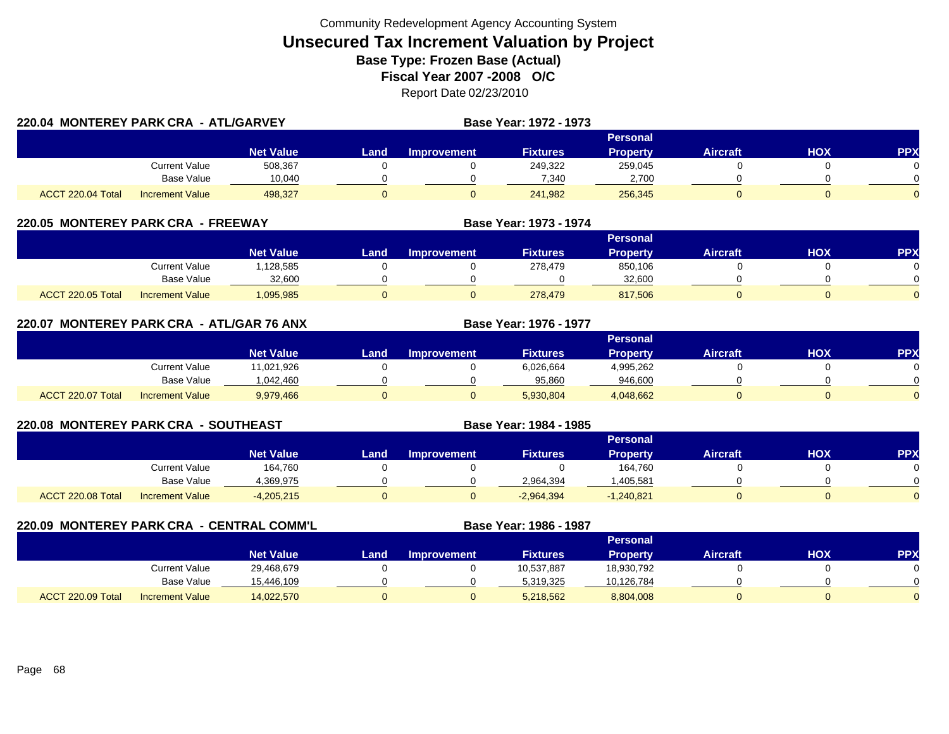| 220.04 MONTEREY PARK CRA - ATL/GARVEY |                        |                  |      | Base Year: 1972 - 1973 |                 |                 |                 |            |            |
|---------------------------------------|------------------------|------------------|------|------------------------|-----------------|-----------------|-----------------|------------|------------|
|                                       |                        |                  |      |                        |                 | <b>Personal</b> |                 |            |            |
|                                       |                        | <b>Net Value</b> | Land | <b>Improvement</b>     | <b>Fixtures</b> | <b>Property</b> | <b>Aircraft</b> | <b>HOX</b> | <b>PPX</b> |
|                                       | Current Value          | 508,367          |      |                        | 249,322         | 259,045         |                 |            |            |
|                                       | Base Value             | 10,040           |      |                        | 7,340           | 2,700           |                 |            |            |
| ACCT 220.04 Total                     | <b>Increment Value</b> | 498.327          |      |                        | 241,982         | 256,345         |                 |            |            |

### **220.05 MONTEREY PARK CRA - FREEWAY**

|                   |                        |                  |      |                    |                 | Personal        |                 |            |            |
|-------------------|------------------------|------------------|------|--------------------|-----------------|-----------------|-----------------|------------|------------|
|                   |                        | <b>Net Value</b> | Land | <b>Improvement</b> | <b>Fixtures</b> | <b>Property</b> | <b>Aircraft</b> | <b>XOH</b> | <b>PPX</b> |
|                   | Current Value          | ,128,585         |      |                    | 278,479         | 850,106         |                 |            |            |
|                   | <b>Base Value</b>      | 32.600           |      |                    |                 | 32.600          |                 |            | 0          |
| ACCT 220.05 Total | <b>Increment Value</b> | 1,095,985        |      |                    | 278,479         | 817,506         |                 |            |            |

**Base Year: 1973 - 1974**

**Base Year: 1976 - 1977**

**Base Year: 1984 - 1985**

|  |  | 220.07 MONTEREY PARK CRA -ATL/GAR 76 ANX |  |
|--|--|------------------------------------------|--|
|--|--|------------------------------------------|--|

|                   |                        |                  |      |             |                 | Personal        |                 |     |     |
|-------------------|------------------------|------------------|------|-------------|-----------------|-----------------|-----------------|-----|-----|
|                   |                        | <b>Net Value</b> | Land | Improvement | <b>Fixtures</b> | <b>Property</b> | <b>Aircraft</b> | нох | PPX |
|                   | <b>Current Value</b>   | 11,021,926       |      |             | 6,026,664       | 4,995,262       |                 |     |     |
|                   | <b>Base Value</b>      | 1.042.460        |      |             | 95,860          | 946.600         |                 |     |     |
| ACCT 220.07 Total | <b>Increment Value</b> | 9,979,466        |      |             | 5,930,804       | 4,048,662       |                 |     |     |

### **220.08 MONTEREY PARK CRA - SOUTHEAST**

|                                             |                  |       |                    |                 | Personal        |                 |            |           |
|---------------------------------------------|------------------|-------|--------------------|-----------------|-----------------|-----------------|------------|-----------|
|                                             | <b>Net Value</b> | Land, | <b>Improvement</b> | <b>Fixtures</b> | <b>Property</b> | <b>Aircraft</b> | <b>HOX</b> | <b>PP</b> |
| Current Value                               | 164,760          |       |                    |                 | 164,760         |                 |            |           |
| <b>Base Value</b>                           | 1,369,975        |       |                    | 2,964,394       | ,405,581        |                 |            |           |
| ACCT 220.08 Total<br><b>Increment Value</b> | $-4,205,215$     |       |                    | $-2,964,394$    | $-1,240,821$    |                 |            |           |

**220.09 MONTEREY PARK CRA - CENTRAL COMM'L Base Year: 1986 - 1987 Personal Net Value Land Improvement Fixtures Property Aircraft HOX PPX** Current Value 29,468,679 0 0 10,537,887 18,930,792 0 0 0 Base Value 15,446,109 0 0 5,319,325 10,126,784 0 0 ACCT 220.09 Totall Increment Value 14,022,570 0 5,218,562 8,804,008 0 0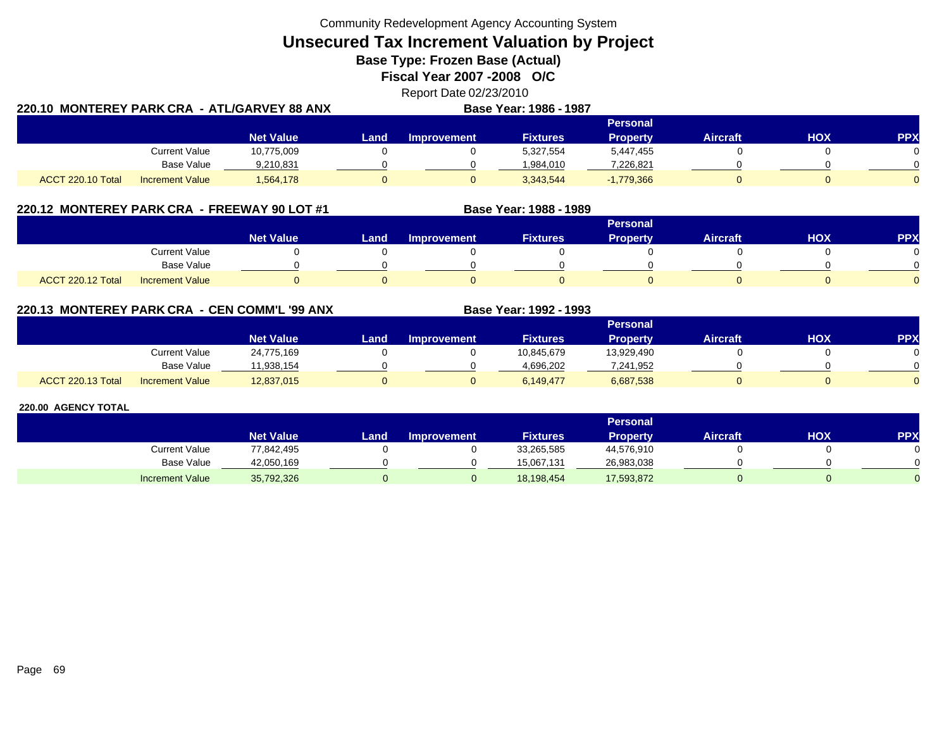**Unsecured Tax Increment Valuation by Project**

**Base Type: Frozen Base (Actual)** 

**Fiscal Year 2007 -2008 O/C**

|                                                | Report Date 02/23/2010        |  |
|------------------------------------------------|-------------------------------|--|
| 220.10  MONTEREY PARK CRA  - ATL/GARVEY 88 ANX | <b>Base Year: 1986 - 1987</b> |  |

|                   |                        |                  | Personal |                    |                 |              |                 |     |            |  |  |  |
|-------------------|------------------------|------------------|----------|--------------------|-----------------|--------------|-----------------|-----|------------|--|--|--|
|                   |                        | <b>Net Value</b> | Land     | <b>Improvement</b> | <b>Fixtures</b> | Property     | <b>Aircraft</b> | HOX | <b>PPX</b> |  |  |  |
|                   | <b>Current Value</b>   | 10,775,009       |          |                    | 5,327,554       | 5,447,455    |                 |     |            |  |  |  |
|                   | <b>Base Value</b>      | 9,210,831        |          |                    | 1,984,010       | 7,226,821    |                 |     | 0          |  |  |  |
| ACCT 220.10 Total | <b>Increment Value</b> | 1,564,178        |          |                    | 3,343,544       | $-1,779,366$ |                 |     | $\Omega$   |  |  |  |

### **220.12 MONTEREY PARK CRA - FREEWAY 90 LOT #1 Base Year: 1988 - 1989**

|                   |                        |                  |      |                    |                 | <b>Personal</b> |                 |            |          |
|-------------------|------------------------|------------------|------|--------------------|-----------------|-----------------|-----------------|------------|----------|
|                   |                        | <b>Net Value</b> | Land | <b>Improvement</b> | <b>Fixtures</b> | <b>Property</b> | <b>Aircraft</b> | <b>HOX</b> | PPX      |
|                   | <b>Current Value</b>   |                  |      |                    |                 |                 |                 |            |          |
|                   | <b>Base Value</b>      |                  |      |                    |                 |                 |                 |            |          |
| ACCT 220.12 Total | <b>Increment Value</b> |                  |      |                    |                 |                 |                 |            | $\Omega$ |

### **220.13 MONTEREY PARK CRA - CEN COMM'L '99 ANX**

|                          |                        |                  |      |                    |                 | Personal   |                 |            |          |
|--------------------------|------------------------|------------------|------|--------------------|-----------------|------------|-----------------|------------|----------|
|                          |                        | <b>Net Value</b> | Land | <b>Improvement</b> | <b>Fixtures</b> | Property   | <b>Aircraft</b> | <b>HOX</b> | PPX      |
|                          | <b>Current Value</b>   | 24,775,169       |      |                    | 10,845,679      | 13,929,490 |                 |            |          |
|                          | <b>Base Value</b>      | 1.938.154        |      |                    | 4,696,202       | 7,241,952  |                 |            | 0        |
| <b>ACCT 220.13 Total</b> | <b>Increment Value</b> | 12,837,015       |      |                    | 6.149.477       | 6,687,538  |                 |            | $\Omega$ |

**Base Year: 1992 - 1993**

|                        |                  |       |                    |                 | <b>Personal</b> |                 |            |           |
|------------------------|------------------|-------|--------------------|-----------------|-----------------|-----------------|------------|-----------|
|                        | <b>Net Value</b> | Land, | <b>Improvement</b> | <b>Fixtures</b> | Property        | <b>Aircraft</b> | <b>HOX</b> | <b>PP</b> |
| <b>Current Value</b>   | 77,842,495       |       |                    | 33,265,585      | 44,576,910      |                 |            |           |
| <b>Base Value</b>      | 42,050,169       |       |                    | 15.067.131      | 26,983,038      |                 |            |           |
| <b>Increment Value</b> | 35,792,326       |       |                    | 18,198,454      | 17,593,872      |                 |            |           |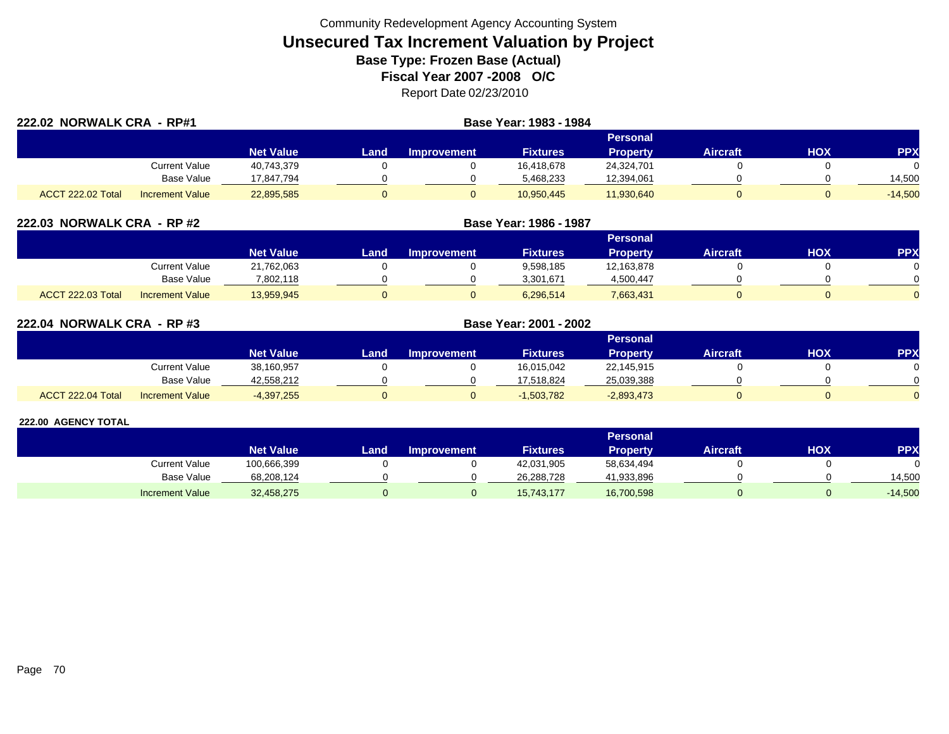| 222.02 NORWALK CRA - RP#1 |                        |                  | Base Year: 1983 - 1984 |                    |                 |                 |                 |     |            |
|---------------------------|------------------------|------------------|------------------------|--------------------|-----------------|-----------------|-----------------|-----|------------|
|                           |                        |                  |                        |                    |                 | Personal        |                 |     |            |
|                           |                        | <b>Net Value</b> | Land                   | <b>Improvement</b> | <b>Fixtures</b> | <b>Property</b> | <b>Aircraft</b> | нох | <b>PPX</b> |
|                           | Current Value          | 40,743,379       |                        |                    | 16,418,678      | 24,324,701      |                 |     | $\Omega$   |
|                           | <b>Base Value</b>      | 17.847.794       |                        |                    | 5,468,233       | 12,394,061      |                 |     | 14,500     |
| ACCT 222.02 Total         | <b>Increment Value</b> | 22,895,585       |                        |                    | 10,950,445      | 11,930,640      |                 |     | $-14,500$  |

| 222.03 NORWALK CRA - RP #2 |                        |                  |      | Base Year: 1986 - 1987 |                 |                 |                 |     |            |
|----------------------------|------------------------|------------------|------|------------------------|-----------------|-----------------|-----------------|-----|------------|
|                            |                        |                  |      |                        |                 | Personal        |                 |     |            |
|                            |                        | <b>Net Value</b> | Land | <b>Improvement</b>     | <b>Fixtures</b> | <b>Property</b> | <b>Aircraft</b> | нох | <b>PPX</b> |
|                            | Current Value          | 21,762,063       |      |                        | 9,598,185       | 12,163,878      |                 |     |            |
|                            | <b>Base Value</b>      | 7,802,118        |      |                        | 3,301,671       | 4,500,447       |                 |     |            |
| <b>ACCT 222.03 Total</b>   | <b>Increment Value</b> | 13,959,945       |      |                        | 6,296,514       | 7,663,431       |                 |     |            |

| 222.04 NORWALK CRA - RP #3 |                        |                  | Base Year: 2001 - 2002 |             |                 |                 |                 |     |                |
|----------------------------|------------------------|------------------|------------------------|-------------|-----------------|-----------------|-----------------|-----|----------------|
|                            |                        |                  |                        |             |                 | Personal        |                 |     |                |
|                            |                        | <b>Net Value</b> | Land.                  | Improvement | <b>Fixtures</b> | <b>Property</b> | <b>Aircraft</b> | ΗΟΧ | <b>PPX</b>     |
|                            | Current Value          | 38,160,957       |                        |             | 16,015,042      | 22,145,915      |                 |     | 0              |
|                            | Base Value             | 42,558,212       |                        |             | 17.518.824      | 25,039,388      |                 |     | $\Omega$       |
| ACCT 222.04 Total          | <b>Increment Value</b> | $-4,397,255$     |                        |             | $-1,503,782$    | $-2,893,473$    |                 |     | $\overline{0}$ |

|                        |                  |      |                    |                 | <b>Personal</b> |                 |     |            |
|------------------------|------------------|------|--------------------|-----------------|-----------------|-----------------|-----|------------|
|                        | <b>Net Value</b> | Land | <b>Improvement</b> | <b>Fixtures</b> | Property        | <b>Aircraft</b> | HOX | <b>PPX</b> |
| <b>Current Value</b>   | 100,666,399      |      |                    | 42,031,905      | 58,634,494      |                 |     |            |
| <b>Base Value</b>      | 68,208,124       |      |                    | 26,288,728      | 41,933,896      |                 |     | 14,500     |
| <b>Increment Value</b> | 32,458,275       |      |                    | 15,743,177      | 16,700,598      |                 |     | $-14,500$  |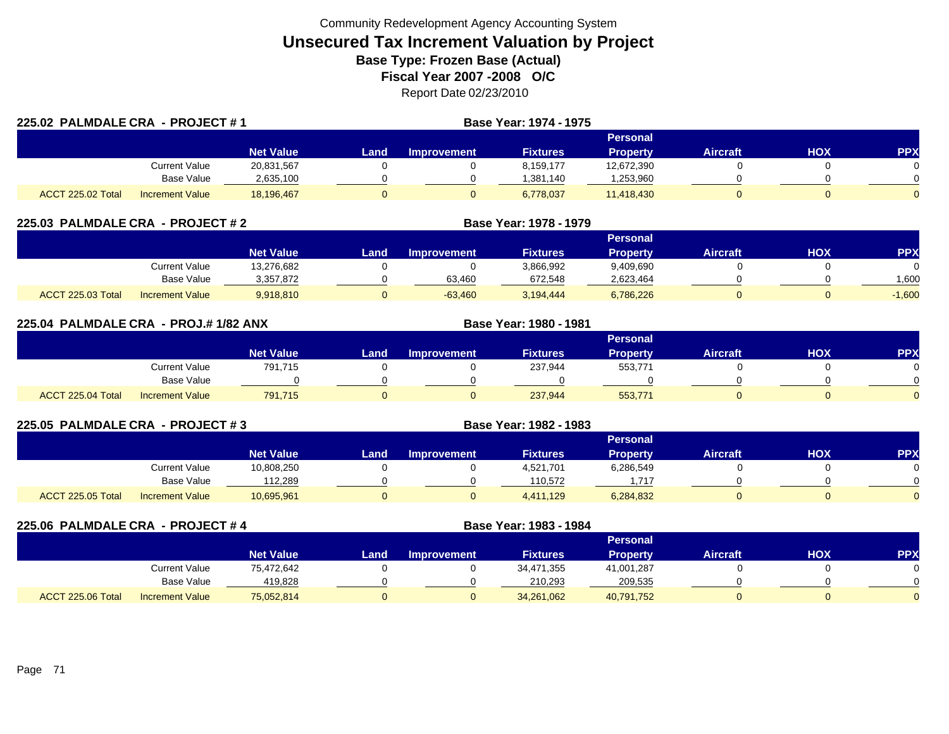| 225.02 PALMDALE CRA - PROJECT #1 |                        |                  |      |                    | Base Year: 1974 - 1975 |                 |                 |     |            |
|----------------------------------|------------------------|------------------|------|--------------------|------------------------|-----------------|-----------------|-----|------------|
|                                  |                        |                  |      |                    |                        | Personal        |                 |     |            |
|                                  |                        | <b>Net Value</b> | Land | <b>Improvement</b> | <b>Fixtures</b>        | <b>Property</b> | <b>Aircraft</b> | HOX | <b>PPX</b> |
|                                  | Current Value          | 20,831,567       |      |                    | 8.159.177              | 12,672,390      |                 |     |            |
|                                  | <b>Base Value</b>      | 2,635,100        |      |                    | 1.381.140              | ,253,960        |                 |     |            |
| ACCT 225.02 Total                | <b>Increment Value</b> | 18,196,467       |      |                    | 6,778,037              | 11,418,430      |                 |     | $\Omega$   |

| 225.03 PALMDALE CRA - PROJECT # 2 |                        |                  |      |                    | Base Year: 1978 - 1979 |                 |                 |     |           |
|-----------------------------------|------------------------|------------------|------|--------------------|------------------------|-----------------|-----------------|-----|-----------|
|                                   |                        |                  |      |                    |                        | <b>Personal</b> |                 |     |           |
|                                   |                        | <b>Net Value</b> | Land | <b>Improvement</b> | <b>Fixtures</b>        | Property        | <b>Aircraft</b> | HOX | <b>PP</b> |
|                                   | Current Value          | 13,276,682       |      |                    | 3,866,992              | 9,409,690       |                 |     |           |
|                                   | Base Value             | 3,357,872        |      | 63,460             | 672.548                | 2,623,464       |                 |     | 1.600     |
| <b>ACCT 225.03 Total</b>          | <b>Increment Value</b> | 9.918.810        |      | $-63.460$          | 3.194.444              | 6,786,226       |                 |     | $-1,600$  |

| 225.04 PALMDALE CRA - PROJ.#1/82 ANX |                        |                  |      |                    | Base Year: 1980 - 1981 |                 |                 |            |            |
|--------------------------------------|------------------------|------------------|------|--------------------|------------------------|-----------------|-----------------|------------|------------|
|                                      |                        |                  |      |                    |                        | <b>Personal</b> |                 |            |            |
|                                      |                        | <b>Net Value</b> | Land | <b>Improvement</b> | <b>Fixtures</b>        | <b>Property</b> | <b>Aircraft</b> | <b>HOX</b> | <b>PPX</b> |
|                                      | Current Value          | 791,715          |      |                    | 237,944                | 553,771         |                 |            | $\Omega$   |
|                                      | <b>Base Value</b>      |                  |      |                    |                        |                 |                 |            | $\Omega$   |
| ACCT 225.04 Total                    | <b>Increment Value</b> | 791.715          |      |                    | 237,944                | 553,771         |                 |            | $\Omega$   |

| 225.05 PALMDALE CRA - PROJECT #3 |                        |                  |      |                    |                 |                 |                 |     |            |
|----------------------------------|------------------------|------------------|------|--------------------|-----------------|-----------------|-----------------|-----|------------|
|                                  |                        |                  |      |                    |                 | <b>Personal</b> |                 |     |            |
|                                  |                        | <b>Net Value</b> | Land | <b>Improvement</b> | <b>Fixtures</b> | <b>Property</b> | <b>Aircraft</b> | нох | <b>PPX</b> |
|                                  | Current Value          | 10,808,250       |      |                    | 4,521,701       | 6,286,549       |                 |     |            |
|                                  | Base Value             | 112,289          |      |                    | 110,572         | .717            |                 |     |            |
| ACCT 225.05 Total                | <b>Increment Value</b> | 10,695,961       |      |                    | 4,411,129       | 6,284,832       |                 |     |            |

| 225.06 PALMDALE CRA - PROJECT # 4 |                        |                  |      |                    | Base Year: 1983 - 1984 |                 |                 |     |     |
|-----------------------------------|------------------------|------------------|------|--------------------|------------------------|-----------------|-----------------|-----|-----|
|                                   |                        |                  |      |                    |                        | <b>Personal</b> |                 |     |     |
|                                   |                        | <b>Net Value</b> | Land | <b>Improvement</b> | <b>Fixtures</b>        | <b>Property</b> | <b>Aircraft</b> | нох | PP) |
|                                   | Current Value          | 75,472,642       |      |                    | 34,471,355             | 41,001,287      |                 |     |     |
|                                   | <b>Base Value</b>      | 419,828          |      |                    | 210,293                | 209,535         |                 |     |     |
| ACCT 225.06 Total                 | <b>Increment Value</b> | 75,052,814       |      |                    | 34,261,062             | 40,791,752      |                 |     |     |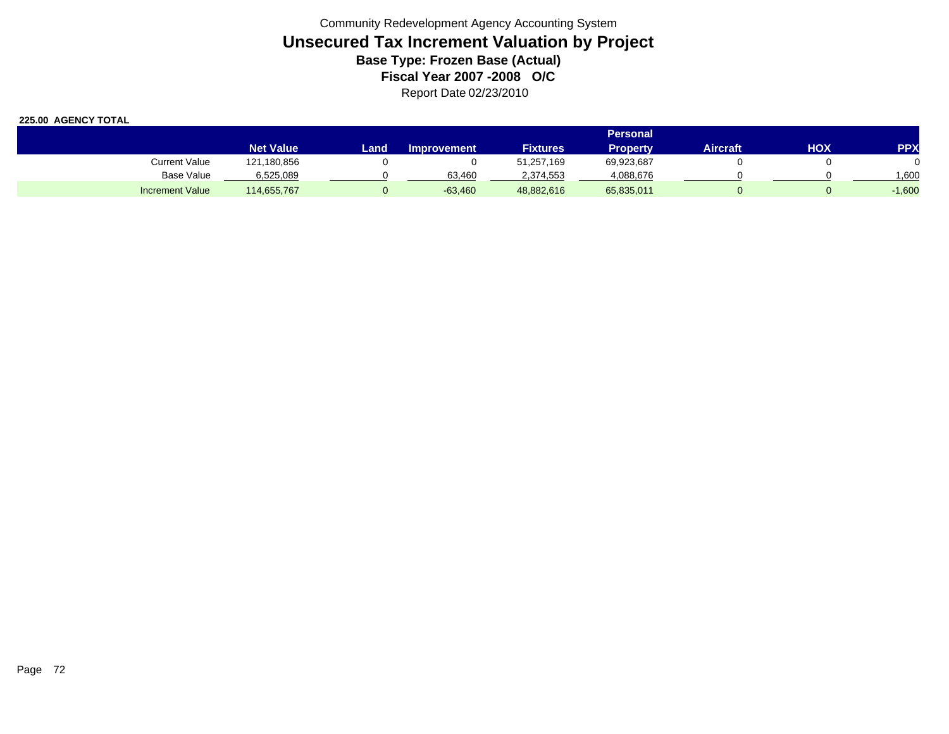|                        |                  | <b>Personal</b> |                    |                 |                 |          |     |          |  |  |  |
|------------------------|------------------|-----------------|--------------------|-----------------|-----------------|----------|-----|----------|--|--|--|
|                        | <b>Net Value</b> | Land.           | <b>Improvement</b> | <b>Fixtures</b> | <b>Property</b> | Aircraft | ΗΟΧ | PPX      |  |  |  |
| Current Value          | 121,180,856      |                 |                    | 51,257,169      | 69,923,687      |          |     |          |  |  |  |
| Base Value             | 6,525,089        |                 | 63.460             | 2,374,553       | 4,088,676       |          |     | .600     |  |  |  |
| <b>Increment Value</b> | 114,655,767      |                 | $-63,460$          | 48,882,616      | 65,835,011      |          |     | $-1,600$ |  |  |  |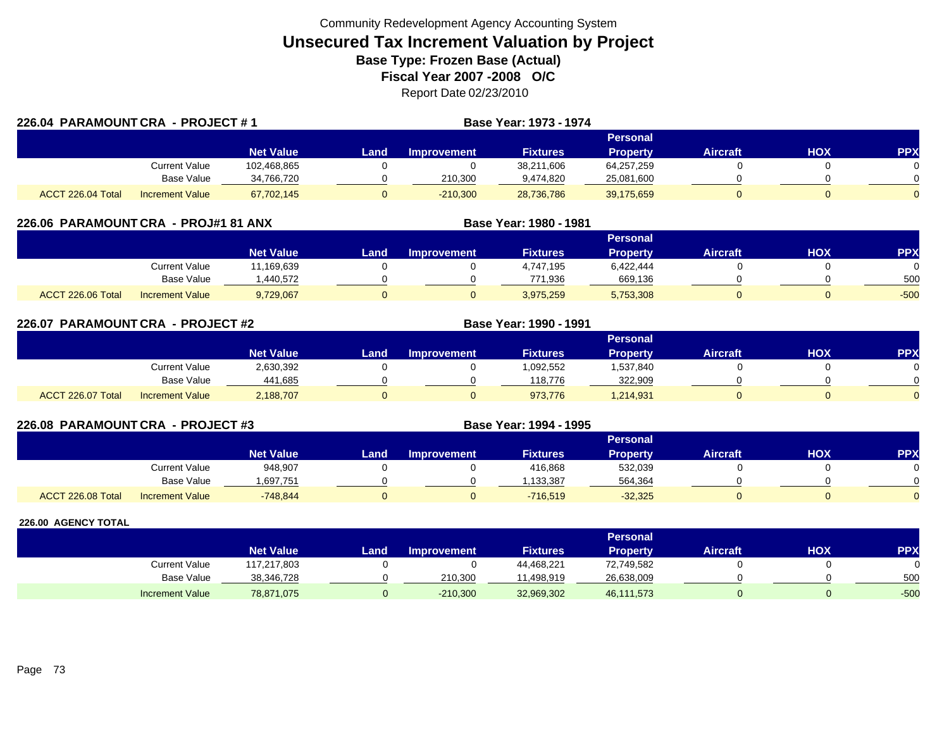|                   | 226.04 PARAMOUNT CRA - PROJECT #1 |                  |      |                    | <b>Base Year: 1973 - 1974</b> |                 |                 |     |            |
|-------------------|-----------------------------------|------------------|------|--------------------|-------------------------------|-----------------|-----------------|-----|------------|
|                   |                                   |                  |      |                    |                               | Personal        |                 |     |            |
|                   |                                   | <b>Net Value</b> | Land | <b>Improvement</b> | <b>Fixtures</b>               | <b>Property</b> | <b>Aircraft</b> | нох | <b>PPX</b> |
|                   | Current Value                     | 102,468,865      |      |                    | 38,211,606                    | 64,257,259      |                 |     |            |
|                   | <b>Base Value</b>                 | 34,766,720       |      | 210,300            | 9,474,820                     | 25,081,600      |                 |     |            |
| ACCT 226.04 Total | <b>Increment Value</b>            | 67,702,145       |      | $-210,300$         | 28,736,786                    | 39,175,659      |                 |     |            |

| 226.06 PARAMOUNT CRA - PROJ#1 81 ANX |                        |                  |      |                    | Base Year: 1980 - 1981 |                 |                 |     |            |
|--------------------------------------|------------------------|------------------|------|--------------------|------------------------|-----------------|-----------------|-----|------------|
|                                      |                        |                  |      |                    |                        | Personal        |                 |     |            |
|                                      |                        | <b>Net Value</b> | Land | <b>Improvement</b> | <b>Fixtures</b>        | <b>Property</b> | <b>Aircraft</b> | нох | <b>PPX</b> |
|                                      | <b>Current Value</b>   | 11,169,639       |      |                    | 4,747,195              | 6,422,444       |                 |     |            |
|                                      | <b>Base Value</b>      | .440.572         |      |                    | 771.936                | 669,136         |                 |     | 500        |
| ACCT 226.06 Total                    | <b>Increment Value</b> | 9,729,067        |      |                    | 3,975,259              | 5,753,308       |                 |     | $-500$     |

| 226.07 PARAMOUNT CRA - PROJECT #2 |                        |                  |      |                    | <b>Base Year: 1990 - 1991</b> |                 |                 |     |          |
|-----------------------------------|------------------------|------------------|------|--------------------|-------------------------------|-----------------|-----------------|-----|----------|
|                                   |                        |                  |      |                    |                               | Personal        |                 |     |          |
|                                   |                        | <b>Net Value</b> | Land | <b>Improvement</b> | <b>Fixtures</b>               | <b>Property</b> | <b>Aircraft</b> | HOX | PPX      |
|                                   | Current Value          | 2,630,392        |      |                    | 1,092,552                     | 1,537,840       |                 |     | 0        |
|                                   | <b>Base Value</b>      | 441,685          |      |                    | 118.776                       | 322,909         |                 |     | $\Omega$ |
| ACCT 226.07 Total                 | <b>Increment Value</b> | 2,188,707        |      |                    | 973,776                       | 1,214,931       |                 |     | $\Omega$ |

| 226.08 PARAMOUNT CRA - PROJECT #3 |                        |                  |       | Base Year: 1994 - 1995 |                 |                 |                 |     |           |
|-----------------------------------|------------------------|------------------|-------|------------------------|-----------------|-----------------|-----------------|-----|-----------|
|                                   |                        |                  |       |                        |                 | Personal        |                 |     |           |
|                                   |                        | <b>Net Value</b> | Land. | <b>Improvement</b>     | <b>Fixtures</b> | <b>Property</b> | <b>Aircraft</b> | нох | <b>PP</b> |
|                                   | Current Value          | 948.907          |       |                        | 416,868         | 532,039         |                 |     |           |
|                                   | Base Value             | 1,697,751        |       |                        | .133,387        | 564,364         |                 |     |           |
| ACCT 226.08 Total                 | <b>Increment Value</b> | $-748,844$       |       |                        | $-716.519$      | $-32,325$       |                 |     |           |

|                        |                  |      |                    |                 | <b>Personal</b> |                 |            |            |
|------------------------|------------------|------|--------------------|-----------------|-----------------|-----------------|------------|------------|
|                        | <b>Net Value</b> | Land | <b>Improvement</b> | <b>Fixtures</b> | Property        | <b>Aircraft</b> | <b>HOX</b> | <b>PPX</b> |
| Current Value          | 117,217,803      |      |                    | 44,468,221      | 72,749,582      |                 |            |            |
| <b>Base Value</b>      | 38,346,728       |      | 210,300            | 11,498,919      | 26,638,009      |                 |            | 500        |
| <b>Increment Value</b> | 78,871,075       |      | $-210,300$         | 32,969,302      | 46,111,573      |                 |            | $-500$     |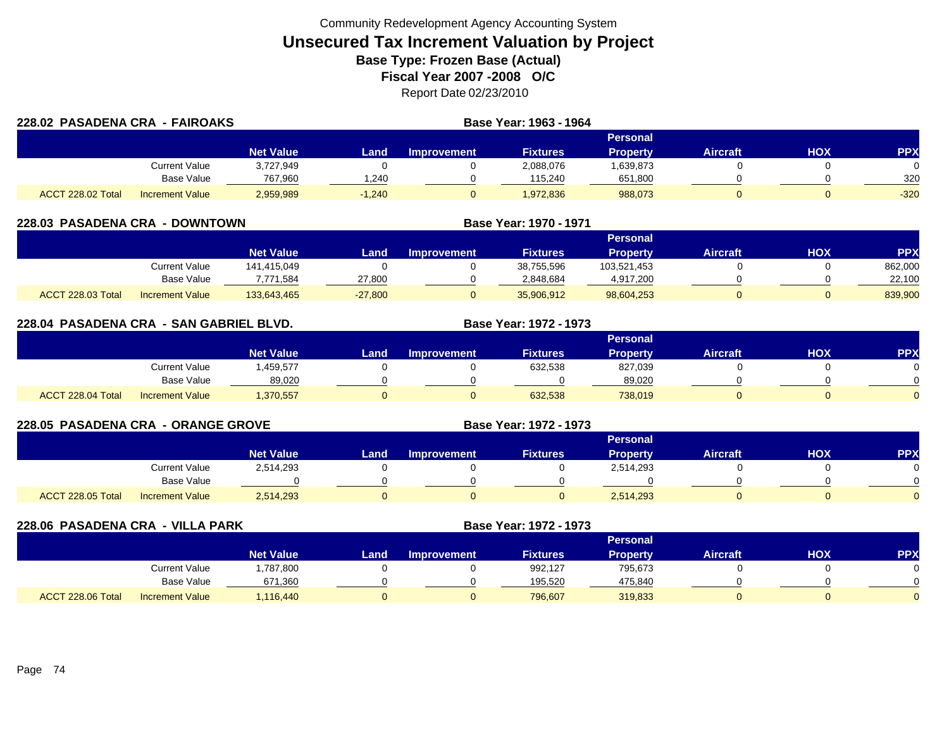| 228.02 PASADENA CRA - FAIROAKS |                        | Base Year: 1963 - 1964 |          |                    |                 |                 |                 |     |            |
|--------------------------------|------------------------|------------------------|----------|--------------------|-----------------|-----------------|-----------------|-----|------------|
|                                |                        |                        |          |                    |                 | <b>Personal</b> |                 |     |            |
|                                |                        | <b>Net Value</b>       | Land     | <b>Improvement</b> | <b>Fixtures</b> | <b>Property</b> | <b>Aircraft</b> | нох | <b>PPX</b> |
|                                | Current Value          | 3,727,949              |          |                    | 2,088,076       | 1,639,873       |                 |     |            |
|                                | <b>Base Value</b>      | 767.960                | 1.240    |                    | 115.240         | 651,800         |                 |     | 320        |
| ACCT 228.02 Total              | <b>Increment Value</b> | 2,959,989              | $-1.240$ |                    | 1,972,836       | 988,073         |                 |     | $-320$     |

| <b>228.03 PASADENA CRA</b><br>- DOWNTOWN |                        |                  |           |                    | Base Year: 1970 - 1971 |                 |                 |     |            |
|------------------------------------------|------------------------|------------------|-----------|--------------------|------------------------|-----------------|-----------------|-----|------------|
|                                          |                        |                  |           |                    |                        | Personal        |                 |     |            |
|                                          |                        | <b>Net Value</b> | Land      | <b>Improvement</b> | <b>Fixtures</b>        | <b>Property</b> | <b>Aircraft</b> | нох | <b>PPX</b> |
|                                          | Current Value          | 141.415.049      |           |                    | 38,755,596             | 103,521,453     |                 |     | 862,000    |
|                                          | Base Value             | 7,771,584        | 27,800    |                    | 2,848,684              | 4,917,200       |                 |     | 22,100     |
| ACCT 228.03 Total                        | <b>Increment Value</b> | 133,643,465      | $-27,800$ |                    | 35,906,912             | 98,604,253      |                 |     | 839,900    |

| 228.04 PASADENA CRA - SAN GABRIEL BLVD. |                        |                  |      | Base Year: 1972 - 1973 |                 |                 |                 |            |            |
|-----------------------------------------|------------------------|------------------|------|------------------------|-----------------|-----------------|-----------------|------------|------------|
|                                         |                        |                  |      |                        |                 | <b>Personal</b> |                 |            |            |
|                                         |                        | <b>Net Value</b> | Land | <b>Improvement</b>     | <b>Fixtures</b> | <b>Property</b> | <b>Aircraft</b> | <b>HOX</b> | <b>PPX</b> |
|                                         | <b>Current Value</b>   | .459.577         |      |                        | 632.538         | 827,039         |                 |            |            |
|                                         | Base Value             | 89,020           |      |                        |                 | 89,020          |                 |            |            |
| ACCT 228.04 Total                       | <b>Increment Value</b> | 1,370,557        |      |                        | 632.538         | 738.019         |                 |            |            |

| 228.05 PASADENA CRA - ORANGE GROVE |                        |                  |      |                    | Base Year: 1972 - 1973 |                 |                 |            |            |
|------------------------------------|------------------------|------------------|------|--------------------|------------------------|-----------------|-----------------|------------|------------|
|                                    |                        |                  |      |                    |                        | <b>Personal</b> |                 |            |            |
|                                    |                        | <b>Net Value</b> | Land | <b>Improvement</b> | <b>Fixtures</b>        | <b>Property</b> | <b>Aircraft</b> | <b>NOH</b> | <b>PPX</b> |
|                                    | <b>Current Value</b>   | 2,514,293        |      |                    |                        | 2,514,293       |                 |            |            |
|                                    | Base Value             |                  |      |                    |                        |                 |                 |            |            |
| ACCT 228.05 Total                  | <b>Increment Value</b> | 2,514,293        |      |                    |                        | 2,514,293       |                 |            |            |

| 228.06 PASADENA CRA - VILLA PARK |                        |                  |      |                    | Base Year: 1972 - 1973 |                 |                 |     |            |
|----------------------------------|------------------------|------------------|------|--------------------|------------------------|-----------------|-----------------|-----|------------|
|                                  |                        |                  |      |                    |                        | Personal        |                 |     |            |
|                                  |                        | <b>Net Value</b> | Land | <b>Improvement</b> | <b>Fixtures</b>        | <b>Property</b> | <b>Aircraft</b> | HOX | <b>PPX</b> |
|                                  | Current Value          | 1,787,800        |      |                    | 992,127                | 795,673         |                 |     |            |
|                                  | <b>Base Value</b>      | 671,360          |      |                    | 195,520                | 475,840         |                 |     |            |
| ACCT 228.06 Total                | <b>Increment Value</b> | 1,116,440        |      |                    | 796,607                | 319,833         |                 |     |            |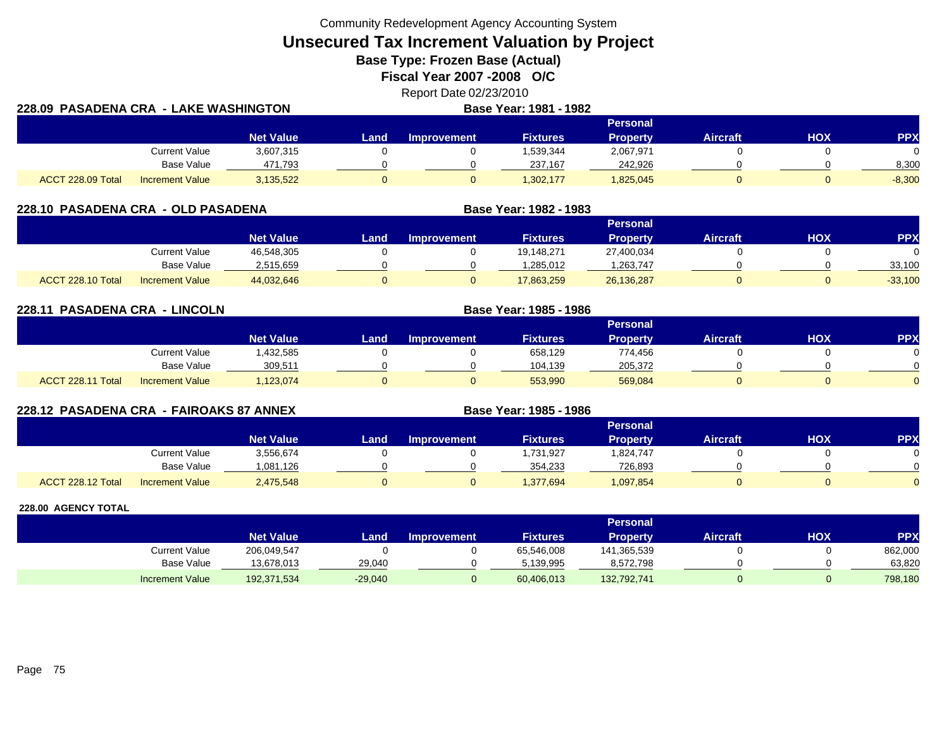Community Redevelopment Agency Accounting System

**Unsecured Tax Increment Valuation by Project**

**Base Type: Frozen Base (Actual)** 

**Fiscal Year 2007 -2008 O/C**

Report Date 02/23/2010 **Base Year: 1981 - 1982**

| 228.09  PASADENA CRA  -  LAKE WASHINGTON |                        |                  |      | <b>Base Year: 1981 - 1982</b> |                 |                 |                 |     |          |
|------------------------------------------|------------------------|------------------|------|-------------------------------|-----------------|-----------------|-----------------|-----|----------|
|                                          |                        |                  |      |                               |                 | <b>Personal</b> |                 |     |          |
|                                          |                        | <b>Net Value</b> | Land | Improvement                   | <b>Fixtures</b> | <b>Property</b> | <b>Aircraft</b> | ΗΟΧ | PPX      |
|                                          | <b>Current Value</b>   | 3,607,315        |      |                               | 1,539,344       | 2,067,971       |                 |     |          |
|                                          | Base Value             | 471,793          |      |                               | 237.167         | 242,926         |                 |     | 8,300    |
| ACCT 228.09 Total                        | <b>Increment Value</b> | 3,135,522        |      |                               | 1,302,177       | 1,825,045       |                 |     | $-8,300$ |

| 228.10 PASADENA CRA - OLD PASADENA |                        |                  |      |                    | Base Year: 1982 - 1983 |                 |                 |     |            |
|------------------------------------|------------------------|------------------|------|--------------------|------------------------|-----------------|-----------------|-----|------------|
|                                    |                        |                  |      |                    |                        | <b>Personal</b> |                 |     |            |
|                                    |                        | <b>Net Value</b> | Land | <b>Improvement</b> | <b>Fixtures</b>        | <b>Property</b> | <b>Aircraft</b> | нох | <b>PPX</b> |
|                                    | Current Value          | 46,548,305       |      |                    | 19.148.271             | 27,400,034      |                 |     |            |
|                                    | Base Value             | 2,515,659        |      |                    | 1.285.012              | ,263,747        |                 |     | 33,100     |
| ACCT 228.10 Total                  | <b>Increment Value</b> | 44,032,646       |      |                    | 17.863.259             | 26,136,287      |                 |     | $-33,100$  |

| 228.11 PASADENA CRA - LINCOLN |                                     | Base Year: 1985 - 1986 |                    |                 |                 |                 |            |            |  |
|-------------------------------|-------------------------------------|------------------------|--------------------|-----------------|-----------------|-----------------|------------|------------|--|
|                               |                                     |                        |                    |                 | <b>Personal</b> |                 |            |            |  |
|                               | <b>Net Value</b>                    | Land                   | <b>Improvement</b> | <b>Fixtures</b> | Property        | <b>Aircraft</b> | <b>HOX</b> | <b>PPX</b> |  |
|                               | Current Value<br>1,432,585          |                        |                    | 658,129         | 774.456         |                 |            |            |  |
|                               | Base Value<br>309,511               |                        |                    | 104,139         | 205,372         |                 |            |            |  |
| ACCT 228.11 Total             | 1,123,074<br><b>Increment Value</b> |                        |                    | 553,990         | 569,084         |                 |            |            |  |

| 228.12 PASADENA CRA - FAIROAKS 87 ANNEX |                        |                  |      |                    | Base Year: 1985 - 1986 |                 |                 |     |            |
|-----------------------------------------|------------------------|------------------|------|--------------------|------------------------|-----------------|-----------------|-----|------------|
|                                         |                        |                  |      |                    |                        | Personal        |                 |     |            |
|                                         |                        | <b>Net Value</b> | Land | <b>Improvement</b> | <b>Fixtures</b>        | <b>Property</b> | <b>Aircraft</b> | нох | <b>PPX</b> |
|                                         | Current Value          | 3,556,674        |      |                    | 1,731,927              | 1,824,747       |                 |     |            |
|                                         | <b>Base Value</b>      | 1,081,126        |      |                    | 354.233                | 726.893         |                 |     |            |
| ACCT 228.12 Total                       | <b>Increment Value</b> | 2,475,548        |      |                    | 1,377,694              | 1,097,854       |                 |     |            |

|                        |                  |           |             |                 | Personal    |                 |            |            |
|------------------------|------------------|-----------|-------------|-----------------|-------------|-----------------|------------|------------|
|                        | <b>Net Value</b> | Land      | Improvement | <b>Fixtures</b> | Property    | <b>Aircraft</b> | <b>HOX</b> | <b>PPX</b> |
| Current Value          | 206,049,547      |           |             | 65,546,008      | 141,365,539 |                 |            | 862,000    |
| Base Value             | 13,678,013       | 29.040    |             | 5.139.995       | 8,572,798   |                 |            | 63.820     |
| <b>Increment Value</b> | 192,371,534      | $-29,040$ |             | 60,406,013      | 132,792,741 |                 |            | 798,180    |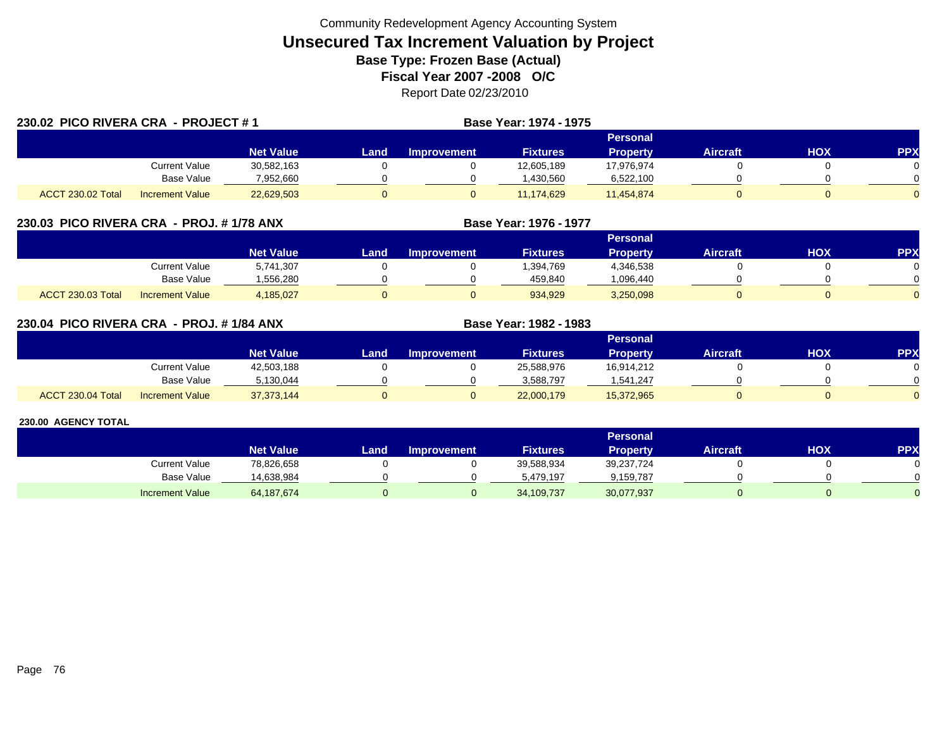|                   | 230.02 PICO RIVERA CRA - PROJECT #1 |                  |      |                    | <b>Base Year: 1974 - 1975</b> |                 |                 |     |            |  |
|-------------------|-------------------------------------|------------------|------|--------------------|-------------------------------|-----------------|-----------------|-----|------------|--|
|                   |                                     |                  |      |                    |                               | <b>Personal</b> |                 |     |            |  |
|                   |                                     | <b>Net Value</b> | Land | <b>Improvement</b> | <b>Fixtures</b>               | <b>Property</b> | <b>Aircraft</b> | HOX | <b>PPX</b> |  |
|                   | Current Value                       | 30,582,163       |      |                    | 12,605,189                    | 17,976,974      |                 |     |            |  |
|                   | Base Value                          | 7,952,660        |      |                    | ,430,560                      | 6,522,100       |                 |     |            |  |
| ACCT 230.02 Total | <b>Increment Value</b>              | 22,629,503       |      |                    | 11.174.629                    | 11,454,874      |                 |     |            |  |

### **230.03 PICO RIVERA CRA - PROJ. # 1/78 ANX**

|                          |                        |                  | Personal |                    |                 |           |                 |            |          |  |  |  |
|--------------------------|------------------------|------------------|----------|--------------------|-----------------|-----------|-----------------|------------|----------|--|--|--|
|                          |                        | <b>Net Value</b> | Land     | <b>Improvement</b> | <b>Fixtures</b> | Propertv  | <b>Aircraft</b> | <b>XOH</b> | PPX      |  |  |  |
|                          | Current Value          | 5,741,307        |          |                    | ,394,769        | 4,346,538 |                 |            |          |  |  |  |
|                          | <b>Base Value</b>      | .556.280         |          |                    | 459.840         | 096,440   |                 |            |          |  |  |  |
| <b>ACCT 230.03 Total</b> | <b>Increment Value</b> | 4,185,027        |          |                    | 934,929         | 3,250,098 |                 |            | $\Omega$ |  |  |  |

**Base Year: 1976 - 1977**

**Base Year: 1982 - 1983**

### **230.04 PICO RIVERA CRA - PROJ. # 1/84 ANX**

|                   |                        |                  |      |                    |                 | Personal   |                 |            |            |
|-------------------|------------------------|------------------|------|--------------------|-----------------|------------|-----------------|------------|------------|
|                   |                        | <b>Net Value</b> | Land | <b>Improvement</b> | <b>Fixtures</b> | Property   | <b>Aircraft</b> | <b>HOX</b> | <b>PPX</b> |
|                   | Current Value          | 42,503,188       |      |                    | 25,588,976      | 16,914,212 |                 |            |            |
|                   | <b>Base Value</b>      | 5.130.044        |      |                    | 3.588.797       | 1.541.247  |                 |            | 0          |
| ACCT 230.04 Total | <b>Increment Value</b> | 37, 373, 144     |      |                    | 22,000,179      | 15,372,965 |                 |            | $\Omega$   |

|                        |                  |      |                    |                 | <b>Personal</b> |                 |            |            |
|------------------------|------------------|------|--------------------|-----------------|-----------------|-----------------|------------|------------|
|                        | <b>Net Value</b> | _and | <b>Improvement</b> | <b>Fixtures</b> | <b>Property</b> | <b>Aircraft</b> | <b>HOX</b> | <b>PPX</b> |
| Current Value          | 78,826,658       |      |                    | 39,588,934      | 39,237,724      |                 |            |            |
| Base Value             | 14,638,984       |      |                    | 5.479.197       | 9,159,787       |                 |            |            |
| <b>Increment Value</b> | 64, 187, 674     |      |                    | 34,109,737      | 30,077,937      |                 |            |            |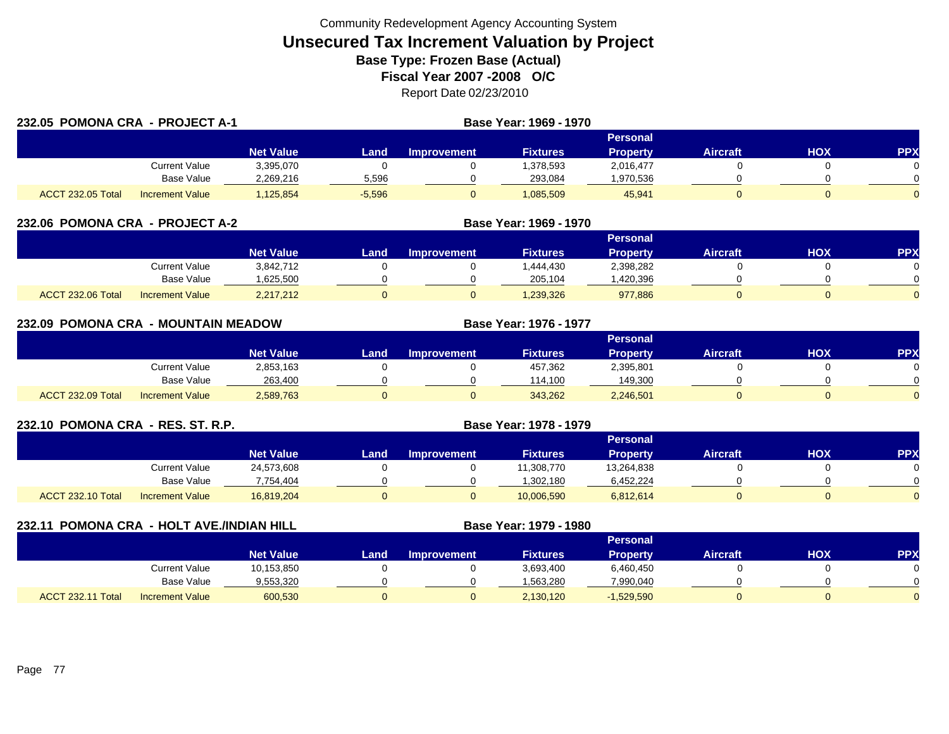| 232.05 POMONA CRA - PROJECT A-1 |                        |                  | Base Year: 1969 - 1970 |             |                 |                 |                 |     |              |
|---------------------------------|------------------------|------------------|------------------------|-------------|-----------------|-----------------|-----------------|-----|--------------|
|                                 |                        |                  |                        |             |                 | <b>Personal</b> |                 |     |              |
|                                 |                        | <b>Net Value</b> | Land                   | Improvement | <b>Fixtures</b> | <b>Property</b> | <b>Aircraft</b> | HOX | <b>PPX</b>   |
|                                 | Current Value          | 3,395,070        |                        |             | 1,378,593       | 2,016,477       |                 |     |              |
|                                 | <b>Base Value</b>      | 2,269,216        | 5,596                  |             | 293,084         | 1,970,536       |                 |     |              |
| ACCT 232.05 Total               | <b>Increment Value</b> | ,125,854         | $-5,596$               |             | 1,085,509       | 45,941          |                 |     | <sup>n</sup> |

| 232.06 POMONA CRA - PROJECT A-2 |                        |                  |      |                    |                 |                 |                 |            |            |
|---------------------------------|------------------------|------------------|------|--------------------|-----------------|-----------------|-----------------|------------|------------|
|                                 |                        |                  |      |                    |                 | Personal        |                 |            |            |
|                                 |                        | <b>Net Value</b> | Land | <b>Improvement</b> | <b>Fixtures</b> | <b>Property</b> | <b>Aircraft</b> | <b>XOH</b> | <b>PPX</b> |
|                                 | Current Value          | 3,842,712        |      |                    | 1.444.430       | 2,398,282       |                 |            |            |
|                                 | Base Value             | 625,500          |      |                    | 205,104         | ,420,396        |                 |            |            |
| ACCT 232.06 Total               | <b>Increment Value</b> | 2,217,212        |      |                    | ,239,326        | 977,886         |                 |            |            |

| 232.09 POMONA CRA - MOUNTAIN MEADOW |                        |                  |      |                    | Base Year: 1976 - 1977 |                 |                 |     |            |
|-------------------------------------|------------------------|------------------|------|--------------------|------------------------|-----------------|-----------------|-----|------------|
|                                     |                        |                  |      |                    |                        | Personal        |                 |     |            |
|                                     |                        | <b>Net Value</b> | Land | <b>Improvement</b> | <b>Fixtures</b>        | <b>Property</b> | <b>Aircraft</b> | HOX | <b>PPX</b> |
|                                     | Current Value          | 2,853,163        |      |                    | 457,362                | 2,395,801       |                 |     | 0.         |
|                                     | Base Value             | 263,400          |      |                    | 114.100                | 149,300         |                 |     | ∩          |
| ACCT 232.09 Total                   | <b>Increment Value</b> | 2,589,763        |      | υ                  | 343,262                | 2,246,501       |                 |     | $\Omega$   |

| 232.10 POMONA CRA - RES. ST. R.P. |                        |                  | <b>Base Year: 1978 - 1979</b> |                    |                 |                 |                 |     |           |
|-----------------------------------|------------------------|------------------|-------------------------------|--------------------|-----------------|-----------------|-----------------|-----|-----------|
|                                   |                        |                  |                               |                    |                 | Personal        |                 |     |           |
|                                   |                        | <b>Net Value</b> | Land                          | <b>Improvement</b> | <b>Fixtures</b> | <b>Property</b> | <b>Aircraft</b> | нох | <b>PP</b> |
|                                   | Current Value          | 24,573,608       |                               |                    | 11.308.770      | 13.264.838      |                 |     |           |
|                                   | Base Value             | 754.404.         |                               |                    | 1,302,180       | 6,452,224       |                 |     |           |
| <b>ACCT 232.10 Total</b>          | <b>Increment Value</b> | 16.819.204       |                               |                    | 10,006,590      | 6,812,614       |                 |     |           |

| 232.11            | <b>POMONA CRA - HOLT AVE./INDIAN HILL</b> |                  |      | Base Year: 1979 - 1980 |                 |                 |                 |     |            |
|-------------------|-------------------------------------------|------------------|------|------------------------|-----------------|-----------------|-----------------|-----|------------|
|                   |                                           |                  |      |                        |                 | Personal        |                 |     |            |
|                   |                                           | <b>Net Value</b> | Land | <b>Improvement</b>     | <b>Fixtures</b> | <b>Property</b> | <b>Aircraft</b> | НОХ | <b>PPX</b> |
|                   | <b>Current Value</b>                      | 10,153,850       |      |                        | 3,693,400       | 6,460,450       |                 |     |            |
|                   | Base Value                                | 9,553,320        |      |                        | 1,563,280       | 7,990,040       |                 |     |            |
| ACCT 232.11 Total | <b>Increment Value</b>                    | 600,530          |      |                        | 2,130,120       | $-1,529,590$    |                 |     |            |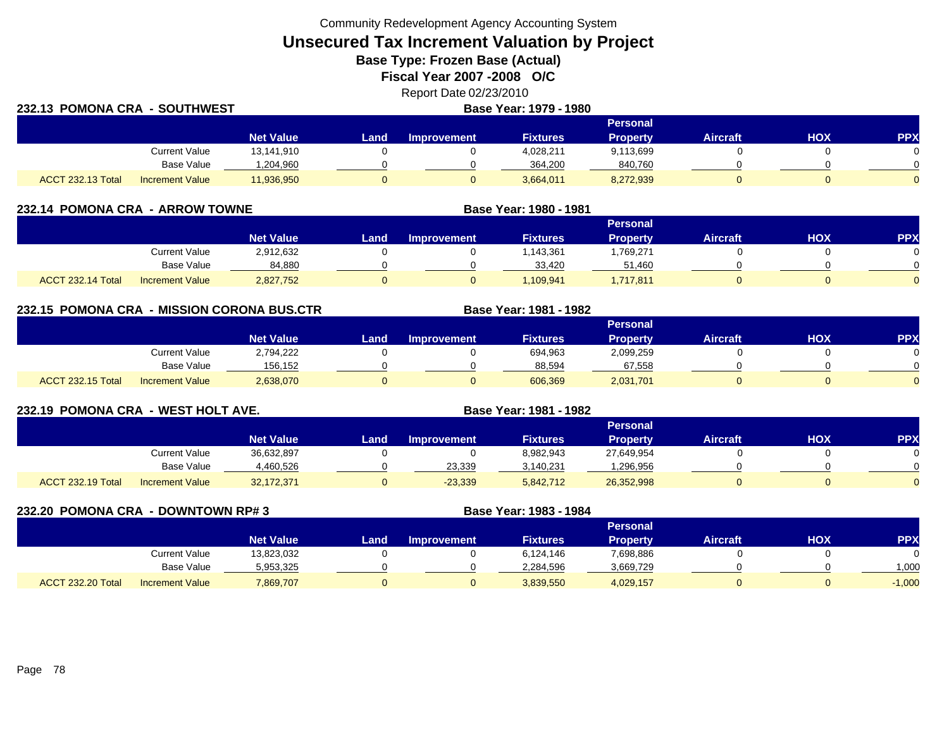Community Redevelopment Agency Accounting System

**Unsecured Tax Increment Valuation by Project**

**Base Type: Frozen Base (Actual)** 

**Fiscal Year 2007 -2008 O/C**

Report Date 02/23/2010

| 232.13 POMONA CRA - SOUTHWEST |                        |                  | Base Year: 1979 - 1980 |                    |                 |                 |                 |            |          |
|-------------------------------|------------------------|------------------|------------------------|--------------------|-----------------|-----------------|-----------------|------------|----------|
|                               |                        |                  |                        |                    |                 | Personal        |                 |            |          |
|                               |                        | <b>Net Value</b> | Land                   | <b>Improvement</b> | <b>Fixtures</b> | <b>Property</b> | <b>Aircraft</b> | <b>HOX</b> | PPX      |
|                               | <b>Current Value</b>   | 13,141,910       |                        |                    | 4,028,211       | 9,113,699       |                 |            | $\Omega$ |
|                               | Base Value             | ,204,960         |                        |                    | 364.200         | 840,760         |                 |            | $\Omega$ |
| ACCT 232.13 Total             | <b>Increment Value</b> | 11,936,950       |                        |                    | 3,664,011       | 8,272,939       |                 |            | $\Omega$ |

| 232.14 POMONA CRA - ARROW TOWNE |                        |                  |      | Base Year: 1980 - 1981 |                 |                 |                 |     |           |
|---------------------------------|------------------------|------------------|------|------------------------|-----------------|-----------------|-----------------|-----|-----------|
|                                 |                        |                  |      |                        |                 | <b>Personal</b> |                 |     |           |
|                                 |                        | <b>Net Value</b> | Land | <b>Improvement</b>     | <b>Fixtures</b> | <b>Property</b> | <b>Aircraft</b> | нох | <b>PP</b> |
|                                 | Current Value          | 2,912,632        |      |                        | 1,143,361       | 769,271.ا       |                 |     |           |
|                                 | <b>Base Value</b>      | 84,880           |      |                        | 33.420          | 51,460          |                 |     |           |
| <b>ACCT 232.14 Total</b>        | <b>Increment Value</b> | 2,827,752        |      |                        | 1.109.941       | 1,717,811       | 0               |     |           |

**232.15 POMONA CRA - MISSION CORONA BUS.CTR Base Year: 1981 - 1982 Personal Net Value Land Improvement Fixtures Property Aircraft HOX PPX** Current Value 2,794,222 0 0 694,963 2,099,259 0 0 0 Base Value 156,152 0 0 88,594 67,558 0 0 ACCT 232.15 Totall Increment Value 2,638,070 0 606,369 2,031,701 0 0

| 232.19 POMONA CRA - WEST HOLT AVE. |                        |                  |      |                    | Base Year: 1981 - 1982 |                 |                 |            |            |
|------------------------------------|------------------------|------------------|------|--------------------|------------------------|-----------------|-----------------|------------|------------|
|                                    |                        |                  |      |                    |                        | <b>Personal</b> |                 |            |            |
|                                    |                        | <b>Net Value</b> | Land | <b>Improvement</b> | <b>Fixtures</b>        | <b>Property</b> | <b>Aircraft</b> | <b>NOH</b> | <b>PPX</b> |
|                                    | Current Value          | 36,632,897       |      |                    | 8,982,943              | 27,649,954      |                 |            |            |
|                                    | Base Value             | 4,460,526        |      | 23,339             | 3,140,231              | 1,296,956       |                 |            |            |
| ACCT 232.19 Total                  | <b>Increment Value</b> | 32,172,371       |      | $-23,339$          | 5,842,712              | 26,352,998      |                 |            |            |

| 232.20 POMONA CRA | - DOWNTOWN RP# 3       |                  |      |                    | Base Year: 1983 - 1984 |                 |                 |     |          |
|-------------------|------------------------|------------------|------|--------------------|------------------------|-----------------|-----------------|-----|----------|
|                   |                        |                  |      |                    |                        | <b>Personal</b> |                 |     |          |
|                   |                        | <b>Net Value</b> | Land | <b>Improvement</b> | <b>Fixtures</b>        | <b>Property</b> | <b>Aircraft</b> | нох | PP)      |
|                   | <b>Current Value</b>   | 13,823,032       |      |                    | 6,124,146              | 7,698,886       |                 |     |          |
|                   | <b>Base Value</b>      | 5,953,325        |      |                    | 2,284,596              | 3,669,729       |                 |     | 1,000    |
| ACCT 232.20 Total | <b>Increment Value</b> | 7,869,707        |      |                    | 3,839,550              | 4,029,157       |                 |     | $-1,000$ |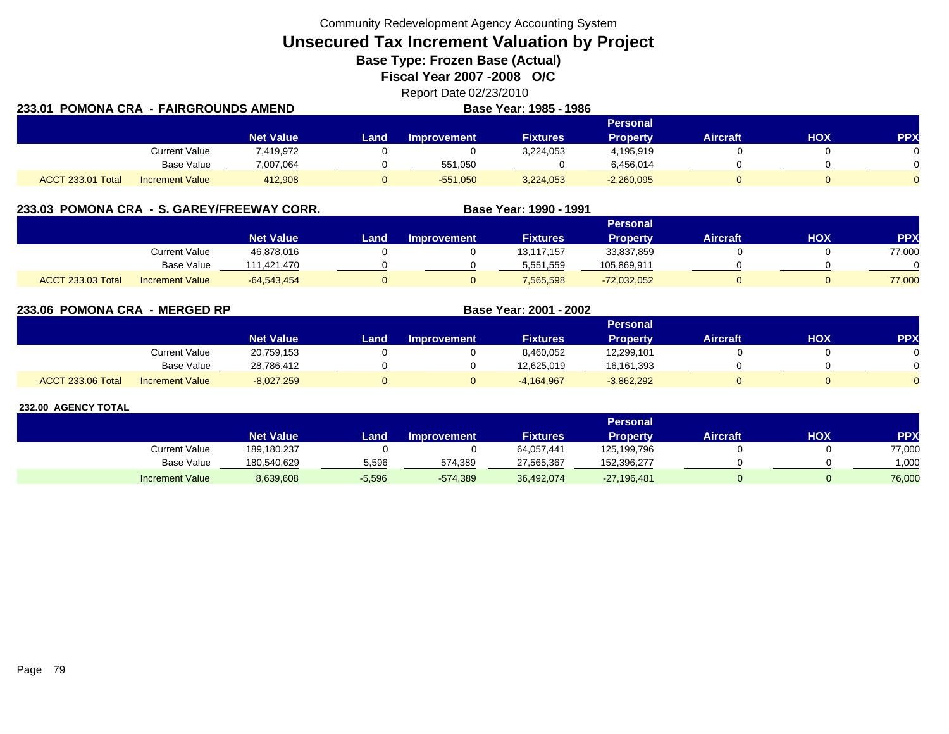Community Redevelopment Agency Accounting System

**Unsecured Tax Increment Valuation by Project**

**Base Type: Frozen Base (Actual)** 

**Fiscal Year 2007 -2008 O/C**

Report Date 02/23/2010 **Base Year: 1985 - 1986**

| 233.01 POMONA CRA  - FAIRGROUNDS AMEND |                        |                  |        | <b>Base Year: 1985 - 1986</b> |                 |                 |                 |     |            |
|----------------------------------------|------------------------|------------------|--------|-------------------------------|-----------------|-----------------|-----------------|-----|------------|
|                                        |                        |                  |        |                               |                 | <b>Personal</b> |                 |     |            |
|                                        |                        | <b>Net Value</b> | Land . | <b>Improvement</b>            | <b>Fixtures</b> | <b>Property</b> | <b>Aircraft</b> | HOX | <b>PPX</b> |
|                                        | <b>Current Value</b>   | 7,419,972        |        |                               | 3,224,053       | 4,195,919       |                 |     |            |
|                                        | Base Value             | 7,007,064        |        | 551.050                       |                 | 6,456,014       |                 |     | ∩          |
| <b>ACCT 233.01 Total</b>               | <b>Increment Value</b> | 412.908          |        | $-551.050$                    | 3,224,053       | $-2,260,095$    |                 |     | $\Omega$   |

|                          |                        | 233.03 POMONA CRA - S. GAREY/FREEWAY CORR. |      |                    | Base Year: 1990 - 1991 |                 |                 |     |            |
|--------------------------|------------------------|--------------------------------------------|------|--------------------|------------------------|-----------------|-----------------|-----|------------|
|                          |                        |                                            |      |                    |                        | Personal        |                 |     |            |
|                          |                        | <b>Net Value</b>                           | Land | <b>Improvement</b> | <b>Fixtures</b>        | <b>Property</b> | <b>Aircraft</b> | HOX | <b>PPX</b> |
|                          | Current Value          | 46,878,016                                 |      |                    | 13.117.157             | 33,837,859      |                 |     | 77,000     |
|                          | Base Value             | 111,421,470                                |      |                    | 5,551,559              | 105,869,911     |                 |     |            |
| <b>ACCT 233.03 Total</b> | <b>Increment Value</b> | $-64,543,454$                              |      |                    | 7,565,598              | $-72,032,052$   |                 |     | 77,000     |

**233.06 POMONA CRA - MERGED RP Base Year: 2001 - 2002 Personal Net Value Land Improvement Fixtures Property Aircraft HOX PPX** Current Value 20,759,153 0 0 8,460,052 12,299,101 0 0 0 Base Value 28,786,412 0 0 12,625,019 16,161,393 0 0 ACCT 233.06 Totall Increment Value -8,027,259 0 0 -4,164,967 -3,862,292 0 0 0

|                        |                  |          |                    |                 | <b>Personal</b> |                 |     |            |
|------------------------|------------------|----------|--------------------|-----------------|-----------------|-----------------|-----|------------|
|                        | <b>Net Value</b> | _and     | <b>Improvement</b> | <b>Fixtures</b> | Property        | <b>Aircraft</b> | нох | <b>PPX</b> |
| <b>Current Value</b>   | 189,180,237      |          |                    | 64,057,441      | 125,199,796     |                 |     | 77,000     |
| Base Value             | 180.540.629      | 5,596    | 574,389            | 27,565,367      | 152.396.277     |                 |     | 1.000      |
| <b>Increment Value</b> | 8,639,608        | $-5,596$ | $-574,389$         | 36,492,074      | $-27,196,481$   |                 |     | 76,000     |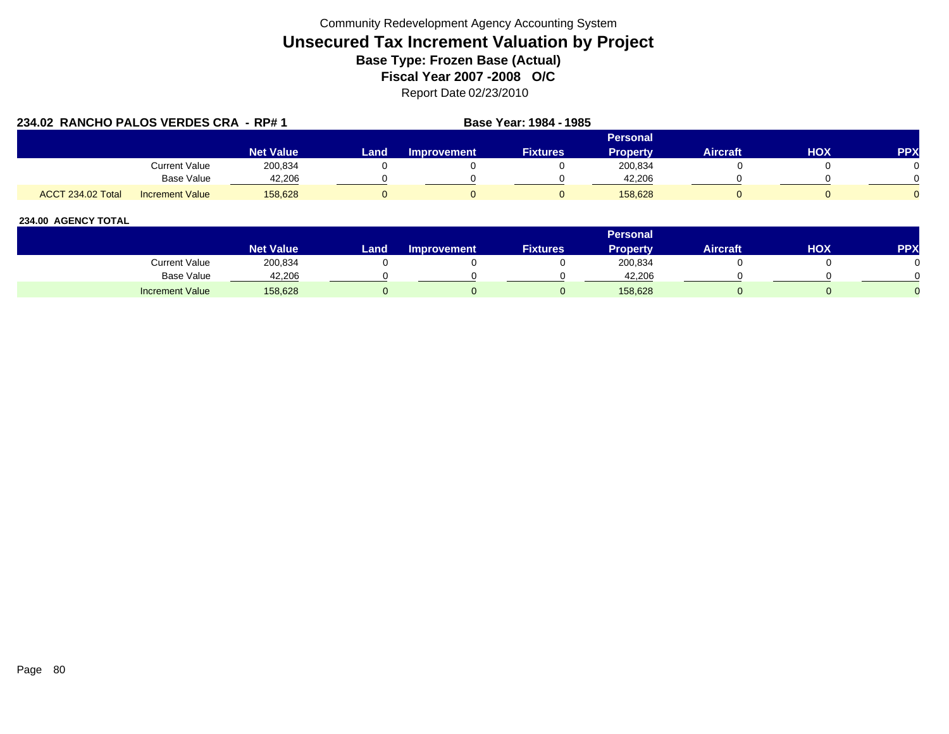| 234.02 RANCHO PALOS VERDES CRA - RP# 1 |                        |                  |      | Base Year: 1984 - 1985 |                 |                 |                 |     |            |
|----------------------------------------|------------------------|------------------|------|------------------------|-----------------|-----------------|-----------------|-----|------------|
|                                        |                        |                  |      |                        |                 | <b>Personal</b> |                 |     |            |
|                                        |                        | <b>Net Value</b> | Land | <b>Improvement</b>     | <b>Fixtures</b> | <b>Property</b> | <b>Aircraft</b> | HOX | <b>PPX</b> |
|                                        | Current Value          | 200,834          |      |                        |                 | 200,834         |                 |     |            |
|                                        | <b>Base Value</b>      | 42.206           |      |                        |                 | 42.206          |                 |     |            |
| <b>ACCT 234.02 Total</b>               | <b>Increment Value</b> | 158.628          |      |                        |                 | 158.628         |                 |     |            |

|                        |                        |       |                    |                 | <b>Personal</b> |                 |     |            |
|------------------------|------------------------|-------|--------------------|-----------------|-----------------|-----------------|-----|------------|
|                        | Net Value <sup>1</sup> | Land. | <b>Improvement</b> | <b>Fixtures</b> | Property        | <b>Aircraft</b> | нох | <b>PPX</b> |
| Current Value          | 200,834                |       |                    |                 | 200,834         |                 |     |            |
| <b>Base Value</b>      | 42,206                 |       |                    |                 | 42.206          |                 |     |            |
| <b>Increment Value</b> | 158,628                |       |                    |                 | 158,628         |                 |     |            |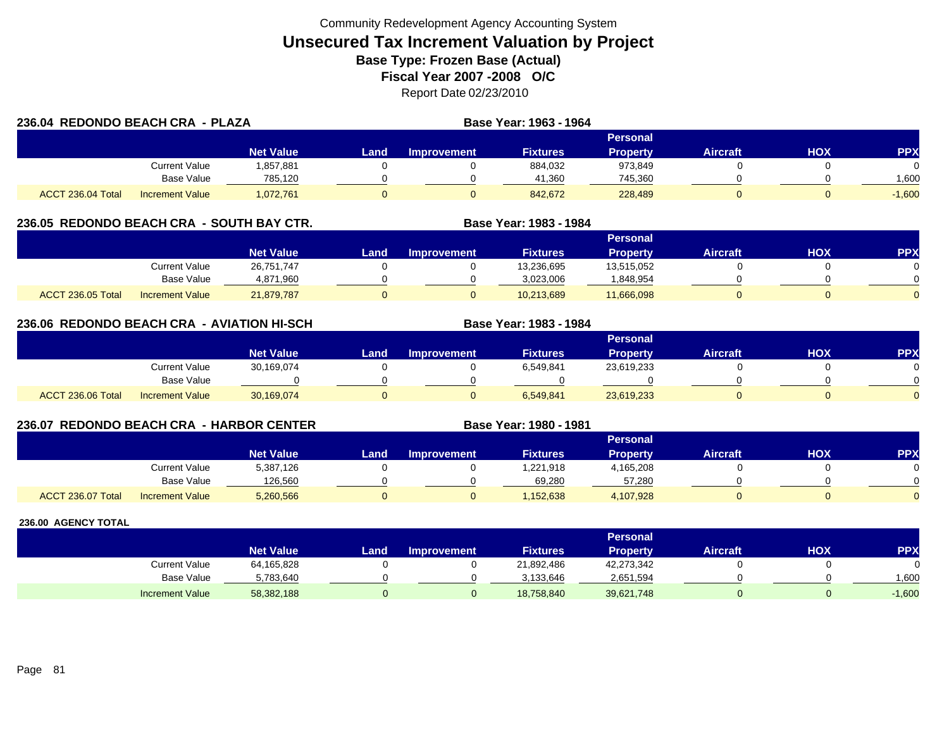| 236.04 REDONDO BEACH CRA - PLAZA |                        |                  |      |                    | Base Year: 1963 - 1964 |                 |                 |     |            |
|----------------------------------|------------------------|------------------|------|--------------------|------------------------|-----------------|-----------------|-----|------------|
|                                  |                        |                  |      |                    |                        | <b>Personal</b> |                 |     |            |
|                                  |                        | <b>Net Value</b> | Land | <b>Improvement</b> | <b>Fixtures</b>        | <b>Property</b> | <b>Aircraft</b> | HOX | <b>PPX</b> |
|                                  | Current Value          | 1,857,881        |      |                    | 884,032                | 973,849         |                 |     |            |
|                                  | Base Value             | 785.120          |      |                    | 41.360                 | 745.360         |                 |     | 1.600      |
| ACCT 236.04 Total                | <b>Increment Value</b> | 1,072,761        |      |                    | 842.672                | 228,489         |                 |     | $-1.600$   |

### **236.05 REDONDO BEACH CRA - SOUTH BAY CTR. Base Year: 1983 - 1984**

|                                             |                  |      |                    |                 | <b>Personal</b> |                 |            |            |
|---------------------------------------------|------------------|------|--------------------|-----------------|-----------------|-----------------|------------|------------|
|                                             | <b>Net Value</b> | Land | <b>Improvement</b> | <b>Fixtures</b> | <b>Property</b> | <b>Aircraft</b> | <b>HOX</b> | <b>PPX</b> |
| Current Value                               | 26,751,747       |      |                    | 13,236,695      | 13,515,052      |                 |            |            |
| <b>Base Value</b>                           | 4,871,960        |      |                    | 3,023,006       | ,848,954        |                 |            |            |
| ACCT 236.05 Total<br><b>Increment Value</b> | 21,879,787       |      |                    | 10,213,689      | 11,666,098      |                 |            |            |

### **236.06 REDONDO BEACH CRA - AVIATION HI-SCH**

|                   |                        |                  |      |                    |                 | Personal        |                 |            |           |
|-------------------|------------------------|------------------|------|--------------------|-----------------|-----------------|-----------------|------------|-----------|
|                   |                        | <b>Net Value</b> | Land | <b>Improvement</b> | <b>Fixtures</b> | <b>Property</b> | <b>Aircraft</b> | <b>HOX</b> | <b>PP</b> |
|                   | Current Value          | 30,169,074       |      |                    | 6,549,841       | 23,619,233      |                 |            |           |
|                   | Base Value             |                  |      |                    |                 |                 |                 |            |           |
| ACCT 236.06 Total | <b>Increment Value</b> | 30,169,074       |      |                    | 6,549,841       | 23,619,233      |                 |            |           |

**Base Year: 1983 - 1984**

**Base Year: 1980 - 1981**

### **236.07 REDONDO BEACH CRA - HARBOR CENTER**

|                   |                        | <b>Personal</b>  |      |             |                 |                 |                 |            |            |  |  |
|-------------------|------------------------|------------------|------|-------------|-----------------|-----------------|-----------------|------------|------------|--|--|
|                   |                        | <b>Net Value</b> | Land | Improvement | <b>Fixtures</b> | <b>Property</b> | <b>Aircraft</b> | <b>HOX</b> | <b>PPX</b> |  |  |
|                   | Current Value          | 5,387,126        |      |             | 1,221,918       | 4,165,208       |                 |            | 0          |  |  |
|                   | Base Value             | 126.560          |      |             | 69.280          | 57.280          |                 |            | $\cap$     |  |  |
| ACCT 236.07 Total | <b>Increment Value</b> | 5,260,566        |      |             | ,152,638        | 4,107,928       |                 |            | $\Omega$   |  |  |

|                        |                  |      |                    |                 | <b>Personal</b> |                 |     |            |
|------------------------|------------------|------|--------------------|-----------------|-----------------|-----------------|-----|------------|
|                        | <b>Net Value</b> | Land | <b>Improvement</b> | <b>Fixtures</b> | <b>Property</b> | <b>Aircraft</b> | нох | <b>PPX</b> |
| Current Value          | 64,165,828       |      |                    | 21,892,486      | 42,273,342      |                 |     |            |
| <b>Base Value</b>      | 5,783,640        |      |                    | 3.133.646       | 2,651,594       |                 |     | 1,600      |
| <b>Increment Value</b> | 58,382,188       |      |                    | 18,758,840      | 39,621,748      |                 |     | $-1,600$   |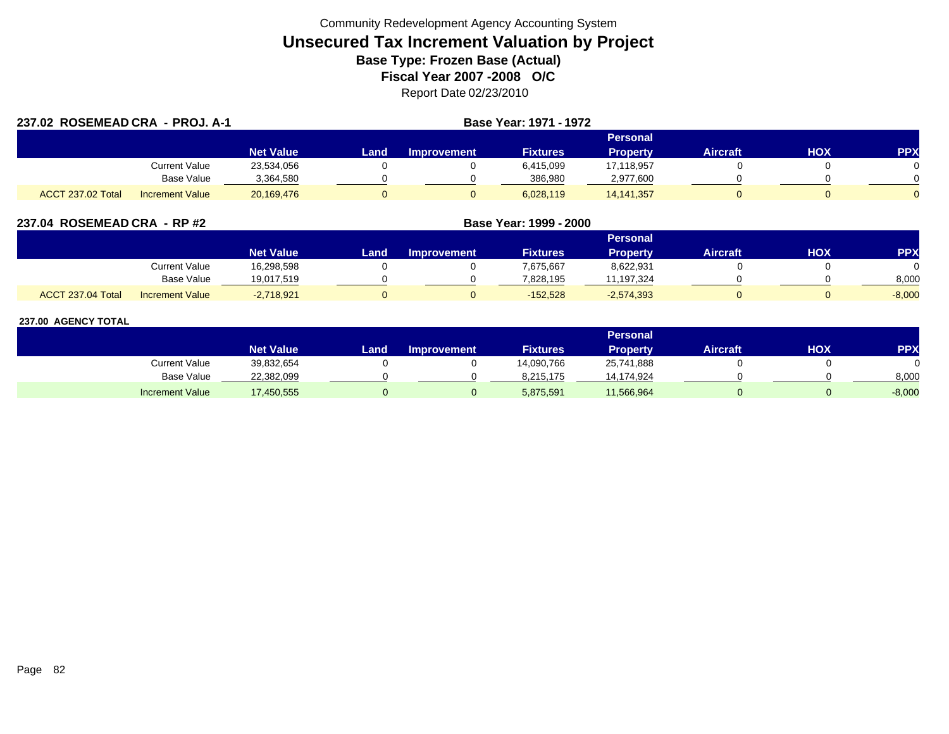| 237.02 ROSEMEAD CRA - PROJ. A-1 |                        |                  |      | Base Year: 1971 - 1972 |                 |                 |                 |     |            |
|---------------------------------|------------------------|------------------|------|------------------------|-----------------|-----------------|-----------------|-----|------------|
|                                 |                        |                  |      |                        |                 | Personal        |                 |     |            |
|                                 |                        | <b>Net Value</b> | Land | <b>Improvement</b>     | <b>Fixtures</b> | <b>Property</b> | <b>Aircraft</b> | HOX | <b>PPX</b> |
|                                 | Current Value          | 23,534,056       |      |                        | 6,415,099       | 17,118,957      |                 |     |            |
|                                 | Base Value             | 3,364,580        |      |                        | 386,980         | 2,977,600       |                 |     |            |
| ACCT 237.02 Total               | <b>Increment Value</b> | 20,169,476       |      | 0                      | 6,028,119       | 14, 141, 357    |                 |     |            |

| 237.04 ROSEMEAD CRA - RP #2 |  |
|-----------------------------|--|
|                             |  |

|                   |                        |                  | Personal |             |                 |              |                 |     |            |  |  |
|-------------------|------------------------|------------------|----------|-------------|-----------------|--------------|-----------------|-----|------------|--|--|
|                   |                        | <b>Net Value</b> | Land.    | Improvement | <b>Fixtures</b> | Propertv     | <b>Aircraft</b> | нох | <b>PPX</b> |  |  |
|                   | <b>Current Value</b>   | 16,298,598       |          |             | 7,675,667       | 8,622,931    |                 |     |            |  |  |
|                   | <b>Base Value</b>      | 19,017,519       |          |             | 7.828.195       | 11,197,324   |                 |     | 8,000      |  |  |
| ACCT 237.04 Total | <b>Increment Value</b> | $-2,718,921$     |          |             | $-152,528$      | $-2,574,393$ |                 |     | $-8,000$   |  |  |

**ROSEMEAD CRA - RP #2 Base Year: 1999 - 2000**

|                        |                  |       |                    |                 | Personal        |                 |     |            |
|------------------------|------------------|-------|--------------------|-----------------|-----------------|-----------------|-----|------------|
|                        | <b>Net Value</b> | Land. | <b>Improvement</b> | <b>Fixtures</b> | <b>Property</b> | <b>Aircraft</b> | нох | <b>PPX</b> |
| Current Value          | 39,832,654       |       |                    | 14,090,766      | 25,741,888      |                 |     |            |
| <b>Base Value</b>      | 22,382,099       |       |                    | 8,215,175       | 14,174,924      |                 |     | 8,000      |
| <b>Increment Value</b> | 17,450,555       |       |                    | 5,875,591       | 11,566,964      |                 |     | $-8,000$   |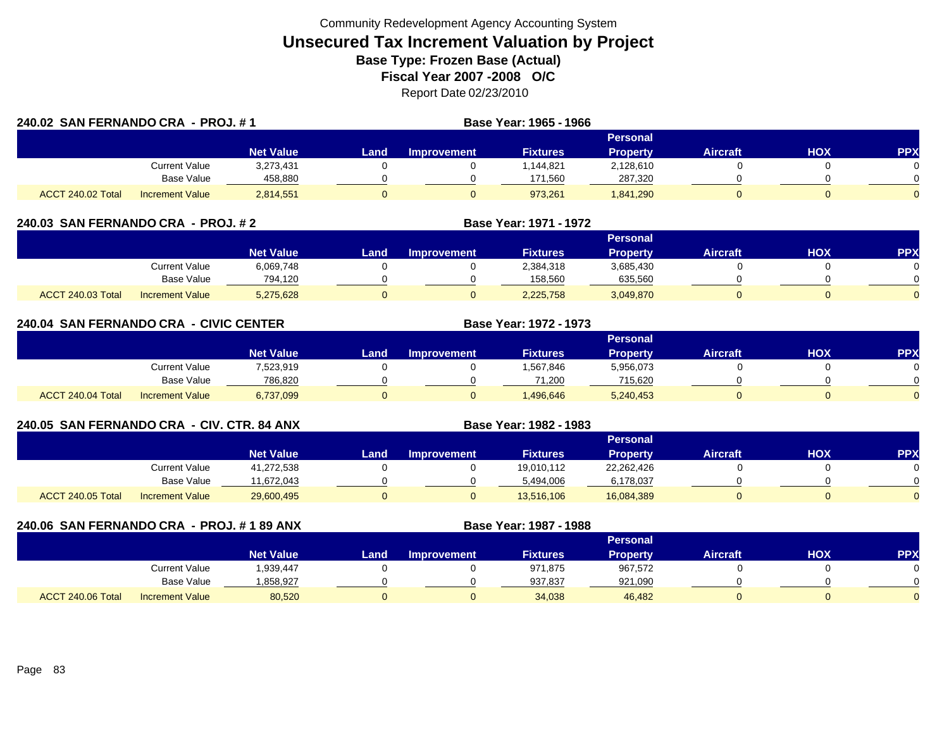| 240.02 SAN FERNANDO CRA - PROJ. #1 |                        |                  |      |                    | Base Year: 1965 - 1966 |                 |                 |     |            |
|------------------------------------|------------------------|------------------|------|--------------------|------------------------|-----------------|-----------------|-----|------------|
|                                    |                        |                  |      |                    |                        | Personal        |                 |     |            |
|                                    |                        | <b>Net Value</b> | Land | <b>Improvement</b> | <b>Fixtures</b>        | <b>Property</b> | <b>Aircraft</b> | HOX | <b>PPX</b> |
|                                    | Current Value          | 3,273,431        |      |                    | 1,144,821              | 2,128,610       |                 |     | 0.         |
|                                    | Base Value             | 458,880          |      |                    | 171,560                | 287,320         |                 |     | $\Omega$   |
| ACCT 240.02 Total                  | <b>Increment Value</b> | 2,814,551        |      |                    | 973,261                | 1,841,290       |                 |     | 0          |

| 240.03 SAN FERNANDO CRA - PROJ. # 2 |                  |      | Base Year: 1971 - 1972 |                 |           |          |     |            |  |  |  |
|-------------------------------------|------------------|------|------------------------|-----------------|-----------|----------|-----|------------|--|--|--|
|                                     |                  |      |                        | Personal        |           |          |     |            |  |  |  |
|                                     | <b>Net Value</b> | Land | <b>Improvement</b>     | <b>Fixtures</b> | Property  | Aircraft | нох | <b>PPX</b> |  |  |  |
| Current Value                       | 6,069,748        |      |                        | 2,384,318       | 3.685.430 |          |     |            |  |  |  |
| <b>Base Value</b>                   | 794,120          |      |                        | 158,560         | 635,560   |          |     |            |  |  |  |

| 240.04 SAN FERNANDO CRA - CIVIC CENTER |                        |                  | <b>Base Year: 1972 - 1973</b> |             |                 |                 |                 |                 |            |  |
|----------------------------------------|------------------------|------------------|-------------------------------|-------------|-----------------|-----------------|-----------------|-----------------|------------|--|
|                                        |                        |                  |                               |             |                 |                 |                 | <b>Personal</b> |            |  |
|                                        |                        | <b>Net Value</b> | Land                          | Improvement | <b>Fixtures</b> | <b>Property</b> | <b>Aircraft</b> | <b>HOX</b>      | <b>PPX</b> |  |
|                                        | Current Value          | 7,523,919        |                               |             | 1,567,846       | 5,956,073       |                 |                 |            |  |
|                                        | Base Value             | 786,820          |                               |             | 71,200          | 715,620         |                 |                 |            |  |
| ACCT 240.04 Total                      | <b>Increment Value</b> | 6,737,099        |                               |             | ,496,646        | 5,240,453       |                 |                 |            |  |

I Increment Value 5,275,628 0 0 2,225,758 3,049,870 0 0

| 240.05 SAN FERNANDO CRA - CIV. CTR. 84 ANX |                        |                  |      |                    | <b>Base Year: 1982 - 1983</b> |                 |                 |     |            |
|--------------------------------------------|------------------------|------------------|------|--------------------|-------------------------------|-----------------|-----------------|-----|------------|
|                                            |                        |                  |      |                    |                               | Personal        |                 |     |            |
|                                            |                        | <b>Net Value</b> | Land | <b>Improvement</b> | <b>Fixtures</b>               | <b>Property</b> | <b>Aircraft</b> | HOX | <b>PPX</b> |
|                                            | <b>Current Value</b>   | 41,272,538       |      |                    | 19.010.112                    | 22,262,426      |                 |     | 0.         |
|                                            | Base Value             | 11.672.043       |      |                    | 5,494,006                     | 6,178,037       |                 |     | ∩          |
| ACCT 240.05 Total                          | <b>Increment Value</b> | 29,600,495       |      |                    | 13.516.106                    | 16,084,389      |                 |     | 0          |

| 240.06 SAN FERNANDO CRA - PROJ. # 1 89 ANX |                   |                        |                  |      | Base Year: 1987 - 1988 |                 |                 |                 |     |            |
|--------------------------------------------|-------------------|------------------------|------------------|------|------------------------|-----------------|-----------------|-----------------|-----|------------|
|                                            |                   |                        |                  |      |                        |                 | Personal        |                 |     |            |
|                                            |                   |                        | <b>Net Value</b> | Land | <b>Improvement</b>     | <b>Fixtures</b> | <b>Property</b> | <b>Aircraft</b> | HOX | <b>PPX</b> |
|                                            |                   | <b>Current Value</b>   | 1,939,447        |      |                        | 971,875         | 967,572         |                 |     |            |
|                                            |                   | Base Value             | .858,927         |      |                        | 937,837         | 921,090         |                 |     |            |
|                                            | ACCT 240.06 Total | <b>Increment Value</b> | 80,520           |      |                        | 34,038          | 46,482          |                 |     |            |

ACCT 240.03 Total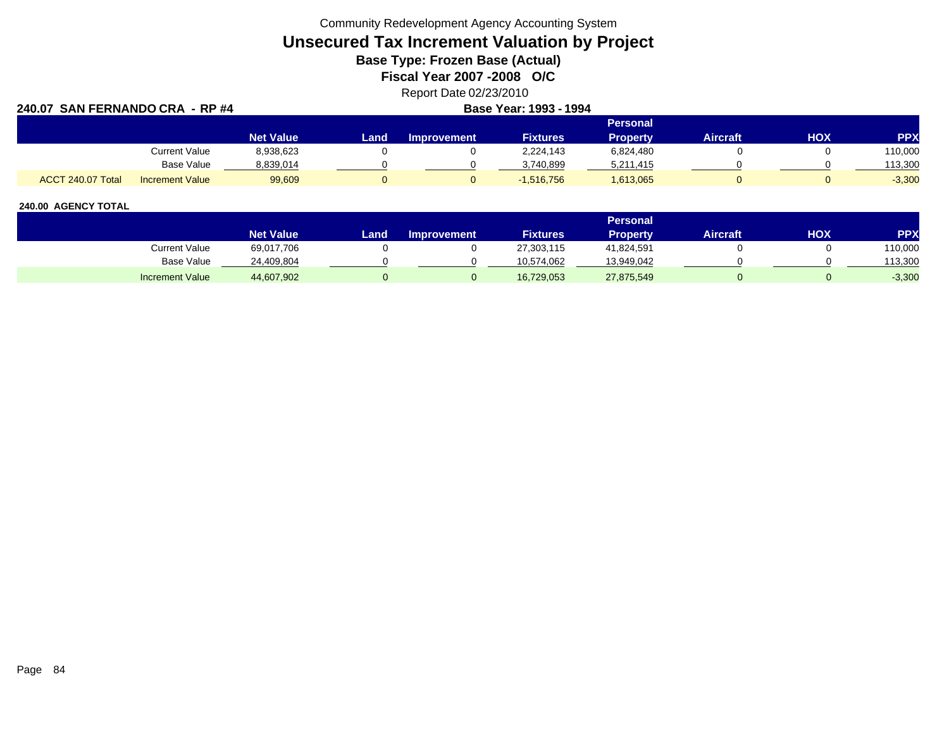Community Redevelopment Agency Accounting System

# **Unsecured Tax Increment Valuation by Project**

**Base Type: Frozen Base (Actual)** 

**Fiscal Year 2007 -2008 O/C**

## Report Date 02/23/2010

| 240.07 SAN FERNANDO CRA - RP #4 |                        | Base Year: 1993 - 1994 |      |                    |                 |           |          |            |            |
|---------------------------------|------------------------|------------------------|------|--------------------|-----------------|-----------|----------|------------|------------|
|                                 |                        | <b>Personal</b>        |      |                    |                 |           |          |            |            |
|                                 |                        | <b>Net Value</b>       | Land | <b>Improvement</b> | <b>Fixtures</b> | Property  | Aircraft | <b>HOX</b> | <b>PPX</b> |
|                                 | <b>Current Value</b>   | 8,938,623              |      |                    | 2.224.143       | 6,824,480 |          |            | 110,000    |
|                                 | Base Value             | 8,839,014              |      |                    | 3,740,899       | 5,211,415 |          |            | 113,300    |
| ACCT 240.07 Total               | <b>Increment Value</b> | 99,609                 |      |                    | $-1,516,756$    | 1,613,065 |          |            | $-3,300$   |

|                        |                  |      |                    |                 | Personal   |                 |     |            |
|------------------------|------------------|------|--------------------|-----------------|------------|-----------------|-----|------------|
|                        | <b>Net Value</b> | Land | <b>Improvement</b> | <b>Fixtures</b> | Property   | <b>Aircraft</b> | нох | <b>PPX</b> |
| Current Value          | 69,017,706       |      |                    | 27,303,115      | 41,824,591 |                 |     | 110,000    |
| <b>Base Value</b>      | 24,409,804       |      |                    | 10,574,062      | 13,949,042 |                 |     | 113,300    |
| <b>Increment Value</b> | 44,607,902       |      |                    | 16,729,053      | 27,875,549 |                 |     | $-3,300$   |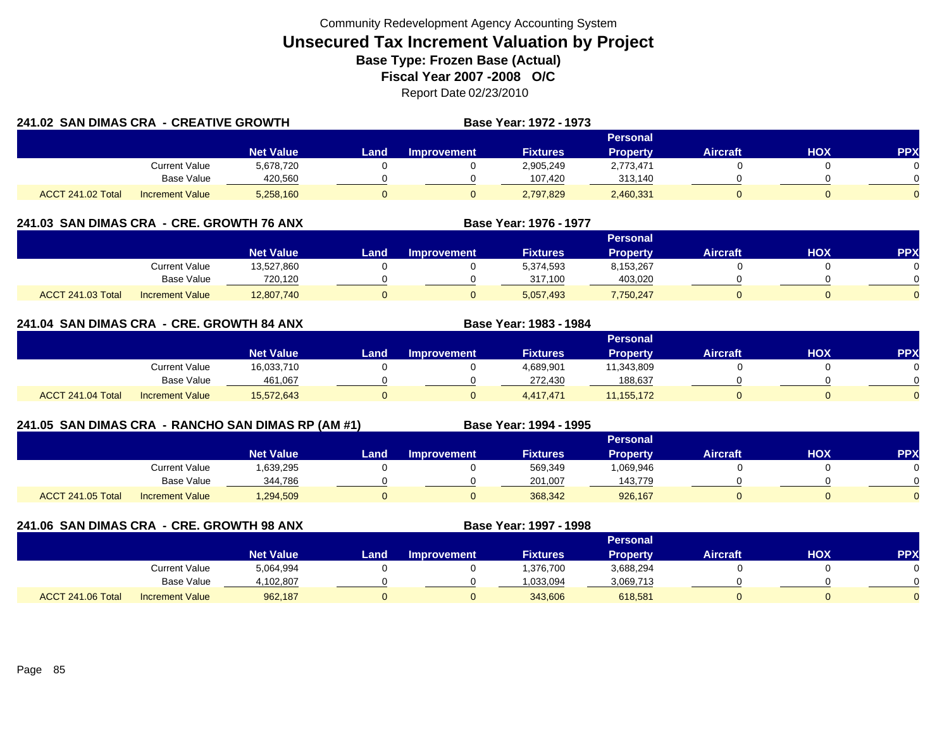| 241.02 SAN DIMAS CRA - CREATIVE GROWTH |                        |                  |      |                    | Base Year: 1972 - 1973 |                 |                 |            |            |
|----------------------------------------|------------------------|------------------|------|--------------------|------------------------|-----------------|-----------------|------------|------------|
|                                        |                        |                  |      |                    |                        | Personal        |                 |            |            |
|                                        |                        | <b>Net Value</b> | Land | <b>Improvement</b> | <b>Fixtures</b>        | <b>Property</b> | <b>Aircraft</b> | <b>HOX</b> | <b>PPX</b> |
|                                        | Current Value          | 5,678,720        |      |                    | 2,905,249              | 2,773,471       |                 |            |            |
|                                        | Base Value             | 420,560          |      |                    | 107,420                | 313,140         |                 |            |            |
| ACCT 241.02 Total                      | <b>Increment Value</b> | 5,258,160        |      |                    | 2,797,829              | 2,460,331       |                 |            |            |

## **241.03 SAN DIMAS CRA - CRE. GROWTH 76 ANX**

|                          |                        |                  |      |                    |                 | <b>Personal</b> |                 |            |          |
|--------------------------|------------------------|------------------|------|--------------------|-----------------|-----------------|-----------------|------------|----------|
|                          |                        | <b>Net Value</b> | Land | <b>Improvement</b> | <b>Fixtures</b> | Propertv        | <b>Aircraft</b> | <b>XOH</b> | PPX      |
|                          | Current Value          | 13,527,860       |      |                    | 5,374,593       | 8,153,267       |                 |            |          |
|                          | <b>Base Value</b>      | 720.120          |      |                    | 317.100         | 403.020         |                 |            | 0        |
| <b>ACCT 241.03 Total</b> | <b>Increment Value</b> | 12,807,740       |      |                    | 5,057,493       | 7,750,247       |                 |            | $\Omega$ |

**Base Year: 1976 - 1977**

**Base Year: 1983 - 1984**

## **241.04 SAN DIMAS CRA - CRE. GROWTH 84 ANX**

|                   |                        |                  |       |                    |                 | <b>Personal</b> |                 |     |            |
|-------------------|------------------------|------------------|-------|--------------------|-----------------|-----------------|-----------------|-----|------------|
|                   |                        | <b>Net Value</b> | Land. | <b>Improvement</b> | <b>Fixtures</b> | Property        | <b>Aircraft</b> | нох | <b>PPX</b> |
|                   | Current Value          | 16,033,710       |       |                    | 4,689,901       | 11,343,809      |                 |     |            |
|                   | <b>Base Value</b>      | 461,067          |       |                    | 272,430         | 188,637         |                 |     |            |
| ACCT 241.04 Total | <b>Increment Value</b> | 15,572,643       |       |                    | 4,417,471       | 11, 155, 172    |                 |     |            |

## **241.05 SAN DIMAS CRA - RANCHO SAN DIMAS RP (AM #1) Base Year: 1994 - 1995**

|                          |                        |                  |       |             |                 | <b>Personal</b> |                 |            |           |
|--------------------------|------------------------|------------------|-------|-------------|-----------------|-----------------|-----------------|------------|-----------|
|                          |                        | <b>Net Value</b> | Land. | Improvement | <b>Fixtures</b> | <b>Property</b> | <b>Aircraft</b> | <b>HOX</b> | <b>PP</b> |
|                          | <b>Current Value</b>   | 1,639,295        |       |             | 569,349         | 069,946         |                 |            |           |
|                          | <b>Base Value</b>      | 344,786          |       |             | 201.007         | 143.779         |                 |            |           |
| <b>ACCT 241.05 Total</b> | <b>Increment Value</b> | 1,294,509        |       |             | 368,342         | 926,167         |                 |            |           |

**241.06 SAN DIMAS CRA - CRE. GROWTH 98 ANX**

**Base Year: 1997 - 1998**

|                   |                        |                  |      |                    |                 | Personal  |          |     |     |
|-------------------|------------------------|------------------|------|--------------------|-----------------|-----------|----------|-----|-----|
|                   |                        | <b>Net Value</b> | Land | <b>Improvement</b> | <b>Fixtures</b> | Propertv  | Aircraft | нох | PPX |
|                   | Current Value          | 5,064,994        |      |                    | 1,376,700       | 3,688,294 |          |     |     |
|                   | <b>Base Value</b>      | 1.102.807        |      |                    | 1.033.094       | 3,069,713 |          |     |     |
| ACCT 241.06 Total | <b>Increment Value</b> | 962,187          |      |                    | 343,606         | 618,581   |          |     |     |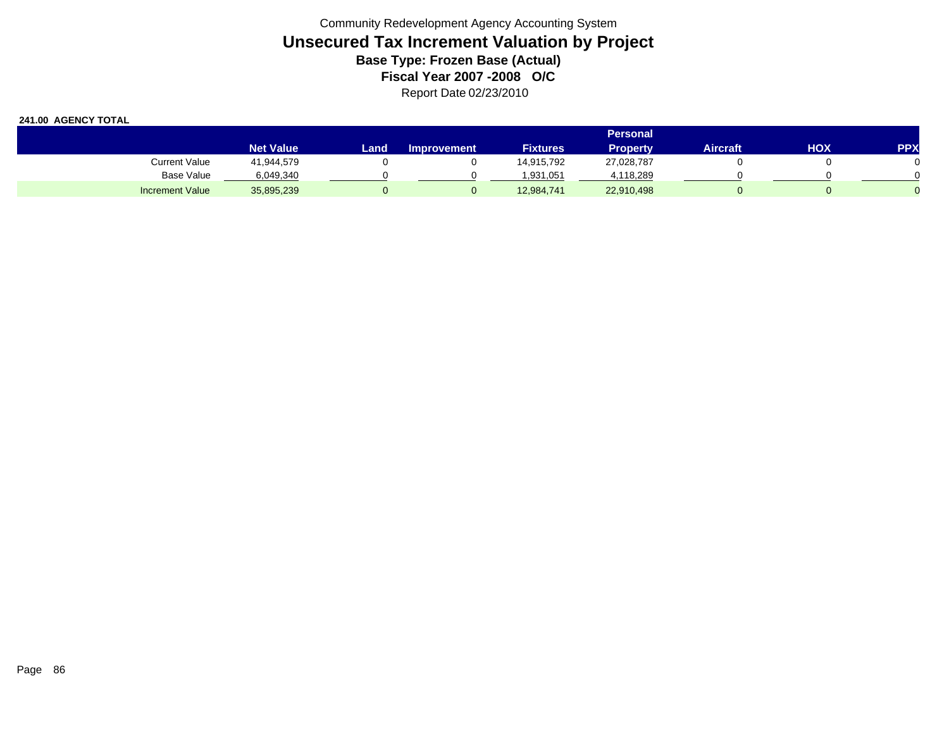|                        |                  |       |                    |                 | <b>Personal</b> |          |     |            |
|------------------------|------------------|-------|--------------------|-----------------|-----------------|----------|-----|------------|
|                        | <b>Net Value</b> | Land. | <b>Improvement</b> | <b>Fixtures</b> | <b>Property</b> | Aircraft | HOX | <b>PPX</b> |
| Current Value          | 41,944,579       |       |                    | 14,915,792      | 27,028,787      |          |     |            |
| <b>Base Value</b>      | 6,049,340        |       |                    | 1,931,051       | 4,118,289       |          |     |            |
| <b>Increment Value</b> | 35,895,239       |       |                    | 12,984,741      | 22,910,498      |          |     |            |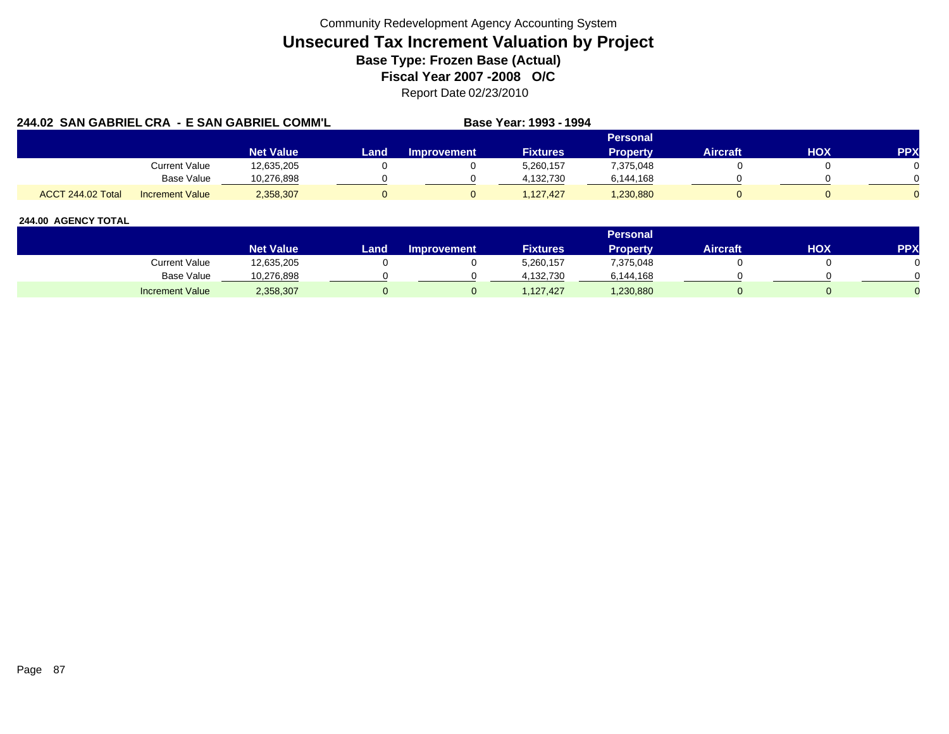|                   |                        | 244.02 SAN GABRIEL CRA - E SAN GABRIEL COMM'L |      |             | Base Year: 1993 - 1994 |                 |                 |            |            |  |
|-------------------|------------------------|-----------------------------------------------|------|-------------|------------------------|-----------------|-----------------|------------|------------|--|
|                   |                        |                                               |      |             |                        | Personal        |                 |            |            |  |
|                   |                        | <b>Net Value</b>                              | Land | Improvement | <b>Fixtures</b>        | <b>Property</b> | <b>Aircraft</b> | <b>HOX</b> | <b>PPX</b> |  |
|                   | Current Value          | 12,635,205                                    |      |             | 5,260,157              | 7,375,048       |                 |            |            |  |
|                   | <b>Base Value</b>      | 10,276,898                                    |      |             | 4,132,730              | 6,144,168       |                 |            |            |  |
| ACCT 244.02 Total | <b>Increment Value</b> | 2,358,307                                     |      |             | 1.127.427              | 1,230,880       |                 |            |            |  |

|                        |                        |       |                    |                 | Personal  |                 |     |     |
|------------------------|------------------------|-------|--------------------|-----------------|-----------|-----------------|-----|-----|
|                        | Net Value <sup>1</sup> | Land, | <b>Improvement</b> | <b>Fixtures</b> | Property  | <b>Aircraft</b> | HOX | PPX |
| Current Value          | 12,635,205             |       |                    | 5,260,157       | 7,375,048 |                 |     |     |
| Base Value             | 10,276,898             |       |                    | 4.132.730       | 6,144,168 |                 |     |     |
| <b>Increment Value</b> | 2,358,307              |       |                    | 127,427         | ,230,880  |                 |     |     |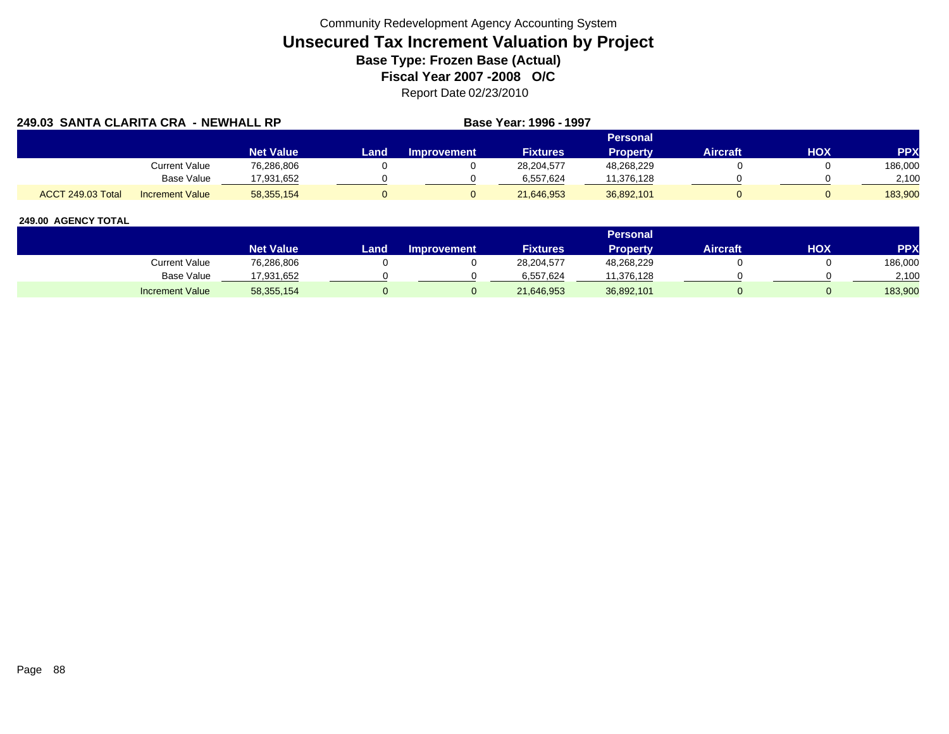| 249.03 SANTA CLARITA CRA - NEWHALL RP |                        |                  |      |                    | Base Year: 1996 - 1997 |                 |                 |     |            |
|---------------------------------------|------------------------|------------------|------|--------------------|------------------------|-----------------|-----------------|-----|------------|
|                                       |                        |                  |      |                    |                        | Personal        |                 |     |            |
|                                       |                        | <b>Net Value</b> | Land | <b>Improvement</b> | <b>Fixtures</b>        | <b>Property</b> | <b>Aircraft</b> | HOX | <b>PPX</b> |
|                                       | <b>Current Value</b>   | 76,286,806       |      |                    | 28,204,577             | 48,268,229      |                 |     | 186,000    |
|                                       | <b>Base Value</b>      | 17.931.652       |      |                    | 6,557,624              | 11,376,128      |                 |     | 2,100      |
| <b>ACCT 249.03 Total</b>              | <b>Increment Value</b> | 58,355,154       |      |                    | 21,646,953             | 36,892,101      |                 |     | 183.900    |

|                        |                  |      |                    |                 | Personal   |          |            |            |
|------------------------|------------------|------|--------------------|-----------------|------------|----------|------------|------------|
|                        | <b>Net Value</b> | Land | <b>Improvement</b> | <b>Fixtures</b> | Property   | Aircraft | <b>HOX</b> | <b>PPX</b> |
| <b>Current Value</b>   | 76,286,806       |      |                    | 28,204,577      | 48,268,229 |          |            | 186,000    |
| <b>Base Value</b>      | 17,931,652       |      |                    | 6.557.624       | 11,376,128 |          |            | 2,100      |
| <b>Increment Value</b> | 58,355,154       |      |                    | 21,646,953      | 36,892,101 |          |            | 183,900    |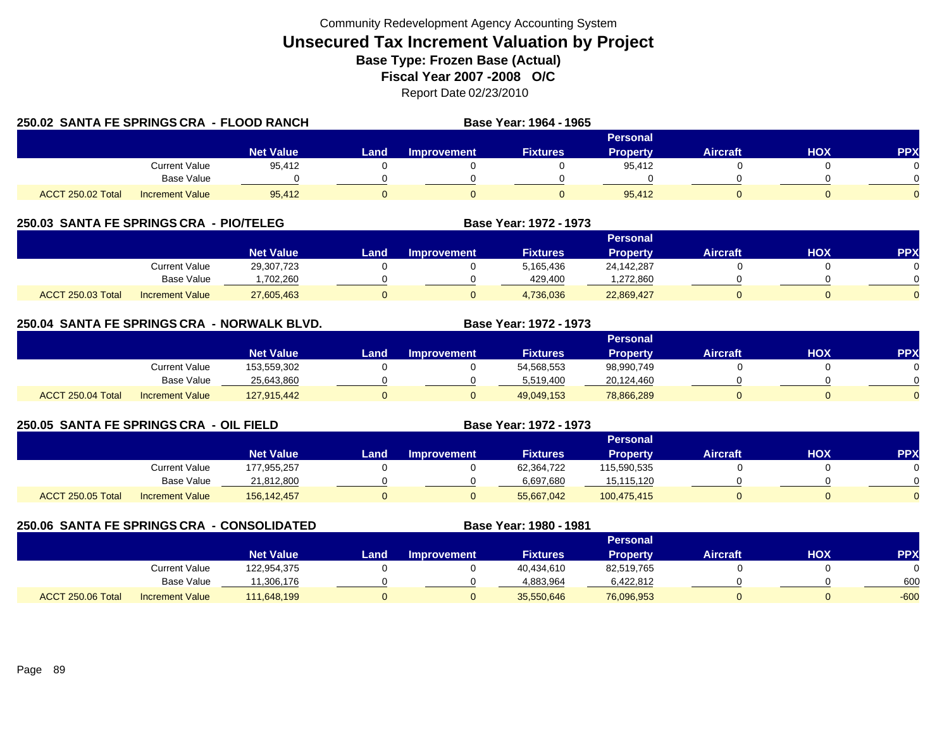|                          | 250.02 SANTA FE SPRINGS CRA - FLOOD RANCH |                  |      |                    | Base Year: 1964 - 1965 |                 |                 |     |            |
|--------------------------|-------------------------------------------|------------------|------|--------------------|------------------------|-----------------|-----------------|-----|------------|
|                          |                                           |                  |      |                    |                        | Personal        |                 |     |            |
|                          |                                           | <b>Net Value</b> | Land | <b>Improvement</b> | <b>Fixtures</b>        | <b>Property</b> | <b>Aircraft</b> | HOX | <b>PPX</b> |
|                          | <b>Current Value</b>                      | 95,412           |      |                    |                        | 95.412          |                 |     |            |
|                          | Base Value                                |                  |      |                    |                        |                 |                 |     |            |
| <b>ACCT 250.02 Total</b> | Increment Value                           | 95.412           |      |                    |                        | 95.412          |                 |     |            |

## **250.03 SANTA FE SPRINGS CRA - PIO/TELEG**

|                                             |                  |      |                    |                 | Personal   |                 |     |           |
|---------------------------------------------|------------------|------|--------------------|-----------------|------------|-----------------|-----|-----------|
|                                             | <b>Net Value</b> | Land | <b>Improvement</b> | <b>Fixtures</b> | Property   | <b>Aircraft</b> | НОХ | <b>PP</b> |
| Current Value                               | 29,307,723       |      |                    | 5,165,436       | 24,142,287 |                 |     |           |
| Base Value                                  | .702.260         |      |                    | 429.400         | .272.860   |                 |     |           |
| ACCT 250.03 Total<br><b>Increment Value</b> | 27,605,463       |      |                    | 4,736,036       | 22,869,427 |                 |     |           |

**Base Year: 1972 - 1973**

**Base Year: 1972 - 1973**

## **250.04 SANTA FE SPRINGS CRA - NORWALK BLVD. Base Year: 1972 - 1973**

|                   |                        |                  |      |             |                 | Personal        |                 |            |            |
|-------------------|------------------------|------------------|------|-------------|-----------------|-----------------|-----------------|------------|------------|
|                   |                        | <b>Net Value</b> | _and | Improvement | <b>Fixtures</b> | <b>Property</b> | <b>Aircraft</b> | <b>HOX</b> | <b>PPX</b> |
|                   | Current Value          | 153,559,302      |      |             | 54,568,553      | 98,990,749      |                 |            |            |
|                   | Base Value             | 25,643,860       |      |             | 5,519,400       | 20,124,460      |                 |            | 0          |
| ACCT 250.04 Total | <b>Increment Value</b> | 127,915,442      |      |             | 49,049,153      | 78,866,289      |                 |            | $\Omega$   |

## **250.05 SANTA FE SPRINGS CRA - OIL FIELD**

|                   |                        |                  |      |                    |                 | Personal        |          |            |            |
|-------------------|------------------------|------------------|------|--------------------|-----------------|-----------------|----------|------------|------------|
|                   |                        | <b>Net Value</b> | Land | <b>Improvement</b> | <b>Fixtures</b> | <b>Property</b> | Aircraft | <b>HOX</b> | <b>PPX</b> |
|                   | <b>Current Value</b>   | 177,955,257      |      |                    | 62,364,722      | 115,590,535     |          |            | 0          |
|                   | <b>Base Value</b>      | 21,812,800       |      |                    | 6,697,680       | 15,115,120      |          |            | 0          |
| ACCT 250.05 Total | <b>Increment Value</b> | 156,142,457      |      |                    | 55,667,042      | 100,475,415     |          |            | $\Omega$   |

#### **250.06 SANTA FE SPRINGS CRA - CONSOLIDATED Base Year: 1980 - 1981 PersonalNet Value Land Improvement Fixtures Property Aircraft HOX PPX** Current Value 122,954,375 0 0 40,434,610 82,519,765 0 0 0 Base Value 11,306,176 0 0 4,883,964 6,422,812 0 600 ACCT 250.06 TotalI Increment Value 111,648,199 0 0 35,550,646 76,096,953 0 -600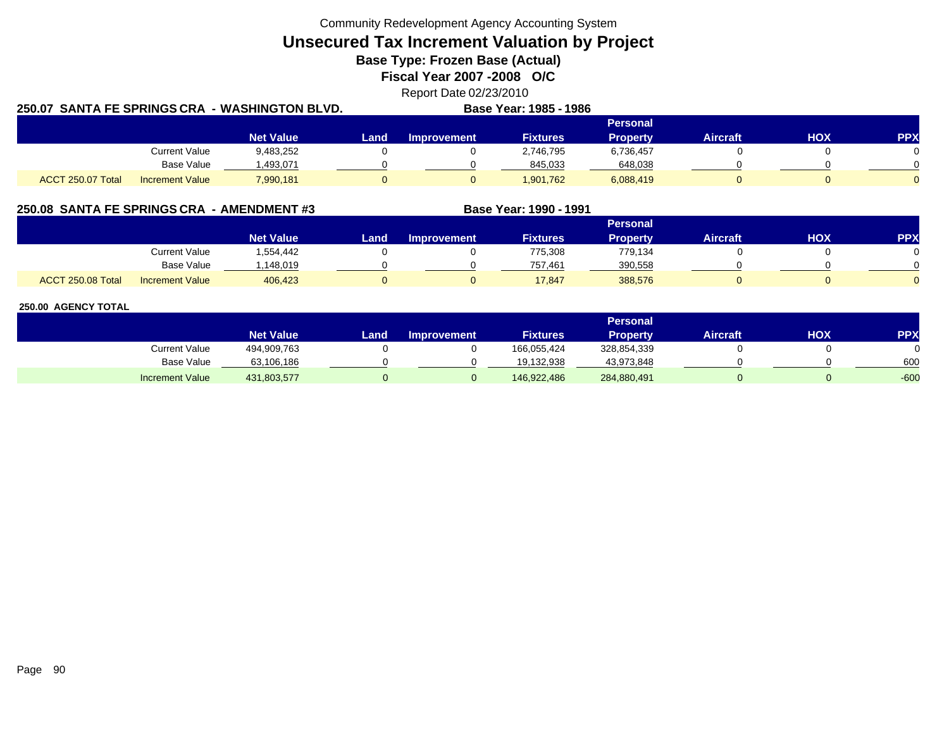Community Redevelopment Agency Accounting System

**Unsecured Tax Increment Valuation by Project**

**Base Type: Frozen Base (Actual)** 

**Fiscal Year 2007 -2008 O/C**

Report Date 02/23/2010

|                   |                        | 250.07  SANTA FE SPRINGS CRA -WASHINGTON BLVD. |      |                    | Base Year: 1985 - 1986 |                 |                 |            |            |
|-------------------|------------------------|------------------------------------------------|------|--------------------|------------------------|-----------------|-----------------|------------|------------|
|                   |                        |                                                |      |                    |                        | Personal        |                 |            |            |
|                   |                        | <b>Net Value</b>                               | Land | <b>Improvement</b> | <b>Fixtures</b>        | <b>Property</b> | <b>Aircraft</b> | <b>HOX</b> | <b>PPX</b> |
|                   | <b>Current Value</b>   | 9,483,252                                      |      |                    | 2,746,795              | 6,736,457       |                 |            |            |
|                   | Base Value             | 493,071. ا                                     |      |                    | 845,033                | 648,038         |                 |            |            |
| ACCT 250.07 Total | <b>Increment Value</b> | 7,990,181                                      |      |                    | 1,901,762              | 6,088,419       |                 |            |            |

## **250.08 SANTA FE SPRINGS CRA - AMENDMENT #3 Base Year: 1990 - 1991**

**250.07**

|                   |                        |                  |      |                    |                 | <b>Personal</b> |                 |            |          |
|-------------------|------------------------|------------------|------|--------------------|-----------------|-----------------|-----------------|------------|----------|
|                   |                        | <b>Net Value</b> | Land | <b>Improvement</b> | <b>Fixtures</b> | <b>Property</b> | <b>Aircraft</b> | <b>XOH</b> | PPX      |
|                   | <b>Current Value</b>   | .554,442         |      |                    | 775,308         | 779,134         |                 |            |          |
|                   | <b>Base Value</b>      | .148.019         |      |                    | 757.461         | 390,558         |                 |            | ∩        |
| ACCT 250.08 Total | <b>Increment Value</b> | 406,423          |      |                    | 17,847          | 388,576         |                 |            | $\Omega$ |

|                        |                  |      |                    |                 | Personal        |          |     |        |
|------------------------|------------------|------|--------------------|-----------------|-----------------|----------|-----|--------|
|                        | <b>Net Value</b> | Land | <b>Improvement</b> | <b>Fixtures</b> | <b>Property</b> | Aircraft | HOX | PPX    |
| <b>Current Value</b>   | 494,909,763      |      |                    | 166,055,424     | 328,854,339     |          |     |        |
| <b>Base Value</b>      | 63,106,186       |      |                    | 19.132.938      | 43,973,848      |          |     | 600    |
| <b>Increment Value</b> | 431,803,577      |      |                    | 146,922,486     | 284,880,491     |          |     | $-600$ |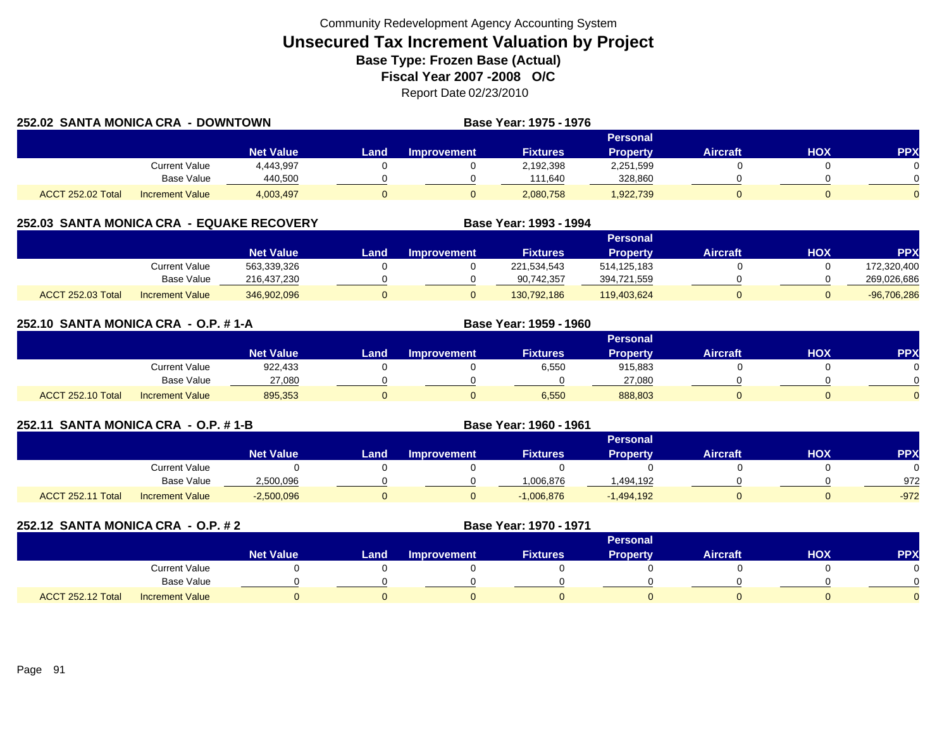| 252.02 SANTA MONICA CRA |                        | - DOWNTOWN       |       |             | Base Year: 1975 - 1976 |                 |                 |            |            |
|-------------------------|------------------------|------------------|-------|-------------|------------------------|-----------------|-----------------|------------|------------|
|                         |                        |                  |       |             |                        | Personal        |                 |            |            |
|                         |                        | <b>Net Value</b> | Landı | Improvement | <b>Fixtures</b>        | <b>Property</b> | <b>Aircraft</b> | <b>HOX</b> | <b>PPX</b> |
|                         | Current Value          | 4,443,997        |       |             | 2,192,398              | 2,251,599       |                 |            |            |
|                         | <b>Base Value</b>      | 440,500          |       |             | 111,640                | 328,860         |                 |            |            |
| ACCT 252.02 Total       | <b>Increment Value</b> | 4,003,497        |       |             | 2,080,758              | 1,922,739       |                 |            |            |

## **252.03 SANTA MONICA CRA - EQUAKE RECOVERY**

|                          |                        |                  |      |                       |                 | Personal        |                 |            |               |
|--------------------------|------------------------|------------------|------|-----------------------|-----------------|-----------------|-----------------|------------|---------------|
|                          |                        | <b>Net Value</b> | Land | <b>⊾Improvement</b> \ | <b>Fixtures</b> | <b>Property</b> | <b>Aircraft</b> | <b>HOX</b> | PPX           |
|                          | Current Value          | 563,339,326      |      |                       | 221,534,543     | 514,125,183     |                 |            | 172,320,400   |
|                          | Base Value             | 216,437,230      |      |                       | 90,742,357      | 394,721,559     |                 |            | 269,026,686   |
| <b>ACCT 252.03 Total</b> | <b>Increment Value</b> | 346,902,096      |      |                       | 130.792.186     | 119,403,624     |                 |            | $-96,706,286$ |

**Base Year: 1993 - 1994**

| 252.10 SANTA MONICA CRA - O.P. #1-A |                        |                  |      | Base Year: 1959 - 1960 |                 |                 |                 |     |            |
|-------------------------------------|------------------------|------------------|------|------------------------|-----------------|-----------------|-----------------|-----|------------|
|                                     |                        |                  |      |                        |                 | <b>Personal</b> |                 |     |            |
|                                     |                        | <b>Net Value</b> | Land | <b>Improvement</b>     | <b>Fixtures</b> | <b>Property</b> | <b>Aircraft</b> | нох | <b>PPX</b> |
|                                     | Current Value          | 922,433          |      |                        | 6,550           | 915,883         |                 |     |            |
|                                     | Base Value             | 27,080           |      |                        |                 | 27,080          |                 |     |            |
| <b>ACCT 252.10 Total</b>            | <b>Increment Value</b> | 895,353          |      |                        | 6.550           | 888.803         |                 |     |            |

| 252.11 SANTA MONICA CRA - O.P. #1-B |                        |                  |      | Base Year: 1960 - 1961 |                 |                 |                 |     |            |
|-------------------------------------|------------------------|------------------|------|------------------------|-----------------|-----------------|-----------------|-----|------------|
|                                     |                        |                  |      |                        |                 | <b>Personal</b> |                 |     |            |
|                                     |                        | <b>Net Value</b> | Land | <b>Improvement</b>     | <b>Fixtures</b> | <b>Property</b> | <b>Aircraft</b> | нох | <b>PPX</b> |
|                                     | <b>Current Value</b>   |                  |      |                        |                 |                 |                 |     |            |
|                                     | Base Value             | 2,500,096        |      |                        | 006,876         | .494,192        |                 |     | 972        |
| <b>ACCT 252.11 Total</b>            | <b>Increment Value</b> | $-2,500,096$     |      |                        | $-1.006.876$    | $-1,494,192$    |                 |     | $-972$     |

| 252.12 SANTA MONICA CRA - O.P. # 2 |                        |                  |      | Base Year: 1970 - 1971 |                 |                 |                 |            |            |
|------------------------------------|------------------------|------------------|------|------------------------|-----------------|-----------------|-----------------|------------|------------|
|                                    |                        |                  |      |                        |                 | <b>Personal</b> |                 |            |            |
|                                    |                        | <b>Net Value</b> | Land | <b>Improvement</b>     | <b>Fixtures</b> | <b>Property</b> | <b>Aircraft</b> | <b>HOX</b> | <b>PPX</b> |
|                                    | Current Value          |                  |      |                        |                 |                 |                 |            |            |
|                                    | Base Value             |                  |      |                        |                 |                 |                 |            |            |
| <b>ACCT 252.12 Total</b>           | <b>Increment Value</b> |                  |      |                        |                 |                 |                 |            |            |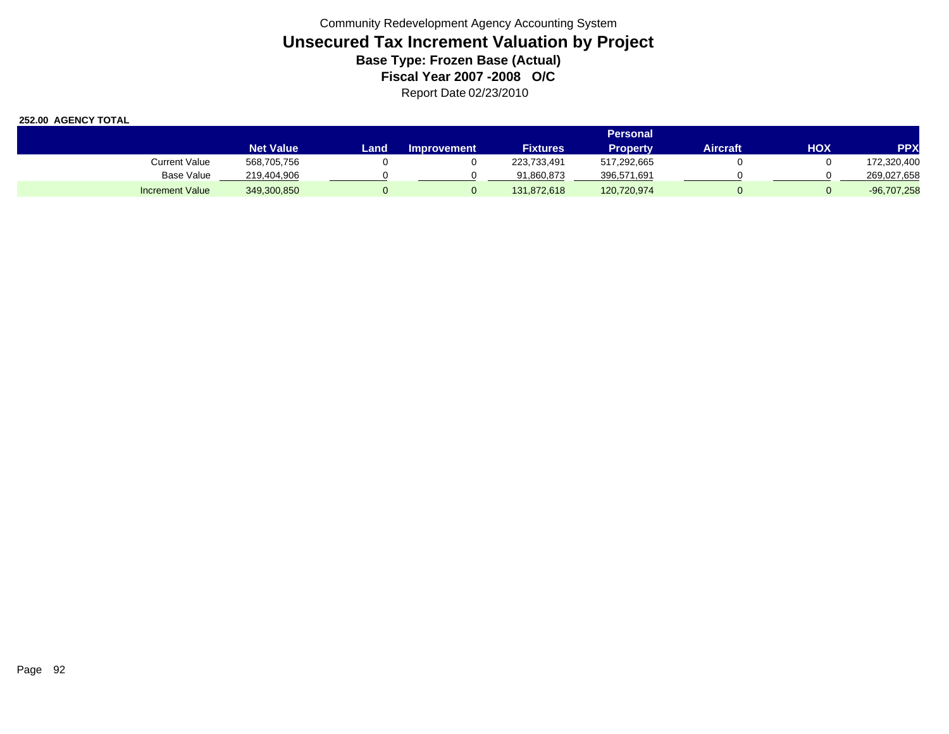|                        |                  |      |                    |                 | Personal    |          |     |               |
|------------------------|------------------|------|--------------------|-----------------|-------------|----------|-----|---------------|
|                        | <b>Net Value</b> | Land | <b>Improvement</b> | <b>Fixtures</b> | Property    | Aircraft | HOX | <b>PPX</b>    |
| <b>Current Value</b>   | 568,705,756      |      |                    | 223,733,491     | 517.292.665 |          |     | 172,320,400   |
| Base Value             | 219.404.906      |      |                    | 91,860,873      | 396,571,691 |          |     | 269,027,658   |
| <b>Increment Value</b> | 349,300,850      |      |                    | 131.872.618     | 120,720,974 |          |     | $-96,707,258$ |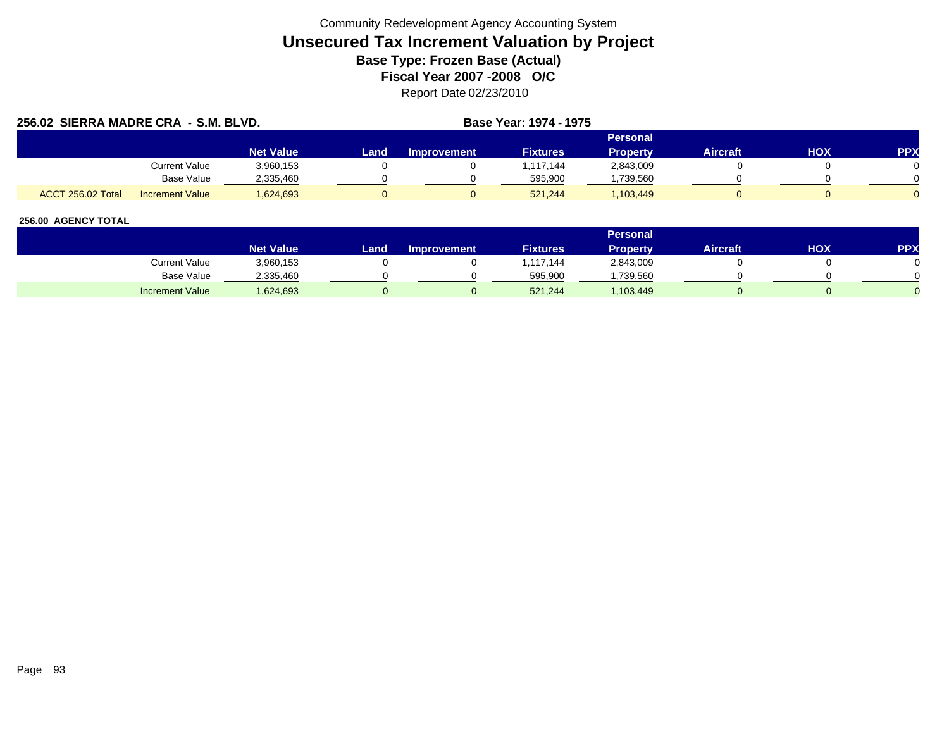|                   | 256.02 SIERRA MADRE CRA - S.M. BLVD. |                  |      |             | Base Year: 1974 - 1975 |                 |                 |     |            |
|-------------------|--------------------------------------|------------------|------|-------------|------------------------|-----------------|-----------------|-----|------------|
|                   |                                      |                  |      |             |                        | Personal        |                 |     |            |
|                   |                                      | <b>Net Value</b> | Land | Improvement | <b>Fixtures</b>        | <b>Property</b> | <b>Aircraft</b> | нох | <b>PPX</b> |
|                   | <b>Current Value</b>                 | 3,960,153        |      |             | 1,117,144              | 2,843,009       |                 |     |            |
|                   | Base Value                           | 2.335.460        |      |             | 595.900                | ,739,560        |                 |     |            |
| ACCT 256.02 Total | <b>Increment Value</b>               | 1,624,693        |      |             | 521.244                | 1,103,449       |                 |     |            |

|                        |                  |        |                    |                 | Personal  |                 |     |            |
|------------------------|------------------|--------|--------------------|-----------------|-----------|-----------------|-----|------------|
|                        | <b>Net Value</b> | Land . | <b>Improvement</b> | <b>Fixtures</b> | Property  | <b>Aircraft</b> | НОХ | <b>PPX</b> |
| Current Value          | 3,960,153        |        |                    | 117,144         | 2,843,009 |                 |     |            |
| <b>Base Value</b>      | 2,335,460        |        |                    | 595,900         | ,739,560  |                 |     |            |
| <b>Increment Value</b> | .624,693         |        |                    | 521,244         | ,103,449  |                 |     |            |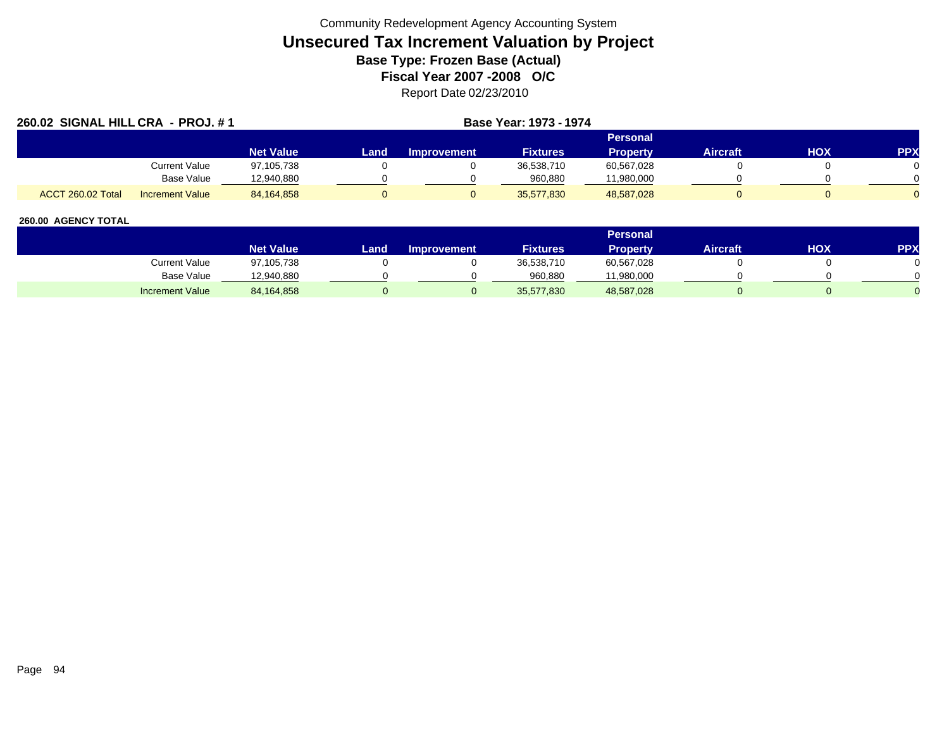| 260.02 SIGNAL HILL CRA - PROJ. #1 |                        |                  |      |                    | Base Year: 1973 - 1974 |                 |                 |     |            |
|-----------------------------------|------------------------|------------------|------|--------------------|------------------------|-----------------|-----------------|-----|------------|
|                                   |                        |                  |      |                    |                        | Personal        |                 |     |            |
|                                   |                        | <b>Net Value</b> | Land | <b>Improvement</b> | <b>Fixtures</b>        | <b>Property</b> | <b>Aircraft</b> | HOX | <b>PPX</b> |
|                                   | Current Value          | 97,105,738       |      |                    | 36,538,710             | 60,567,028      |                 |     |            |
|                                   | Base Value             | 12,940,880       |      |                    | 960.880                | 11,980,000      |                 |     |            |
| ACCT 260.02 Total                 | <b>Increment Value</b> | 84.164.858       |      |                    | 35.577.830             | 48,587,028      |                 |     |            |

|                        |                  |      |                    |                 | <b>Personal</b> |                 |            |     |
|------------------------|------------------|------|--------------------|-----------------|-----------------|-----------------|------------|-----|
|                        | <b>Net Value</b> | Land | <b>Improvement</b> | <b>Fixtures</b> | Property        | <b>Aircraft</b> | <b>HOX</b> | PPX |
| Current Value          | 97,105,738       |      |                    | 36,538,710      | 60,567,028      |                 |            |     |
| Base Value             | 12,940,880       |      |                    | 960,880         | 11,980,000      |                 |            |     |
| <b>Increment Value</b> | 84,164,858       |      |                    | 35,577,830      | 48,587,028      |                 |            |     |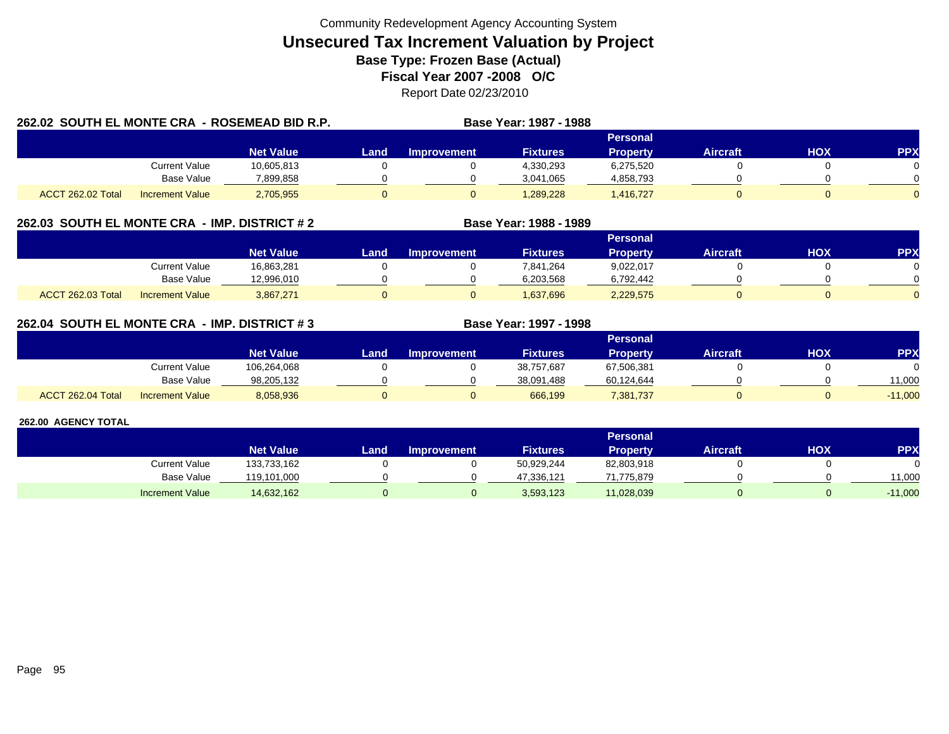| 262.02 SOUTH EL MONTE CRA - ROSEMEAD BID R.P. |                        |                  |       |             | Base Year: 1987 - 1988 |                 |                 |     |            |
|-----------------------------------------------|------------------------|------------------|-------|-------------|------------------------|-----------------|-----------------|-----|------------|
|                                               |                        |                  |       |             |                        | <b>Personal</b> |                 |     |            |
|                                               |                        | <b>Net Value</b> | Land. | Improvement | <b>Fixtures</b>        | <b>Property</b> | <b>Aircraft</b> | HOX | <b>PPX</b> |
|                                               | Current Value          | 10,605,813       |       |             | 4,330,293              | 6,275,520       |                 |     |            |
|                                               | Base Value             | 7,899,858        |       |             | 3,041,065              | 4,858,793       |                 |     |            |
| ACCT 262.02 Total                             | <b>Increment Value</b> | 2,705,955        |       |             | 1,289,228              | 1,416,727       |                 |     |            |

## **262.03 SOUTH EL MONTE CRA - IMP. DISTRICT # 2 Base Year: 1988 - 1989**

|                          |                        |                  |      |                    |                 | <b>Personal</b> |                 |            |          |
|--------------------------|------------------------|------------------|------|--------------------|-----------------|-----------------|-----------------|------------|----------|
|                          |                        | <b>Net Value</b> | Land | <b>Improvement</b> | <b>Fixtures</b> | Property        | <b>Aircraft</b> | <b>HOX</b> | PPX      |
|                          | Current Value          | 16,863,281       |      |                    | 7,841,264       | 9,022,017       |                 |            |          |
|                          | <b>Base Value</b>      | 12,996,010       |      |                    | 6,203,568       | 6,792,442       |                 |            | 0        |
| <b>ACCT 262.03 Total</b> | <b>Increment Value</b> | 3,867,271        |      |                    | 1,637,696       | 2,229,575       |                 |            | $\Omega$ |

## **262.04 SOUTH EL MONTE CRA - IMP. DISTRICT # 3 Base Year: 1997 - 1998**

|                   |                        |                  |      |                    |                 | Personal   |                 |            |           |
|-------------------|------------------------|------------------|------|--------------------|-----------------|------------|-----------------|------------|-----------|
|                   |                        | <b>Net Value</b> | Land | <b>Improvement</b> | <b>Fixtures</b> | Property   | <b>Aircraft</b> | <b>HOX</b> | <b>PP</b> |
|                   | Current Value          | 106,264,068      |      |                    | 38,757,687      | 67,506,381 |                 |            |           |
|                   | <b>Base Value</b>      | 98.205.132       |      |                    | 38.091.488      | 60,124,644 |                 |            | 11,000    |
| ACCT 262.04 Total | <b>Increment Value</b> | 8,058,936        |      |                    | 666.199         | 7,381,737  |                 |            | $-11,000$ |

|                        |                  |      |                    |                 | Personal   |                 |     |            |
|------------------------|------------------|------|--------------------|-----------------|------------|-----------------|-----|------------|
|                        | <b>Net Value</b> | Land | <b>Improvement</b> | <b>Fixtures</b> | Property   | <b>Aircraft</b> | нох | <b>PPX</b> |
| Current Value          | 133,733,162      |      |                    | 50,929,244      | 82,803,918 |                 |     |            |
| <b>Base Value</b>      | 119,101,000      |      |                    | 47,336,121      | 71.775.879 |                 |     | 11.000     |
| <b>Increment Value</b> | 14,632,162       |      |                    | 3,593,123       | 11,028,039 |                 |     | $-11,000$  |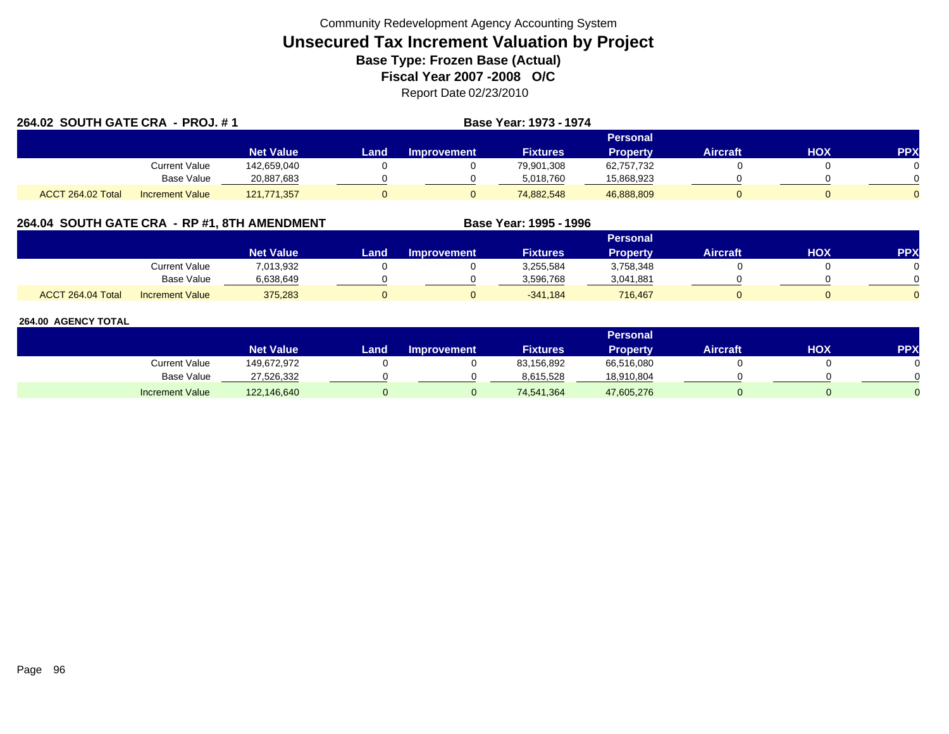| 264.02 SOUTH GATE CRA - PROJ. #1 |                        |                  |      |                    | Base Year: 1973 - 1974 |                 |                 |     |            |
|----------------------------------|------------------------|------------------|------|--------------------|------------------------|-----------------|-----------------|-----|------------|
|                                  |                        |                  |      |                    |                        | <b>Personal</b> |                 |     |            |
|                                  |                        | <b>Net Value</b> | Land | <b>Improvement</b> | <b>Fixtures</b>        | <b>Property</b> | <b>Aircraft</b> | HOX | <b>PPX</b> |
|                                  | <b>Current Value</b>   | 142,659,040      |      |                    | 79,901,308             | 62,757,732      |                 |     |            |
|                                  | <b>Base Value</b>      | 20,887,683       |      |                    | 5,018,760              | 15,868,923      |                 |     |            |
| ACCT 264.02 Total                | <b>Increment Value</b> | 121,771,357      |      |                    | 74.882.548             | 46,888,809      |                 |     |            |

## **264.04 SOUTH GATE CRA - RP #1, 8TH AMENDMENT Base Year: 1995 - 1996**

|                   |                        |                  |      |                    |                 | Personal        |          |     |     |
|-------------------|------------------------|------------------|------|--------------------|-----------------|-----------------|----------|-----|-----|
|                   |                        | <b>Net Value</b> | Land | <b>Improvement</b> | <b>Fixtures</b> | <b>Property</b> | Aircraft | нох | PPX |
|                   | <b>Current Value</b>   | 7,013,932        |      |                    | 3,255,584       | 3,758,348       |          |     |     |
|                   | <b>Base Value</b>      | 6.638.649        |      |                    | 3,596,768       | 3,041,881       |          |     |     |
| ACCT 264.04 Total | <b>Increment Value</b> | 375,283          |      |                    | $-341,184$      | 716,467         |          |     |     |

|                        |                  |      |                    |                 | Personal        |                 |     |           |
|------------------------|------------------|------|--------------------|-----------------|-----------------|-----------------|-----|-----------|
|                        | <b>Net Value</b> | Land | <b>Improvement</b> | <b>Fixtures</b> | <b>Property</b> | <b>Aircraft</b> | нох | <b>PP</b> |
| Current Value          | 149,672,972      |      |                    | 83,156,892      | 66,516,080      |                 |     |           |
| Base Value             | 27,526,332       |      |                    | 8,615,528       | 18,910,804      |                 |     |           |
| <b>Increment Value</b> | 122,146,640      |      |                    | 74,541,364      | 47,605,276      |                 |     |           |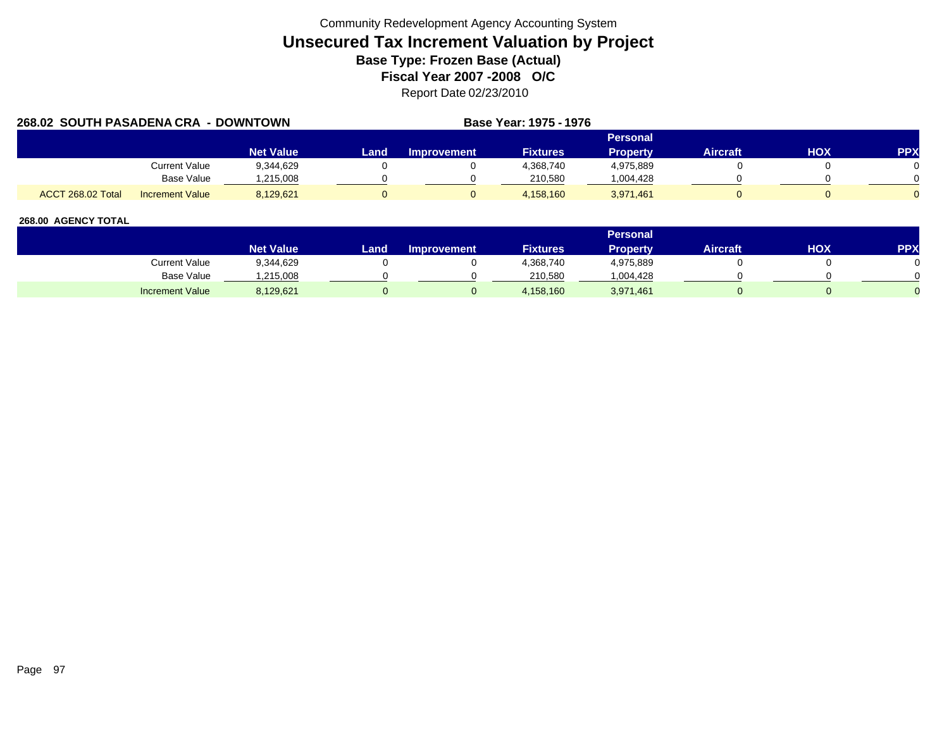| 268.02 SOUTH PASADENA CRA - DOWNTOWN |                        |                  |      | Base Year: 1975 - 1976 |                 |                 |                 |            |            |
|--------------------------------------|------------------------|------------------|------|------------------------|-----------------|-----------------|-----------------|------------|------------|
|                                      |                        |                  |      |                        |                 | Personal        |                 |            |            |
|                                      |                        | <b>Net Value</b> | Land | Improvement            | <b>Fixtures</b> | <b>Property</b> | <b>Aircraft</b> | <b>HOX</b> | <b>PPX</b> |
|                                      | Current Value          | 9,344,629        |      |                        | 4,368,740       | 4,975,889       |                 |            |            |
|                                      | Base Value             | .215.008         |      |                        | 210.580         | 1,004,428       |                 |            |            |
| ACCT 268.02 Total                    | <b>Increment Value</b> | 8,129,621        |      |                        | 4.158.160       | 3,971,461       |                 |            |            |

|                        |                  |      |                    |                 | <b>Personal</b> |                 |     |     |
|------------------------|------------------|------|--------------------|-----------------|-----------------|-----------------|-----|-----|
|                        | <b>Net Value</b> | Land | <b>Improvement</b> | <b>Fixtures</b> | <b>Property</b> | <b>Aircraft</b> | HOX | PPX |
| Current Value          | 9,344,629        |      |                    | 4,368,740       | 4,975,889       |                 |     |     |
| Base Value             | ,215,008         |      |                    | 210.580         | ,004,428        |                 |     |     |
| <b>Increment Value</b> | 8,129,621        |      |                    | 4,158,160       | 3,971,461       |                 |     |     |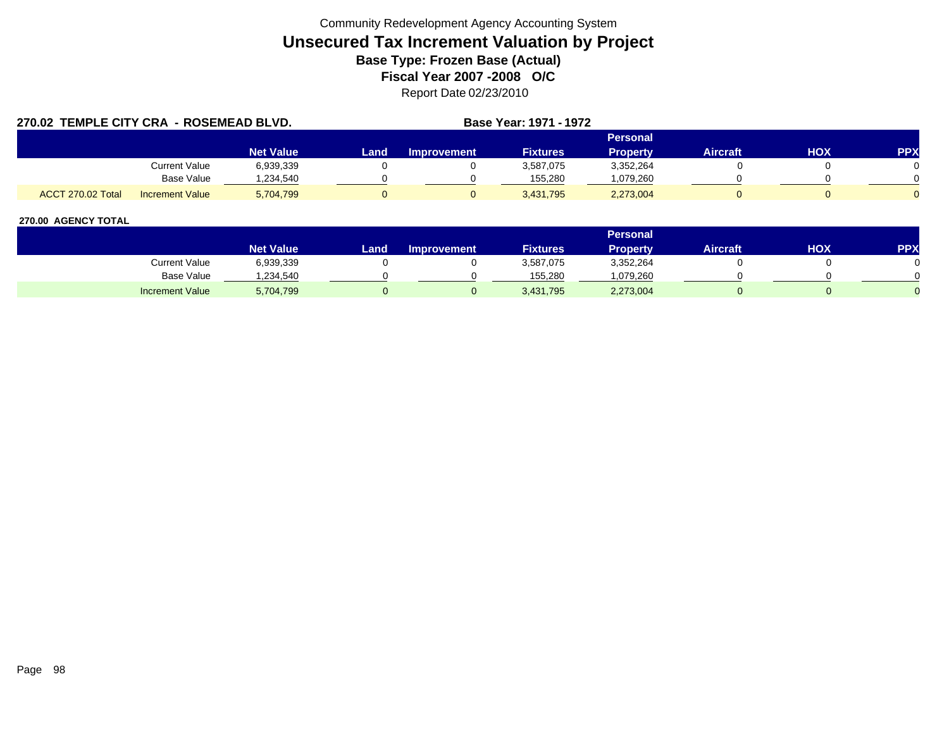| 270.02 TEMPLE CITY CRA - ROSEMEAD BLVD. |                        |                  | Base Year: 1971 - 1972 |                    |                 |                 |                 |            |            |
|-----------------------------------------|------------------------|------------------|------------------------|--------------------|-----------------|-----------------|-----------------|------------|------------|
|                                         |                        |                  |                        |                    |                 | <b>Personal</b> |                 |            |            |
|                                         |                        | <b>Net Value</b> | Land                   | <b>Improvement</b> | <b>Fixtures</b> | <b>Property</b> | <b>Aircraft</b> | <b>HOX</b> | <b>PPX</b> |
|                                         | <b>Current Value</b>   | 6,939,339        |                        |                    | 3,587,075       | 3,352,264       |                 |            |            |
|                                         | <b>Base Value</b>      | ,234,540         |                        |                    | 155,280         | .079,260        |                 |            |            |
| ACCT 270.02 Total                       | <b>Increment Value</b> | 5,704,799        |                        |                    | 3,431,795       | 2,273,004       |                 |            |            |

|                        |                  |      |                    |                 | Personal  |                 |     |            |
|------------------------|------------------|------|--------------------|-----------------|-----------|-----------------|-----|------------|
|                        | <b>Net Value</b> | Land | <b>Improvement</b> | <b>Fixtures</b> | Property  | <b>Aircraft</b> | HOX | <b>PPX</b> |
| Current Value          | 6,939,339        |      |                    | 3,587,075       | 3,352,264 |                 |     |            |
| Base Value             | .234.540         |      |                    | 155.280         | 1,079,260 |                 |     |            |
| <b>Increment Value</b> | 5,704,799        |      |                    | 3,431,795       | 2,273,004 |                 |     |            |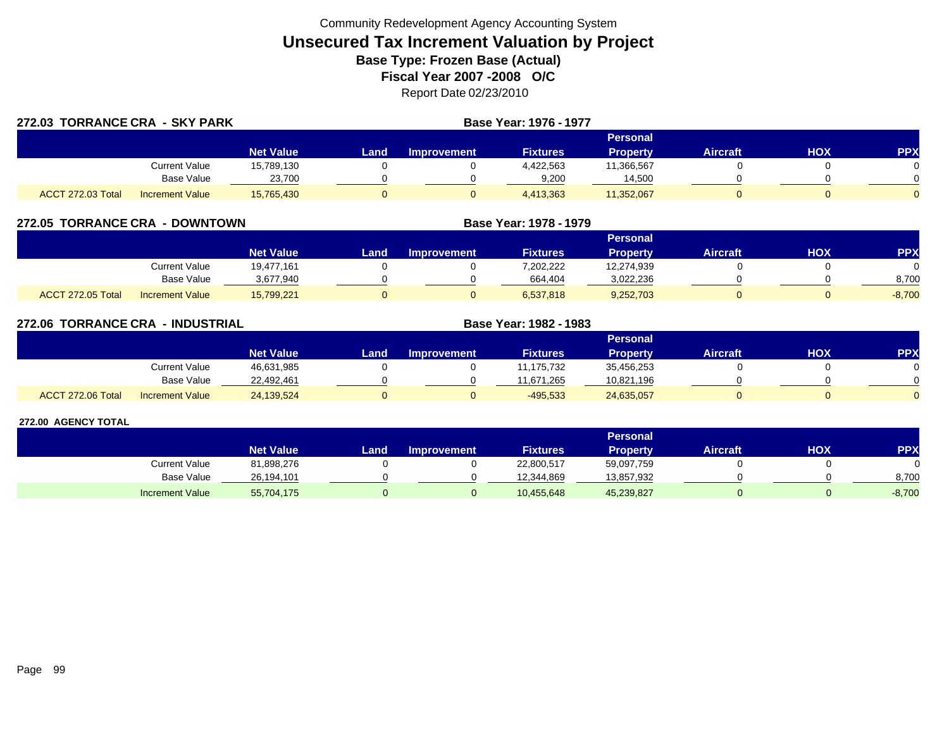| 272.03 TORRANCE CRA - SKY PARK |                        |                  | Base Year: 1976 - 1977 |             |                 |                 |                 |     |            |  |  |  |
|--------------------------------|------------------------|------------------|------------------------|-------------|-----------------|-----------------|-----------------|-----|------------|--|--|--|
|                                |                        |                  |                        |             |                 | Personal        |                 |     |            |  |  |  |
|                                |                        | <b>Net Value</b> | Land.                  | Improvement | <b>Fixtures</b> | <b>Property</b> | <b>Aircraft</b> | HOX | <b>PPX</b> |  |  |  |
|                                | Current Value          | 15,789,130       |                        |             | 4,422,563       | 11,366,567      |                 |     |            |  |  |  |
|                                | Base Value             | 23,700           |                        |             | 9,200           | 14,500          |                 |     |            |  |  |  |
| ACCT 272.03 Total              | <b>Increment Value</b> | 15.765.430       |                        |             | 4,413,363       | 11,352,067      |                 |     |            |  |  |  |

| 272.05 TORRANCE CRA<br>- DOWNTOWN |                        |                  |      |                    | Base Year: 1978 - 1979 |                 |                 |     |           |
|-----------------------------------|------------------------|------------------|------|--------------------|------------------------|-----------------|-----------------|-----|-----------|
|                                   |                        |                  |      |                    |                        | <b>Personal</b> |                 |     |           |
|                                   |                        | <b>Net Value</b> | Land | <b>Improvement</b> | <b>Fixtures</b>        | <b>Property</b> | <b>Aircraft</b> | HOX | <b>PP</b> |
|                                   | Current Value          | 19,477,161       |      |                    | 7,202,222              | 12,274,939      |                 |     |           |
|                                   | <b>Base Value</b>      | 3,677,940        |      |                    | 664,404                | 3,022,236       |                 |     | 8,700     |
| ACCT 272.05 Total                 | <b>Increment Value</b> | 15,799,221       |      |                    | 6,537,818              | 9,252,703       |                 |     | $-8,700$  |

| 272.06 TORRANCE CRA | <b>- INDUSTRIAL</b>    |                  |      |                    | Base Year: 1982 - 1983 |                 |                 |     |            |
|---------------------|------------------------|------------------|------|--------------------|------------------------|-----------------|-----------------|-----|------------|
|                     |                        |                  |      |                    |                        | <b>Personal</b> |                 |     |            |
|                     |                        | <b>Net Value</b> | Land | <b>Improvement</b> | <b>Fixtures</b>        | <b>Property</b> | <b>Aircraft</b> | HOX | <b>PPX</b> |
|                     | Current Value          | 46,631,985       |      |                    | 11,175,732             | 35,456,253      |                 |     |            |
|                     | <b>Base Value</b>      | 22,492,461       |      |                    | 11.671.265             | 10,821,196      |                 |     |            |
| ACCT 272.06 Total   | <b>Increment Value</b> | 24,139,524       |      | 0                  | $-495,533$             | 24,635,057      |                 |     | $\Omega$   |

|                        |                  | <b>Personal</b> |                    |                 |            |                 |            |           |  |  |  |
|------------------------|------------------|-----------------|--------------------|-----------------|------------|-----------------|------------|-----------|--|--|--|
|                        | <b>Net Value</b> | Land            | <b>Improvement</b> | <b>Fixtures</b> | Property   | <b>Aircraft</b> | <b>HOX</b> | <b>PP</b> |  |  |  |
| Current Value          | 81,898,276       |                 |                    | 22,800,517      | 59,097,759 |                 |            |           |  |  |  |
| Base Value             | 26.194.101       |                 |                    | 12.344.869      | 13,857,932 |                 |            | 8,700     |  |  |  |
| <b>Increment Value</b> | 55,704,175       |                 |                    | 10,455,648      | 45,239,827 |                 |            | $-8,700$  |  |  |  |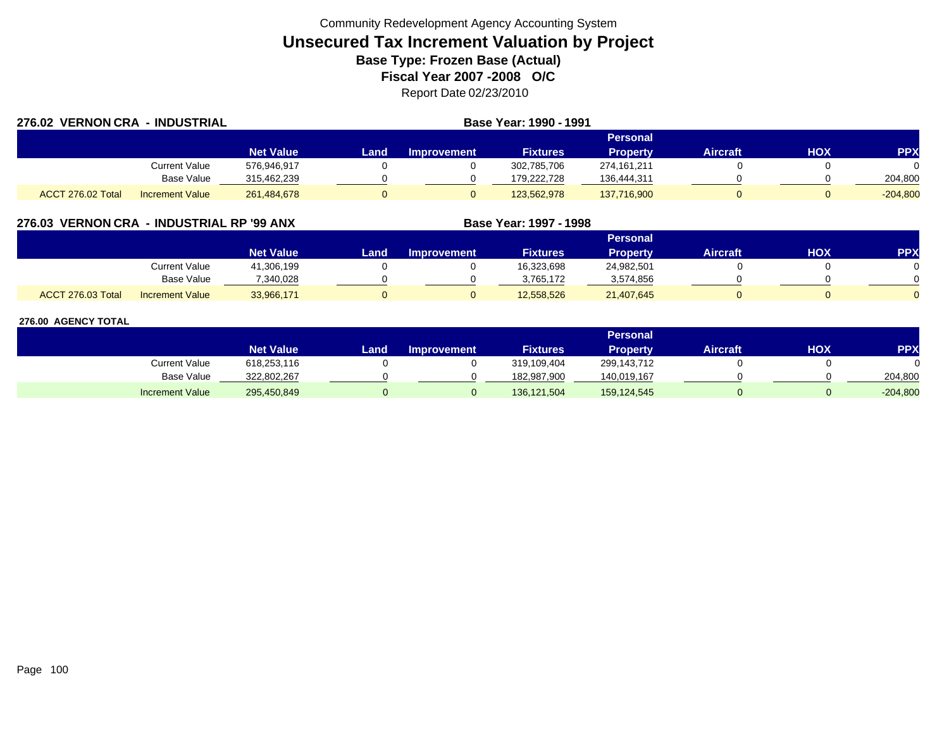| 276.02 VERNON CRA - INDUSTRIAL |                        |                  | Base Year: 1990 - 1991 |             |                 |                 |                 |            |            |  |
|--------------------------------|------------------------|------------------|------------------------|-------------|-----------------|-----------------|-----------------|------------|------------|--|
|                                |                        |                  |                        |             |                 | <b>Personal</b> |                 |            |            |  |
|                                |                        | <b>Net Value</b> | Land                   | Improvement | <b>Fixtures</b> | <b>Property</b> | <b>Aircraft</b> | <b>HOX</b> | <b>PPX</b> |  |
|                                | Current Value          | 576,946,917      |                        |             | 302,785,706     | 274,161,211     |                 |            |            |  |
|                                | <b>Base Value</b>      | 315,462,239      |                        |             | 179,222,728     | 136,444,311     |                 |            | 204,800    |  |
| ACCT 276.02 Total              | <b>Increment Value</b> | 261,484,678      |                        |             | 123,562,978     | 137,716,900     |                 |            | $-204,800$ |  |

### **276.03 VERNON CRA - INDUSTRIAL RP '99 ANX**

|                   |                        |                  |      |                    |                 | Personal        |                 |     |            |
|-------------------|------------------------|------------------|------|--------------------|-----------------|-----------------|-----------------|-----|------------|
|                   |                        | <b>Net Value</b> | Land | <b>Improvement</b> | <b>Fixtures</b> | <b>Property</b> | <b>Aircraft</b> | нох | <b>PPX</b> |
|                   | Current Value          | 41,306,199       |      |                    | 16,323,698      | 24,982,501      |                 |     |            |
|                   | <b>Base Value</b>      | 7,340,028        |      |                    | 3.765.172       | 3,574,856       |                 |     |            |
| ACCT 276.03 Total | <b>Increment Value</b> | 33,966,171       |      |                    | 12,558,526      | 21,407,645      |                 |     |            |

**Base Year: 1997 - 1998**

|                        |                  |      |                      |                 | <b>Personal</b> |                 |     |            |
|------------------------|------------------|------|----------------------|-----------------|-----------------|-----------------|-----|------------|
|                        | <b>Net Value</b> | Land | <b>∣mprovement</b> \ | <b>Fixtures</b> | <b>Property</b> | <b>Aircraft</b> | нох | <b>PPX</b> |
| Current Value          | 618,253,116      |      |                      | 319,109,404     | 299,143,712     |                 |     |            |
| <b>Base Value</b>      | 322,802,267      |      |                      | 182,987,900     | 140,019,167     |                 |     | 204,800    |
| <b>Increment Value</b> | 295,450,849      |      |                      | 136,121,504     | 159,124,545     |                 |     | $-204,800$ |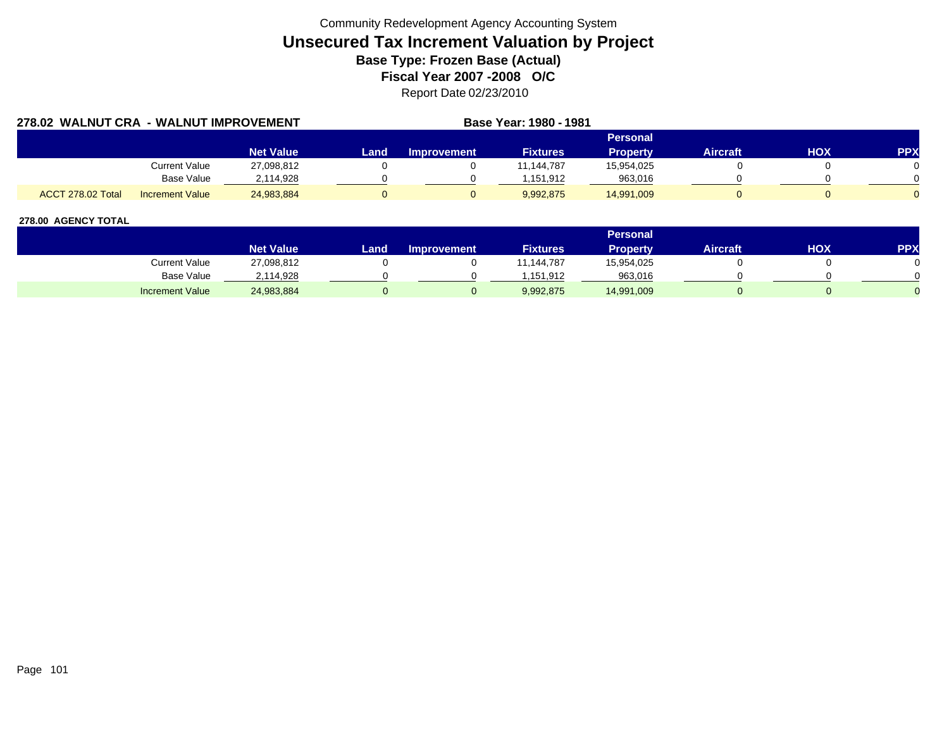| 278.02 WALNUT CRA - WALNUT IMPROVEMENT |                        |                  |      | Base Year: 1980 - 1981 |                 |                 |                 |            |            |
|----------------------------------------|------------------------|------------------|------|------------------------|-----------------|-----------------|-----------------|------------|------------|
|                                        |                        |                  |      |                        |                 | Personal        |                 |            |            |
|                                        |                        | <b>Net Value</b> | Land | <b>Improvement</b>     | <b>Fixtures</b> | <b>Property</b> | <b>Aircraft</b> | <b>HOX</b> | <b>PPX</b> |
|                                        | Current Value          | 27,098,812       |      |                        | 11.144.787      | 15.954.025      |                 |            |            |
|                                        | Base Value             | 2.114.928        |      |                        | 1.151.912       | 963,016         |                 |            |            |
| ACCT 278.02 Total                      | <b>Increment Value</b> | 24.983.884       |      |                        | 9.992.875       | 14,991,009      |                 |            |            |

|                        |                  |        |                    |                 | <b>Personal</b> |                 |     |            |
|------------------------|------------------|--------|--------------------|-----------------|-----------------|-----------------|-----|------------|
|                        | <b>Net Value</b> | Land . | <b>Improvement</b> | <b>Fixtures</b> | Property        | <b>Aircraft</b> | нох | <b>PPX</b> |
| Current Value          | 27,098,812       |        |                    | 1,144,787       | 15,954,025      |                 |     |            |
| <b>Base Value</b>      | 2,114,928        |        |                    | .151.912        | 963,016         |                 |     |            |
| <b>Increment Value</b> | 24,983,884       |        |                    | 9,992,875       | 14,991,009      |                 |     |            |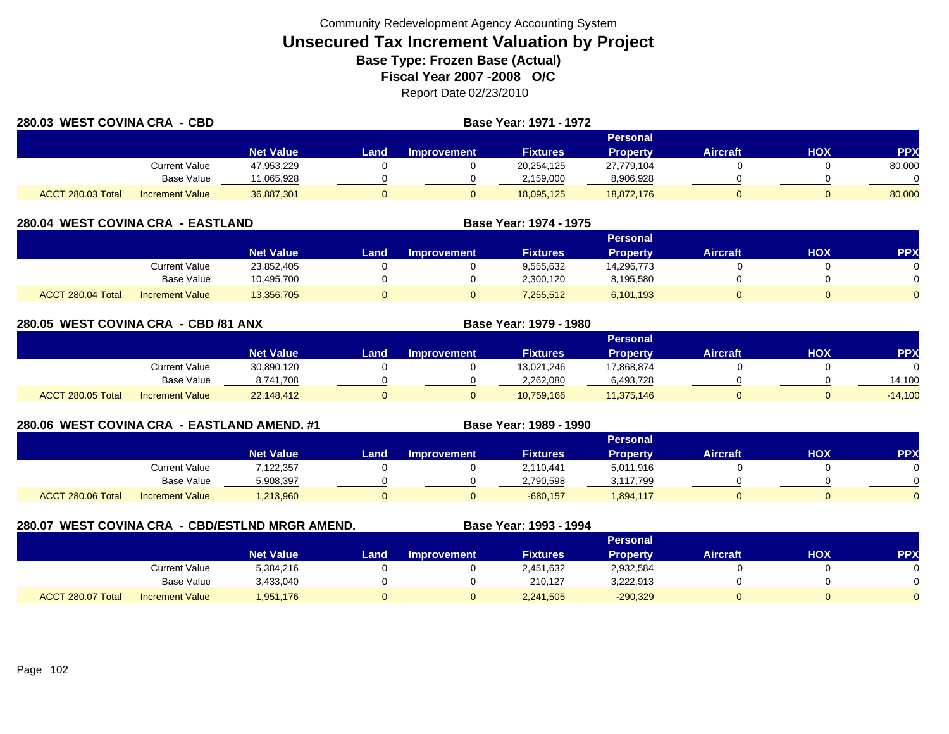| 280.03 WEST COVINA CRA - CBD |                        |                  |          | <b>Base Year: 1971 - 1972</b> |                 |                 |                 |            |            |  |
|------------------------------|------------------------|------------------|----------|-------------------------------|-----------------|-----------------|-----------------|------------|------------|--|
|                              |                        |                  | Personal |                               |                 |                 |                 |            |            |  |
|                              |                        | <b>Net Value</b> | Land     | <b>Improvement</b>            | <b>Fixtures</b> | <b>Property</b> | <b>Aircraft</b> | <b>HOX</b> | <b>PPX</b> |  |
|                              | Current Value          | 47,953,229       |          |                               | 20,254,125      | 27,779,104      |                 |            | 80,000     |  |
|                              | Base Value             | 11,065,928       |          |                               | 2,159,000       | 8,906,928       |                 |            |            |  |
| ACCT 280.03 Total            | <b>Increment Value</b> | 36,887,301       |          |                               | 18,095,125      | 18,872,176      |                 |            | 80,000     |  |

| 280.04 WEST COVINA CRA - EASTLAND |                        |                  |      | Base Year: 1974 - 1975 |                 |                 |                 |     |            |
|-----------------------------------|------------------------|------------------|------|------------------------|-----------------|-----------------|-----------------|-----|------------|
|                                   |                        |                  |      |                        |                 | Personal        |                 |     |            |
|                                   |                        | <b>Net Value</b> | Land | <b>Improvement</b>     | <b>Fixtures</b> | <b>Property</b> | <b>Aircraft</b> | нох | <b>PPX</b> |
|                                   | Current Value          | 23,852,405       |      |                        | 9,555,632       | 14.296.773      |                 |     |            |
|                                   | Base Value             | 10,495,700       |      |                        | 2,300,120       | 8,195,580       |                 |     |            |
| ACCT 280.04 Total                 | <b>Increment Value</b> | 13,356,705       |      |                        | 7,255,512       | 6,101,193       |                 |     |            |

| 280.05 WEST COVINA CRA - CBD /81 ANX |                        |                  |      |             | <b>Base Year: 1979 - 1980</b> |                 |                 |            |            |
|--------------------------------------|------------------------|------------------|------|-------------|-------------------------------|-----------------|-----------------|------------|------------|
|                                      |                        |                  |      |             |                               | <b>Personal</b> |                 |            |            |
|                                      |                        | <b>Net Value</b> | Land | Improvement | <b>Fixtures</b>               | <b>Property</b> | <b>Aircraft</b> | <b>HOX</b> | <b>PPX</b> |
|                                      | Current Value          | 30,890,120       |      |             | 13,021,246                    | 17,868,874      |                 |            | $\Omega$   |
|                                      | Base Value             | 8,741,708        |      |             | 2,262,080                     | 6,493,728       |                 |            | 14,100     |
| ACCT 280.05 Total                    | <b>Increment Value</b> | 22,148,412       |      |             | 10.759.166                    | 11,375,146      |                 | O          | $-14,100$  |

### **280.06 WEST COVINA CRA - EASTLAND AMEND. #1 Base Year: 1989 - 1990**

|                   |                        |                  |       |             |                 | Personal        |                 |            |            |
|-------------------|------------------------|------------------|-------|-------------|-----------------|-----------------|-----------------|------------|------------|
|                   |                        | <b>Net Value</b> | Land. | Improvement | <b>Fixtures</b> | <b>Property</b> | <b>Aircraft</b> | <b>HOX</b> | <b>PPX</b> |
|                   | <b>Current Value</b>   | 7,122,357        |       |             | 2,110,441       | 5,011,916       |                 |            |            |
|                   | <b>Base Value</b>      | 5,908,397        |       |             | 2,790,598       | 3,117,799       |                 |            |            |
| ACCT 280.06 Total | <b>Increment Value</b> | 1,213,960        |       |             | $-680,157$      | 894,117         |                 |            |            |

### **280.07 WEST COVINA CRA - CBD/ESTLND MRGR AMEND. Base Year: 1993 - 1994**

|                   |                        |                  | Personal |                    |                 |            |                 |     |            |  |  |  |  |
|-------------------|------------------------|------------------|----------|--------------------|-----------------|------------|-----------------|-----|------------|--|--|--|--|
|                   |                        | <b>Net Value</b> | Land i   | <b>Improvement</b> | <b>Fixtures</b> | Property   | <b>Aircraft</b> | нох | <b>PPX</b> |  |  |  |  |
|                   | <b>Current Value</b>   | 5,384,216        |          |                    | 2,451,632       | 2,932,584  |                 |     |            |  |  |  |  |
|                   | <b>Base Value</b>      | 3,433,040        |          |                    | 210.127         | 3,222,913  |                 |     | ∩          |  |  |  |  |
| ACCT 280.07 Total | <b>Increment Value</b> | 1,951,176        |          |                    | 2,241,505       | $-290,329$ |                 |     |            |  |  |  |  |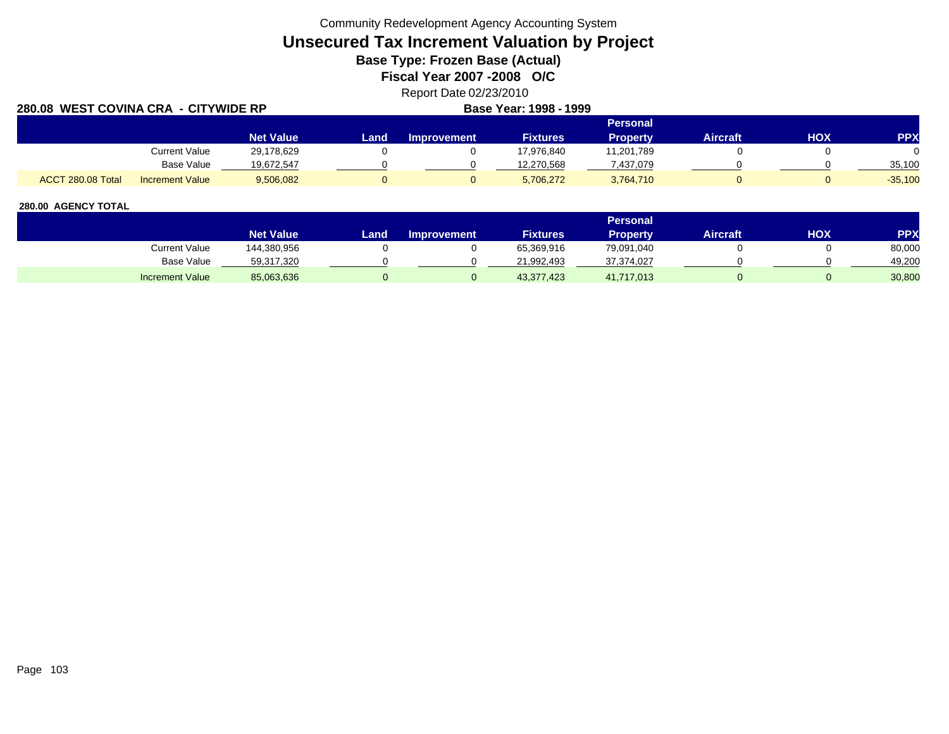Community Redevelopment Agency Accounting System

# **Unsecured Tax Increment Valuation by Project**

**Base Type: Frozen Base (Actual)** 

**Fiscal Year 2007 -2008 O/C**

## Report Date 02/23/2010

| 280.08 WEST COVINA CRA - CITYWIDE RP |                        |                  |      |             | Base Year: 1998 - 1999 |                 |                 |     |            |
|--------------------------------------|------------------------|------------------|------|-------------|------------------------|-----------------|-----------------|-----|------------|
|                                      |                        |                  |      |             |                        | <b>Personal</b> |                 |     |            |
|                                      |                        | <b>Net Value</b> | Land | Improvement | <b>Fixtures</b>        | <b>Property</b> | <b>Aircraft</b> | нох | <b>PPX</b> |
|                                      | Current Value          | 29,178,629       |      |             | 17,976,840             | 11,201,789      |                 |     |            |
|                                      | <b>Base Value</b>      | 19.672.547       |      |             | 12,270,568             | 437,079.7       |                 |     | 35,100     |
| ACCT 280.08 Total                    | <b>Increment Value</b> | 9,506,082        |      |             | 5,706,272              | 3,764,710       |                 |     | $-35,100$  |

|                        |                  |      |                    |                 | <b>Personal</b> |                 |     |        |
|------------------------|------------------|------|--------------------|-----------------|-----------------|-----------------|-----|--------|
|                        | <b>Net Value</b> | Land | <b>Improvement</b> | <b>Fixtures</b> | Propertv        | <b>Aircraft</b> | HOX | PPX    |
| Current Value          | 144,380,956      |      |                    | 65,369,916      | 79,091,040      |                 |     | 80,000 |
| Base Value             | 59,317,320       |      |                    | 21,992,493      | 37,374,027      |                 |     | 49.200 |
| <b>Increment Value</b> | 85,063,636       |      |                    | 43,377,423      | 41,717,013      |                 |     | 30,800 |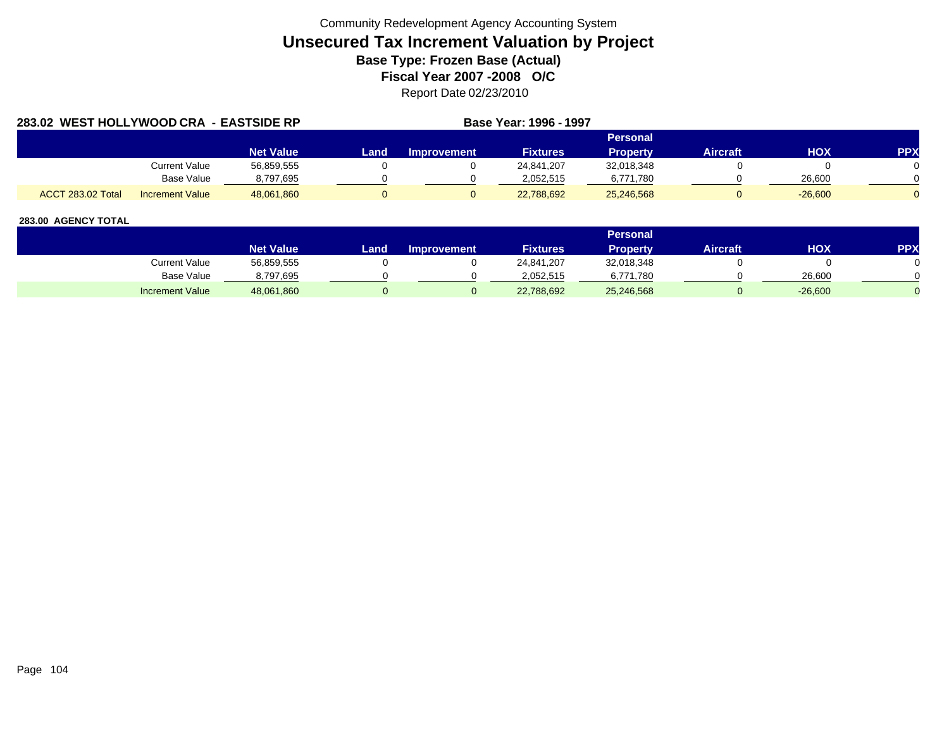| 283.02 WEST HOLLYWOOD CRA - EASTSIDE RP |                        |                  |      |                    | Base Year: 1996 - 1997 |                 |                 |            |            |
|-----------------------------------------|------------------------|------------------|------|--------------------|------------------------|-----------------|-----------------|------------|------------|
|                                         |                        |                  |      |                    |                        | <b>Personal</b> |                 |            |            |
|                                         |                        | <b>Net Value</b> | Land | <b>Improvement</b> | <b>Fixtures</b>        | Property        | <b>Aircraft</b> | <b>HOX</b> | <b>PPX</b> |
|                                         | Current Value          | 56,859,555       |      |                    | 24,841,207             | 32,018,348      |                 |            |            |
|                                         | Base Value             | 8,797,695        |      |                    | 2.052.515              | 6,771,780       |                 | 26,600     |            |
| ACCT 283.02 Total                       | <b>Increment Value</b> | 48.061.860       |      |                    | 22,788,692             | 25,246,568      |                 | $-26,600$  |            |

|                        |                  |      |                    |                 | <b>Personal</b> |                 |            |     |
|------------------------|------------------|------|--------------------|-----------------|-----------------|-----------------|------------|-----|
|                        | <b>Net Value</b> | Land | <b>Improvement</b> | <b>Fixtures</b> | <b>Property</b> | <b>Aircraft</b> | <b>HOX</b> | PPX |
| <b>Current Value</b>   | 56,859,555       |      |                    | 24,841,207      | 32,018,348      |                 |            |     |
| Base Value             | 8,797,695        |      |                    | 2.052.515       | 6,771,780       |                 | 26,600     |     |
| <b>Increment Value</b> | 48,061,860       |      |                    | 22,788,692      | 25,246,568      |                 | $-26,600$  |     |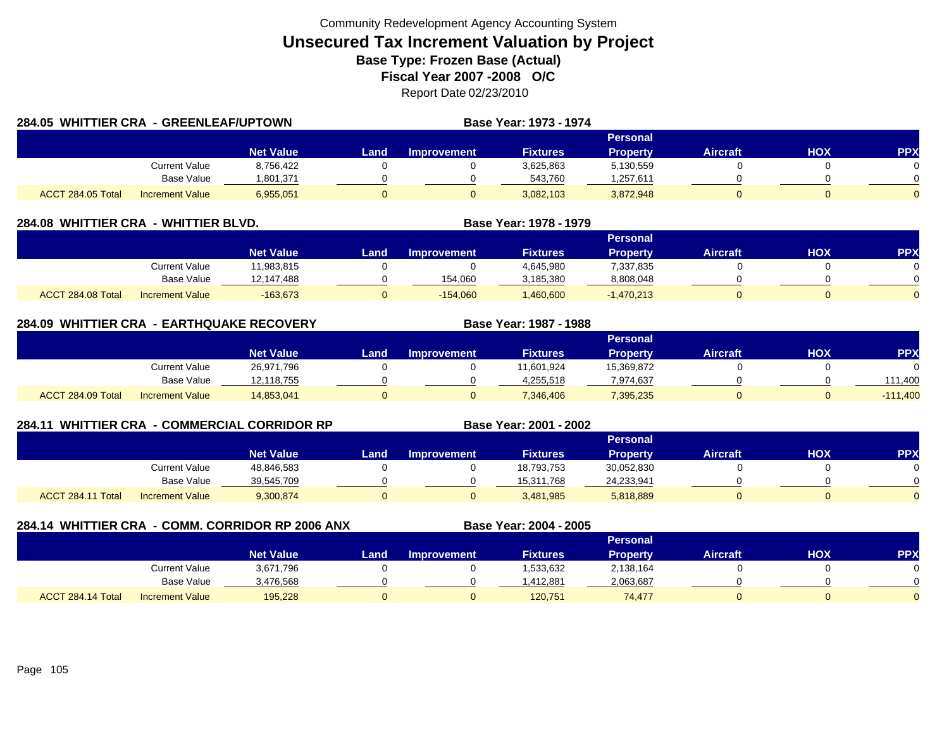| 284.05 WHITTIER CRA - GREENLEAF/UPTOWN |                        |                  |      |                    | Base Year: 1973 - 1974 |                 |                 |     |            |
|----------------------------------------|------------------------|------------------|------|--------------------|------------------------|-----------------|-----------------|-----|------------|
|                                        |                        |                  |      |                    |                        | Personal        |                 |     |            |
|                                        |                        | <b>Net Value</b> | Land | <b>Improvement</b> | <b>Fixtures</b>        | <b>Property</b> | <b>Aircraft</b> | HOX | <b>PPX</b> |
|                                        | Current Value          | 8,756,422        |      |                    | 3,625,863              | 5,130,559       |                 |     |            |
|                                        | Base Value             | 1,801,371        |      |                    | 543,760                | 1,257,611       |                 |     |            |
| ACCT 284.05 Total                      | <b>Increment Value</b> | 6,955,051        |      |                    | 3,082,103              | 3,872,948       |                 |     |            |

| 284.08  WHITTIER CRA | - WHITTIER BLVD.       |                  |      | <b>Base Year: 1978 - 1979</b> |                 |                 |                 |     |            |
|----------------------|------------------------|------------------|------|-------------------------------|-----------------|-----------------|-----------------|-----|------------|
|                      |                        |                  |      |                               |                 | <b>Personal</b> |                 |     |            |
|                      |                        | <b>Net Value</b> | Land | Improvement                   | <b>Fixtures</b> | Propertv        | <b>Aircraft</b> | нох | <b>PPX</b> |
|                      | <b>Current Value</b>   | 11.983.815       |      |                               | 4.645.980       | 7,337,835       |                 |     |            |
|                      | <b>Base Value</b>      | 12,147,488       |      | 154,060                       | 3,185,380       | 8,808,048       |                 |     |            |
| ACCT 284.08 Total    | <b>Increment Value</b> | $-163.673$       |      | $-154,060$                    | ,460,600        | $-1,470,213$    |                 |     |            |

| 284.09            | <b>WHITTIER CRA - EARTHQUAKE RECOVERY</b> |                  |      |                    | Base Year: 1987 - 1988 |                 |                 |     |            |
|-------------------|-------------------------------------------|------------------|------|--------------------|------------------------|-----------------|-----------------|-----|------------|
|                   |                                           |                  |      |                    |                        | <b>Personal</b> |                 |     |            |
|                   |                                           | <b>Net Value</b> | Land | <b>Improvement</b> | <b>Fixtures</b>        | Property        | <b>Aircraft</b> | нох | <b>PP</b>  |
|                   | <b>Current Value</b>                      | 26,971,796       |      |                    | 11,601,924             | 15,369,872      |                 |     |            |
|                   | Base Value                                | 12,118,755       |      |                    | 4.255.518              | 7,974,637       |                 |     | 111.400    |
| ACCT 284.09 Total | <b>Increment Value</b>                    | 14,853,041       |      |                    | 7,346,406              | 7,395,235       |                 |     | $-111,400$ |

| 284.11 |                   |                        | <b>WHITTIER CRA - COMMERCIAL CORRIDOR RP</b> | Base Year: 2001 - 2002 |                    |                 |                 |                 |            |           |
|--------|-------------------|------------------------|----------------------------------------------|------------------------|--------------------|-----------------|-----------------|-----------------|------------|-----------|
|        |                   |                        |                                              |                        | <b>Personal</b>    |                 |                 |                 |            |           |
|        |                   |                        | <b>Net Value</b>                             | Landı                  | <b>Improvement</b> | <b>Fixtures</b> | <b>Property</b> | <b>Aircraft</b> | <b>HOX</b> | <b>PP</b> |
|        |                   | <b>Current Value</b>   | 48,846,583                                   |                        |                    | 18,793,753      | 30,052,830      |                 |            |           |
|        |                   | Base Value             | 39,545,709                                   |                        |                    | 15,311,768      | 24,233,941      |                 |            |           |
|        | ACCT 284.11 Total | <b>Increment Value</b> | 9,300,874                                    |                        |                    | 3,481,985       | 5,818,889       |                 |            |           |

| 284.14 WHITTIER CRA - COMM. CORRIDOR RP 2006 ANX |                   |                        |                  |      |                    | Base Year: 2004 - 2005 |                 |                 |            |            |  |
|--------------------------------------------------|-------------------|------------------------|------------------|------|--------------------|------------------------|-----------------|-----------------|------------|------------|--|
|                                                  |                   |                        |                  |      | Personal           |                        |                 |                 |            |            |  |
|                                                  |                   |                        | <b>Net Value</b> | Land | <b>Improvement</b> | <b>Fixtures</b>        | <b>Property</b> | <b>Aircraft</b> | <b>HOX</b> | <b>PPX</b> |  |
|                                                  |                   | Current Value          | 3,671,796        |      |                    | 1,533,632              | 2,138,164       |                 |            |            |  |
|                                                  |                   | <b>Base Value</b>      | 3,476,568        |      |                    | 1,412,881              | 2,063,687       |                 |            |            |  |
|                                                  | ACCT 284.14 Total | <b>Increment Value</b> | 195.228          | υ    |                    | 120,751                | 74,477          |                 |            |            |  |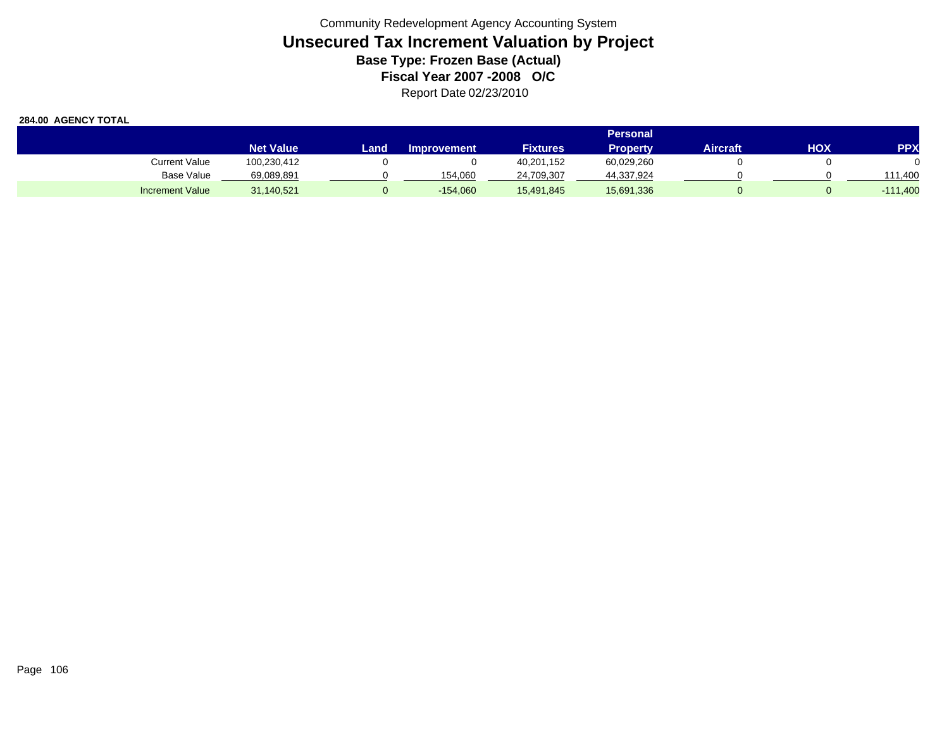|                        | <b>Personal</b>  |      |                    |                 |                 |                 |     |                   |
|------------------------|------------------|------|--------------------|-----------------|-----------------|-----------------|-----|-------------------|
|                        | <b>Net Value</b> | Land | <b>Improvement</b> | <b>Fixtures</b> | <b>Property</b> | <b>Aircraft</b> | нох | <b>PPX</b>        |
| Current Value          | 100,230,412      |      |                    | 40,201,152      | 60,029,260      |                 |     |                   |
| <b>Base Value</b>      | 69,089,891       |      | 154.060            | 24,709,307      | 44,337,924      |                 |     | 111.400           |
| <b>Increment Value</b> | 31,140,521       |      | $-154,060$         | 15,491,845      | 15,691,336      |                 |     | $-111,400$<br>. . |